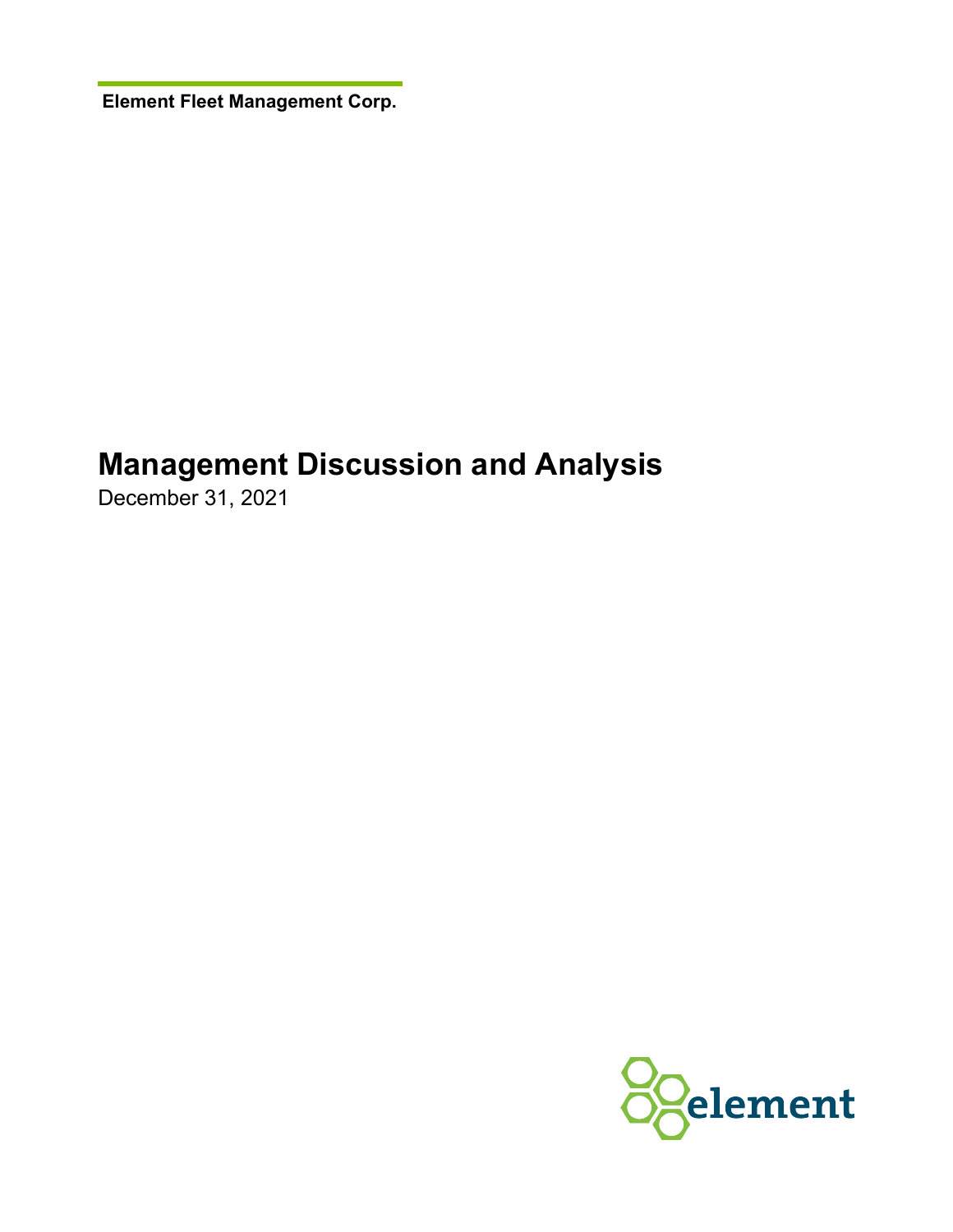**Element Fleet Management Corp.**

# **Management Discussion and Analysis**

December 31, 2021

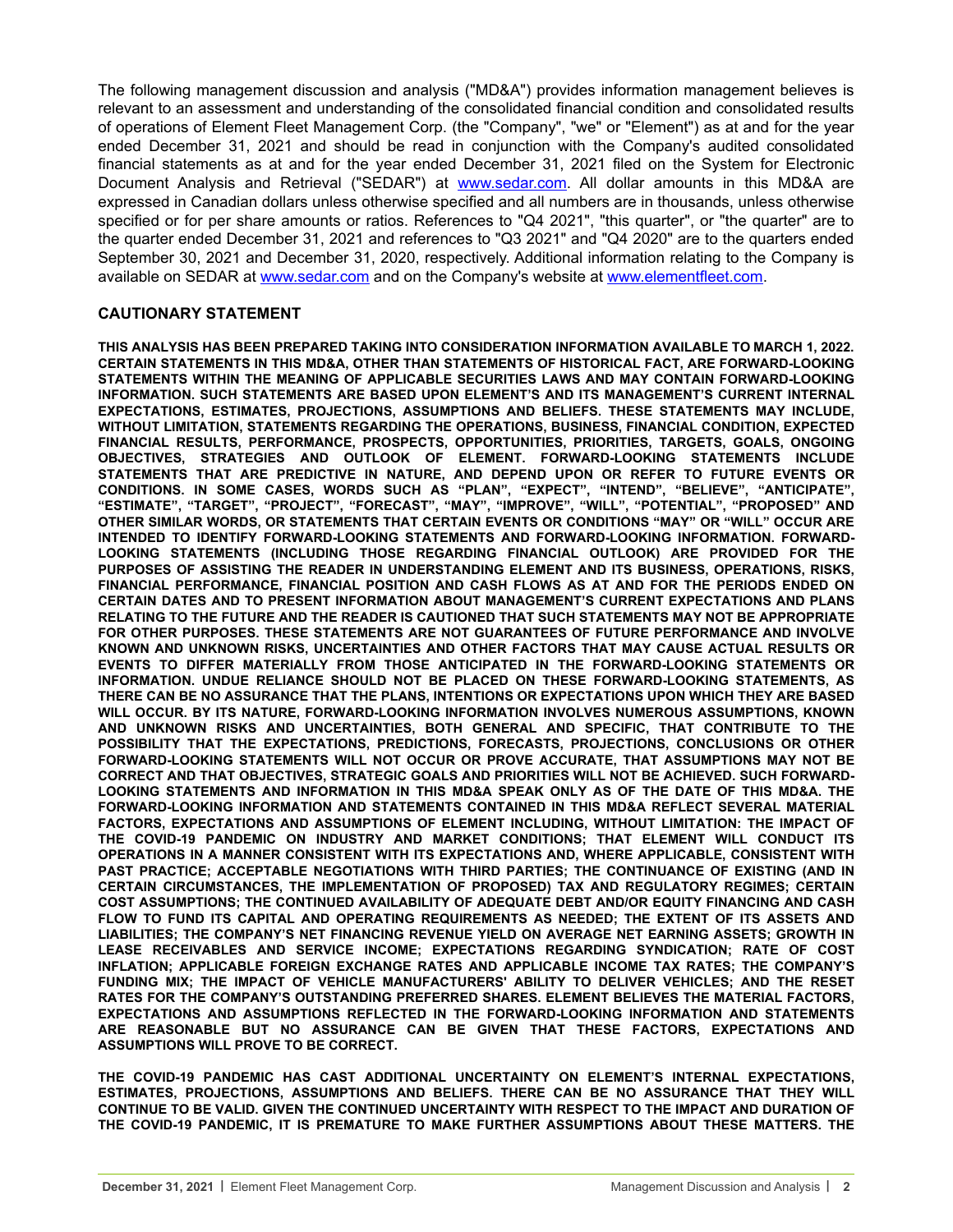The following management discussion and analysis ("MD&A") provides information management believes is relevant to an assessment and understanding of the consolidated financial condition and consolidated results of operations of Element Fleet Management Corp. (the "Company", "we" or "Element") as at and for the year ended December 31, 2021 and should be read in conjunction with the Company's audited consolidated financial statements as at and for the year ended December 31, 2021 filed on the System for Electronic Document Analysis and Retrieval ("SEDAR") at [www.sedar.com.](http://www.sedar.com) All dollar amounts in this MD&A are expressed in Canadian dollars unless otherwise specified and all numbers are in thousands, unless otherwise specified or for per share amounts or ratios. References to "Q4 2021", "this quarter", or "the quarter" are to the quarter ended December 31, 2021 and references to "Q3 2021" and "Q4 2020" are to the quarters ended September 30, 2021 and December 31, 2020, respectively. Additional information relating to the Company is available on SEDAR at [www.sedar.com](http://www.sedar.com) and on the Company's website at [www.elementfleet.com.](http://www.elementfleet.com)

#### **CAUTIONARY STATEMENT**

**THIS ANALYSIS HAS BEEN PREPARED TAKING INTO CONSIDERATION INFORMATION AVAILABLE TO MARCH 1, 2022. CERTAIN STATEMENTS IN THIS MD&A, OTHER THAN STATEMENTS OF HISTORICAL FACT, ARE FORWARD-LOOKING STATEMENTS WITHIN THE MEANING OF APPLICABLE SECURITIES LAWS AND MAY CONTAIN FORWARD-LOOKING INFORMATION. SUCH STATEMENTS ARE BASED UPON ELEMENT'S AND ITS MANAGEMENT'S CURRENT INTERNAL EXPECTATIONS, ESTIMATES, PROJECTIONS, ASSUMPTIONS AND BELIEFS. THESE STATEMENTS MAY INCLUDE, WITHOUT LIMITATION, STATEMENTS REGARDING THE OPERATIONS, BUSINESS, FINANCIAL CONDITION, EXPECTED FINANCIAL RESULTS, PERFORMANCE, PROSPECTS, OPPORTUNITIES, PRIORITIES, TARGETS, GOALS, ONGOING OBJECTIVES, STRATEGIES AND OUTLOOK OF ELEMENT. FORWARD-LOOKING STATEMENTS INCLUDE STATEMENTS THAT ARE PREDICTIVE IN NATURE, AND DEPEND UPON OR REFER TO FUTURE EVENTS OR CONDITIONS. IN SOME CASES, WORDS SUCH AS "PLAN", "EXPECT", "INTEND", "BELIEVE", "ANTICIPATE", "ESTIMATE", "TARGET", "PROJECT", "FORECAST", "MAY", "IMPROVE", "WILL", "POTENTIAL", "PROPOSED" AND OTHER SIMILAR WORDS, OR STATEMENTS THAT CERTAIN EVENTS OR CONDITIONS "MAY" OR "WILL" OCCUR ARE INTENDED TO IDENTIFY FORWARD-LOOKING STATEMENTS AND FORWARD-LOOKING INFORMATION. FORWARD-LOOKING STATEMENTS (INCLUDING THOSE REGARDING FINANCIAL OUTLOOK) ARE PROVIDED FOR THE PURPOSES OF ASSISTING THE READER IN UNDERSTANDING ELEMENT AND ITS BUSINESS, OPERATIONS, RISKS, FINANCIAL PERFORMANCE, FINANCIAL POSITION AND CASH FLOWS AS AT AND FOR THE PERIODS ENDED ON CERTAIN DATES AND TO PRESENT INFORMATION ABOUT MANAGEMENT'S CURRENT EXPECTATIONS AND PLANS RELATING TO THE FUTURE AND THE READER IS CAUTIONED THAT SUCH STATEMENTS MAY NOT BE APPROPRIATE FOR OTHER PURPOSES. THESE STATEMENTS ARE NOT GUARANTEES OF FUTURE PERFORMANCE AND INVOLVE KNOWN AND UNKNOWN RISKS, UNCERTAINTIES AND OTHER FACTORS THAT MAY CAUSE ACTUAL RESULTS OR EVENTS TO DIFFER MATERIALLY FROM THOSE ANTICIPATED IN THE FORWARD-LOOKING STATEMENTS OR INFORMATION. UNDUE RELIANCE SHOULD NOT BE PLACED ON THESE FORWARD-LOOKING STATEMENTS, AS THERE CAN BE NO ASSURANCE THAT THE PLANS, INTENTIONS OR EXPECTATIONS UPON WHICH THEY ARE BASED WILL OCCUR. BY ITS NATURE, FORWARD-LOOKING INFORMATION INVOLVES NUMEROUS ASSUMPTIONS, KNOWN AND UNKNOWN RISKS AND UNCERTAINTIES, BOTH GENERAL AND SPECIFIC, THAT CONTRIBUTE TO THE POSSIBILITY THAT THE EXPECTATIONS, PREDICTIONS, FORECASTS, PROJECTIONS, CONCLUSIONS OR OTHER FORWARD-LOOKING STATEMENTS WILL NOT OCCUR OR PROVE ACCURATE, THAT ASSUMPTIONS MAY NOT BE CORRECT AND THAT OBJECTIVES, STRATEGIC GOALS AND PRIORITIES WILL NOT BE ACHIEVED. SUCH FORWARD-LOOKING STATEMENTS AND INFORMATION IN THIS MD&A SPEAK ONLY AS OF THE DATE OF THIS MD&A. THE FORWARD-LOOKING INFORMATION AND STATEMENTS CONTAINED IN THIS MD&A REFLECT SEVERAL MATERIAL FACTORS, EXPECTATIONS AND ASSUMPTIONS OF ELEMENT INCLUDING, WITHOUT LIMITATION: THE IMPACT OF THE COVID-19 PANDEMIC ON INDUSTRY AND MARKET CONDITIONS; THAT ELEMENT WILL CONDUCT ITS OPERATIONS IN A MANNER CONSISTENT WITH ITS EXPECTATIONS AND, WHERE APPLICABLE, CONSISTENT WITH PAST PRACTICE; ACCEPTABLE NEGOTIATIONS WITH THIRD PARTIES; THE CONTINUANCE OF EXISTING (AND IN CERTAIN CIRCUMSTANCES, THE IMPLEMENTATION OF PROPOSED) TAX AND REGULATORY REGIMES; CERTAIN COST ASSUMPTIONS; THE CONTINUED AVAILABILITY OF ADEQUATE DEBT AND/OR EQUITY FINANCING AND CASH FLOW TO FUND ITS CAPITAL AND OPERATING REQUIREMENTS AS NEEDED; THE EXTENT OF ITS ASSETS AND LIABILITIES; THE COMPANY'S NET FINANCING REVENUE YIELD ON AVERAGE NET EARNING ASSETS; GROWTH IN LEASE RECEIVABLES AND SERVICE INCOME; EXPECTATIONS REGARDING SYNDICATION; RATE OF COST INFLATION; APPLICABLE FOREIGN EXCHANGE RATES AND APPLICABLE INCOME TAX RATES; THE COMPANY'S FUNDING MIX; THE IMPACT OF VEHICLE MANUFACTURERS' ABILITY TO DELIVER VEHICLES; AND THE RESET RATES FOR THE COMPANY'S OUTSTANDING PREFERRED SHARES. ELEMENT BELIEVES THE MATERIAL FACTORS, EXPECTATIONS AND ASSUMPTIONS REFLECTED IN THE FORWARD-LOOKING INFORMATION AND STATEMENTS ARE REASONABLE BUT NO ASSURANCE CAN BE GIVEN THAT THESE FACTORS, EXPECTATIONS AND ASSUMPTIONS WILL PROVE TO BE CORRECT.**

**THE COVID-19 PANDEMIC HAS CAST ADDITIONAL UNCERTAINTY ON ELEMENT'S INTERNAL EXPECTATIONS, ESTIMATES, PROJECTIONS, ASSUMPTIONS AND BELIEFS. THERE CAN BE NO ASSURANCE THAT THEY WILL CONTINUE TO BE VALID. GIVEN THE CONTINUED UNCERTAINTY WITH RESPECT TO THE IMPACT AND DURATION OF THE COVID-19 PANDEMIC, IT IS PREMATURE TO MAKE FURTHER ASSUMPTIONS ABOUT THESE MATTERS. THE**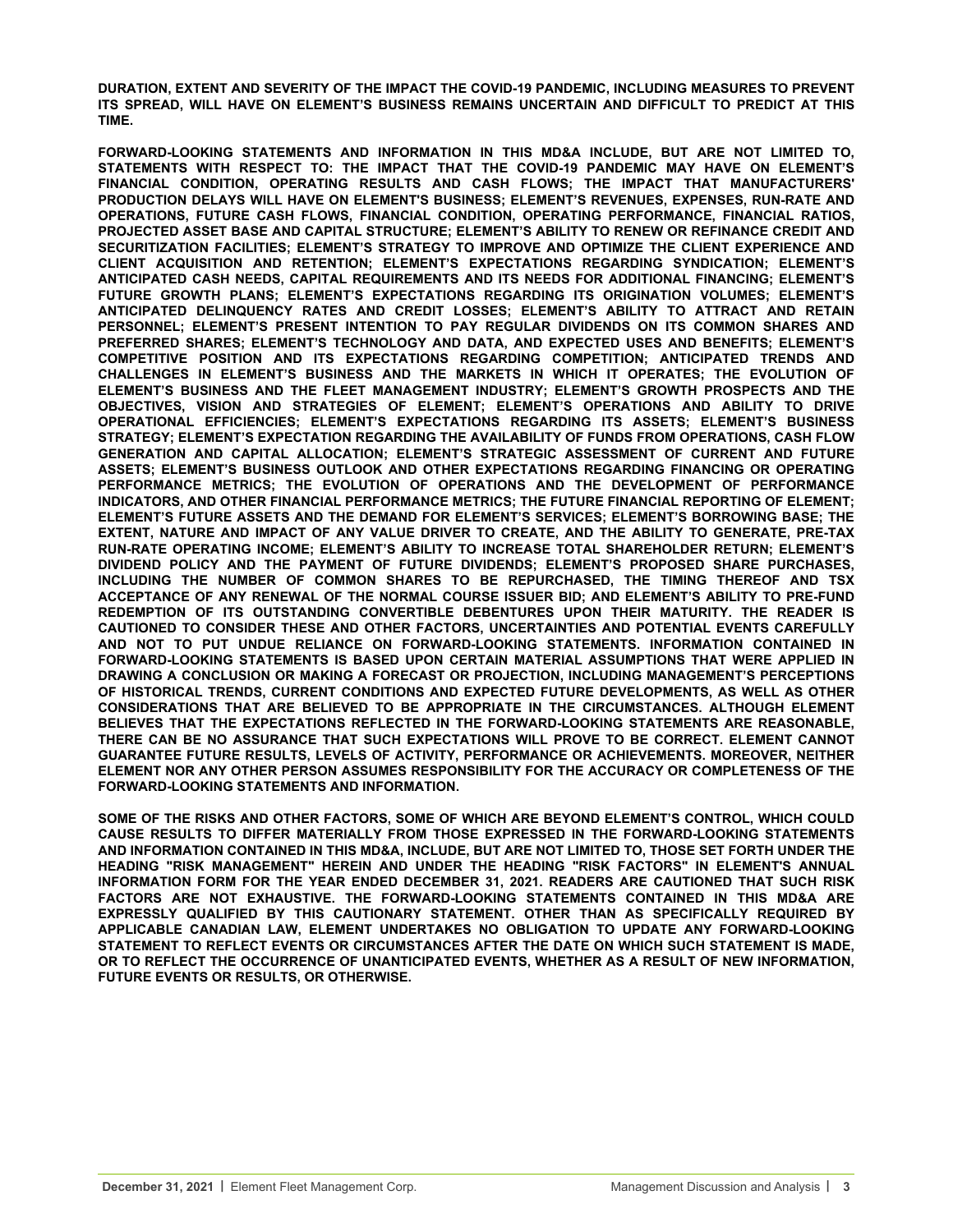**DURATION, EXTENT AND SEVERITY OF THE IMPACT THE COVID-19 PANDEMIC, INCLUDING MEASURES TO PREVENT ITS SPREAD, WILL HAVE ON ELEMENT'S BUSINESS REMAINS UNCERTAIN AND DIFFICULT TO PREDICT AT THIS TIME.**

**FORWARD-LOOKING STATEMENTS AND INFORMATION IN THIS MD&A INCLUDE, BUT ARE NOT LIMITED TO, STATEMENTS WITH RESPECT TO: THE IMPACT THAT THE COVID-19 PANDEMIC MAY HAVE ON ELEMENT'S FINANCIAL CONDITION, OPERATING RESULTS AND CASH FLOWS; THE IMPACT THAT MANUFACTURERS' PRODUCTION DELAYS WILL HAVE ON ELEMENT'S BUSINESS; ELEMENT'S REVENUES, EXPENSES, RUN-RATE AND OPERATIONS, FUTURE CASH FLOWS, FINANCIAL CONDITION, OPERATING PERFORMANCE, FINANCIAL RATIOS, PROJECTED ASSET BASE AND CAPITAL STRUCTURE; ELEMENT'S ABILITY TO RENEW OR REFINANCE CREDIT AND SECURITIZATION FACILITIES; ELEMENT'S STRATEGY TO IMPROVE AND OPTIMIZE THE CLIENT EXPERIENCE AND CLIENT ACQUISITION AND RETENTION; ELEMENT'S EXPECTATIONS REGARDING SYNDICATION; ELEMENT'S ANTICIPATED CASH NEEDS, CAPITAL REQUIREMENTS AND ITS NEEDS FOR ADDITIONAL FINANCING; ELEMENT'S FUTURE GROWTH PLANS; ELEMENT'S EXPECTATIONS REGARDING ITS ORIGINATION VOLUMES; ELEMENT'S ANTICIPATED DELINQUENCY RATES AND CREDIT LOSSES; ELEMENT'S ABILITY TO ATTRACT AND RETAIN PERSONNEL; ELEMENT'S PRESENT INTENTION TO PAY REGULAR DIVIDENDS ON ITS COMMON SHARES AND PREFERRED SHARES; ELEMENT'S TECHNOLOGY AND DATA, AND EXPECTED USES AND BENEFITS; ELEMENT'S COMPETITIVE POSITION AND ITS EXPECTATIONS REGARDING COMPETITION; ANTICIPATED TRENDS AND CHALLENGES IN ELEMENT'S BUSINESS AND THE MARKETS IN WHICH IT OPERATES; THE EVOLUTION OF ELEMENT'S BUSINESS AND THE FLEET MANAGEMENT INDUSTRY; ELEMENT'S GROWTH PROSPECTS AND THE OBJECTIVES, VISION AND STRATEGIES OF ELEMENT; ELEMENT'S OPERATIONS AND ABILITY TO DRIVE OPERATIONAL EFFICIENCIES; ELEMENT'S EXPECTATIONS REGARDING ITS ASSETS; ELEMENT'S BUSINESS STRATEGY; ELEMENT'S EXPECTATION REGARDING THE AVAILABILITY OF FUNDS FROM OPERATIONS, CASH FLOW GENERATION AND CAPITAL ALLOCATION; ELEMENT'S STRATEGIC ASSESSMENT OF CURRENT AND FUTURE ASSETS; ELEMENT'S BUSINESS OUTLOOK AND OTHER EXPECTATIONS REGARDING FINANCING OR OPERATING PERFORMANCE METRICS; THE EVOLUTION OF OPERATIONS AND THE DEVELOPMENT OF PERFORMANCE INDICATORS, AND OTHER FINANCIAL PERFORMANCE METRICS; THE FUTURE FINANCIAL REPORTING OF ELEMENT; ELEMENT'S FUTURE ASSETS AND THE DEMAND FOR ELEMENT'S SERVICES; ELEMENT'S BORROWING BASE; THE EXTENT, NATURE AND IMPACT OF ANY VALUE DRIVER TO CREATE, AND THE ABILITY TO GENERATE, PRE-TAX RUN-RATE OPERATING INCOME; ELEMENT'S ABILITY TO INCREASE TOTAL SHAREHOLDER RETURN; ELEMENT'S DIVIDEND POLICY AND THE PAYMENT OF FUTURE DIVIDENDS; ELEMENT'S PROPOSED SHARE PURCHASES, INCLUDING THE NUMBER OF COMMON SHARES TO BE REPURCHASED, THE TIMING THEREOF AND TSX ACCEPTANCE OF ANY RENEWAL OF THE NORMAL COURSE ISSUER BID; AND ELEMENT'S ABILITY TO PRE-FUND REDEMPTION OF ITS OUTSTANDING CONVERTIBLE DEBENTURES UPON THEIR MATURITY. THE READER IS CAUTIONED TO CONSIDER THESE AND OTHER FACTORS, UNCERTAINTIES AND POTENTIAL EVENTS CAREFULLY AND NOT TO PUT UNDUE RELIANCE ON FORWARD-LOOKING STATEMENTS. INFORMATION CONTAINED IN FORWARD-LOOKING STATEMENTS IS BASED UPON CERTAIN MATERIAL ASSUMPTIONS THAT WERE APPLIED IN DRAWING A CONCLUSION OR MAKING A FORECAST OR PROJECTION, INCLUDING MANAGEMENT'S PERCEPTIONS OF HISTORICAL TRENDS, CURRENT CONDITIONS AND EXPECTED FUTURE DEVELOPMENTS, AS WELL AS OTHER CONSIDERATIONS THAT ARE BELIEVED TO BE APPROPRIATE IN THE CIRCUMSTANCES. ALTHOUGH ELEMENT BELIEVES THAT THE EXPECTATIONS REFLECTED IN THE FORWARD-LOOKING STATEMENTS ARE REASONABLE, THERE CAN BE NO ASSURANCE THAT SUCH EXPECTATIONS WILL PROVE TO BE CORRECT. ELEMENT CANNOT GUARANTEE FUTURE RESULTS, LEVELS OF ACTIVITY, PERFORMANCE OR ACHIEVEMENTS. MOREOVER, NEITHER ELEMENT NOR ANY OTHER PERSON ASSUMES RESPONSIBILITY FOR THE ACCURACY OR COMPLETENESS OF THE FORWARD-LOOKING STATEMENTS AND INFORMATION.** 

**SOME OF THE RISKS AND OTHER FACTORS, SOME OF WHICH ARE BEYOND ELEMENT'S CONTROL, WHICH COULD CAUSE RESULTS TO DIFFER MATERIALLY FROM THOSE EXPRESSED IN THE FORWARD-LOOKING STATEMENTS AND INFORMATION CONTAINED IN THIS MD&A, INCLUDE, BUT ARE NOT LIMITED TO, THOSE SET FORTH UNDER THE HEADING "RISK MANAGEMENT" HEREIN AND UNDER THE HEADING "RISK FACTORS" IN ELEMENT'S ANNUAL INFORMATION FORM FOR THE YEAR ENDED DECEMBER 31, 2021. READERS ARE CAUTIONED THAT SUCH RISK FACTORS ARE NOT EXHAUSTIVE. THE FORWARD-LOOKING STATEMENTS CONTAINED IN THIS MD&A ARE EXPRESSLY QUALIFIED BY THIS CAUTIONARY STATEMENT. OTHER THAN AS SPECIFICALLY REQUIRED BY APPLICABLE CANADIAN LAW, ELEMENT UNDERTAKES NO OBLIGATION TO UPDATE ANY FORWARD-LOOKING STATEMENT TO REFLECT EVENTS OR CIRCUMSTANCES AFTER THE DATE ON WHICH SUCH STATEMENT IS MADE, OR TO REFLECT THE OCCURRENCE OF UNANTICIPATED EVENTS, WHETHER AS A RESULT OF NEW INFORMATION, FUTURE EVENTS OR RESULTS, OR OTHERWISE.**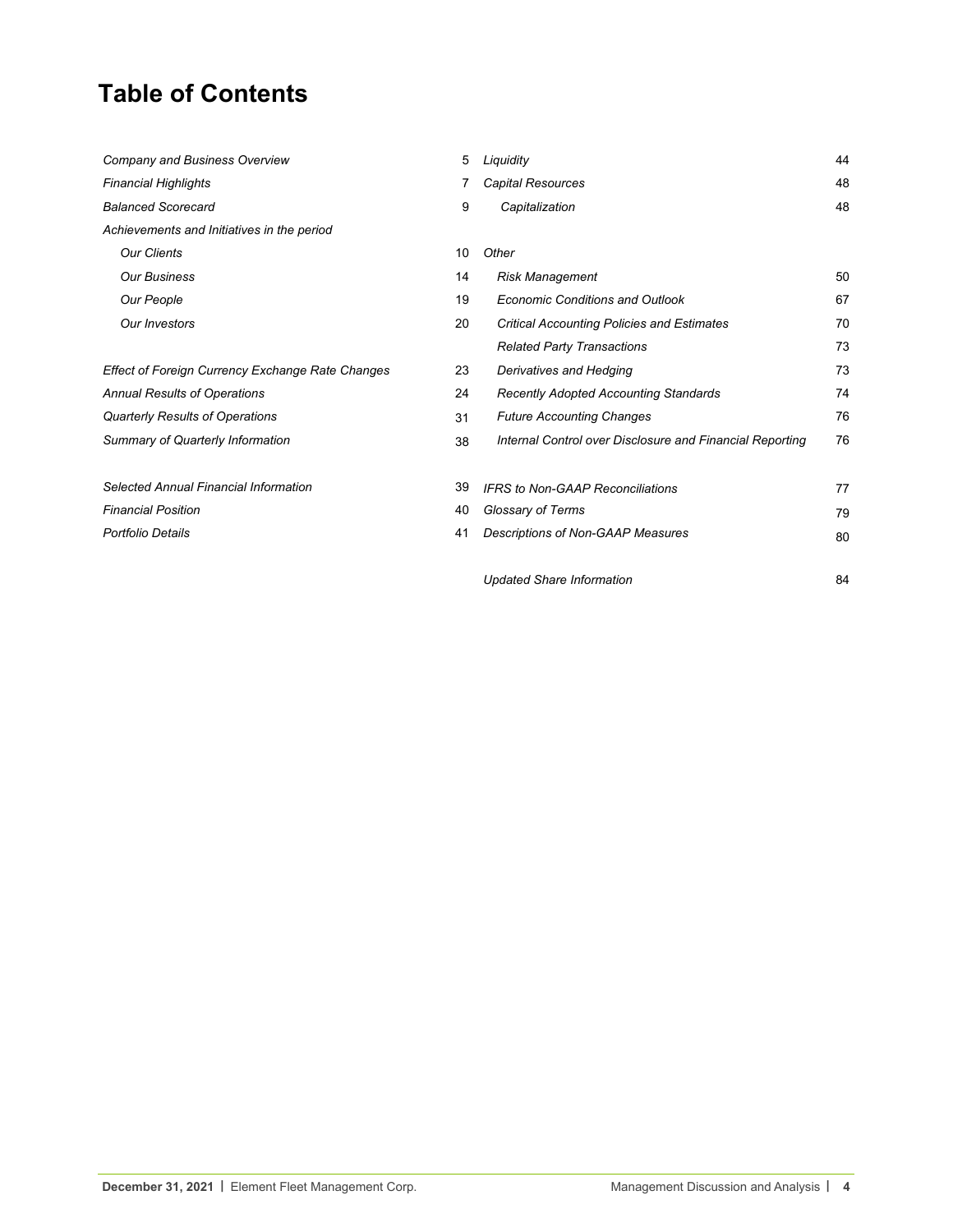# **Table of Contents**

| Company and Business Overview                    | 5  | Liquidity                                                | 44 |
|--------------------------------------------------|----|----------------------------------------------------------|----|
| <b>Financial Highlights</b>                      |    | Capital Resources                                        | 48 |
| <b>Balanced Scorecard</b>                        | 9  | Capitalization                                           | 48 |
| Achievements and Initiatives in the period       |    |                                                          |    |
| <b>Our Clients</b>                               | 10 | Other                                                    |    |
| <b>Our Business</b>                              | 14 | <b>Risk Management</b>                                   | 50 |
| Our People                                       | 19 | <b>Economic Conditions and Outlook</b>                   | 67 |
| Our Investors                                    | 20 | <b>Critical Accounting Policies and Estimates</b>        | 70 |
|                                                  |    | <b>Related Party Transactions</b>                        | 73 |
| Effect of Foreign Currency Exchange Rate Changes | 23 | Derivatives and Hedging                                  | 73 |
| <b>Annual Results of Operations</b>              | 24 | <b>Recently Adopted Accounting Standards</b>             | 74 |
| <b>Quarterly Results of Operations</b>           | 31 | <b>Future Accounting Changes</b>                         | 76 |
| Summary of Quarterly Information                 | 38 | Internal Control over Disclosure and Financial Reporting | 76 |
| Selected Annual Financial Information            | 39 | <b>IFRS to Non-GAAP Reconciliations</b>                  | 77 |
| <b>Financial Position</b>                        | 40 | Glossary of Terms                                        | 79 |
| Portfolio Details                                | 41 | Descriptions of Non-GAAP Measures                        | 80 |
|                                                  |    | <b>Updated Share Information</b>                         | 84 |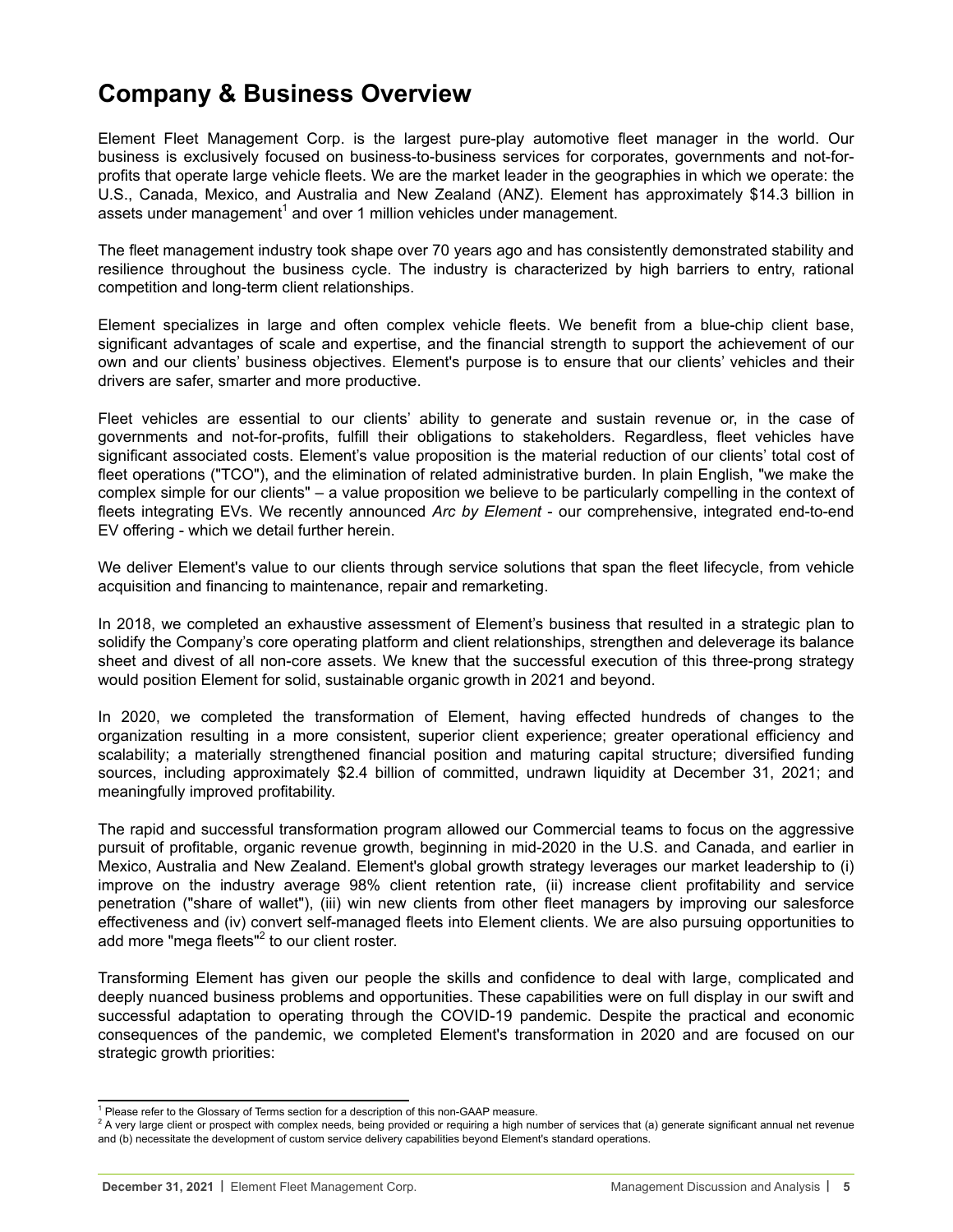# <span id="page-4-0"></span>**Company & Business Overview**

Element Fleet Management Corp. is the largest pure-play automotive fleet manager in the world. Our business is exclusively focused on business-to-business services for corporates, governments and not-forprofits that operate large vehicle fleets. We are the market leader in the geographies in which we operate: the U.S., Canada, Mexico, and Australia and New Zealand (ANZ). Element has approximately \$14.3 billion in assets under management<sup>1</sup> and over 1 million vehicles under management.

The fleet management industry took shape over 70 years ago and has consistently demonstrated stability and resilience throughout the business cycle. The industry is characterized by high barriers to entry, rational competition and long-term client relationships.

Element specializes in large and often complex vehicle fleets. We benefit from a blue-chip client base, significant advantages of scale and expertise, and the financial strength to support the achievement of our own and our clients' business objectives. Element's purpose is to ensure that our clients' vehicles and their drivers are safer, smarter and more productive.

Fleet vehicles are essential to our clients' ability to generate and sustain revenue or, in the case of governments and not-for-profits, fulfill their obligations to stakeholders. Regardless, fleet vehicles have significant associated costs. Element's value proposition is the material reduction of our clients' total cost of fleet operations ("TCO"), and the elimination of related administrative burden. In plain English, "we make the complex simple for our clients" – a value proposition we believe to be particularly compelling in the context of fleets integrating EVs. We recently announced *Arc by Element* - our comprehensive, integrated end-to-end EV offering - which we detail further herein.

We deliver Element's value to our clients through service solutions that span the fleet lifecycle, from vehicle acquisition and financing to maintenance, repair and remarketing.

In 2018, we completed an exhaustive assessment of Element's business that resulted in a strategic plan to solidify the Company's core operating platform and client relationships, strengthen and deleverage its balance sheet and divest of all non-core assets. We knew that the successful execution of this three-prong strategy would position Element for solid, sustainable organic growth in 2021 and beyond.

In 2020, we completed the transformation of Element, having effected hundreds of changes to the organization resulting in a more consistent, superior client experience; greater operational efficiency and scalability; a materially strengthened financial position and maturing capital structure; diversified funding sources, including approximately \$2.4 billion of committed, undrawn liquidity at December 31, 2021; and meaningfully improved profitability.

The rapid and successful transformation program allowed our Commercial teams to focus on the aggressive pursuit of profitable, organic revenue growth, beginning in mid-2020 in the U.S. and Canada, and earlier in Mexico, Australia and New Zealand. Element's global growth strategy leverages our market leadership to (i) improve on the industry average 98% client retention rate, (ii) increase client profitability and service penetration ("share of wallet"), (iii) win new clients from other fleet managers by improving our salesforce effectiveness and (iv) convert self-managed fleets into Element clients. We are also pursuing opportunities to add more "mega fleets"<sup>2</sup> to our client roster.

Transforming Element has given our people the skills and confidence to deal with large, complicated and deeply nuanced business problems and opportunities. These capabilities were on full display in our swift and successful adaptation to operating through the COVID-19 pandemic. Despite the practical and economic consequences of the pandemic, we completed Element's transformation in 2020 and are focused on our strategic growth priorities:

<sup>&</sup>lt;sup>1</sup> Please refer to the Glossary of Terms section for a description of this non-GAAP measure.

 $^2$  A very large client or prospect with complex needs, being provided or requiring a high number of services that (a) generate significant annual net revenue and (b) necessitate the development of custom service delivery capabilities beyond Element's standard operations.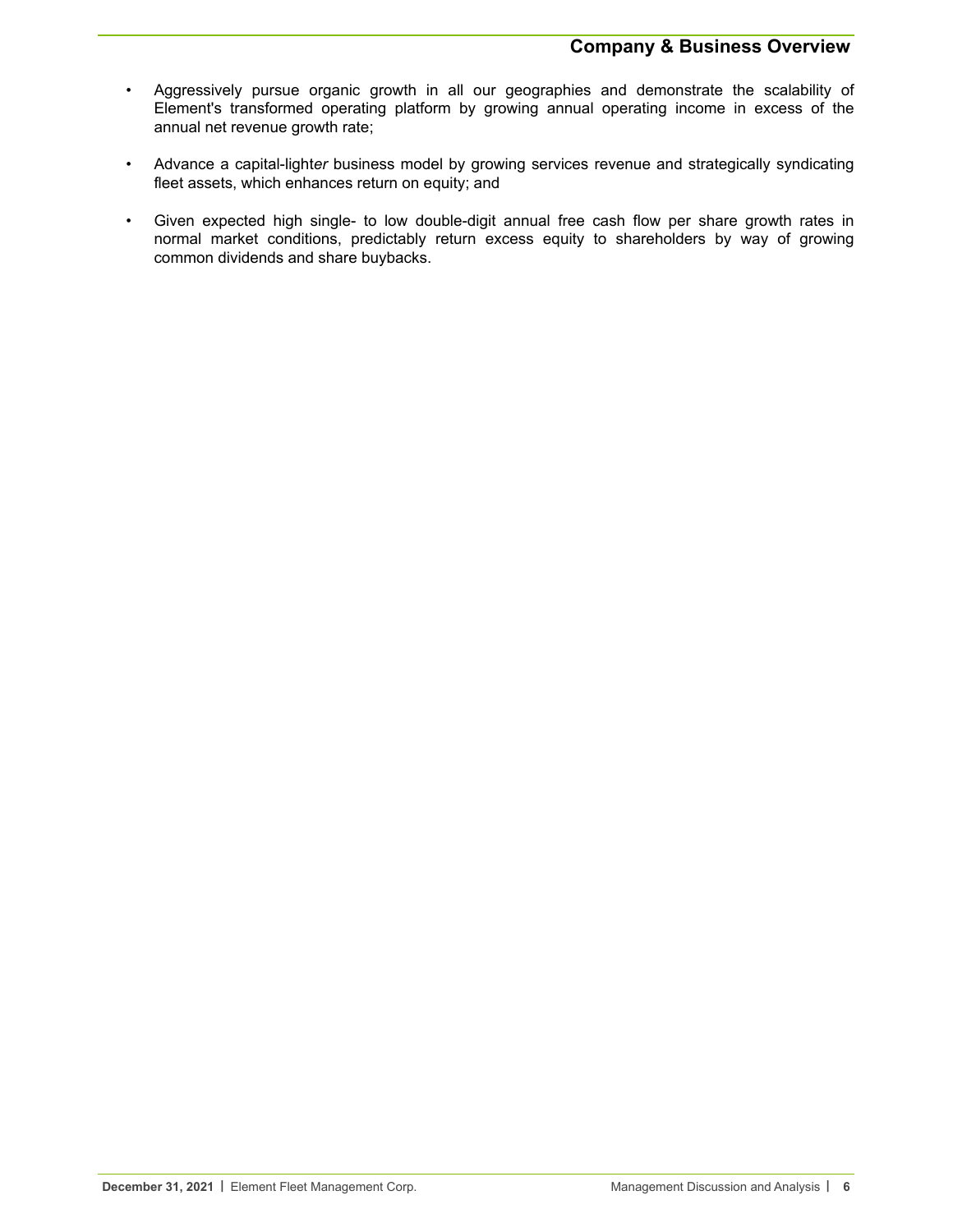- Aggressively pursue organic growth in all our geographies and demonstrate the scalability of Element's transformed operating platform by growing annual operating income in excess of the annual net revenue growth rate;
- Advance a capital-light*er* business model by growing services revenue and strategically syndicating fleet assets, which enhances return on equity; and
- Given expected high single- to low double-digit annual free cash flow per share growth rates in normal market conditions, predictably return excess equity to shareholders by way of growing common dividends and share buybacks.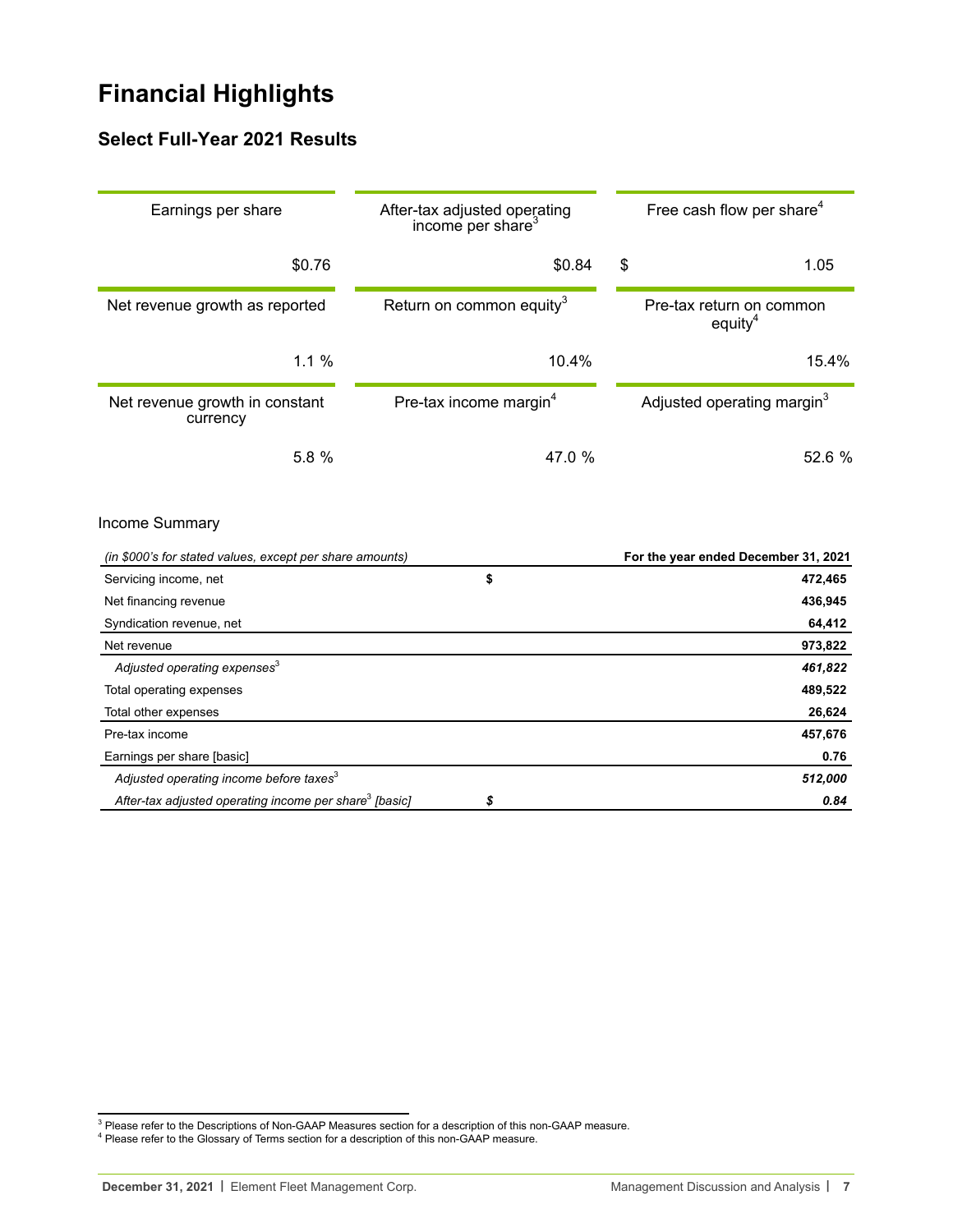# <span id="page-6-0"></span>**Financial Highlights**

# **Select Full-Year 2021 Results**

| Earnings per share                                                         | After-tax adjusted operating<br>income per share <sup>3</sup> | Free cash flow per share <sup>4</sup>           |
|----------------------------------------------------------------------------|---------------------------------------------------------------|-------------------------------------------------|
| \$0.76                                                                     | \$0.84                                                        | \$<br>1.05                                      |
| Net revenue growth as reported                                             | Return on common equity <sup>3</sup>                          | Pre-tax return on common<br>equity <sup>4</sup> |
| 1.1%                                                                       | 10.4%                                                         | 15.4%                                           |
| Net revenue growth in constant<br>currency                                 | Pre-tax income margin <sup>4</sup>                            | Adjusted operating margin <sup>3</sup>          |
| 5.8 %                                                                      | 47.0 %                                                        | 52.6 %                                          |
| Income Summary<br>(in \$000's for stated values, except per share amounts) |                                                               | For the year ended December 31, 2021            |
| Servicing income, net                                                      | \$                                                            | 472,465                                         |
| Net financing revenue                                                      |                                                               | 436,945                                         |
| Syndication revenue, net                                                   |                                                               | 64,412                                          |
| Net revenue                                                                |                                                               | 973,822                                         |
| Adjusted operating expenses <sup>3</sup>                                   |                                                               | 461,822                                         |
| Total operating expenses                                                   |                                                               | 489,522                                         |
| Total other expenses                                                       |                                                               | 26,624                                          |
| Pre-tax income                                                             |                                                               | 457,676                                         |
| Earnings per share [basic]                                                 |                                                               | 0.76                                            |
| Adjusted operating income before taxes <sup>3</sup>                        |                                                               | 512,000                                         |
| After-tax adjusted operating income per share <sup>3</sup> [basic]         | \$                                                            | 0.84                                            |

 $^3$  Please refer to the Descriptions of Non-GAAP Measures section for a description of this non-GAAP measure.<br><sup>4</sup> Please refer to the Glossary of Terms section for a description of this non-GAAP measure.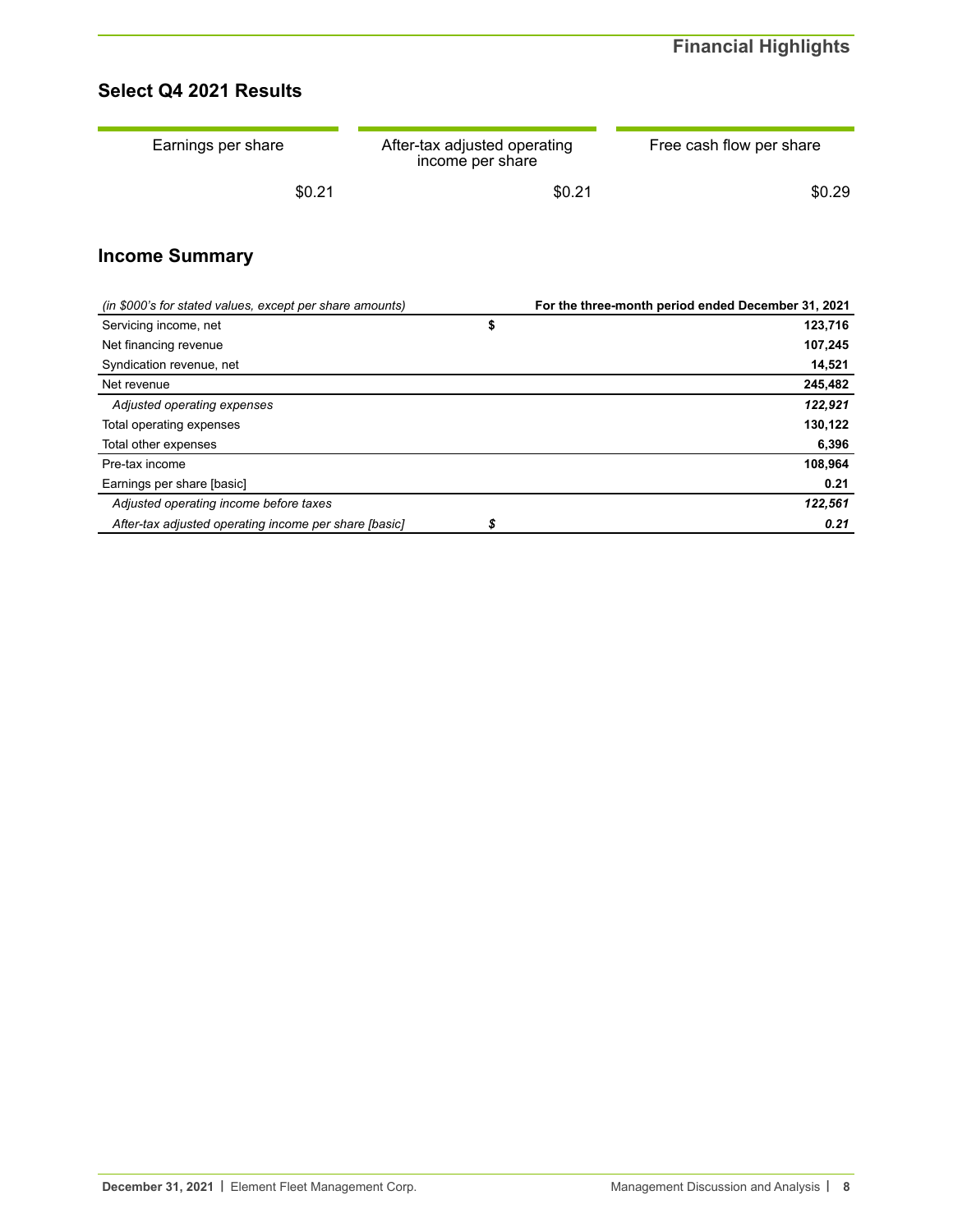# **Select Q4 2021 Results**

| Earnings per share | After-tax adjusted operating<br>income per share | Free cash flow per share |
|--------------------|--------------------------------------------------|--------------------------|
| \$0.21             | \$0.21                                           | \$0.29                   |

# **Income Summary**

| (in \$000's for stated values, except per share amounts) | For the three-month period ended December 31, 2021 |
|----------------------------------------------------------|----------------------------------------------------|
| Servicing income, net                                    | 123,716                                            |
| Net financing revenue                                    | 107,245                                            |
| Syndication revenue, net                                 | 14,521                                             |
| Net revenue                                              | 245,482                                            |
| Adjusted operating expenses                              | 122,921                                            |
| Total operating expenses                                 | 130,122                                            |
| Total other expenses                                     | 6,396                                              |
| Pre-tax income                                           | 108,964                                            |
| Earnings per share [basic]                               | 0.21                                               |
| Adjusted operating income before taxes                   | 122,561                                            |
| After-tax adjusted operating income per share [basic]    | 0.21                                               |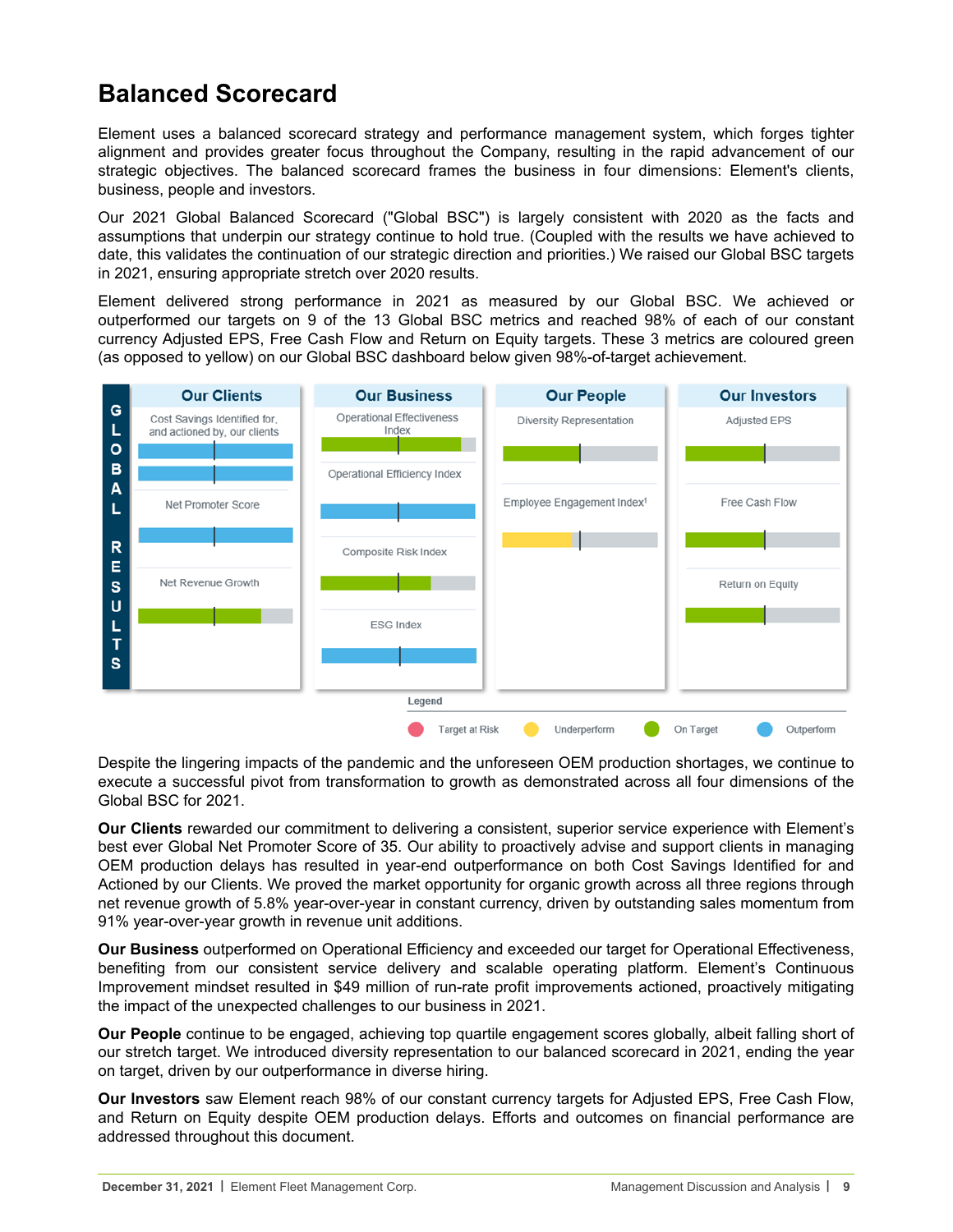# <span id="page-8-0"></span>**Balanced Scorecard**

Element uses a balanced scorecard strategy and performance management system, which forges tighter alignment and provides greater focus throughout the Company, resulting in the rapid advancement of our strategic objectives. The balanced scorecard frames the business in four dimensions: Element's clients, business, people and investors.

Our 2021 Global Balanced Scorecard ("Global BSC") is largely consistent with 2020 as the facts and assumptions that underpin our strategy continue to hold true. (Coupled with the results we have achieved to date, this validates the continuation of our strategic direction and priorities.) We raised our Global BSC targets in 2021, ensuring appropriate stretch over 2020 results.

Element delivered strong performance in 2021 as measured by our Global BSC. We achieved or outperformed our targets on 9 of the 13 Global BSC metrics and reached 98% of each of our constant currency Adjusted EPS, Free Cash Flow and Return on Equity targets. These 3 metrics are coloured green (as opposed to yellow) on our Global BSC dashboard below given 98%-of-target achievement.



Despite the lingering impacts of the pandemic and the unforeseen OEM production shortages, we continue to execute a successful pivot from transformation to growth as demonstrated across all four dimensions of the Global BSC for 2021.

**Our Clients** rewarded our commitment to delivering a consistent, superior service experience with Element's best ever Global Net Promoter Score of 35. Our ability to proactively advise and support clients in managing OEM production delays has resulted in year-end outperformance on both Cost Savings Identified for and Actioned by our Clients. We proved the market opportunity for organic growth across all three regions through net revenue growth of 5.8% year-over-year in constant currency, driven by outstanding sales momentum from 91% year-over-year growth in revenue unit additions.

**Our Business** outperformed on Operational Efficiency and exceeded our target for Operational Effectiveness, benefiting from our consistent service delivery and scalable operating platform. Element's Continuous Improvement mindset resulted in \$49 million of run-rate profit improvements actioned, proactively mitigating the impact of the unexpected challenges to our business in 2021.

**Our People** continue to be engaged, achieving top quartile engagement scores globally, albeit falling short of our stretch target. We introduced diversity representation to our balanced scorecard in 2021, ending the year on target, driven by our outperformance in diverse hiring.

**Our Investors** saw Element reach 98% of our constant currency targets for Adjusted EPS, Free Cash Flow, and Return on Equity despite OEM production delays. Efforts and outcomes on financial performance are addressed throughout this document.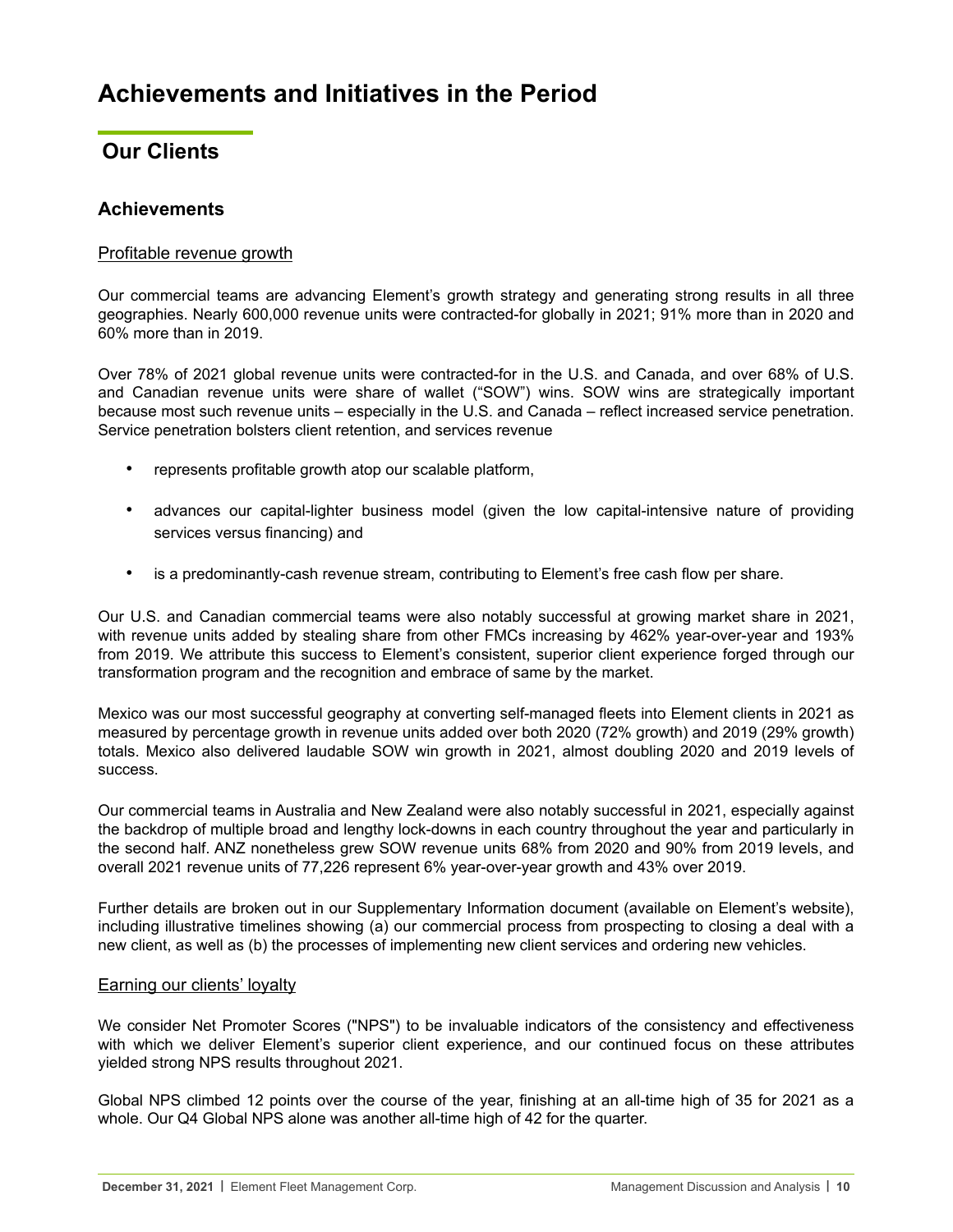# <span id="page-9-0"></span>**Our Clients**

# **Achievements**

# Profitable revenue growth

Our commercial teams are advancing Element's growth strategy and generating strong results in all three geographies. Nearly 600,000 revenue units were contracted-for globally in 2021; 91% more than in 2020 and 60% more than in 2019.

Over 78% of 2021 global revenue units were contracted-for in the U.S. and Canada, and over 68% of U.S. and Canadian revenue units were share of wallet ("SOW") wins. SOW wins are strategically important because most such revenue units – especially in the U.S. and Canada – reflect increased service penetration. Service penetration bolsters client retention, and services revenue

- represents profitable growth atop our scalable platform,
- advances our capital-lighter business model (given the low capital-intensive nature of providing services versus financing) and
- is a predominantly-cash revenue stream, contributing to Element's free cash flow per share.

Our U.S. and Canadian commercial teams were also notably successful at growing market share in 2021, with revenue units added by stealing share from other FMCs increasing by 462% year-over-year and 193% from 2019. We attribute this success to Element's consistent, superior client experience forged through our transformation program and the recognition and embrace of same by the market.

Mexico was our most successful geography at converting self-managed fleets into Element clients in 2021 as measured by percentage growth in revenue units added over both 2020 (72% growth) and 2019 (29% growth) totals. Mexico also delivered laudable SOW win growth in 2021, almost doubling 2020 and 2019 levels of success.

Our commercial teams in Australia and New Zealand were also notably successful in 2021, especially against the backdrop of multiple broad and lengthy lock-downs in each country throughout the year and particularly in the second half. ANZ nonetheless grew SOW revenue units 68% from 2020 and 90% from 2019 levels, and overall 2021 revenue units of 77,226 represent 6% year-over-year growth and 43% over 2019.

Further details are broken out in our Supplementary Information document (available on Element's website), including illustrative timelines showing (a) our commercial process from prospecting to closing a deal with a new client, as well as (b) the processes of implementing new client services and ordering new vehicles.

## Earning our clients' loyalty

We consider Net Promoter Scores ("NPS") to be invaluable indicators of the consistency and effectiveness with which we deliver Element's superior client experience, and our continued focus on these attributes yielded strong NPS results throughout 2021.

Global NPS climbed 12 points over the course of the year, finishing at an all-time high of 35 for 2021 as a whole. Our Q4 Global NPS alone was another all-time high of 42 for the quarter.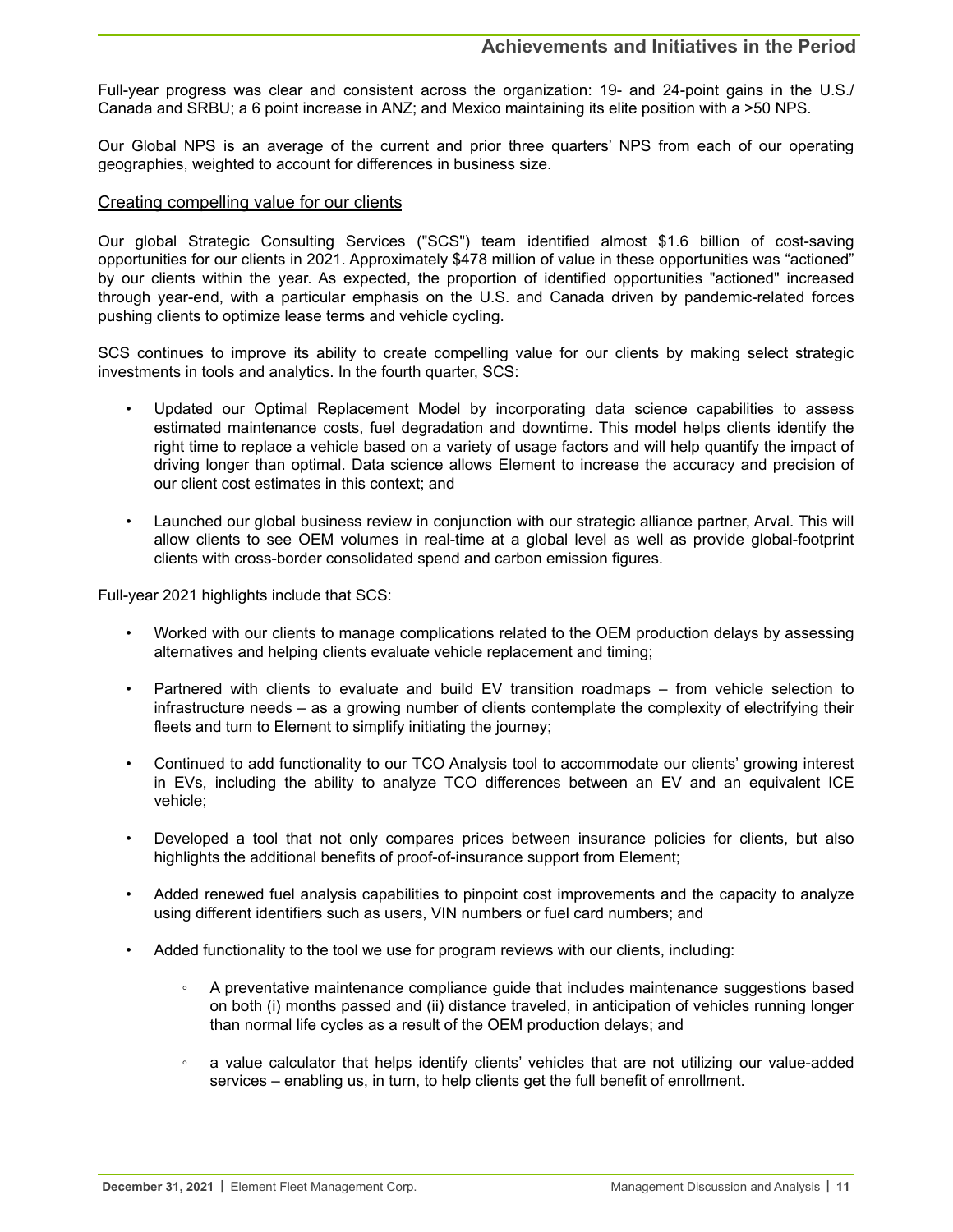Full-year progress was clear and consistent across the organization: 19- and 24-point gains in the U.S./ Canada and SRBU; a 6 point increase in ANZ; and Mexico maintaining its elite position with a >50 NPS.

Our Global NPS is an average of the current and prior three quarters' NPS from each of our operating geographies, weighted to account for differences in business size.

#### Creating compelling value for our clients

Our global Strategic Consulting Services ("SCS") team identified almost \$1.6 billion of cost-saving opportunities for our clients in 2021. Approximately \$478 million of value in these opportunities was "actioned" by our clients within the year. As expected, the proportion of identified opportunities "actioned" increased through year-end, with a particular emphasis on the U.S. and Canada driven by pandemic-related forces pushing clients to optimize lease terms and vehicle cycling.

SCS continues to improve its ability to create compelling value for our clients by making select strategic investments in tools and analytics. In the fourth quarter, SCS:

- Updated our Optimal Replacement Model by incorporating data science capabilities to assess estimated maintenance costs, fuel degradation and downtime. This model helps clients identify the right time to replace a vehicle based on a variety of usage factors and will help quantify the impact of driving longer than optimal. Data science allows Element to increase the accuracy and precision of our client cost estimates in this context; and
- Launched our global business review in conjunction with our strategic alliance partner, Arval. This will allow clients to see OEM volumes in real-time at a global level as well as provide global-footprint clients with cross-border consolidated spend and carbon emission figures.

Full-year 2021 highlights include that SCS:

- Worked with our clients to manage complications related to the OEM production delays by assessing alternatives and helping clients evaluate vehicle replacement and timing;
- Partnered with clients to evaluate and build EV transition roadmaps from vehicle selection to infrastructure needs – as a growing number of clients contemplate the complexity of electrifying their fleets and turn to Element to simplify initiating the journey;
- Continued to add functionality to our TCO Analysis tool to accommodate our clients' growing interest in EVs, including the ability to analyze TCO differences between an EV and an equivalent ICE vehicle;
- Developed a tool that not only compares prices between insurance policies for clients, but also highlights the additional benefits of proof-of-insurance support from Element;
- Added renewed fuel analysis capabilities to pinpoint cost improvements and the capacity to analyze using different identifiers such as users, VIN numbers or fuel card numbers; and
- Added functionality to the tool we use for program reviews with our clients, including:
	- A preventative maintenance compliance guide that includes maintenance suggestions based on both (i) months passed and (ii) distance traveled, in anticipation of vehicles running longer than normal life cycles as a result of the OEM production delays; and
	- a value calculator that helps identify clients' vehicles that are not utilizing our value-added services – enabling us, in turn, to help clients get the full benefit of enrollment.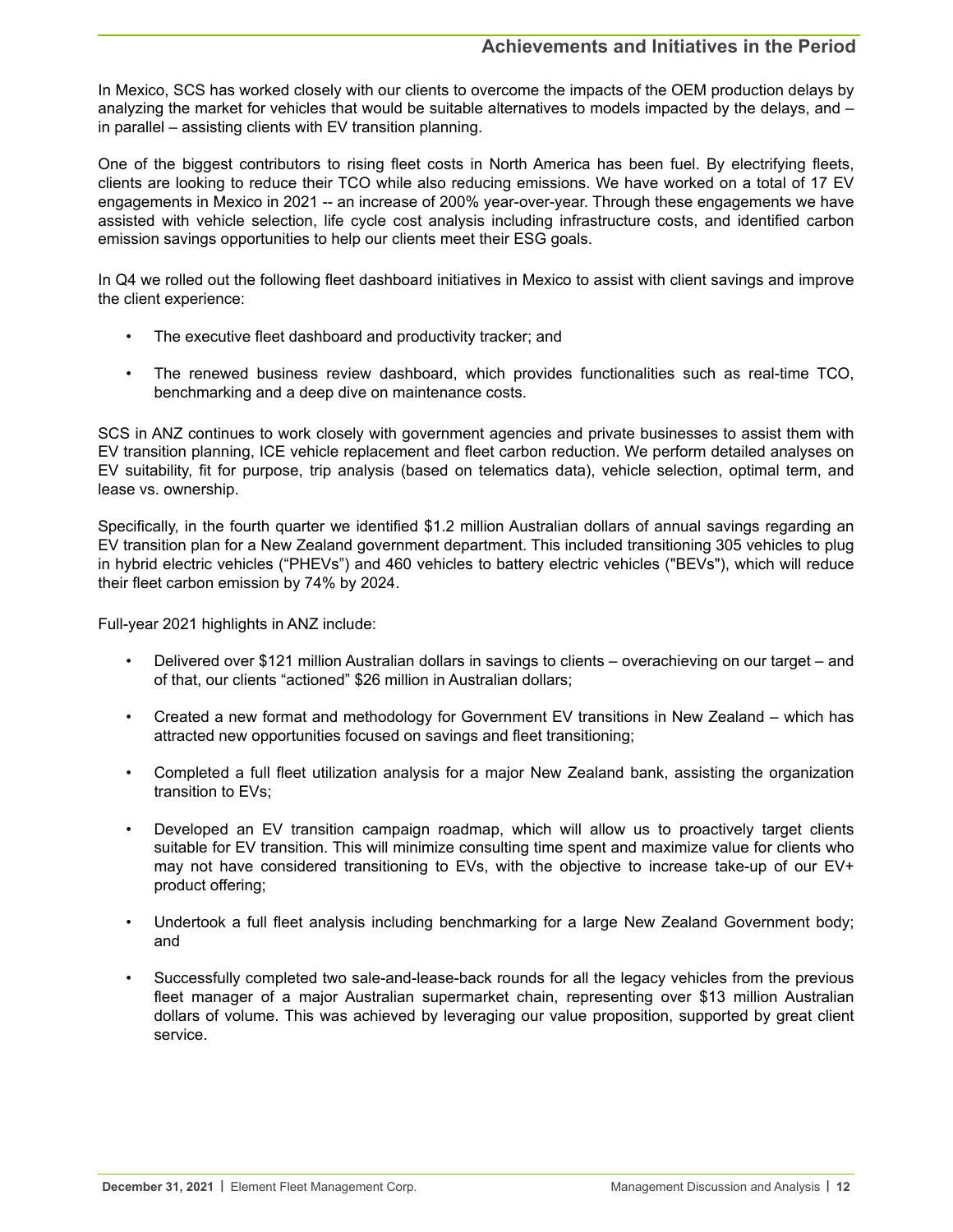In Mexico, SCS has worked closely with our clients to overcome the impacts of the OEM production delays by analyzing the market for vehicles that would be suitable alternatives to models impacted by the delays, and – in parallel – assisting clients with EV transition planning.

One of the biggest contributors to rising fleet costs in North America has been fuel. By electrifying fleets, clients are looking to reduce their TCO while also reducing emissions. We have worked on a total of 17 EV engagements in Mexico in 2021 -- an increase of 200% year-over-year. Through these engagements we have assisted with vehicle selection, life cycle cost analysis including infrastructure costs, and identified carbon emission savings opportunities to help our clients meet their ESG goals.

In Q4 we rolled out the following fleet dashboard initiatives in Mexico to assist with client savings and improve the client experience:

- The executive fleet dashboard and productivity tracker; and
- The renewed business review dashboard, which provides functionalities such as real-time TCO, benchmarking and a deep dive on maintenance costs.

SCS in ANZ continues to work closely with government agencies and private businesses to assist them with EV transition planning, ICE vehicle replacement and fleet carbon reduction. We perform detailed analyses on EV suitability, fit for purpose, trip analysis (based on telematics data), vehicle selection, optimal term, and lease vs. ownership.

Specifically, in the fourth quarter we identified \$1.2 million Australian dollars of annual savings regarding an EV transition plan for a New Zealand government department. This included transitioning 305 vehicles to plug in hybrid electric vehicles ("PHEVs") and 460 vehicles to battery electric vehicles ("BEVs"), which will reduce their fleet carbon emission by 74% by 2024.

Full-year 2021 highlights in ANZ include:

- Delivered over \$121 million Australian dollars in savings to clients overachieving on our target and of that, our clients "actioned" \$26 million in Australian dollars;
- Created a new format and methodology for Government EV transitions in New Zealand which has attracted new opportunities focused on savings and fleet transitioning;
- Completed a full fleet utilization analysis for a major New Zealand bank, assisting the organization transition to EVs;
- Developed an EV transition campaign roadmap, which will allow us to proactively target clients suitable for EV transition. This will minimize consulting time spent and maximize value for clients who may not have considered transitioning to EVs, with the objective to increase take-up of our EV+ product offering;
- Undertook a full fleet analysis including benchmarking for a large New Zealand Government body; and
- Successfully completed two sale-and-lease-back rounds for all the legacy vehicles from the previous fleet manager of a major Australian supermarket chain, representing over \$13 million Australian dollars of volume. This was achieved by leveraging our value proposition, supported by great client service.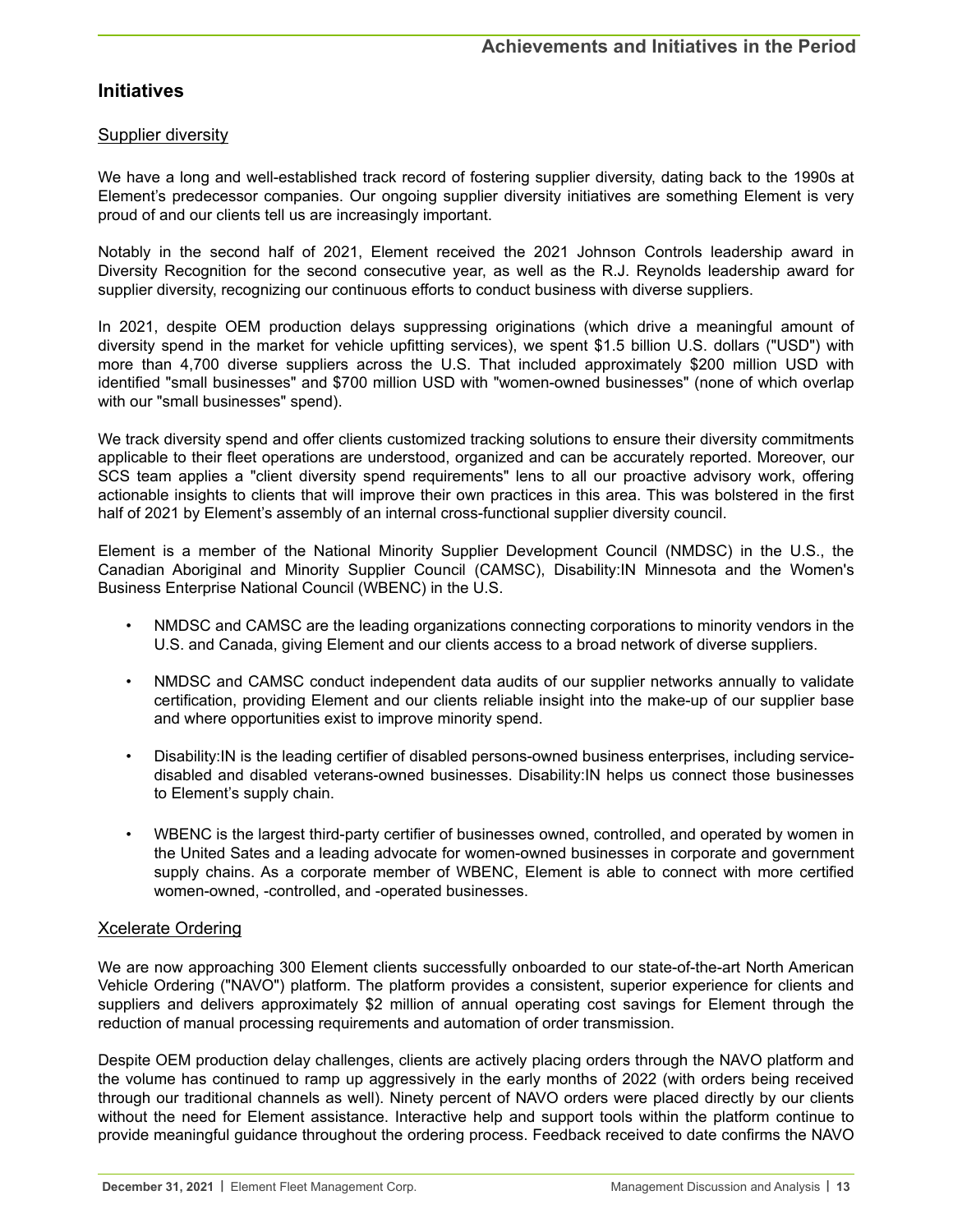# **Initiatives**

## Supplier diversity

We have a long and well-established track record of fostering supplier diversity, dating back to the 1990s at Element's predecessor companies. Our ongoing supplier diversity initiatives are something Element is very proud of and our clients tell us are increasingly important.

Notably in the second half of 2021, Element received the 2021 Johnson Controls leadership award in Diversity Recognition for the second consecutive year, as well as the R.J. Reynolds leadership award for supplier diversity, recognizing our continuous efforts to conduct business with diverse suppliers.

In 2021, despite OEM production delays suppressing originations (which drive a meaningful amount of diversity spend in the market for vehicle upfitting services), we spent \$1.5 billion U.S. dollars ("USD") with more than 4,700 diverse suppliers across the U.S. That included approximately \$200 million USD with identified "small businesses" and \$700 million USD with "women-owned businesses" (none of which overlap with our "small businesses" spend).

We track diversity spend and offer clients customized tracking solutions to ensure their diversity commitments applicable to their fleet operations are understood, organized and can be accurately reported. Moreover, our SCS team applies a "client diversity spend requirements" lens to all our proactive advisory work, offering actionable insights to clients that will improve their own practices in this area. This was bolstered in the first half of 2021 by Element's assembly of an internal cross-functional supplier diversity council.

Element is a member of the National Minority Supplier Development Council (NMDSC) in the U.S., the Canadian Aboriginal and Minority Supplier Council (CAMSC), Disability:IN Minnesota and the Women's Business Enterprise National Council (WBENC) in the U.S.

- NMDSC and CAMSC are the leading organizations connecting corporations to minority vendors in the U.S. and Canada, giving Element and our clients access to a broad network of diverse suppliers.
- NMDSC and CAMSC conduct independent data audits of our supplier networks annually to validate certification, providing Element and our clients reliable insight into the make-up of our supplier base and where opportunities exist to improve minority spend.
- Disability:IN is the leading certifier of disabled persons-owned business enterprises, including servicedisabled and disabled veterans-owned businesses. Disability:IN helps us connect those businesses to Element's supply chain.
- WBENC is the largest third-party certifier of businesses owned, controlled, and operated by women in the United Sates and a leading advocate for women-owned businesses in corporate and government supply chains. As a corporate member of WBENC, Element is able to connect with more certified women-owned, -controlled, and -operated businesses.

## Xcelerate Ordering

We are now approaching 300 Element clients successfully onboarded to our state-of-the-art North American Vehicle Ordering ("NAVO") platform. The platform provides a consistent, superior experience for clients and suppliers and delivers approximately \$2 million of annual operating cost savings for Element through the reduction of manual processing requirements and automation of order transmission.

Despite OEM production delay challenges, clients are actively placing orders through the NAVO platform and the volume has continued to ramp up aggressively in the early months of 2022 (with orders being received through our traditional channels as well). Ninety percent of NAVO orders were placed directly by our clients without the need for Element assistance. Interactive help and support tools within the platform continue to provide meaningful guidance throughout the ordering process. Feedback received to date confirms the NAVO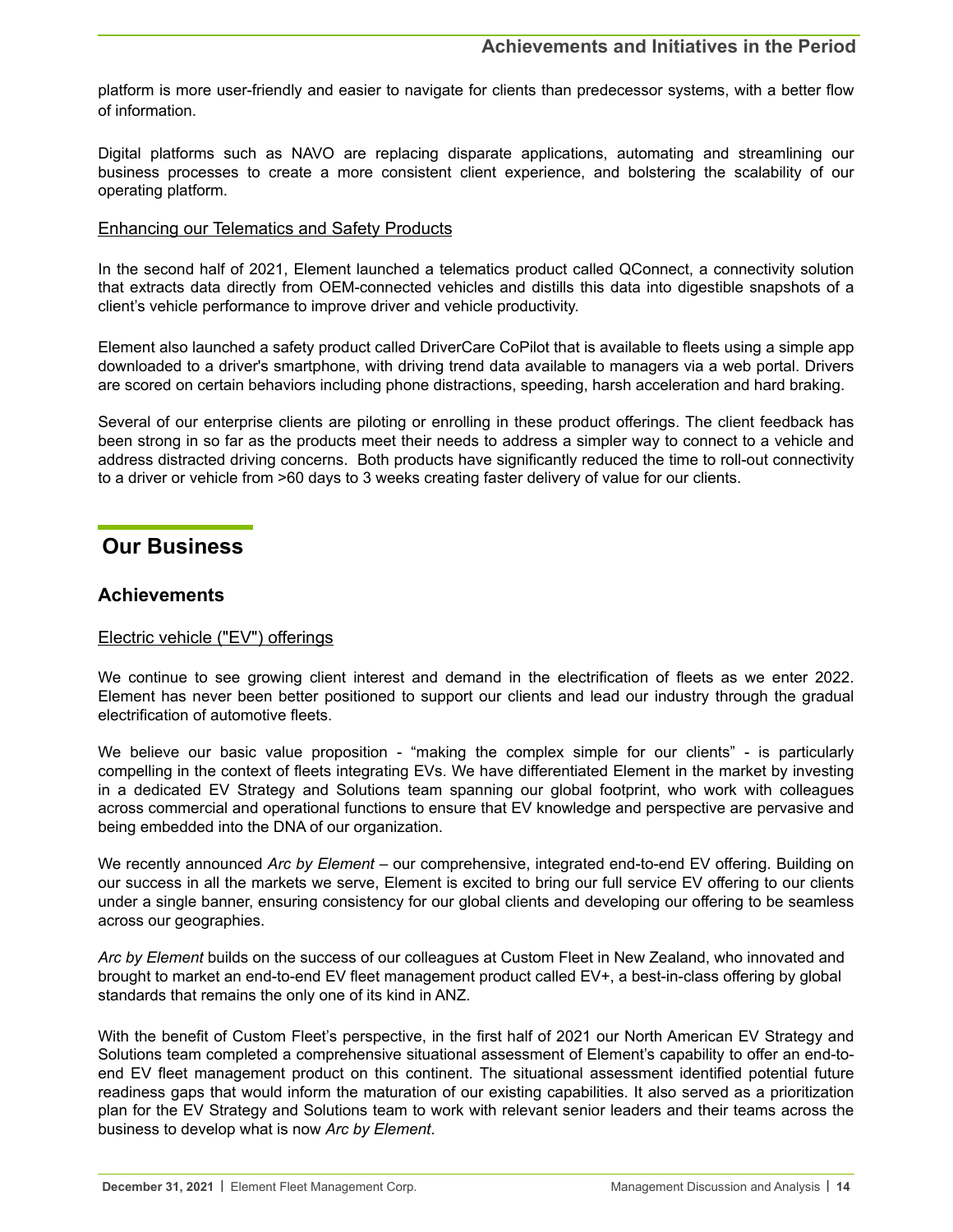<span id="page-13-0"></span>platform is more user-friendly and easier to navigate for clients than predecessor systems, with a better flow of information.

Digital platforms such as NAVO are replacing disparate applications, automating and streamlining our business processes to create a more consistent client experience, and bolstering the scalability of our operating platform.

## Enhancing our Telematics and Safety Products

In the second half of 2021, Element launched a telematics product called QConnect, a connectivity solution that extracts data directly from OEM-connected vehicles and distills this data into digestible snapshots of a client's vehicle performance to improve driver and vehicle productivity.

Element also launched a safety product called DriverCare CoPilot that is available to fleets using a simple app downloaded to a driver's smartphone, with driving trend data available to managers via a web portal. Drivers are scored on certain behaviors including phone distractions, speeding, harsh acceleration and hard braking.

Several of our enterprise clients are piloting or enrolling in these product offerings. The client feedback has been strong in so far as the products meet their needs to address a simpler way to connect to a vehicle and address distracted driving concerns. Both products have significantly reduced the time to roll-out connectivity to a driver or vehicle from >60 days to 3 weeks creating faster delivery of value for our clients.

# **Our Business**

# **Achievements**

# Electric vehicle ("EV") offerings

We continue to see growing client interest and demand in the electrification of fleets as we enter 2022. Element has never been better positioned to support our clients and lead our industry through the gradual electrification of automotive fleets.

We believe our basic value proposition - "making the complex simple for our clients" - is particularly compelling in the context of fleets integrating EVs. We have differentiated Element in the market by investing in a dedicated EV Strategy and Solutions team spanning our global footprint, who work with colleagues across commercial and operational functions to ensure that EV knowledge and perspective are pervasive and being embedded into the DNA of our organization.

We recently announced *Arc by Element* – our comprehensive, integrated end-to-end EV offering. Building on our success in all the markets we serve, Element is excited to bring our full service EV offering to our clients under a single banner, ensuring consistency for our global clients and developing our offering to be seamless across our geographies.

*Arc by Element* builds on the success of our colleagues at Custom Fleet in New Zealand, who innovated and brought to market an end-to-end EV fleet management product called EV+, a best-in-class offering by global standards that remains the only one of its kind in ANZ.

With the benefit of Custom Fleet's perspective, in the first half of 2021 our North American EV Strategy and Solutions team completed a comprehensive situational assessment of Element's capability to offer an end-toend EV fleet management product on this continent. The situational assessment identified potential future readiness gaps that would inform the maturation of our existing capabilities. It also served as a prioritization plan for the EV Strategy and Solutions team to work with relevant senior leaders and their teams across the business to develop what is now *Arc by Element*.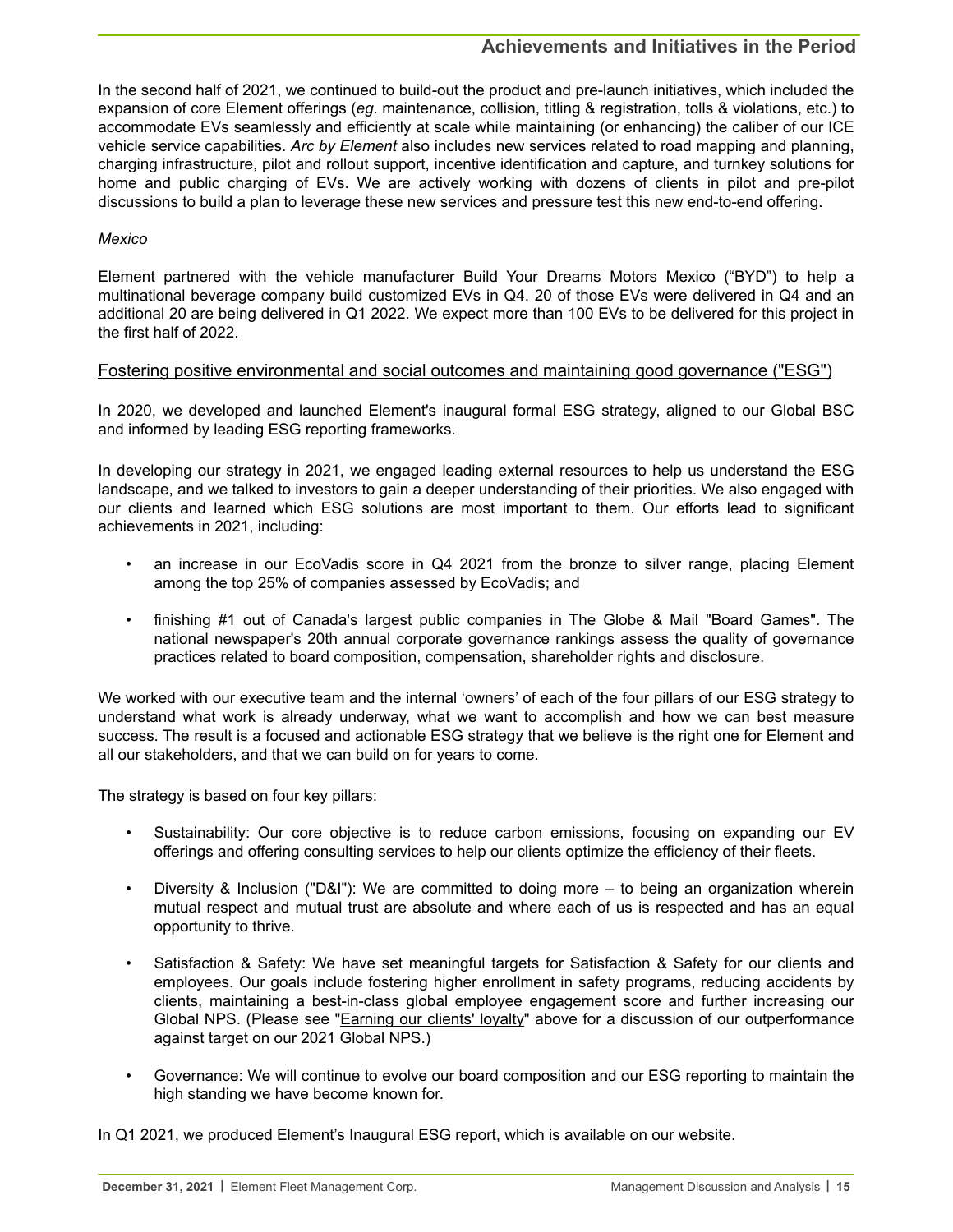In the second half of 2021, we continued to build-out the product and pre-launch initiatives, which included the expansion of core Element offerings (*eg*. maintenance, collision, titling & registration, tolls & violations, etc.) to accommodate EVs seamlessly and efficiently at scale while maintaining (or enhancing) the caliber of our ICE vehicle service capabilities. *Arc by Element* also includes new services related to road mapping and planning, charging infrastructure, pilot and rollout support, incentive identification and capture, and turnkey solutions for home and public charging of EVs. We are actively working with dozens of clients in pilot and pre-pilot discussions to build a plan to leverage these new services and pressure test this new end-to-end offering.

### *Mexico*

Element partnered with the vehicle manufacturer Build Your Dreams Motors Mexico ("BYD") to help a multinational beverage company build customized EVs in Q4. 20 of those EVs were delivered in Q4 and an additional 20 are being delivered in Q1 2022. We expect more than 100 EVs to be delivered for this project in the first half of 2022.

## Fostering positive environmental and social outcomes and maintaining good governance ("ESG")

In 2020, we developed and launched Element's inaugural formal ESG strategy, aligned to our Global BSC and informed by leading ESG reporting frameworks.

In developing our strategy in 2021, we engaged leading external resources to help us understand the ESG landscape, and we talked to investors to gain a deeper understanding of their priorities. We also engaged with our clients and learned which ESG solutions are most important to them. Our efforts lead to significant achievements in 2021, including:

- an increase in our EcoVadis score in Q4 2021 from the bronze to silver range, placing Element among the top 25% of companies assessed by EcoVadis; and
- finishing #1 out of Canada's largest public companies in The Globe & Mail "Board Games". The national newspaper's 20th annual corporate governance rankings assess the quality of governance practices related to board composition, compensation, shareholder rights and disclosure.

We worked with our executive team and the internal 'owners' of each of the four pillars of our ESG strategy to understand what work is already underway, what we want to accomplish and how we can best measure success. The result is a focused and actionable ESG strategy that we believe is the right one for Element and all our stakeholders, and that we can build on for years to come.

The strategy is based on four key pillars:

- Sustainability: Our core objective is to reduce carbon emissions, focusing on expanding our EV offerings and offering consulting services to help our clients optimize the efficiency of their fleets.
- Diversity & Inclusion ("D&I"): We are committed to doing more to being an organization wherein mutual respect and mutual trust are absolute and where each of us is respected and has an equal opportunity to thrive.
- Satisfaction & Safety: We have set meaningful targets for Satisfaction & Safety for our clients and employees. Our goals include fostering higher enrollment in safety programs, reducing accidents by clients, maintaining a best-in-class global employee engagement score and further increasing our Global NPS. (Please see "*Earning our clients' loyalty*" above for a discussion of our outperformance against target on our 2021 Global NPS.)
- Governance: We will continue to evolve our board composition and our ESG reporting to maintain the high standing we have become known for.

In Q1 2021, we produced Element's Inaugural ESG report, which is available on our website.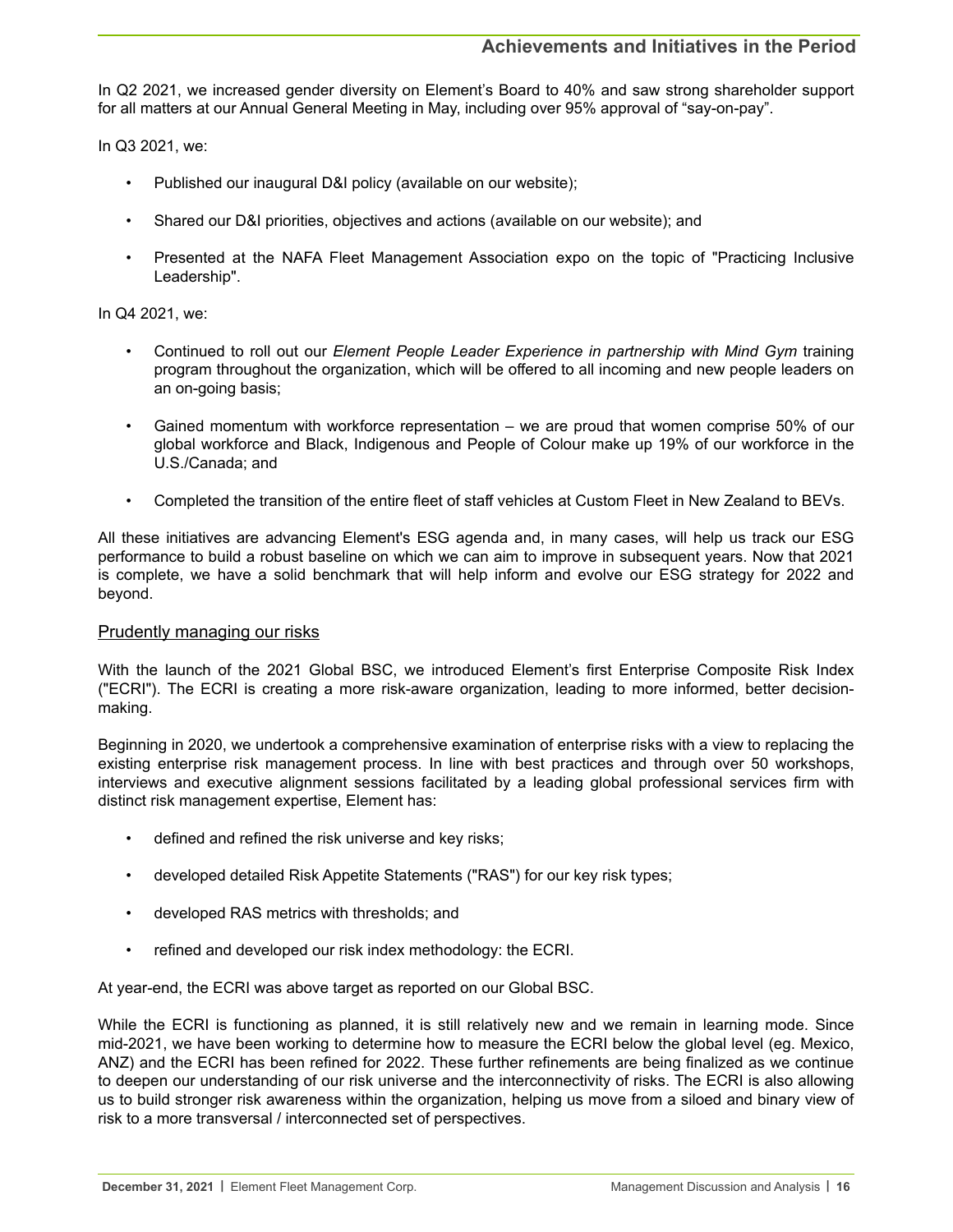In Q2 2021, we increased gender diversity on Element's Board to 40% and saw strong shareholder support for all matters at our Annual General Meeting in May, including over 95% approval of "say-on-pay".

In Q3 2021, we:

- Published our inaugural D&I policy (available on our website);
- Shared our D&I priorities, objectives and actions (available on our website); and
- Presented at the NAFA Fleet Management Association expo on the topic of "Practicing Inclusive Leadership".

In Q4 2021, we:

- Continued to roll out our *Element People Leader Experience in partnership with Mind Gym* training program throughout the organization, which will be offered to all incoming and new people leaders on an on-going basis;
- Gained momentum with workforce representation we are proud that women comprise 50% of our global workforce and Black, Indigenous and People of Colour make up 19% of our workforce in the U.S./Canada; and
- Completed the transition of the entire fleet of staff vehicles at Custom Fleet in New Zealand to BEVs.

All these initiatives are advancing Element's ESG agenda and, in many cases, will help us track our ESG performance to build a robust baseline on which we can aim to improve in subsequent years. Now that 2021 is complete, we have a solid benchmark that will help inform and evolve our ESG strategy for 2022 and beyond.

#### Prudently managing our risks

With the launch of the 2021 Global BSC, we introduced Element's first Enterprise Composite Risk Index ("ECRI"). The ECRI is creating a more risk-aware organization, leading to more informed, better decisionmaking.

Beginning in 2020, we undertook a comprehensive examination of enterprise risks with a view to replacing the existing enterprise risk management process. In line with best practices and through over 50 workshops, interviews and executive alignment sessions facilitated by a leading global professional services firm with distinct risk management expertise, Element has:

- defined and refined the risk universe and key risks;
- developed detailed Risk Appetite Statements ("RAS") for our key risk types;
- developed RAS metrics with thresholds; and
- refined and developed our risk index methodology: the ECRI.

At year-end, the ECRI was above target as reported on our Global BSC.

While the ECRI is functioning as planned, it is still relatively new and we remain in learning mode. Since mid-2021, we have been working to determine how to measure the ECRI below the global level (eg. Mexico, ANZ) and the ECRI has been refined for 2022. These further refinements are being finalized as we continue to deepen our understanding of our risk universe and the interconnectivity of risks. The ECRI is also allowing us to build stronger risk awareness within the organization, helping us move from a siloed and binary view of risk to a more transversal / interconnected set of perspectives.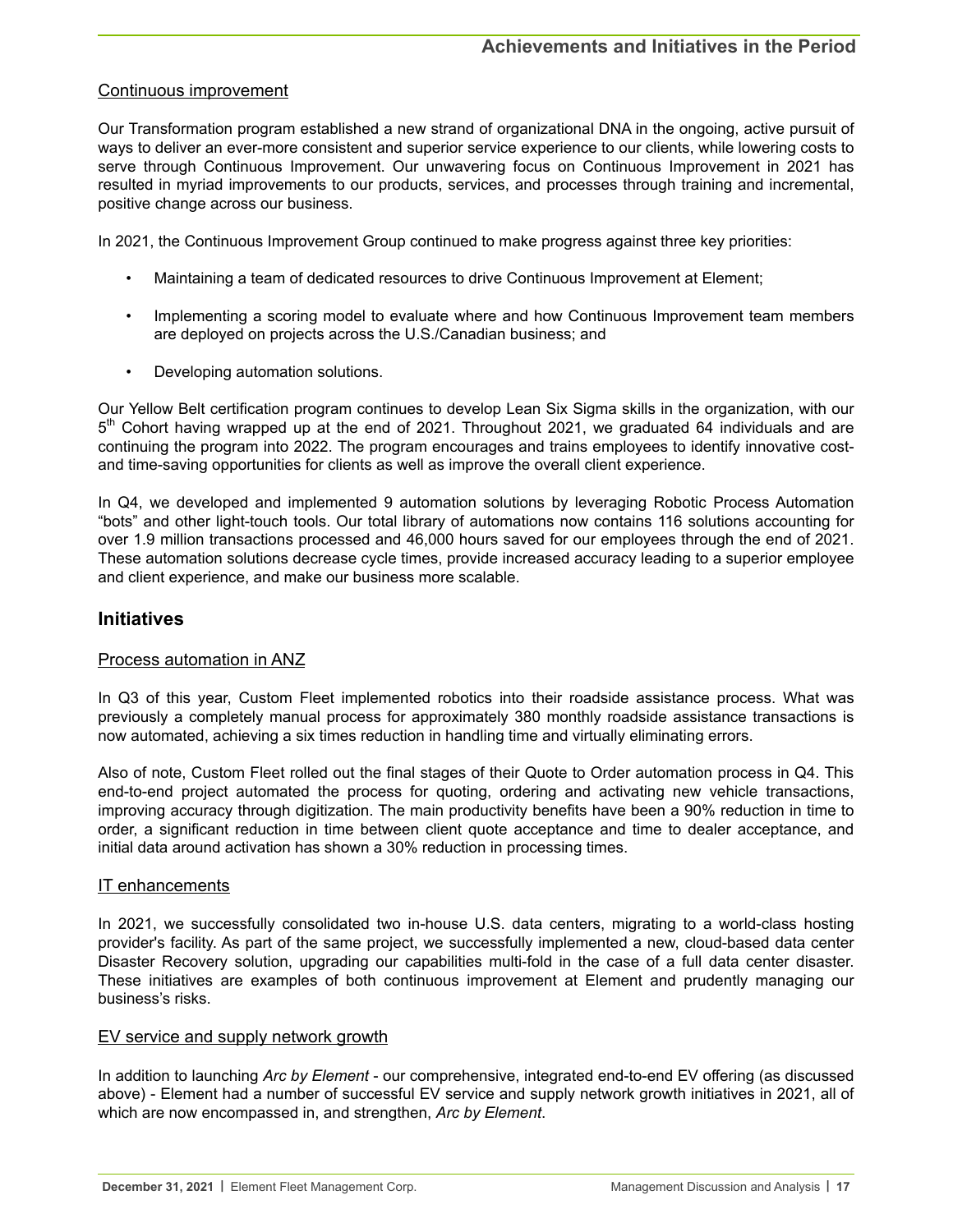## Continuous improvement

Our Transformation program established a new strand of organizational DNA in the ongoing, active pursuit of ways to deliver an ever-more consistent and superior service experience to our clients, while lowering costs to serve through Continuous Improvement. Our unwavering focus on Continuous Improvement in 2021 has resulted in myriad improvements to our products, services, and processes through training and incremental, positive change across our business.

In 2021, the Continuous Improvement Group continued to make progress against three key priorities:

- Maintaining a team of dedicated resources to drive Continuous Improvement at Element;
- Implementing a scoring model to evaluate where and how Continuous Improvement team members are deployed on projects across the U.S./Canadian business; and
- Developing automation solutions.

Our Yellow Belt certification program continues to develop Lean Six Sigma skills in the organization, with our 5<sup>th</sup> Cohort having wrapped up at the end of 2021. Throughout 2021, we graduated 64 individuals and are continuing the program into 2022. The program encourages and trains employees to identify innovative costand time-saving opportunities for clients as well as improve the overall client experience.

In Q4, we developed and implemented 9 automation solutions by leveraging Robotic Process Automation "bots" and other light-touch tools. Our total library of automations now contains 116 solutions accounting for over 1.9 million transactions processed and 46,000 hours saved for our employees through the end of 2021. These automation solutions decrease cycle times, provide increased accuracy leading to a superior employee and client experience, and make our business more scalable.

# **Initiatives**

## Process automation in ANZ

In Q3 of this year, Custom Fleet implemented robotics into their roadside assistance process. What was previously a completely manual process for approximately 380 monthly roadside assistance transactions is now automated, achieving a six times reduction in handling time and virtually eliminating errors.

Also of note, Custom Fleet rolled out the final stages of their Quote to Order automation process in Q4. This end-to-end project automated the process for quoting, ordering and activating new vehicle transactions, improving accuracy through digitization. The main productivity benefits have been a 90% reduction in time to order, a significant reduction in time between client quote acceptance and time to dealer acceptance, and initial data around activation has shown a 30% reduction in processing times.

## IT enhancements

In 2021, we successfully consolidated two in-house U.S. data centers, migrating to a world-class hosting provider's facility. As part of the same project, we successfully implemented a new, cloud-based data center Disaster Recovery solution, upgrading our capabilities multi-fold in the case of a full data center disaster. These initiatives are examples of both continuous improvement at Element and prudently managing our business's risks.

## EV service and supply network growth

In addition to launching *Arc by Element* - our comprehensive, integrated end-to-end EV offering (as discussed above) - Element had a number of successful EV service and supply network growth initiatives in 2021, all of which are now encompassed in, and strengthen, *Arc by Element*.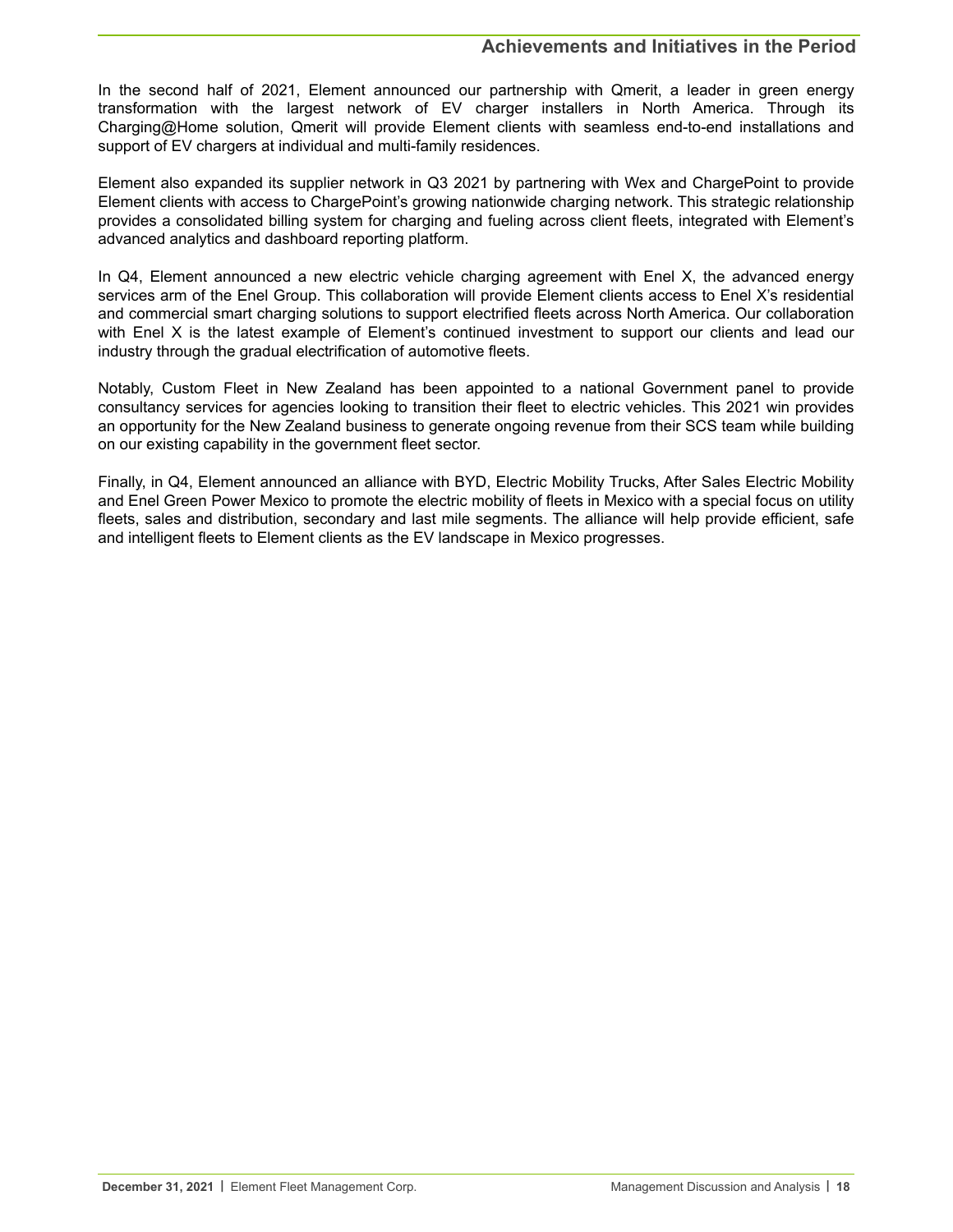In the second half of 2021, Element announced our partnership with Qmerit, a leader in green energy transformation with the largest network of EV charger installers in North America. Through its Charging@Home solution, Qmerit will provide Element clients with seamless end-to-end installations and support of EV chargers at individual and multi-family residences.

Element also expanded its supplier network in Q3 2021 by partnering with Wex and ChargePoint to provide Element clients with access to ChargePoint's growing nationwide charging network. This strategic relationship provides a consolidated billing system for charging and fueling across client fleets, integrated with Element's advanced analytics and dashboard reporting platform.

In Q4, Element announced a new electric vehicle charging agreement with Enel X, the advanced energy services arm of the Enel Group. This collaboration will provide Element clients access to Enel X's residential and commercial smart charging solutions to support electrified fleets across North America. Our collaboration with Enel X is the latest example of Element's continued investment to support our clients and lead our industry through the gradual electrification of automotive fleets.

Notably, Custom Fleet in New Zealand has been appointed to a national Government panel to provide consultancy services for agencies looking to transition their fleet to electric vehicles. This 2021 win provides an opportunity for the New Zealand business to generate ongoing revenue from their SCS team while building on our existing capability in the government fleet sector.

Finally, in Q4, Element announced an alliance with BYD, Electric Mobility Trucks, After Sales Electric Mobility and Enel Green Power Mexico to promote the electric mobility of fleets in Mexico with a special focus on utility fleets, sales and distribution, secondary and last mile segments. The alliance will help provide efficient, safe and intelligent fleets to Element clients as the EV landscape in Mexico progresses.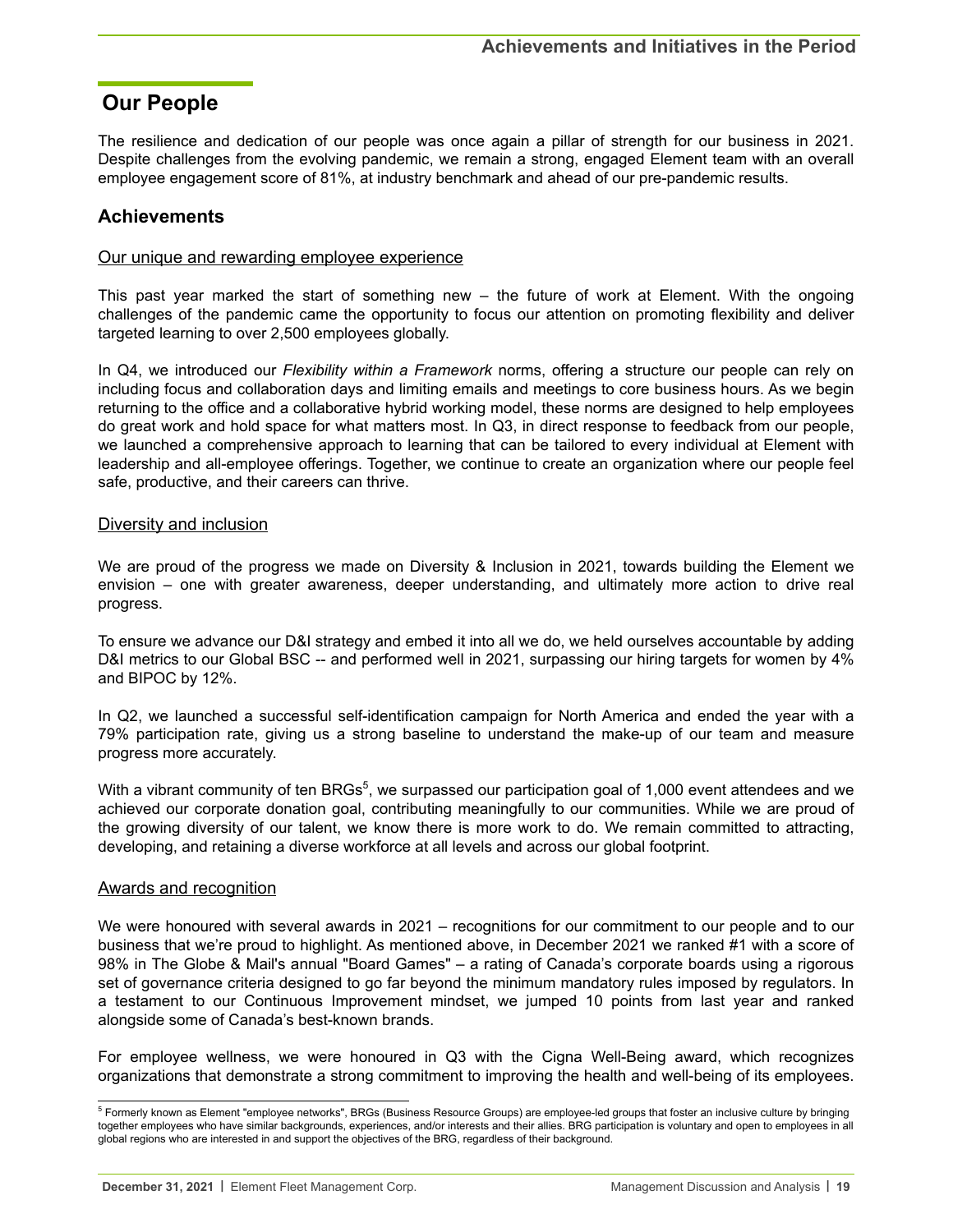# <span id="page-18-0"></span>**Our People**

The resilience and dedication of our people was once again a pillar of strength for our business in 2021. Despite challenges from the evolving pandemic, we remain a strong, engaged Element team with an overall employee engagement score of 81%, at industry benchmark and ahead of our pre-pandemic results.

# **Achievements**

### Our unique and rewarding employee experience

This past year marked the start of something new – the future of work at Element. With the ongoing challenges of the pandemic came the opportunity to focus our attention on promoting flexibility and deliver targeted learning to over 2,500 employees globally.

In Q4, we introduced our *Flexibility within a Framework* norms, offering a structure our people can rely on including focus and collaboration days and limiting emails and meetings to core business hours. As we begin returning to the office and a collaborative hybrid working model, these norms are designed to help employees do great work and hold space for what matters most. In Q3, in direct response to feedback from our people, we launched a comprehensive approach to learning that can be tailored to every individual at Element with leadership and all-employee offerings. Together, we continue to create an organization where our people feel safe, productive, and their careers can thrive.

#### Diversity and inclusion

We are proud of the progress we made on Diversity & Inclusion in 2021, towards building the Element we envision – one with greater awareness, deeper understanding, and ultimately more action to drive real progress.

To ensure we advance our D&I strategy and embed it into all we do, we held ourselves accountable by adding D&I metrics to our Global BSC -- and performed well in 2021, surpassing our hiring targets for women by 4% and BIPOC by 12%.

In Q2, we launched a successful self-identification campaign for North America and ended the year with a 79% participation rate, giving us a strong baseline to understand the make-up of our team and measure progress more accurately.

With a vibrant community of ten BRGs<sup>5</sup>, we surpassed our participation goal of 1,000 event attendees and we achieved our corporate donation goal, contributing meaningfully to our communities. While we are proud of the growing diversity of our talent, we know there is more work to do. We remain committed to attracting, developing, and retaining a diverse workforce at all levels and across our global footprint.

## Awards and recognition

We were honoured with several awards in 2021 – recognitions for our commitment to our people and to our business that we're proud to highlight. As mentioned above, in December 2021 we ranked #1 with a score of 98% in The Globe & Mail's annual "Board Games" – a rating of Canada's corporate boards using a rigorous set of governance criteria designed to go far beyond the minimum mandatory rules imposed by regulators. In a testament to our Continuous Improvement mindset, we jumped 10 points from last year and ranked alongside some of Canada's best-known brands.

For employee wellness, we were honoured in Q3 with the Cigna Well-Being award, which recognizes organizations that demonstrate a strong commitment to improving the health and well-being of its employees.

<sup>&</sup>lt;sup>5</sup> Formerly known as Element "employee networks", BRGs (Business Resource Groups) are employee-led groups that foster an inclusive culture by bringing together employees who have similar backgrounds, experiences, and/or interests and their allies. BRG participation is voluntary and open to employees in all global regions who are interested in and support the objectives of the BRG, regardless of their background.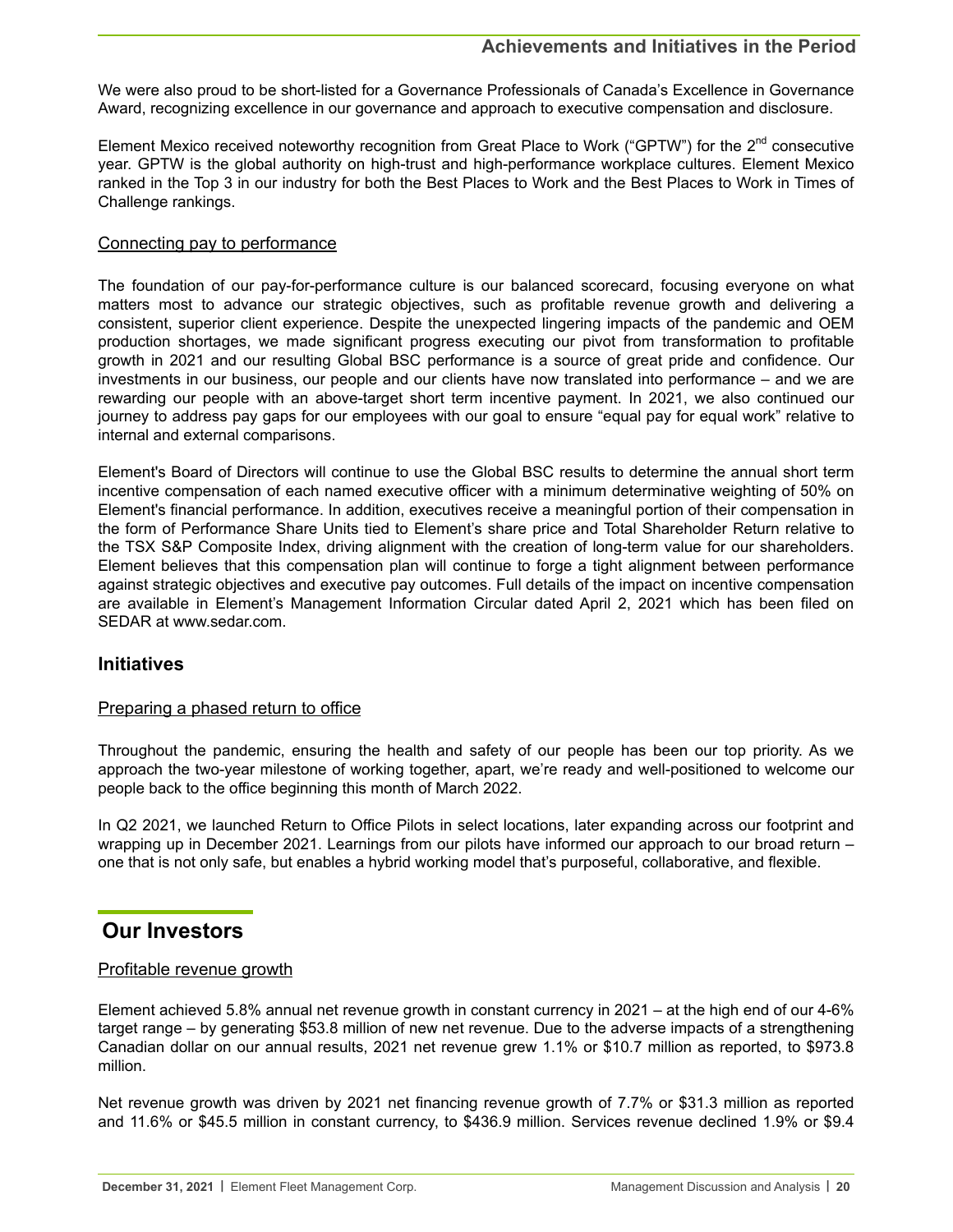<span id="page-19-0"></span>We were also proud to be short-listed for a Governance Professionals of Canada's Excellence in Governance Award, recognizing excellence in our governance and approach to executive compensation and disclosure.

Element Mexico received noteworthy recognition from Great Place to Work ("GPTW") for the 2<sup>nd</sup> consecutive year. GPTW is the global authority on high-trust and high-performance workplace cultures. Element Mexico ranked in the Top 3 in our industry for both the Best Places to Work and the Best Places to Work in Times of Challenge rankings.

#### Connecting pay to performance

The foundation of our pay-for-performance culture is our balanced scorecard, focusing everyone on what matters most to advance our strategic objectives, such as profitable revenue growth and delivering a consistent, superior client experience. Despite the unexpected lingering impacts of the pandemic and OEM production shortages, we made significant progress executing our pivot from transformation to profitable growth in 2021 and our resulting Global BSC performance is a source of great pride and confidence. Our investments in our business, our people and our clients have now translated into performance – and we are rewarding our people with an above-target short term incentive payment. In 2021, we also continued our journey to address pay gaps for our employees with our goal to ensure "equal pay for equal work" relative to internal and external comparisons.

Element's Board of Directors will continue to use the Global BSC results to determine the annual short term incentive compensation of each named executive officer with a minimum determinative weighting of 50% on Element's financial performance. In addition, executives receive a meaningful portion of their compensation in the form of Performance Share Units tied to Element's share price and Total Shareholder Return relative to the TSX S&P Composite Index, driving alignment with the creation of long-term value for our shareholders. Element believes that this compensation plan will continue to forge a tight alignment between performance against strategic objectives and executive pay outcomes. Full details of the impact on incentive compensation are available in Element's Management Information Circular dated April 2, 2021 which has been filed on SEDAR at www.sedar.com.

## **Initiatives**

#### Preparing a phased return to office

Throughout the pandemic, ensuring the health and safety of our people has been our top priority. As we approach the two-year milestone of working together, apart, we're ready and well-positioned to welcome our people back to the office beginning this month of March 2022.

In Q2 2021, we launched Return to Office Pilots in select locations, later expanding across our footprint and wrapping up in December 2021. Learnings from our pilots have informed our approach to our broad return – one that is not only safe, but enables a hybrid working model that's purposeful, collaborative, and flexible.

# **Our Investors**

## Profitable revenue growth

Element achieved 5.8% annual net revenue growth in constant currency in 2021 – at the high end of our 4-6% target range – by generating \$53.8 million of new net revenue. Due to the adverse impacts of a strengthening Canadian dollar on our annual results, 2021 net revenue grew 1.1% or \$10.7 million as reported, to \$973.8 million.

Net revenue growth was driven by 2021 net financing revenue growth of 7.7% or \$31.3 million as reported and 11.6% or \$45.5 million in constant currency, to \$436.9 million. Services revenue declined 1.9% or \$9.4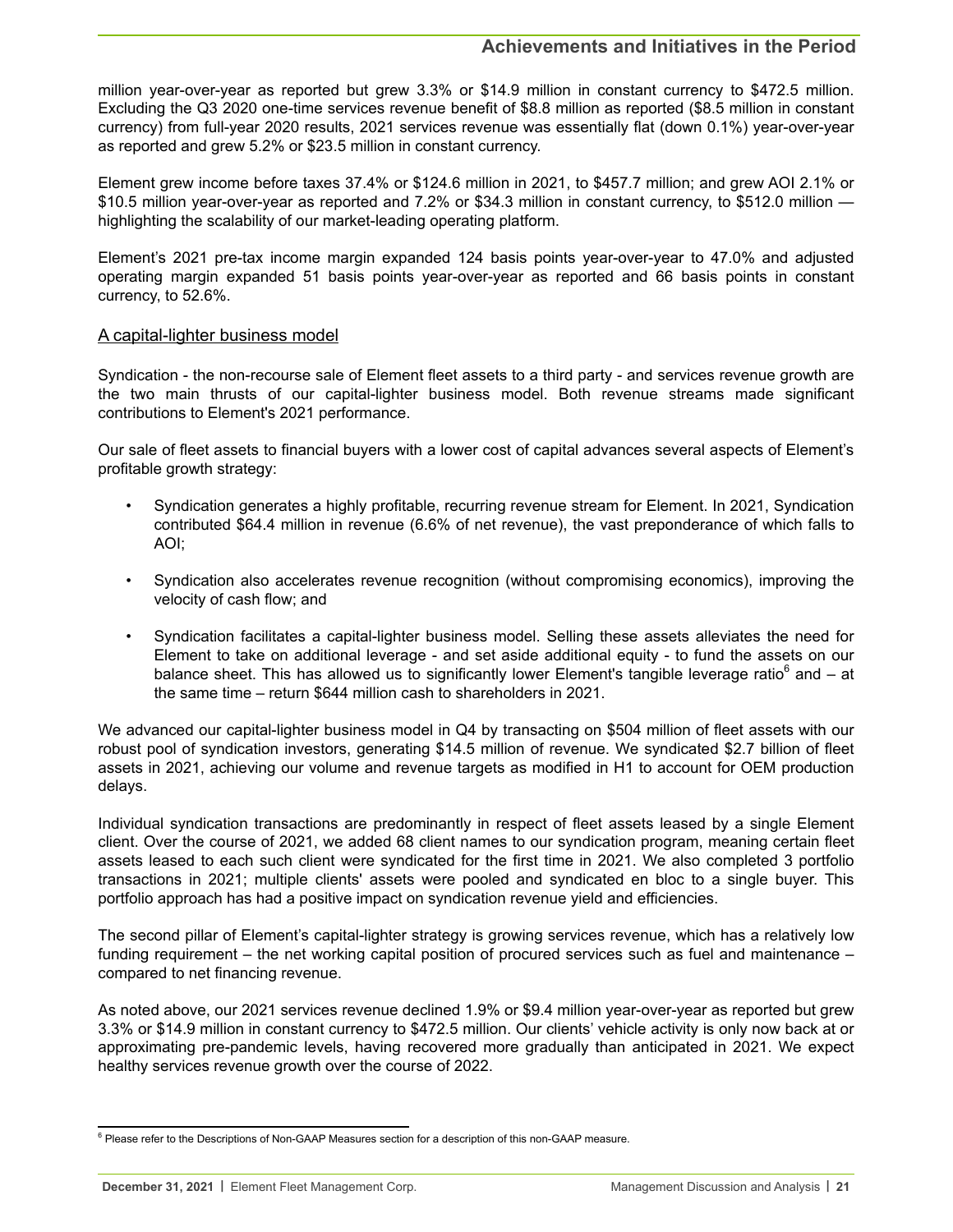million year-over-year as reported but grew 3.3% or \$14.9 million in constant currency to \$472.5 million. Excluding the Q3 2020 one-time services revenue benefit of \$8.8 million as reported (\$8.5 million in constant currency) from full-year 2020 results, 2021 services revenue was essentially flat (down 0.1%) year-over-year as reported and grew 5.2% or \$23.5 million in constant currency.

Element grew income before taxes 37.4% or \$124.6 million in 2021, to \$457.7 million; and grew AOI 2.1% or \$10.5 million year-over-year as reported and 7.2% or \$34.3 million in constant currency, to \$512.0 million highlighting the scalability of our market-leading operating platform.

Element's 2021 pre-tax income margin expanded 124 basis points year-over-year to 47.0% and adjusted operating margin expanded 51 basis points year-over-year as reported and 66 basis points in constant currency, to 52.6%.

#### A capital-lighter business model

Syndication - the non-recourse sale of Element fleet assets to a third party - and services revenue growth are the two main thrusts of our capital-lighter business model. Both revenue streams made significant contributions to Element's 2021 performance.

Our sale of fleet assets to financial buyers with a lower cost of capital advances several aspects of Element's profitable growth strategy:

- Syndication generates a highly profitable, recurring revenue stream for Element. In 2021, Syndication contributed \$64.4 million in revenue (6.6% of net revenue), the vast preponderance of which falls to AOI;
- Syndication also accelerates revenue recognition (without compromising economics), improving the velocity of cash flow; and
- Syndication facilitates a capital-lighter business model. Selling these assets alleviates the need for Element to take on additional leverage - and set aside additional equity - to fund the assets on our balance sheet. This has allowed us to significantly lower Element's tangible leverage ratio<sup>6</sup> and – at the same time – return \$644 million cash to shareholders in 2021.

We advanced our capital-lighter business model in Q4 by transacting on \$504 million of fleet assets with our robust pool of syndication investors, generating \$14.5 million of revenue. We syndicated \$2.7 billion of fleet assets in 2021, achieving our volume and revenue targets as modified in H1 to account for OEM production delays.

Individual syndication transactions are predominantly in respect of fleet assets leased by a single Element client. Over the course of 2021, we added 68 client names to our syndication program, meaning certain fleet assets leased to each such client were syndicated for the first time in 2021. We also completed 3 portfolio transactions in 2021; multiple clients' assets were pooled and syndicated en bloc to a single buyer. This portfolio approach has had a positive impact on syndication revenue yield and efficiencies.

The second pillar of Element's capital-lighter strategy is growing services revenue, which has a relatively low funding requirement – the net working capital position of procured services such as fuel and maintenance – compared to net financing revenue.

As noted above, our 2021 services revenue declined 1.9% or \$9.4 million year-over-year as reported but grew 3.3% or \$14.9 million in constant currency to \$472.5 million. Our clients' vehicle activity is only now back at or approximating pre-pandemic levels, having recovered more gradually than anticipated in 2021. We expect healthy services revenue growth over the course of 2022.

<sup>&</sup>lt;sup>6</sup> Please refer to the Descriptions of Non-GAAP Measures section for a description of this non-GAAP measure.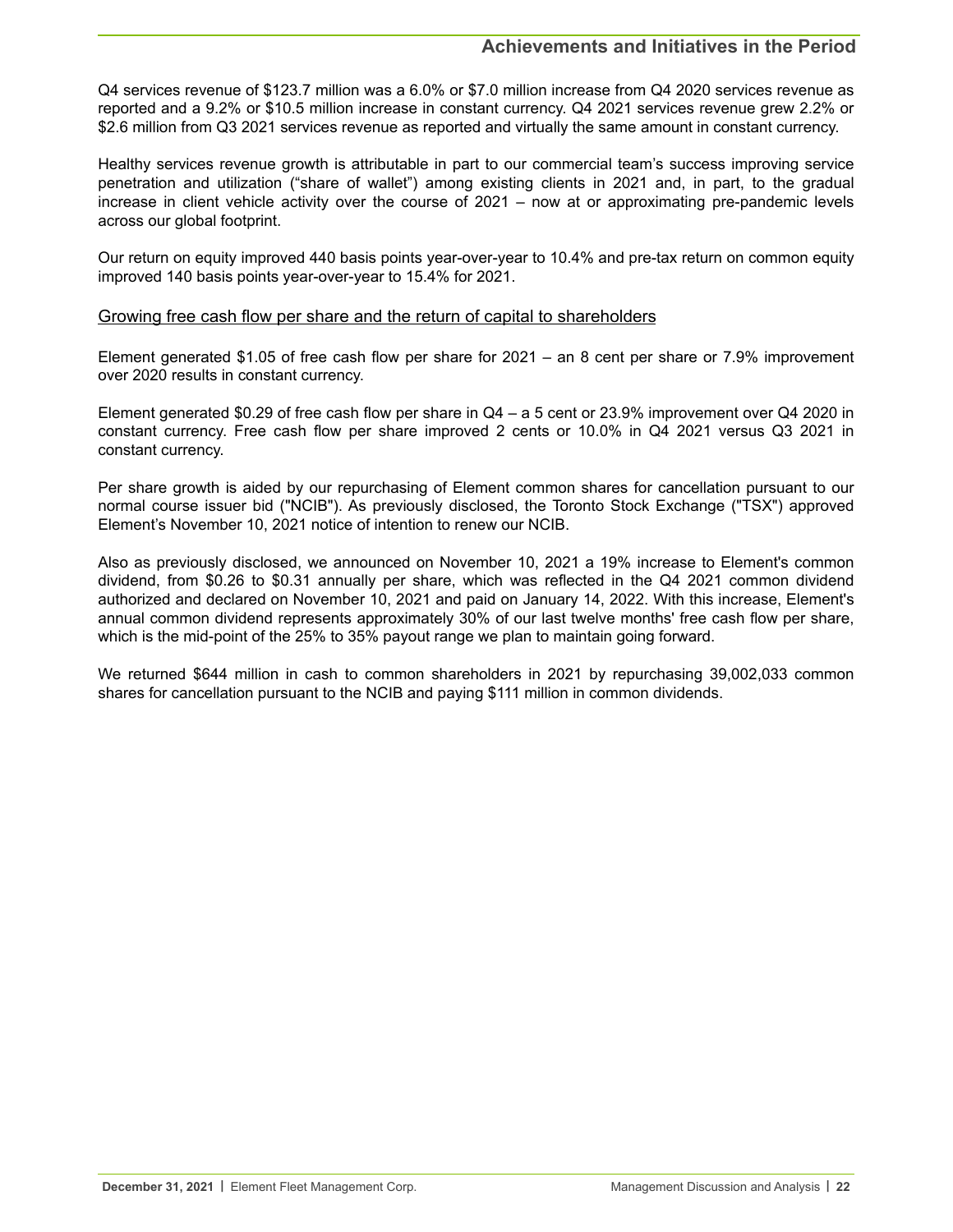Q4 services revenue of \$123.7 million was a 6.0% or \$7.0 million increase from Q4 2020 services revenue as reported and a 9.2% or \$10.5 million increase in constant currency. Q4 2021 services revenue grew 2.2% or \$2.6 million from Q3 2021 services revenue as reported and virtually the same amount in constant currency.

Healthy services revenue growth is attributable in part to our commercial team's success improving service penetration and utilization ("share of wallet") among existing clients in 2021 and, in part, to the gradual increase in client vehicle activity over the course of 2021 – now at or approximating pre-pandemic levels across our global footprint.

Our return on equity improved 440 basis points year-over-year to 10.4% and pre-tax return on common equity improved 140 basis points year-over-year to 15.4% for 2021.

### Growing free cash flow per share and the return of capital to shareholders

Element generated \$1.05 of free cash flow per share for 2021 – an 8 cent per share or 7.9% improvement over 2020 results in constant currency.

Element generated \$0.29 of free cash flow per share in Q4 – a 5 cent or 23.9% improvement over Q4 2020 in constant currency. Free cash flow per share improved 2 cents or 10.0% in Q4 2021 versus Q3 2021 in constant currency.

Per share growth is aided by our repurchasing of Element common shares for cancellation pursuant to our normal course issuer bid ("NCIB"). As previously disclosed, the Toronto Stock Exchange ("TSX") approved Element's November 10, 2021 notice of intention to renew our NCIB.

Also as previously disclosed, we announced on November 10, 2021 a 19% increase to Element's common dividend, from \$0.26 to \$0.31 annually per share, which was reflected in the Q4 2021 common dividend authorized and declared on November 10, 2021 and paid on January 14, 2022. With this increase, Element's annual common dividend represents approximately 30% of our last twelve months' free cash flow per share, which is the mid-point of the 25% to 35% payout range we plan to maintain going forward.

We returned \$644 million in cash to common shareholders in 2021 by repurchasing 39,002,033 common shares for cancellation pursuant to the NCIB and paying \$111 million in common dividends.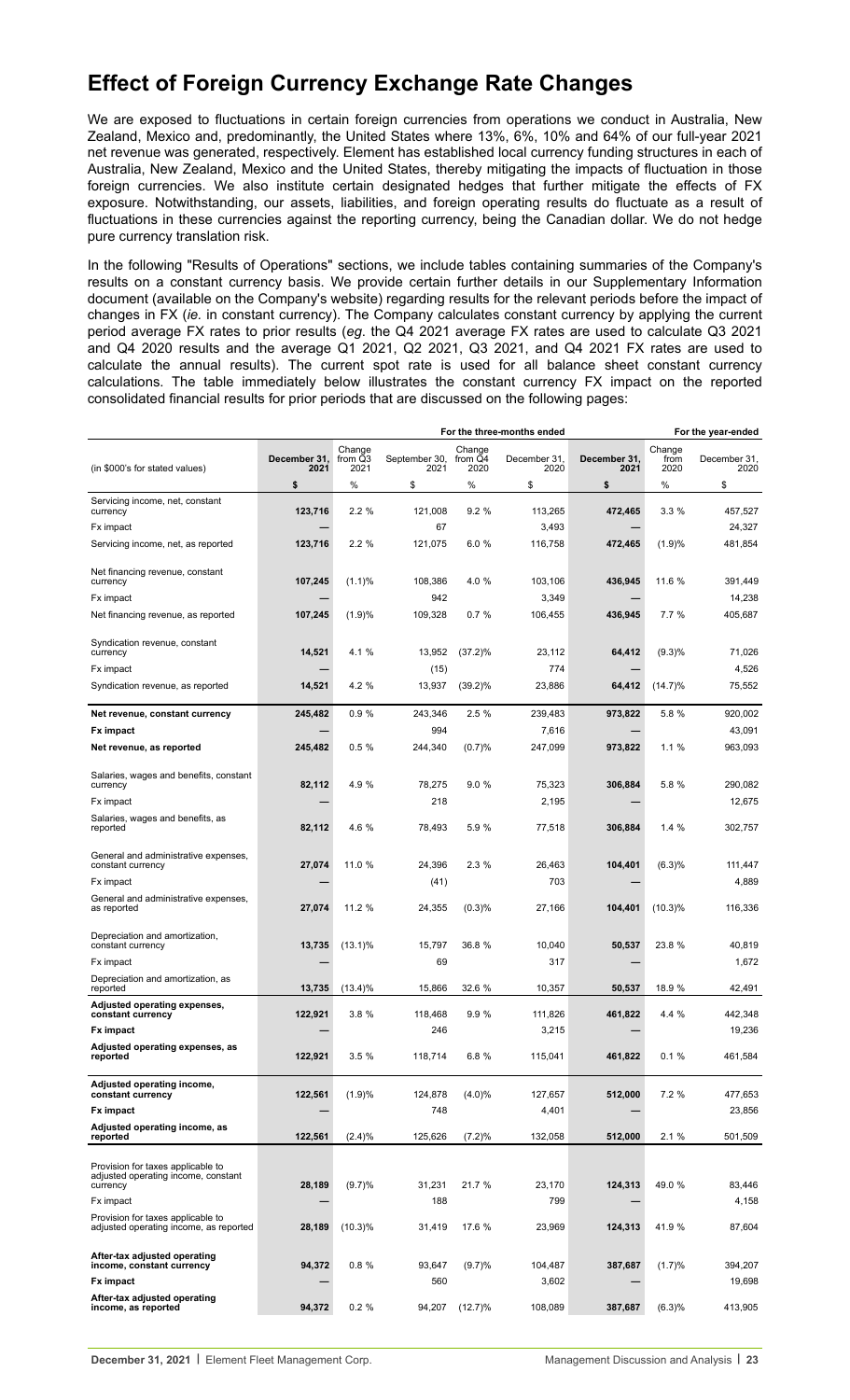# <span id="page-22-0"></span>**Effect of Foreign Currency Exchange Rate Changes**

We are exposed to fluctuations in certain foreign currencies from operations we conduct in Australia, New Zealand, Mexico and, predominantly, the United States where 13%, 6%, 10% and 64% of our full-year 2021 net revenue was generated, respectively. Element has established local currency funding structures in each of Australia, New Zealand, Mexico and the United States, thereby mitigating the impacts of fluctuation in those foreign currencies. We also institute certain designated hedges that further mitigate the effects of FX exposure. Notwithstanding, our assets, liabilities, and foreign operating results do fluctuate as a result of fluctuations in these currencies against the reporting currency, being the Canadian dollar. We do not hedge pure currency translation risk.

In the following "Results of Operations" sections, we include tables containing summaries of the Company's results on a constant currency basis. We provide certain further details in our Supplementary Information document (available on the Company's website) regarding results for the relevant periods before the impact of changes in FX (*ie.* in constant currency). The Company calculates constant currency by applying the current period average FX rates to prior results (*eg*. the Q4 2021 average FX rates are used to calculate Q3 2021 and Q4 2020 results and the average Q1 2021, Q2 2021, Q3 2021, and Q4 2021 FX rates are used to calculate the annual results). The current spot rate is used for all balance sheet constant currency calculations. The table immediately below illustrates the constant currency FX impact on the reported consolidated financial results for prior periods that are discussed on the following pages:

|                                                                             |                      |                           |                       |                           | For the three-months ended |                      |                        | For the year-ended   |
|-----------------------------------------------------------------------------|----------------------|---------------------------|-----------------------|---------------------------|----------------------------|----------------------|------------------------|----------------------|
| (in \$000's for stated values)                                              | December 31,<br>2021 | Change<br>from Q3<br>2021 | September 30,<br>2021 | Change<br>from Q4<br>2020 | December 31,<br>2020       | December 31,<br>2021 | Change<br>from<br>2020 | December 31,<br>2020 |
|                                                                             | \$                   | %                         | \$                    | %                         | \$                         | \$                   | ℅                      | \$                   |
| Servicing income, net, constant                                             |                      |                           |                       |                           |                            |                      |                        |                      |
| currency                                                                    | 123,716              | 2.2%                      | 121,008               | 9.2%                      | 113,265                    | 472,465              | 3.3%                   | 457.527              |
| Fx impact                                                                   |                      |                           | 67                    |                           | 3,493                      |                      |                        | 24,327               |
| Servicing income, net, as reported                                          | 123,716              | 2.2%                      | 121,075               | 6.0%                      | 116,758                    | 472,465              | (1.9)%                 | 481,854              |
| Net financing revenue, constant                                             |                      |                           |                       |                           |                            |                      |                        |                      |
| currency                                                                    | 107,245              | (1.1)%                    | 108,386               | 4.0 %                     | 103,106                    | 436,945              | 11.6 %                 | 391,449              |
| Fx impact                                                                   |                      |                           | 942                   |                           | 3,349                      |                      |                        | 14,238               |
| Net financing revenue, as reported                                          | 107,245              | (1.9)%                    | 109,328               | 0.7%                      | 106,455                    | 436,945              | 7.7%                   | 405,687              |
| Syndication revenue, constant                                               |                      |                           |                       |                           |                            |                      |                        |                      |
| currency                                                                    | 14,521               | 4.1 %                     | 13,952                | $(37.2)\%$                | 23,112                     | 64,412               | (9.3)%                 | 71,026               |
| Fx impact                                                                   |                      |                           | (15)                  |                           | 774                        |                      |                        | 4,526                |
| Syndication revenue, as reported                                            | 14,521               | 4.2 %                     | 13,937                | $(39.2)\%$                | 23,886                     | 64,412               | $(14.7)\%$             | 75,552               |
| Net revenue, constant currency                                              | 245,482              | 0.9%                      | 243,346               | 2.5%                      | 239.483                    | 973,822              | 5.8 %                  | 920,002              |
| Fx impact                                                                   |                      |                           | 994                   |                           | 7,616                      |                      |                        | 43,091               |
| Net revenue, as reported                                                    | 245,482              | 0.5%                      | 244,340               | (0.7)%                    | 247,099                    | 973,822              | 1.1%                   | 963,093              |
|                                                                             |                      |                           |                       |                           |                            |                      |                        |                      |
| Salaries, wages and benefits, constant<br>currency                          | 82,112               | 4.9 %                     | 78,275                | 9.0%                      | 75,323                     | 306,884              | 5.8 %                  | 290.082              |
| Fx impact                                                                   |                      |                           | 218                   |                           | 2,195                      |                      |                        | 12,675               |
| Salaries, wages and benefits, as<br>reported                                | 82,112               | 4.6 %                     | 78,493                | 5.9%                      | 77,518                     | 306.884              | 1.4%                   | 302,757              |
| General and administrative expenses,                                        |                      |                           |                       |                           |                            |                      |                        |                      |
| constant currency                                                           | 27,074               | 11.0 %                    | 24,396                | 2.3%                      | 26,463                     | 104,401              | (6.3)%                 | 111,447              |
| Fx impact                                                                   |                      |                           | (41)                  |                           | 703                        |                      |                        | 4,889                |
| General and administrative expenses,<br>as reported                         | 27,074               | 11.2 %                    | 24,355                | (0.3)%                    | 27,166                     | 104,401              | $(10.3)\%$             | 116,336              |
| Depreciation and amortization,<br>constant currency                         | 13,735               | $(13.1)\%$                | 15,797                | 36.8 %                    | 10,040                     | 50,537               | 23.8 %                 | 40,819               |
| Fx impact                                                                   |                      |                           | 69                    |                           | 317                        |                      |                        | 1,672                |
| Depreciation and amortization, as                                           |                      |                           |                       |                           |                            |                      |                        |                      |
| reported                                                                    | 13,735               | $(13.4)\%$                | 15,866                | 32.6 %                    | 10,357                     | 50,537               | 18.9 %                 | 42,491               |
| Adjusted operating expenses,<br>constant currency                           | 122,921              | 3.8%                      | 118,468               | 9.9%                      | 111,826                    | 461,822              | 4.4 %                  | 442,348              |
| <b>Fx impact</b>                                                            |                      |                           | 246                   |                           | 3,215                      |                      |                        | 19,236               |
| Adjusted operating expenses, as                                             |                      |                           |                       |                           |                            |                      |                        |                      |
| reported                                                                    | 122,921              | 3.5%                      | 118,714               | 6.8%                      | 115,041                    | 461,822              | 0.1%                   | 461,584              |
| Adjusted operating income,<br>constant currency                             | 122,561              | (1.9)%                    | 124,878               | $(4.0)\%$                 | 127,657                    | 512,000              | 7.2%                   | 477,653              |
| <b>Fx impact</b>                                                            |                      |                           | 748                   |                           | 4,401                      |                      |                        | 23,856               |
| Adjusted operating income, as                                               |                      |                           |                       |                           |                            |                      |                        |                      |
| reported                                                                    | 122,561              | (2.4)%                    | 125,626               | (7.2)%                    | 132,058                    | 512,000              | 2.1%                   | 501,509              |
|                                                                             |                      |                           |                       |                           |                            |                      |                        |                      |
| Provision for taxes applicable to<br>adjusted operating income, constant    |                      |                           |                       |                           |                            |                      |                        |                      |
| currency                                                                    | 28,189               | (9.7)%                    | 31,231                | 21.7 %                    | 23,170                     | 124,313              | 49.0%                  | 83,446               |
| Fx impact                                                                   |                      |                           | 188                   |                           | 799                        |                      |                        | 4,158                |
| Provision for taxes applicable to<br>adjusted operating income, as reported | 28,189               | $(10.3)\%$                | 31,419                | 17.6 %                    | 23,969                     | 124,313              | 41.9%                  | 87,604               |
| After-tax adjusted operating                                                |                      |                           |                       |                           |                            |                      |                        |                      |
| income, constant currency                                                   | 94,372               | 0.8%                      | 93,647                | (9.7)%                    | 104,487                    | 387,687              | (1.7)%                 | 394,207              |
| Fx impact                                                                   |                      |                           | 560                   |                           | 3,602                      |                      |                        | 19,698               |
| After-tax adjusted operating<br>income, as reported                         | 94,372               | $0.2 \%$                  | 94,207                | $(12.7)\%$                | 108,089                    | 387,687              | (6.3)%                 | 413,905              |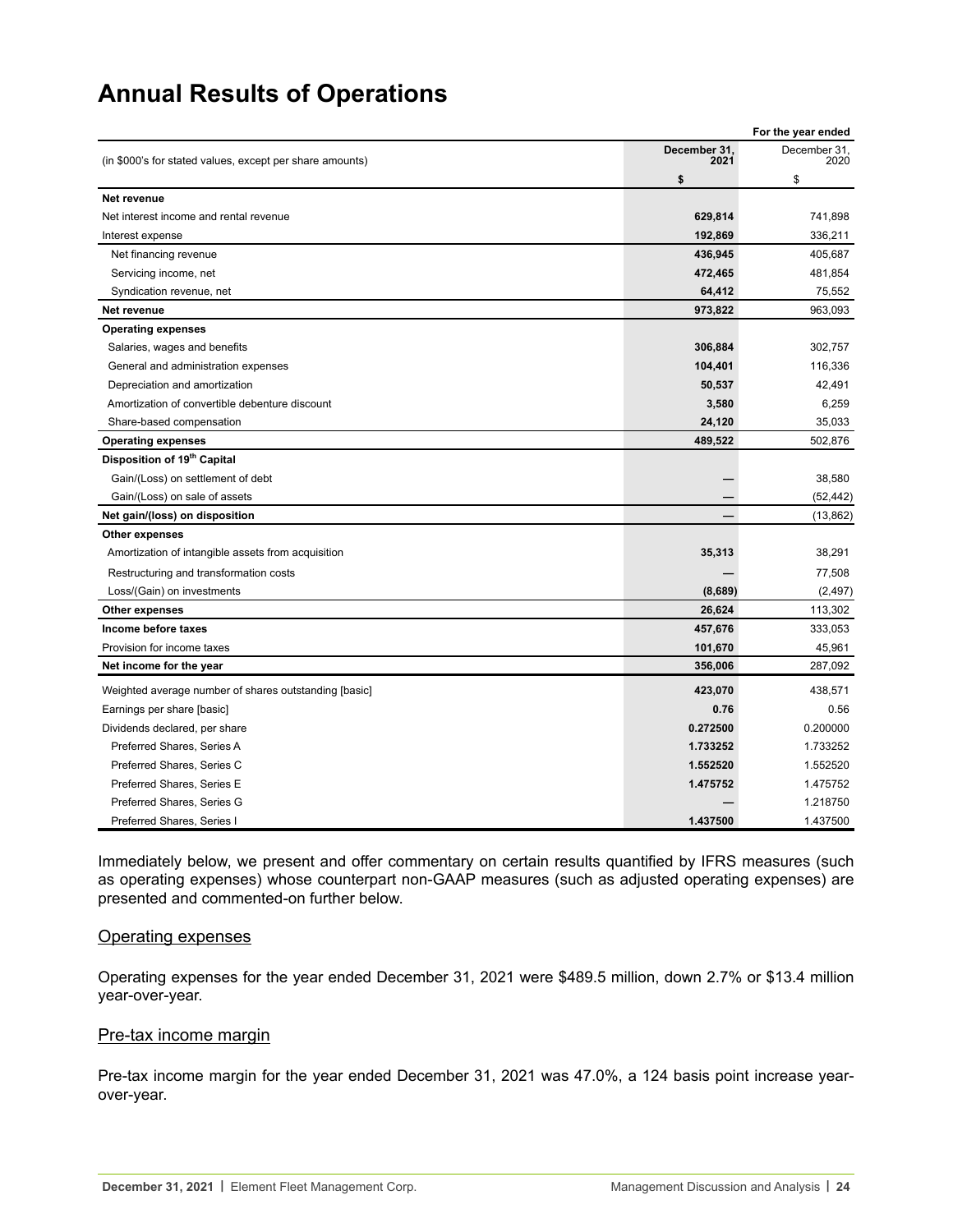# <span id="page-23-0"></span>**Annual Results of Operations**

|                                                          |                      | For the year ended   |
|----------------------------------------------------------|----------------------|----------------------|
| (in \$000's for stated values, except per share amounts) | December 31,<br>2021 | December 31,<br>2020 |
|                                                          | \$                   | \$                   |
| Net revenue                                              |                      |                      |
| Net interest income and rental revenue                   | 629,814              | 741.898              |
| Interest expense                                         | 192,869              | 336,211              |
| Net financing revenue                                    | 436,945              | 405,687              |
| Servicing income, net                                    | 472,465              | 481,854              |
| Syndication revenue, net                                 | 64,412               | 75,552               |
| Net revenue                                              | 973,822              | 963,093              |
| <b>Operating expenses</b>                                |                      |                      |
| Salaries, wages and benefits                             | 306,884              | 302,757              |
| General and administration expenses                      | 104,401              | 116,336              |
| Depreciation and amortization                            | 50,537               | 42,491               |
| Amortization of convertible debenture discount           | 3,580                | 6,259                |
| Share-based compensation                                 | 24,120               | 35,033               |
| <b>Operating expenses</b>                                | 489,522              | 502,876              |
| Disposition of 19 <sup>th</sup> Capital                  |                      |                      |
| Gain/(Loss) on settlement of debt                        |                      | 38,580               |
| Gain/(Loss) on sale of assets                            |                      | (52, 442)            |
| Net gain/(loss) on disposition                           | —                    | (13, 862)            |
| <b>Other expenses</b>                                    |                      |                      |
| Amortization of intangible assets from acquisition       | 35,313               | 38,291               |
| Restructuring and transformation costs                   |                      | 77,508               |
| Loss/(Gain) on investments                               | (8,689)              | (2, 497)             |
| <b>Other expenses</b>                                    | 26,624               | 113,302              |
| Income before taxes                                      | 457,676              | 333,053              |
| Provision for income taxes                               | 101,670              | 45,961               |
| Net income for the year                                  | 356,006              | 287,092              |
| Weighted average number of shares outstanding [basic]    | 423,070              | 438,571              |
| Earnings per share [basic]                               | 0.76                 | 0.56                 |
| Dividends declared, per share                            | 0.272500             | 0.200000             |
| Preferred Shares, Series A                               | 1.733252             | 1.733252             |
| Preferred Shares, Series C                               | 1.552520             | 1.552520             |
| Preferred Shares, Series E                               | 1.475752             | 1.475752             |
| Preferred Shares, Series G                               |                      | 1.218750             |
| Preferred Shares, Series I                               | 1.437500             | 1.437500             |

Immediately below, we present and offer commentary on certain results quantified by IFRS measures (such as operating expenses) whose counterpart non-GAAP measures (such as adjusted operating expenses) are presented and commented-on further below.

#### Operating expenses

Operating expenses for the year ended December 31, 2021 were \$489.5 million, down 2.7% or \$13.4 million year-over-year.

## Pre-tax income margin

Pre-tax income margin for the year ended December 31, 2021 was 47.0%, a 124 basis point increase yearover-year.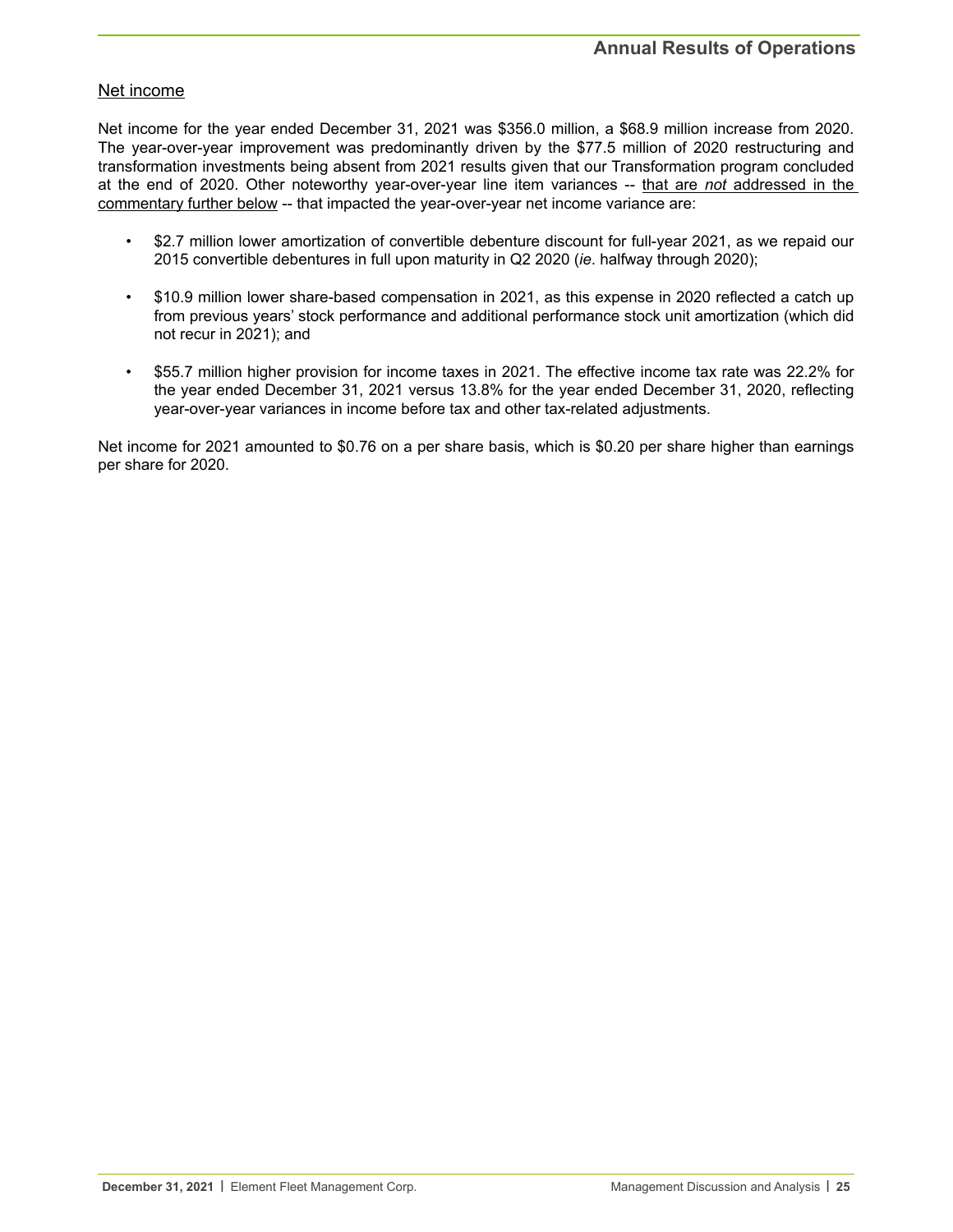# Net income

Net income for the year ended December 31, 2021 was \$356.0 million, a \$68.9 million increase from 2020. The year-over-year improvement was predominantly driven by the \$77.5 million of 2020 restructuring and transformation investments being absent from 2021 results given that our Transformation program concluded at the end of 2020. Other noteworthy year-over-year line item variances -- that are *not* addressed in the commentary further below -- that impacted the year-over-year net income variance are:

- \$2.7 million lower amortization of convertible debenture discount for full-year 2021, as we repaid our 2015 convertible debentures in full upon maturity in Q2 2020 (*ie*. halfway through 2020);
- \$10.9 million lower share-based compensation in 2021, as this expense in 2020 reflected a catch up from previous years' stock performance and additional performance stock unit amortization (which did not recur in 2021); and
- \$55.7 million higher provision for income taxes in 2021. The effective income tax rate was 22.2% for the year ended December 31, 2021 versus 13.8% for the year ended December 31, 2020, reflecting year-over-year variances in income before tax and other tax-related adjustments.

Net income for 2021 amounted to \$0.76 on a per share basis, which is \$0.20 per share higher than earnings per share for 2020.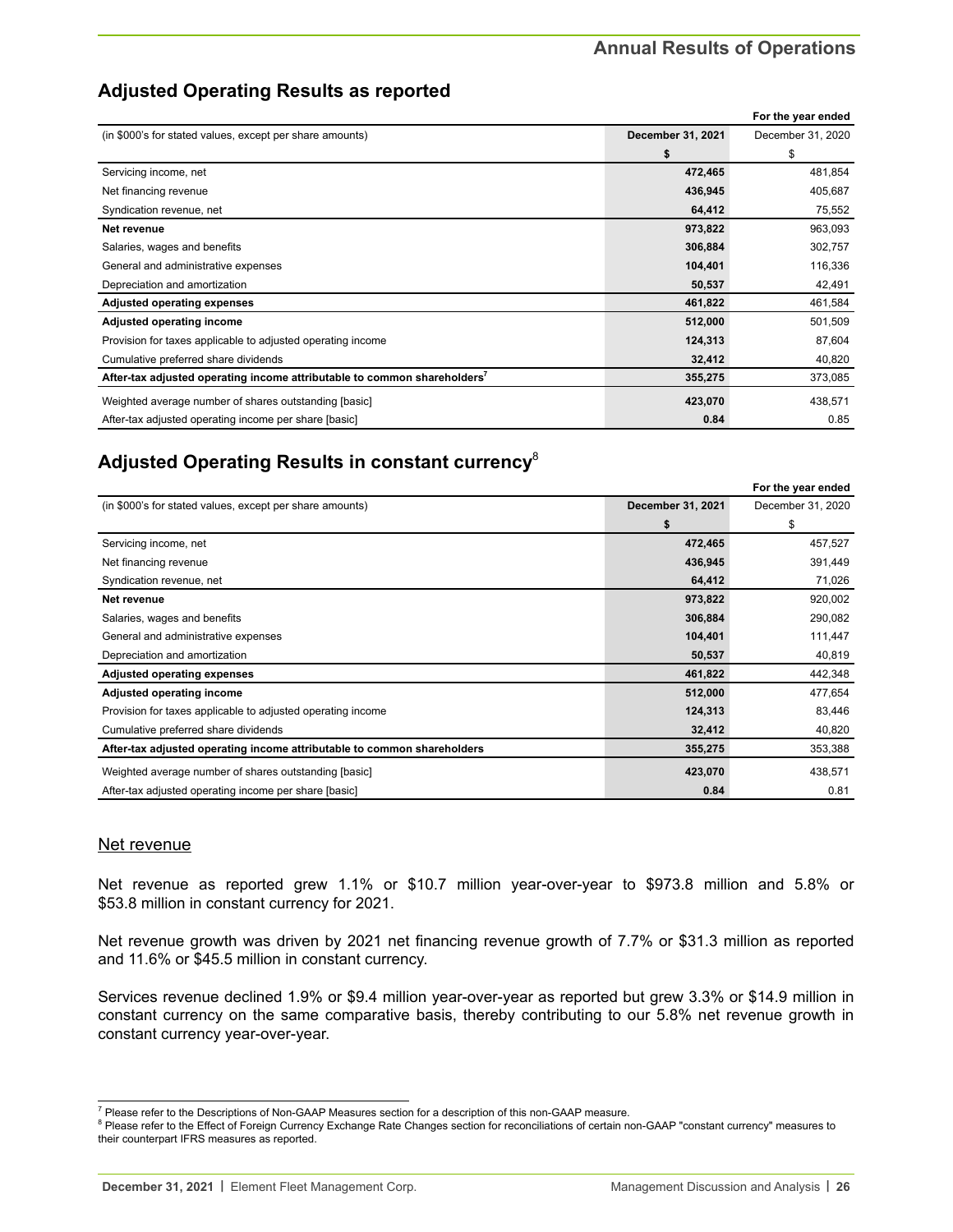# **Adjusted Operating Results as reported**

|                                                                                      |                   | For the year ended |
|--------------------------------------------------------------------------------------|-------------------|--------------------|
| (in \$000's for stated values, except per share amounts)                             | December 31, 2021 | December 31, 2020  |
|                                                                                      | \$                | \$                 |
| Servicing income, net                                                                | 472,465           | 481,854            |
| Net financing revenue                                                                | 436,945           | 405,687            |
| Syndication revenue, net                                                             | 64,412            | 75,552             |
| Net revenue                                                                          | 973,822           | 963,093            |
| Salaries, wages and benefits                                                         | 306,884           | 302,757            |
| General and administrative expenses                                                  | 104,401           | 116,336            |
| Depreciation and amortization                                                        | 50,537            | 42,491             |
| <b>Adjusted operating expenses</b>                                                   | 461,822           | 461,584            |
| Adjusted operating income                                                            | 512,000           | 501,509            |
| Provision for taxes applicable to adjusted operating income                          | 124,313           | 87,604             |
| Cumulative preferred share dividends                                                 | 32,412            | 40,820             |
| After-tax adjusted operating income attributable to common shareholders <sup>7</sup> | 355,275           | 373,085            |
| Weighted average number of shares outstanding [basic]                                | 423,070           | 438,571            |
| After-tax adjusted operating income per share [basic]                                | 0.84              | 0.85               |

# **Adjusted Operating Results in constant currency**<sup>8</sup>

|                                                                         |                   | For the year ended |
|-------------------------------------------------------------------------|-------------------|--------------------|
| (in \$000's for stated values, except per share amounts)                | December 31, 2021 | December 31, 2020  |
|                                                                         | \$                | \$                 |
| Servicing income, net                                                   | 472,465           | 457,527            |
| Net financing revenue                                                   | 436,945           | 391,449            |
| Syndication revenue, net                                                | 64,412            | 71,026             |
| Net revenue                                                             | 973,822           | 920,002            |
| Salaries, wages and benefits                                            | 306,884           | 290,082            |
| General and administrative expenses                                     | 104,401           | 111,447            |
| Depreciation and amortization                                           | 50,537            | 40,819             |
| <b>Adjusted operating expenses</b>                                      | 461,822           | 442,348            |
| Adjusted operating income                                               | 512,000           | 477,654            |
| Provision for taxes applicable to adjusted operating income             | 124,313           | 83,446             |
| Cumulative preferred share dividends                                    | 32,412            | 40,820             |
| After-tax adjusted operating income attributable to common shareholders | 355,275           | 353,388            |
| Weighted average number of shares outstanding [basic]                   | 423,070           | 438,571            |
| After-tax adjusted operating income per share [basic]                   | 0.84              | 0.81               |

# Net revenue

Net revenue as reported grew 1.1% or \$10.7 million year-over-year to \$973.8 million and 5.8% or \$53.8 million in constant currency for 2021.

Net revenue growth was driven by 2021 net financing revenue growth of 7.7% or \$31.3 million as reported and 11.6% or \$45.5 million in constant currency.

Services revenue declined 1.9% or \$9.4 million year-over-year as reported but grew 3.3% or \$14.9 million in constant currency on the same comparative basis, thereby contributing to our 5.8% net revenue growth in constant currency year-over-year.

<sup>&</sup>lt;sup>7</sup> Please refer to the Descriptions of Non-GAAP Measures section for a description of this non-GAAP measure.

<sup>&</sup>lt;sup>8</sup> Please refer to the Effect of Foreign Currency Exchange Rate Changes section for reconciliations of certain non-GAAP "constant currency" measures to their counterpart IFRS measures as reported.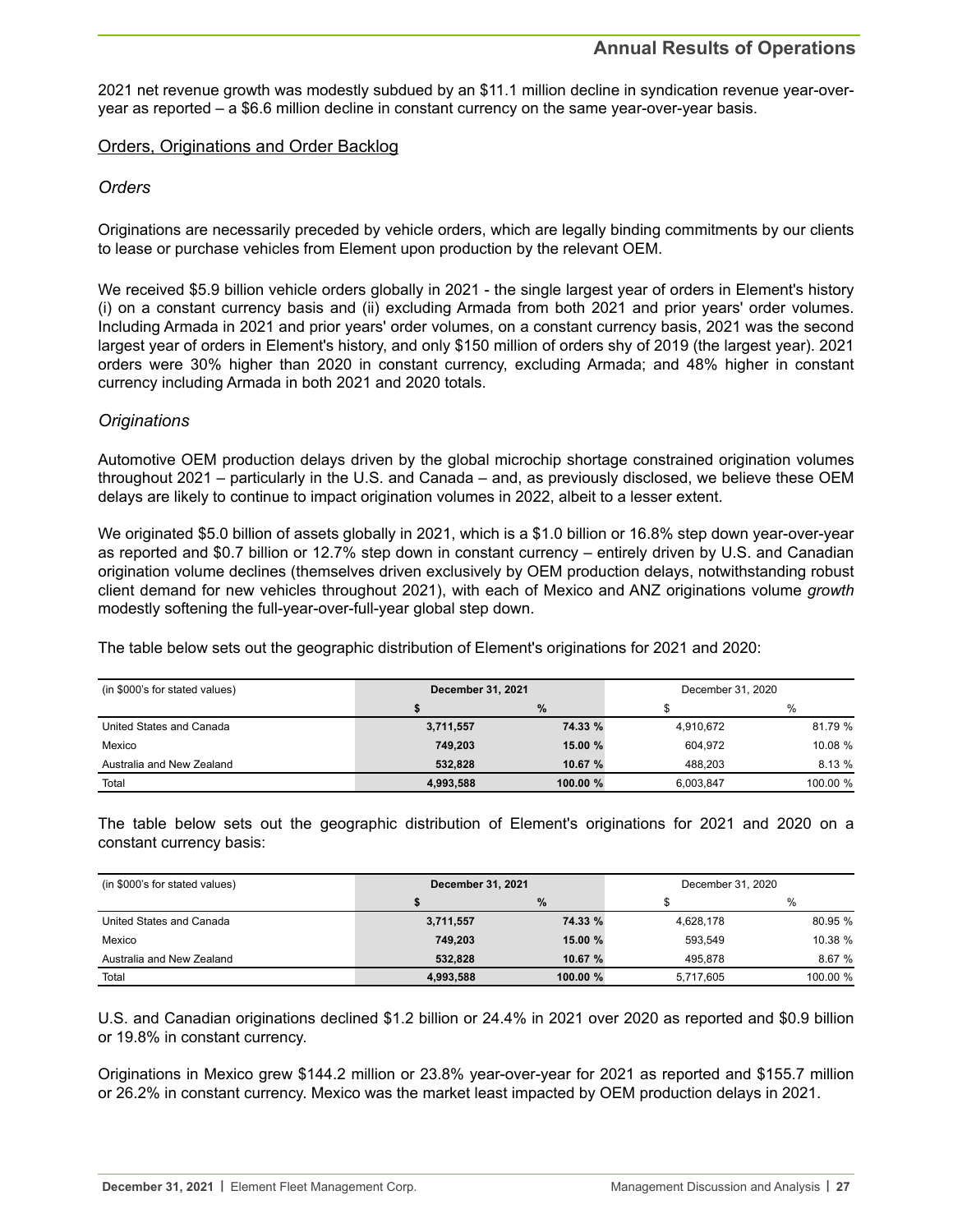2021 net revenue growth was modestly subdued by an \$11.1 million decline in syndication revenue year-overyear as reported – a \$6.6 million decline in constant currency on the same year-over-year basis.

## Orders, Originations and Order Backlog

# *Orders*

Originations are necessarily preceded by vehicle orders, which are legally binding commitments by our clients to lease or purchase vehicles from Element upon production by the relevant OEM.

We received \$5.9 billion vehicle orders globally in 2021 - the single largest year of orders in Element's history (i) on a constant currency basis and (ii) excluding Armada from both 2021 and prior years' order volumes. Including Armada in 2021 and prior years' order volumes, on a constant currency basis, 2021 was the second largest year of orders in Element's history, and only \$150 million of orders shy of 2019 (the largest year). 2021 orders were 30% higher than 2020 in constant currency, excluding Armada; and 48% higher in constant currency including Armada in both 2021 and 2020 totals.

# *Originations*

Automotive OEM production delays driven by the global microchip shortage constrained origination volumes throughout 2021 – particularly in the U.S. and Canada – and, as previously disclosed, we believe these OEM delays are likely to continue to impact origination volumes in 2022, albeit to a lesser extent.

We originated \$5.0 billion of assets globally in 2021, which is a \$1.0 billion or 16.8% step down year-over-year as reported and \$0.7 billion or 12.7% step down in constant currency – entirely driven by U.S. and Canadian origination volume declines (themselves driven exclusively by OEM production delays, notwithstanding robust client demand for new vehicles throughout 2021), with each of Mexico and ANZ originations volume *growth* modestly softening the full-year-over-full-year global step down.

The table below sets out the geographic distribution of Element's originations for 2021 and 2020:

| (in \$000's for stated values) | December 31, 2021 |            | December 31, 2020 |          |
|--------------------------------|-------------------|------------|-------------------|----------|
|                                |                   | %          |                   | $\%$     |
| United States and Canada       | 3,711,557         | 74.33 %    | 4,910,672         | 81.79 %  |
| Mexico                         | 749.203           | 15.00 %    | 604.972           | 10.08 %  |
| Australia and New Zealand      | 532.828           | 10.67 %    | 488.203           | 8.13%    |
| Total                          | 4,993,588         | 100.00 $%$ | 6.003.847         | 100.00 % |

The table below sets out the geographic distribution of Element's originations for 2021 and 2020 on a constant currency basis:

| (in \$000's for stated values) | <b>December 31, 2021</b> |            | December 31, 2020 |          |
|--------------------------------|--------------------------|------------|-------------------|----------|
|                                |                          | $\%$       |                   | %        |
| United States and Canada       | 3,711,557                | 74.33 %    | 4,628,178         | 80.95 %  |
| Mexico                         | 749.203                  | 15.00 %    | 593.549           | 10.38 %  |
| Australia and New Zealand      | 532.828                  | 10.67 %    | 495.878           | 8.67%    |
| Total                          | 4.993.588                | 100.00 $%$ | 5.717.605         | 100.00 % |

U.S. and Canadian originations declined \$1.2 billion or 24.4% in 2021 over 2020 as reported and \$0.9 billion or 19.8% in constant currency.

Originations in Mexico grew \$144.2 million or 23.8% year-over-year for 2021 as reported and \$155.7 million or 26.2% in constant currency. Mexico was the market least impacted by OEM production delays in 2021.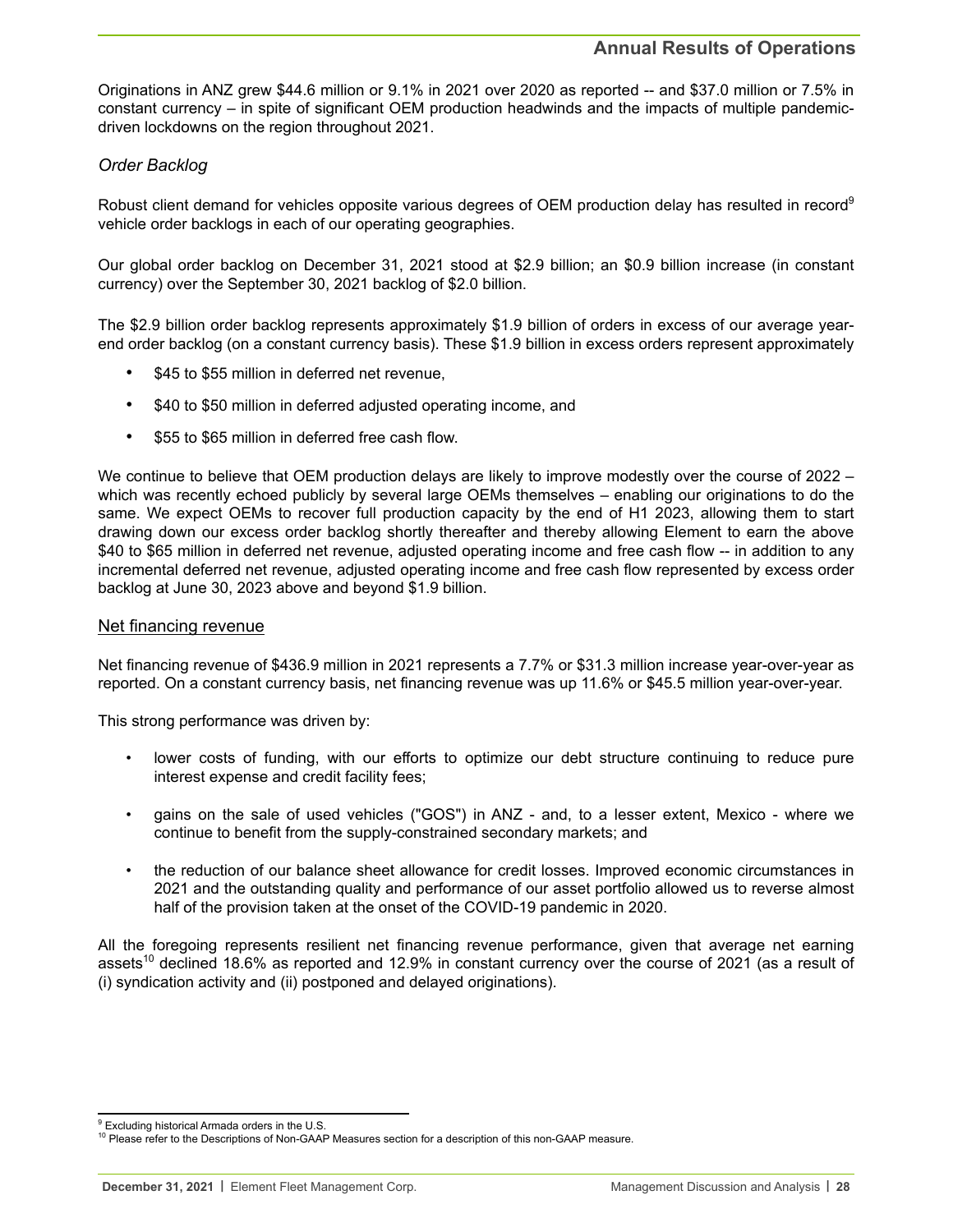Originations in ANZ grew \$44.6 million or 9.1% in 2021 over 2020 as reported -- and \$37.0 million or 7.5% in constant currency – in spite of significant OEM production headwinds and the impacts of multiple pandemicdriven lockdowns on the region throughout 2021.

## *Order Backlog*

Robust client demand for vehicles opposite various degrees of OEM production delay has resulted in record<sup>9</sup> vehicle order backlogs in each of our operating geographies.

Our global order backlog on December 31, 2021 stood at \$2.9 billion; an \$0.9 billion increase (in constant currency) over the September 30, 2021 backlog of \$2.0 billion.

The \$2.9 billion order backlog represents approximately \$1.9 billion of orders in excess of our average yearend order backlog (on a constant currency basis). These \$1.9 billion in excess orders represent approximately

- \$45 to \$55 million in deferred net revenue,
- \$40 to \$50 million in deferred adjusted operating income, and
- \$55 to \$65 million in deferred free cash flow.

We continue to believe that OEM production delays are likely to improve modestly over the course of 2022 – which was recently echoed publicly by several large OEMs themselves – enabling our originations to do the same. We expect OEMs to recover full production capacity by the end of H1 2023, allowing them to start drawing down our excess order backlog shortly thereafter and thereby allowing Element to earn the above \$40 to \$65 million in deferred net revenue, adjusted operating income and free cash flow -- in addition to any incremental deferred net revenue, adjusted operating income and free cash flow represented by excess order backlog at June 30, 2023 above and beyond \$1.9 billion.

#### Net financing revenue

Net financing revenue of \$436.9 million in 2021 represents a 7.7% or \$31.3 million increase year-over-year as reported. On a constant currency basis, net financing revenue was up 11.6% or \$45.5 million year-over-year.

This strong performance was driven by:

- lower costs of funding, with our efforts to optimize our debt structure continuing to reduce pure interest expense and credit facility fees;
- gains on the sale of used vehicles ("GOS") in ANZ and, to a lesser extent, Mexico where we continue to benefit from the supply-constrained secondary markets; and
- the reduction of our balance sheet allowance for credit losses. Improved economic circumstances in 2021 and the outstanding quality and performance of our asset portfolio allowed us to reverse almost half of the provision taken at the onset of the COVID-19 pandemic in 2020.

All the foregoing represents resilient net financing revenue performance, given that average net earning assets<sup>10</sup> declined 18.6% as reported and 12.9% in constant currency over the course of 2021 (as a result of (i) syndication activity and (ii) postponed and delayed originations).

<sup>&</sup>lt;sup>9</sup> Excluding historical Armada orders in the U.S.

<sup>&</sup>lt;sup>10</sup> Please refer to the Descriptions of Non-GAAP Measures section for a description of this non-GAAP measure.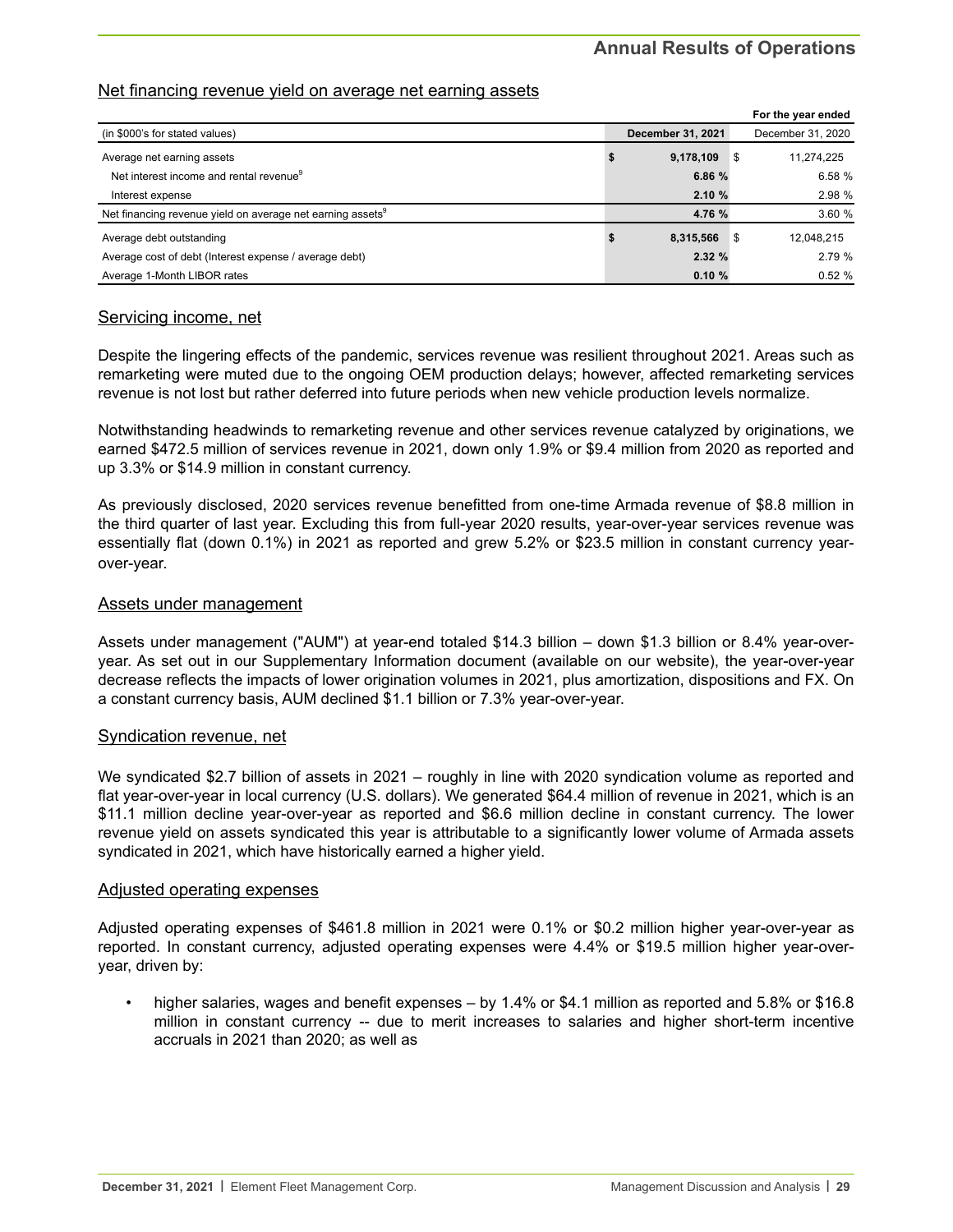# **Annual Results of Operations**

# Net financing revenue yield on average net earning assets

|                                                                        |                          |      | For the year ended |
|------------------------------------------------------------------------|--------------------------|------|--------------------|
| (in \$000's for stated values)                                         | <b>December 31, 2021</b> |      | December 31, 2020  |
| Average net earning assets                                             | 9,178,109                | ∣\$  | 11,274,225         |
| Net interest income and rental revenue <sup>9</sup>                    | 6.86 %                   |      | 6.58%              |
| Interest expense                                                       | 2.10%                    |      | 2.98 %             |
| Net financing revenue yield on average net earning assets <sup>9</sup> | 4.76 %                   |      | 3.60%              |
| Average debt outstanding                                               | 8,315,566                | ¶ \$ | 12,048,215         |
| Average cost of debt (Interest expense / average debt)                 | 2.32%                    |      | 2.79%              |
| Average 1-Month LIBOR rates                                            | 0.10%                    |      | 0.52%              |

#### Servicing income, net

Despite the lingering effects of the pandemic, services revenue was resilient throughout 2021. Areas such as remarketing were muted due to the ongoing OEM production delays; however, affected remarketing services revenue is not lost but rather deferred into future periods when new vehicle production levels normalize.

Notwithstanding headwinds to remarketing revenue and other services revenue catalyzed by originations, we earned \$472.5 million of services revenue in 2021, down only 1.9% or \$9.4 million from 2020 as reported and up 3.3% or \$14.9 million in constant currency.

As previously disclosed, 2020 services revenue benefitted from one-time Armada revenue of \$8.8 million in the third quarter of last year. Excluding this from full-year 2020 results, year-over-year services revenue was essentially flat (down 0.1%) in 2021 as reported and grew 5.2% or \$23.5 million in constant currency yearover-year.

#### Assets under management

Assets under management ("AUM") at year-end totaled \$14.3 billion – down \$1.3 billion or 8.4% year-overyear. As set out in our Supplementary Information document (available on our website), the year-over-year decrease reflects the impacts of lower origination volumes in 2021, plus amortization, dispositions and FX. On a constant currency basis, AUM declined \$1.1 billion or 7.3% year-over-year.

#### Syndication revenue, net

We syndicated \$2.7 billion of assets in 2021 – roughly in line with 2020 syndication volume as reported and flat year-over-year in local currency (U.S. dollars). We generated \$64.4 million of revenue in 2021, which is an \$11.1 million decline year-over-year as reported and \$6.6 million decline in constant currency. The lower revenue yield on assets syndicated this year is attributable to a significantly lower volume of Armada assets syndicated in 2021, which have historically earned a higher yield.

#### Adjusted operating expenses

Adjusted operating expenses of \$461.8 million in 2021 were 0.1% or \$0.2 million higher year-over-year as reported. In constant currency, adjusted operating expenses were 4.4% or \$19.5 million higher year-overyear, driven by:

• higher salaries, wages and benefit expenses – by 1.4% or \$4.1 million as reported and 5.8% or \$16.8 million in constant currency -- due to merit increases to salaries and higher short-term incentive accruals in 2021 than 2020; as well as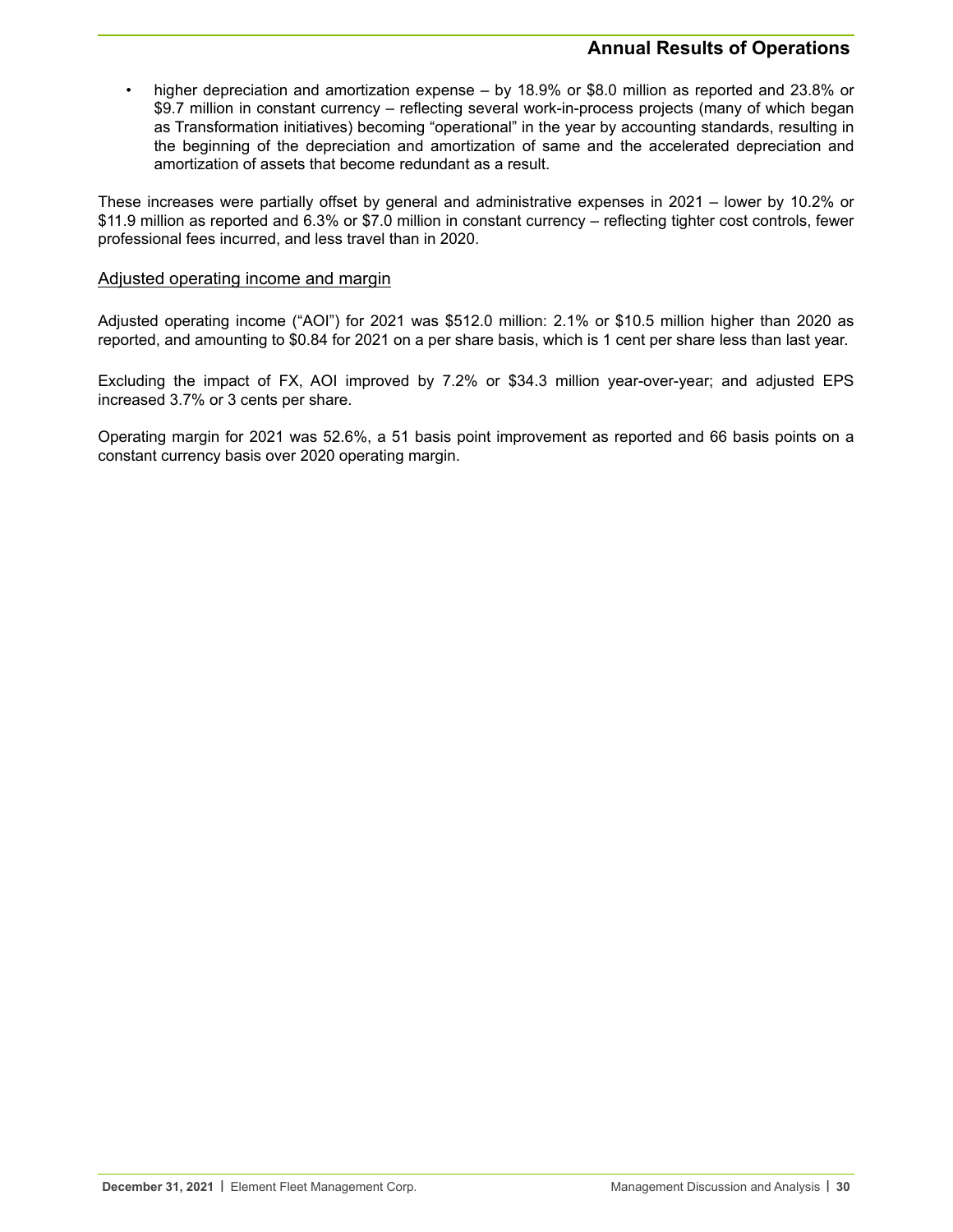# **Annual Results of Operations**

• higher depreciation and amortization expense – by 18.9% or \$8.0 million as reported and 23.8% or \$9.7 million in constant currency – reflecting several work-in-process projects (many of which began as Transformation initiatives) becoming "operational" in the year by accounting standards, resulting in the beginning of the depreciation and amortization of same and the accelerated depreciation and amortization of assets that become redundant as a result.

These increases were partially offset by general and administrative expenses in 2021 – lower by 10.2% or \$11.9 million as reported and 6.3% or \$7.0 million in constant currency – reflecting tighter cost controls, fewer professional fees incurred, and less travel than in 2020.

### Adjusted operating income and margin

Adjusted operating income ("AOI") for 2021 was \$512.0 million: 2.1% or \$10.5 million higher than 2020 as reported, and amounting to \$0.84 for 2021 on a per share basis, which is 1 cent per share less than last year.

Excluding the impact of FX, AOI improved by 7.2% or \$34.3 million year-over-year; and adjusted EPS increased 3.7% or 3 cents per share.

Operating margin for 2021 was 52.6%, a 51 basis point improvement as reported and 66 basis points on a constant currency basis over 2020 operating margin.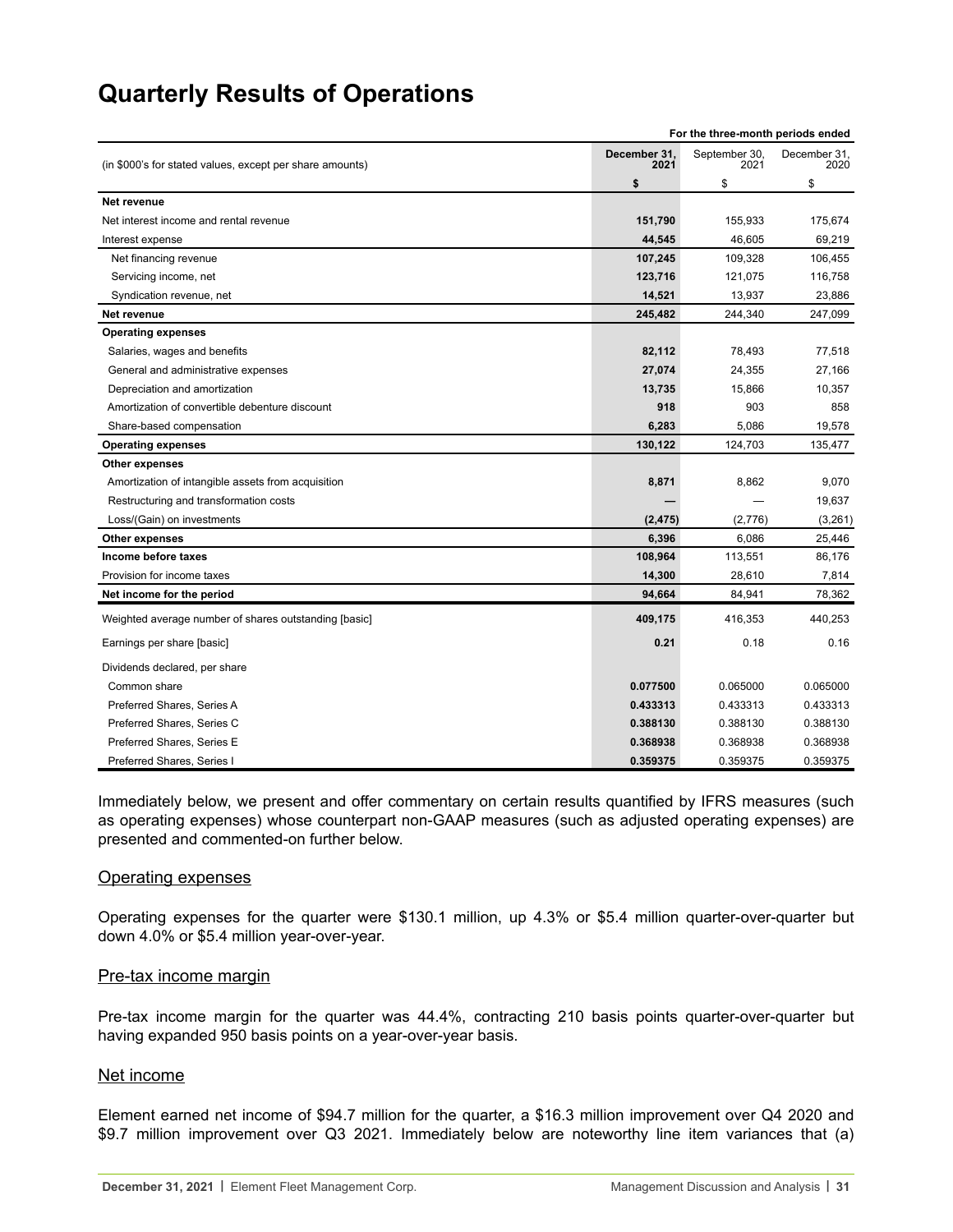<span id="page-30-0"></span>

| For the three-month periods ended                        |                      |                       |                      |  |  |
|----------------------------------------------------------|----------------------|-----------------------|----------------------|--|--|
| (in \$000's for stated values, except per share amounts) | December 31.<br>2021 | September 30,<br>2021 | December 31,<br>2020 |  |  |
|                                                          | \$                   | \$                    | \$                   |  |  |
| <b>Net revenue</b>                                       |                      |                       |                      |  |  |
| Net interest income and rental revenue                   | 151,790              | 155,933               | 175,674              |  |  |
| Interest expense                                         | 44,545               | 46,605                | 69,219               |  |  |
| Net financing revenue                                    | 107,245              | 109,328               | 106,455              |  |  |
| Servicing income, net                                    | 123,716              | 121,075               | 116,758              |  |  |
| Syndication revenue, net                                 | 14,521               | 13,937                | 23,886               |  |  |
| Net revenue                                              | 245,482              | 244,340               | 247,099              |  |  |
| <b>Operating expenses</b>                                |                      |                       |                      |  |  |
| Salaries, wages and benefits                             | 82,112               | 78,493                | 77,518               |  |  |
| General and administrative expenses                      | 27,074               | 24,355                | 27,166               |  |  |
| Depreciation and amortization                            | 13,735               | 15,866                | 10,357               |  |  |
| Amortization of convertible debenture discount           | 918                  | 903                   | 858                  |  |  |
| Share-based compensation                                 | 6,283                | 5,086                 | 19,578               |  |  |
| <b>Operating expenses</b>                                | 130,122              | 124,703               | 135,477              |  |  |
| Other expenses                                           |                      |                       |                      |  |  |
| Amortization of intangible assets from acquisition       | 8,871                | 8,862                 | 9,070                |  |  |
| Restructuring and transformation costs                   |                      |                       | 19,637               |  |  |
| Loss/(Gain) on investments                               | (2, 475)             | (2,776)               | (3,261)              |  |  |
| <b>Other expenses</b>                                    | 6,396                | 6,086                 | 25,446               |  |  |
| Income before taxes                                      | 108,964              | 113,551               | 86,176               |  |  |
| Provision for income taxes                               | 14,300               | 28,610                | 7,814                |  |  |
| Net income for the period                                | 94,664               | 84,941                | 78,362               |  |  |
| Weighted average number of shares outstanding [basic]    | 409,175              | 416,353               | 440,253              |  |  |
| Earnings per share [basic]                               | 0.21                 | 0.18                  | 0.16                 |  |  |
| Dividends declared, per share                            |                      |                       |                      |  |  |
| Common share                                             | 0.077500             | 0.065000              | 0.065000             |  |  |
| Preferred Shares, Series A                               | 0.433313             | 0.433313              | 0.433313             |  |  |
| Preferred Shares, Series C                               | 0.388130             | 0.388130              | 0.388130             |  |  |
| Preferred Shares, Series E                               | 0.368938             | 0.368938              | 0.368938             |  |  |
| Preferred Shares, Series I                               | 0.359375             | 0.359375              | 0.359375             |  |  |

Immediately below, we present and offer commentary on certain results quantified by IFRS measures (such as operating expenses) whose counterpart non-GAAP measures (such as adjusted operating expenses) are presented and commented-on further below.

#### Operating expenses

Operating expenses for the quarter were \$130.1 million, up 4.3% or \$5.4 million quarter-over-quarter but down 4.0% or \$5.4 million year-over-year.

#### Pre-tax income margin

Pre-tax income margin for the quarter was 44.4%, contracting 210 basis points quarter-over-quarter but having expanded 950 basis points on a year-over-year basis.

#### Net income

Element earned net income of \$94.7 million for the quarter, a \$16.3 million improvement over Q4 2020 and \$9.7 million improvement over Q3 2021. Immediately below are noteworthy line item variances that (a)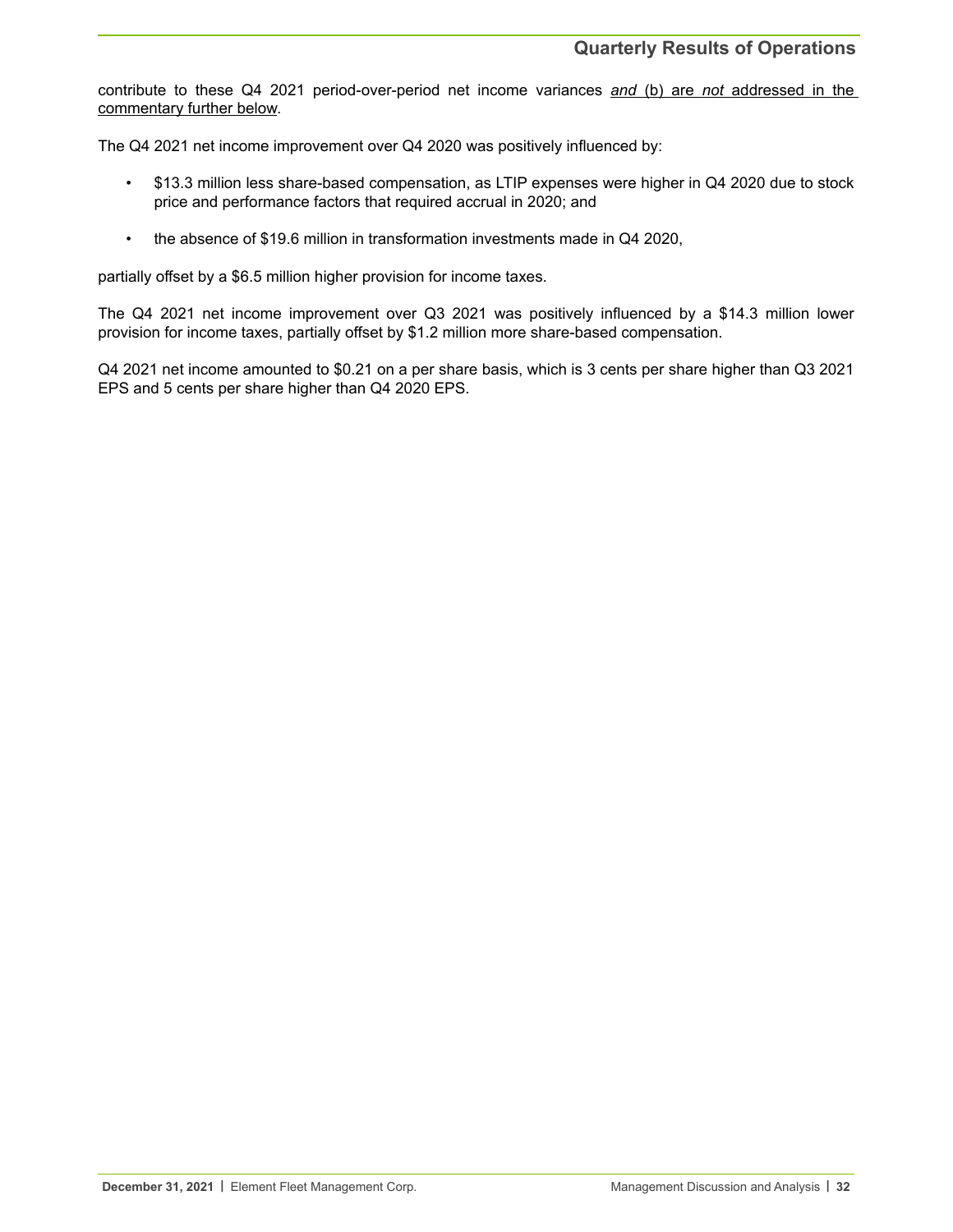contribute to these Q4 2021 period-over-period net income variances *and* (b) are not addressed in the commentary further below.

The Q4 2021 net income improvement over Q4 2020 was positively influenced by:

- \$13.3 million less share-based compensation, as LTIP expenses were higher in Q4 2020 due to stock price and performance factors that required accrual in 2020; and
- the absence of \$19.6 million in transformation investments made in Q4 2020,

partially offset by a \$6.5 million higher provision for income taxes.

The Q4 2021 net income improvement over Q3 2021 was positively influenced by a \$14.3 million lower provision for income taxes, partially offset by \$1.2 million more share-based compensation.

Q4 2021 net income amounted to \$0.21 on a per share basis, which is 3 cents per share higher than Q3 2021 EPS and 5 cents per share higher than Q4 2020 EPS.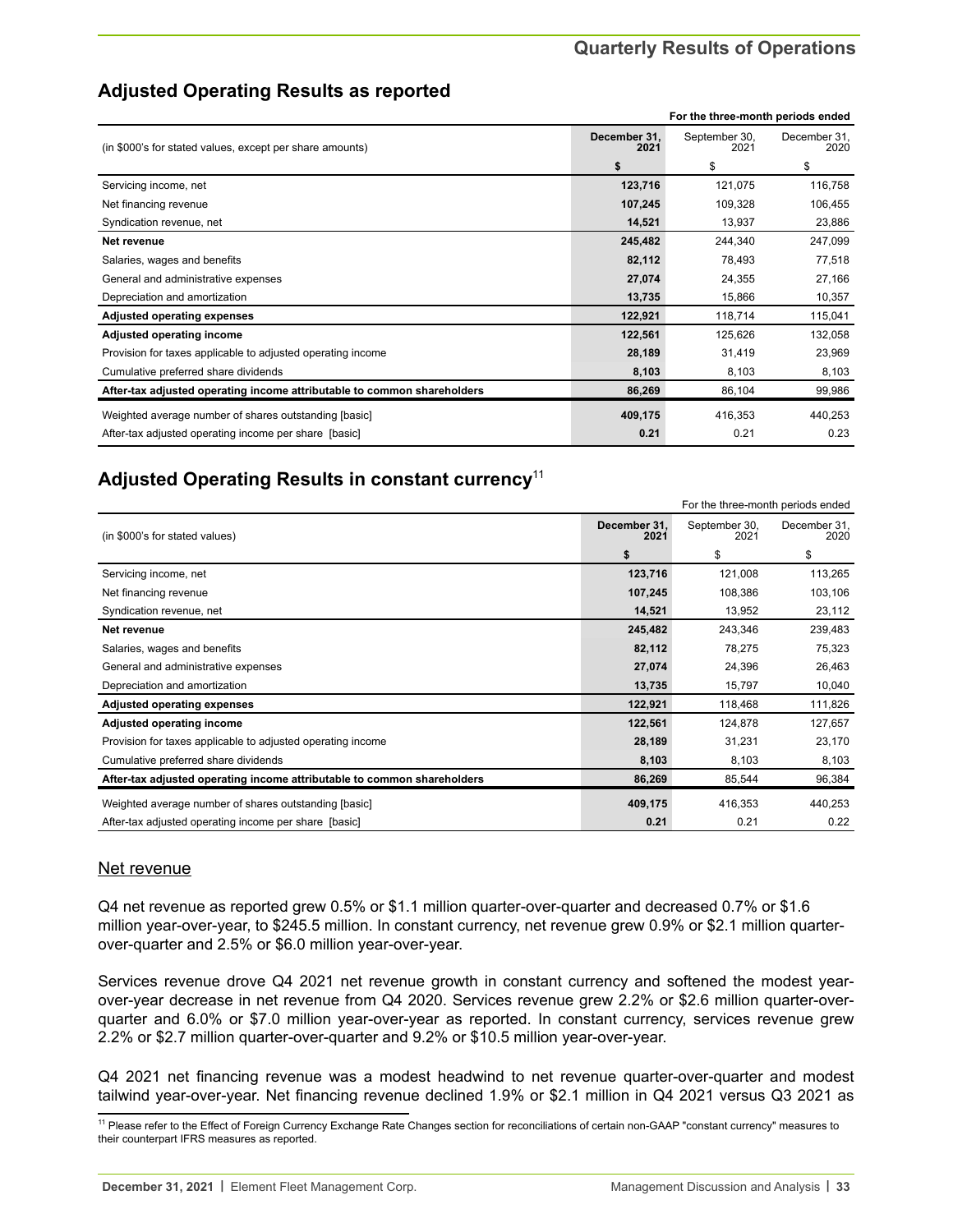**For the three-month periods ended**

# **Adjusted Operating Results as reported**

|                                                                         | For the three-month periods ended |                       |                      |  |  |
|-------------------------------------------------------------------------|-----------------------------------|-----------------------|----------------------|--|--|
| (in \$000's for stated values, except per share amounts)                | December 31,<br>2021              | September 30,<br>2021 | December 31,<br>2020 |  |  |
|                                                                         | \$                                | \$                    | \$                   |  |  |
| Servicing income, net                                                   | 123,716                           | 121,075               | 116,758              |  |  |
| Net financing revenue                                                   | 107,245                           | 109,328               | 106,455              |  |  |
| Syndication revenue, net                                                | 14,521                            | 13,937                | 23,886               |  |  |
| Net revenue                                                             | 245,482                           | 244,340               | 247,099              |  |  |
| Salaries, wages and benefits                                            | 82,112                            | 78,493                | 77,518               |  |  |
| General and administrative expenses                                     | 27,074                            | 24,355                | 27,166               |  |  |
| Depreciation and amortization                                           | 13,735                            | 15,866                | 10,357               |  |  |
| <b>Adjusted operating expenses</b>                                      | 122,921                           | 118,714               | 115,041              |  |  |
| Adjusted operating income                                               | 122,561                           | 125,626               | 132,058              |  |  |
| Provision for taxes applicable to adjusted operating income             | 28,189                            | 31,419                | 23,969               |  |  |
| Cumulative preferred share dividends                                    | 8,103                             | 8,103                 | 8,103                |  |  |
| After-tax adjusted operating income attributable to common shareholders | 86,269                            | 86,104                | 99,986               |  |  |
| Weighted average number of shares outstanding [basic]                   | 409,175                           | 416,353               | 440,253              |  |  |
| After-tax adjusted operating income per share [basic]                   | 0.21                              | 0.21                  | 0.23                 |  |  |

# **Adjusted Operating Results in constant currency**<sup>11</sup>

|                                                                         | For the three-month periods ended |                       |                      |
|-------------------------------------------------------------------------|-----------------------------------|-----------------------|----------------------|
| (in \$000's for stated values)                                          |                                   | September 30,<br>2021 | December 31,<br>2020 |
|                                                                         | \$                                | \$                    | \$                   |
| Servicing income, net                                                   | 123,716                           | 121,008               | 113,265              |
| Net financing revenue                                                   | 107,245                           | 108,386               | 103,106              |
| Syndication revenue, net                                                | 14,521                            | 13,952                | 23,112               |
| Net revenue                                                             | 245,482                           | 243,346               | 239,483              |
| Salaries, wages and benefits                                            | 82,112                            | 78,275                | 75,323               |
| General and administrative expenses                                     | 27,074                            | 24,396                | 26,463               |
| Depreciation and amortization                                           | 13,735                            | 15,797                | 10,040               |
| <b>Adjusted operating expenses</b>                                      | 122,921                           | 118,468               | 111,826              |
| Adjusted operating income                                               | 122,561                           | 124,878               | 127,657              |
| Provision for taxes applicable to adjusted operating income             | 28,189                            | 31,231                | 23,170               |
| Cumulative preferred share dividends                                    | 8,103                             | 8,103                 | 8,103                |
| After-tax adjusted operating income attributable to common shareholders | 86,269                            | 85,544                | 96,384               |
| Weighted average number of shares outstanding [basic]                   | 409,175                           | 416,353               | 440,253              |
| After-tax adjusted operating income per share [basic]                   | 0.21                              | 0.21                  | 0.22                 |

# Net revenue

Q4 net revenue as reported grew 0.5% or \$1.1 million quarter-over-quarter and decreased 0.7% or \$1.6 million year-over-year, to \$245.5 million. In constant currency, net revenue grew 0.9% or \$2.1 million quarterover-quarter and 2.5% or \$6.0 million year-over-year.

Services revenue drove Q4 2021 net revenue growth in constant currency and softened the modest yearover-year decrease in net revenue from Q4 2020. Services revenue grew 2.2% or \$2.6 million quarter-overquarter and 6.0% or \$7.0 million year-over-year as reported. In constant currency, services revenue grew 2.2% or \$2.7 million quarter-over-quarter and 9.2% or \$10.5 million year-over-year.

Q4 2021 net financing revenue was a modest headwind to net revenue quarter-over-quarter and modest tailwind year-over-year. Net financing revenue declined 1.9% or \$2.1 million in Q4 2021 versus Q3 2021 as

<sup>&</sup>lt;sup>11</sup> Please refer to the Effect of Foreign Currency Exchange Rate Changes section for reconciliations of certain non-GAAP "constant currency" measures to their counterpart IFRS measures as reported.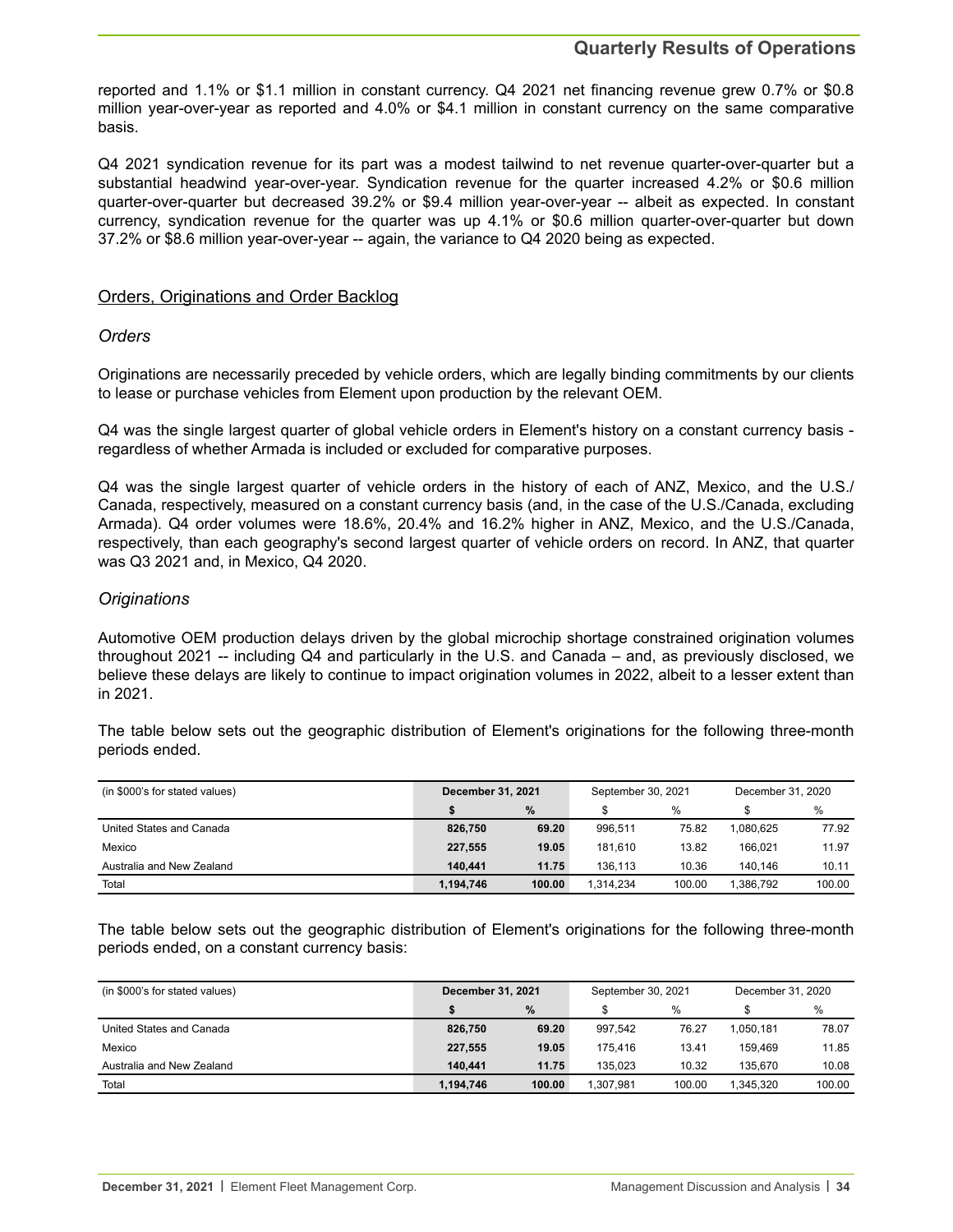# **Quarterly Results of Operations**

reported and 1.1% or \$1.1 million in constant currency. Q4 2021 net financing revenue grew 0.7% or \$0.8 million year-over-year as reported and 4.0% or \$4.1 million in constant currency on the same comparative basis.

Q4 2021 syndication revenue for its part was a modest tailwind to net revenue quarter-over-quarter but a substantial headwind year-over-year. Syndication revenue for the quarter increased 4.2% or \$0.6 million quarter-over-quarter but decreased 39.2% or \$9.4 million year-over-year -- albeit as expected. In constant currency, syndication revenue for the quarter was up 4.1% or \$0.6 million quarter-over-quarter but down 37.2% or \$8.6 million year-over-year -- again, the variance to Q4 2020 being as expected.

### Orders, Originations and Order Backlog

#### *Orders*

Originations are necessarily preceded by vehicle orders, which are legally binding commitments by our clients to lease or purchase vehicles from Element upon production by the relevant OEM.

Q4 was the single largest quarter of global vehicle orders in Element's history on a constant currency basis regardless of whether Armada is included or excluded for comparative purposes.

Q4 was the single largest quarter of vehicle orders in the history of each of ANZ, Mexico, and the U.S./ Canada, respectively, measured on a constant currency basis (and, in the case of the U.S./Canada, excluding Armada). Q4 order volumes were 18.6%, 20.4% and 16.2% higher in ANZ, Mexico, and the U.S./Canada, respectively, than each geography's second largest quarter of vehicle orders on record. In ANZ, that quarter was Q3 2021 and, in Mexico, Q4 2020.

## *Originations*

Automotive OEM production delays driven by the global microchip shortage constrained origination volumes throughout 2021 -- including Q4 and particularly in the U.S. and Canada – and, as previously disclosed, we believe these delays are likely to continue to impact origination volumes in 2022, albeit to a lesser extent than in 2021.

The table below sets out the geographic distribution of Element's originations for the following three-month periods ended.

| (in \$000's for stated values) | <b>December 31, 2021</b> |        | September 30, 2021 |        | December 31, 2020 |        |  |
|--------------------------------|--------------------------|--------|--------------------|--------|-------------------|--------|--|
|                                |                          | $\%$   |                    | $\%$   |                   | %      |  |
| United States and Canada       | 826.750                  | 69.20  | 996.511            | 75.82  | 1.080.625         | 77.92  |  |
| Mexico                         | 227.555                  | 19.05  | 181.610            | 13.82  | 166.021           | 11.97  |  |
| Australia and New Zealand      | 140.441                  | 11.75  | 136.113            | 10.36  | 140.146           | 10.11  |  |
| Total                          | 1,194,746                | 100.00 | 1.314.234          | 100.00 | 1.386.792         | 100.00 |  |

The table below sets out the geographic distribution of Element's originations for the following three-month periods ended, on a constant currency basis:

| (in \$000's for stated values) | <b>December 31, 2021</b> |        | September 30, 2021 |        | December 31, 2020 |        |  |
|--------------------------------|--------------------------|--------|--------------------|--------|-------------------|--------|--|
|                                |                          | $\%$   |                    | %      |                   | %      |  |
| United States and Canada       | 826,750                  | 69.20  | 997.542            | 76.27  | 1.050.181         | 78.07  |  |
| Mexico                         | 227,555                  | 19.05  | 175.416            | 13.41  | 159.469           | 11.85  |  |
| Australia and New Zealand      | 140.441                  | 11.75  | 135.023            | 10.32  | 135.670           | 10.08  |  |
| Total                          | 1,194,746                | 100.00 | 1.307.981          | 100.00 | 1.345.320         | 100.00 |  |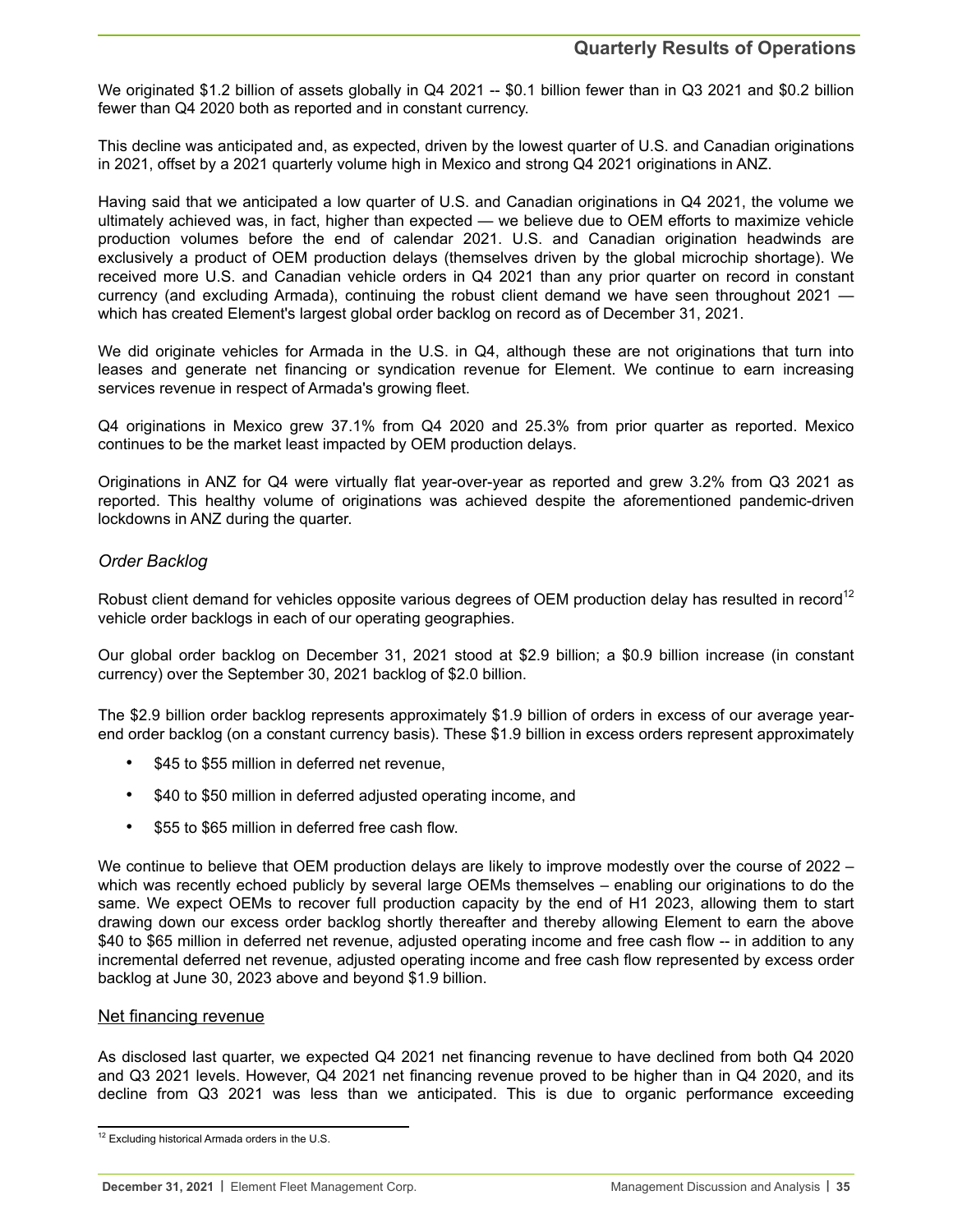We originated \$1.2 billion of assets globally in Q4 2021 -- \$0.1 billion fewer than in Q3 2021 and \$0.2 billion fewer than Q4 2020 both as reported and in constant currency.

This decline was anticipated and, as expected, driven by the lowest quarter of U.S. and Canadian originations in 2021, offset by a 2021 quarterly volume high in Mexico and strong Q4 2021 originations in ANZ.

Having said that we anticipated a low quarter of U.S. and Canadian originations in Q4 2021, the volume we ultimately achieved was, in fact, higher than expected — we believe due to OEM efforts to maximize vehicle production volumes before the end of calendar 2021. U.S. and Canadian origination headwinds are exclusively a product of OEM production delays (themselves driven by the global microchip shortage). We received more U.S. and Canadian vehicle orders in Q4 2021 than any prior quarter on record in constant currency (and excluding Armada), continuing the robust client demand we have seen throughout 2021 which has created Element's largest global order backlog on record as of December 31, 2021.

We did originate vehicles for Armada in the U.S. in Q4, although these are not originations that turn into leases and generate net financing or syndication revenue for Element. We continue to earn increasing services revenue in respect of Armada's growing fleet.

Q4 originations in Mexico grew 37.1% from Q4 2020 and 25.3% from prior quarter as reported. Mexico continues to be the market least impacted by OEM production delays.

Originations in ANZ for Q4 were virtually flat year-over-year as reported and grew 3.2% from Q3 2021 as reported. This healthy volume of originations was achieved despite the aforementioned pandemic-driven lockdowns in ANZ during the quarter.

# *Order Backlog*

Robust client demand for vehicles opposite various degrees of OEM production delay has resulted in record<sup>12</sup> vehicle order backlogs in each of our operating geographies.

Our global order backlog on December 31, 2021 stood at \$2.9 billion; a \$0.9 billion increase (in constant currency) over the September 30, 2021 backlog of \$2.0 billion.

The \$2.9 billion order backlog represents approximately \$1.9 billion of orders in excess of our average yearend order backlog (on a constant currency basis). These \$1.9 billion in excess orders represent approximately

- \$45 to \$55 million in deferred net revenue,
- \$40 to \$50 million in deferred adjusted operating income, and
- \$55 to \$65 million in deferred free cash flow.

We continue to believe that OEM production delays are likely to improve modestly over the course of 2022 – which was recently echoed publicly by several large OEMs themselves – enabling our originations to do the same. We expect OEMs to recover full production capacity by the end of H1 2023, allowing them to start drawing down our excess order backlog shortly thereafter and thereby allowing Element to earn the above \$40 to \$65 million in deferred net revenue, adjusted operating income and free cash flow -- in addition to any incremental deferred net revenue, adjusted operating income and free cash flow represented by excess order backlog at June 30, 2023 above and beyond \$1.9 billion.

#### Net financing revenue

As disclosed last quarter, we expected Q4 2021 net financing revenue to have declined from both Q4 2020 and Q3 2021 levels. However, Q4 2021 net financing revenue proved to be higher than in Q4 2020, and its decline from Q3 2021 was less than we anticipated. This is due to organic performance exceeding

<sup>&</sup>lt;sup>12</sup> Excluding historical Armada orders in the U.S.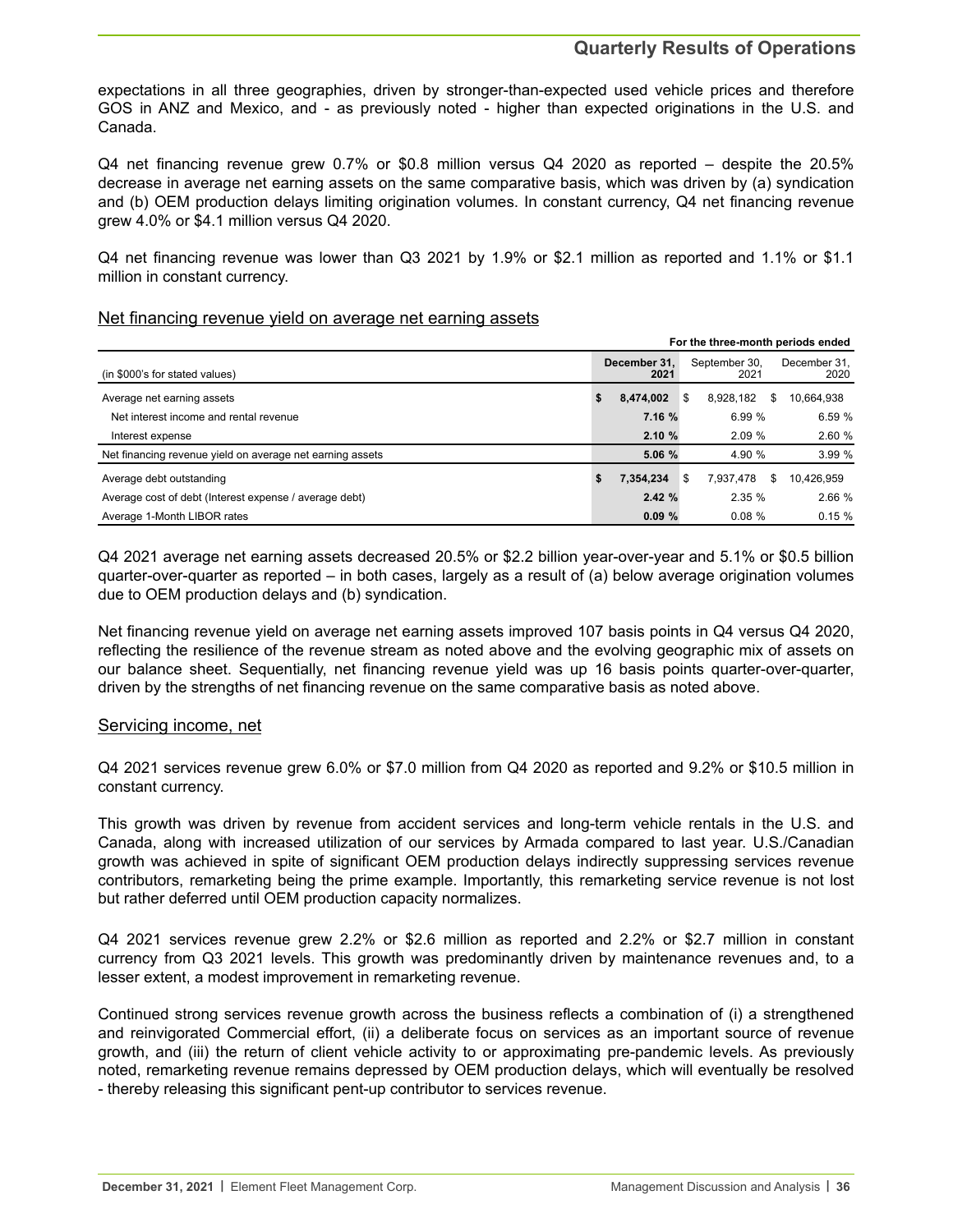expectations in all three geographies, driven by stronger-than-expected used vehicle prices and therefore GOS in ANZ and Mexico, and - as previously noted - higher than expected originations in the U.S. and Canada.

Q4 net financing revenue grew 0.7% or \$0.8 million versus Q4 2020 as reported – despite the 20.5% decrease in average net earning assets on the same comparative basis, which was driven by (a) syndication and (b) OEM production delays limiting origination volumes. In constant currency, Q4 net financing revenue grew 4.0% or \$4.1 million versus Q4 2020.

Q4 net financing revenue was lower than Q3 2021 by 1.9% or \$2.1 million as reported and 1.1% or \$1.1 million in constant currency.

#### Net financing revenue yield on average net earning assets

| For the three-month periods ended                         |    |                      |    |                       |   |                      |
|-----------------------------------------------------------|----|----------------------|----|-----------------------|---|----------------------|
| (in \$000's for stated values)                            |    | December 31.<br>2021 |    | September 30.<br>2021 |   | December 31.<br>2020 |
| Average net earning assets                                | \$ | 8.474.002            | \$ | 8.928.182             | S | 10.664.938           |
| Net interest income and rental revenue                    |    | 7.16%                |    | 6.99 %                |   | 6.59%                |
| Interest expense                                          |    | 2.10%                |    | 2.09%                 |   | 2.60%                |
| Net financing revenue yield on average net earning assets |    | 5.06 %               |    | 4.90 %                |   | 3.99%                |
| Average debt outstanding                                  | \$ | 7,354,234            | \$ | 7.937.478             | S | 10,426,959           |
| Average cost of debt (Interest expense / average debt)    |    | 2.42%                |    | 2.35%                 |   | 2.66 %               |
| Average 1-Month LIBOR rates                               |    | 0.09%                |    | 0.08%                 |   | 0.15%                |

Q4 2021 average net earning assets decreased 20.5% or \$2.2 billion year-over-year and 5.1% or \$0.5 billion quarter-over-quarter as reported – in both cases, largely as a result of (a) below average origination volumes due to OEM production delays and (b) syndication.

Net financing revenue yield on average net earning assets improved 107 basis points in Q4 versus Q4 2020, reflecting the resilience of the revenue stream as noted above and the evolving geographic mix of assets on our balance sheet. Sequentially, net financing revenue yield was up 16 basis points quarter-over-quarter, driven by the strengths of net financing revenue on the same comparative basis as noted above.

#### Servicing income, net

Q4 2021 services revenue grew 6.0% or \$7.0 million from Q4 2020 as reported and 9.2% or \$10.5 million in constant currency.

This growth was driven by revenue from accident services and long-term vehicle rentals in the U.S. and Canada, along with increased utilization of our services by Armada compared to last year. U.S./Canadian growth was achieved in spite of significant OEM production delays indirectly suppressing services revenue contributors, remarketing being the prime example. Importantly, this remarketing service revenue is not lost but rather deferred until OEM production capacity normalizes.

Q4 2021 services revenue grew 2.2% or \$2.6 million as reported and 2.2% or \$2.7 million in constant currency from Q3 2021 levels. This growth was predominantly driven by maintenance revenues and, to a lesser extent, a modest improvement in remarketing revenue.

Continued strong services revenue growth across the business reflects a combination of (i) a strengthened and reinvigorated Commercial effort, (ii) a deliberate focus on services as an important source of revenue growth, and (iii) the return of client vehicle activity to or approximating pre-pandemic levels. As previously noted, remarketing revenue remains depressed by OEM production delays, which will eventually be resolved - thereby releasing this significant pent-up contributor to services revenue.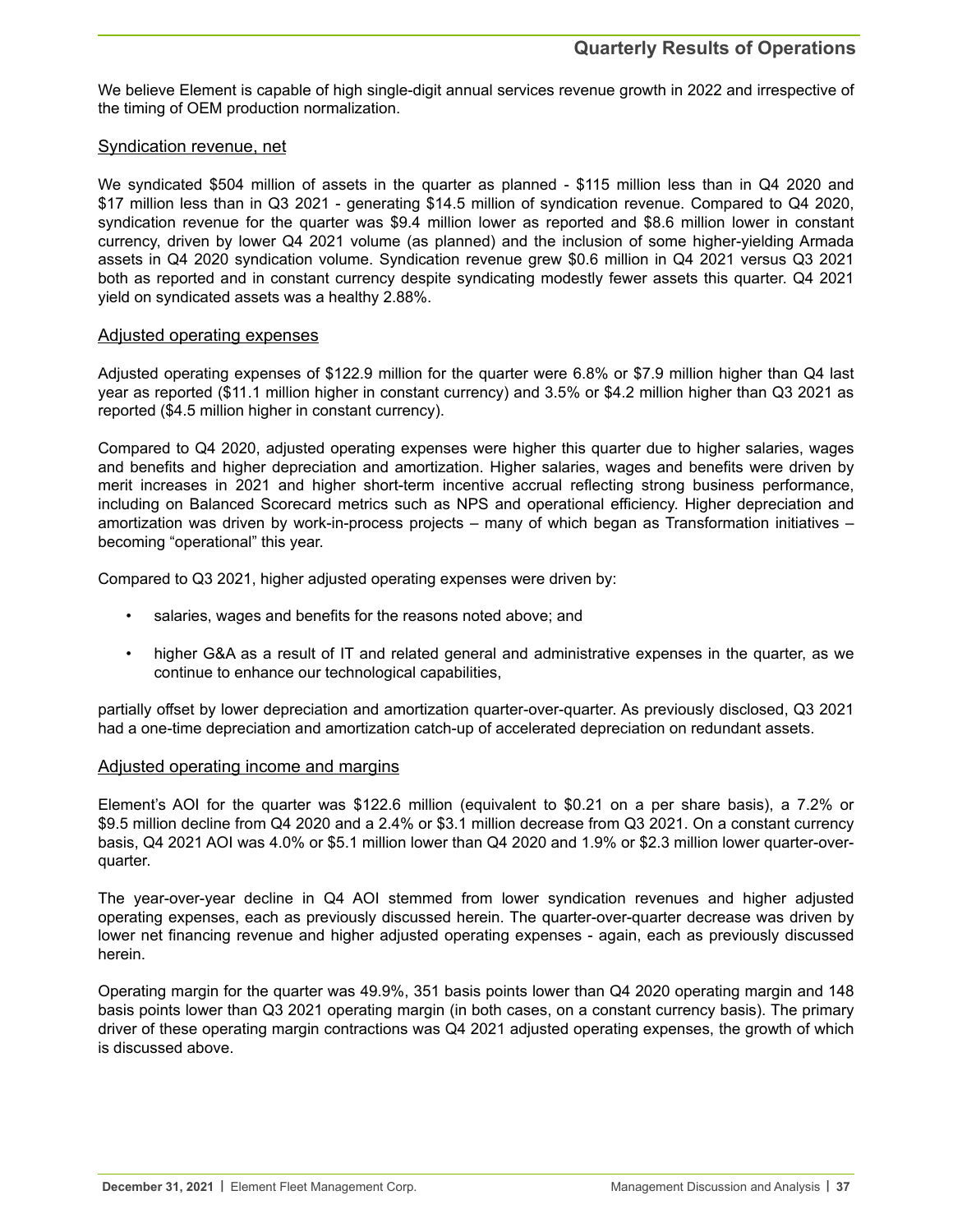We believe Element is capable of high single-digit annual services revenue growth in 2022 and irrespective of the timing of OEM production normalization.

#### Syndication revenue, net

We syndicated \$504 million of assets in the quarter as planned - \$115 million less than in Q4 2020 and \$17 million less than in Q3 2021 - generating \$14.5 million of syndication revenue. Compared to Q4 2020, syndication revenue for the quarter was \$9.4 million lower as reported and \$8.6 million lower in constant currency, driven by lower Q4 2021 volume (as planned) and the inclusion of some higher-yielding Armada assets in Q4 2020 syndication volume. Syndication revenue grew \$0.6 million in Q4 2021 versus Q3 2021 both as reported and in constant currency despite syndicating modestly fewer assets this quarter. Q4 2021 yield on syndicated assets was a healthy 2.88%.

#### Adjusted operating expenses

Adjusted operating expenses of \$122.9 million for the quarter were 6.8% or \$7.9 million higher than Q4 last year as reported (\$11.1 million higher in constant currency) and 3.5% or \$4.2 million higher than Q3 2021 as reported (\$4.5 million higher in constant currency).

Compared to Q4 2020, adjusted operating expenses were higher this quarter due to higher salaries, wages and benefits and higher depreciation and amortization. Higher salaries, wages and benefits were driven by merit increases in 2021 and higher short-term incentive accrual reflecting strong business performance, including on Balanced Scorecard metrics such as NPS and operational efficiency. Higher depreciation and amortization was driven by work-in-process projects – many of which began as Transformation initiatives – becoming "operational" this year.

Compared to Q3 2021, higher adjusted operating expenses were driven by:

- salaries, wages and benefits for the reasons noted above; and
- higher G&A as a result of IT and related general and administrative expenses in the quarter, as we continue to enhance our technological capabilities,

partially offset by lower depreciation and amortization quarter-over-quarter. As previously disclosed, Q3 2021 had a one-time depreciation and amortization catch-up of accelerated depreciation on redundant assets.

#### Adjusted operating income and margins

Element's AOI for the quarter was \$122.6 million (equivalent to \$0.21 on a per share basis), a 7.2% or \$9.5 million decline from Q4 2020 and a 2.4% or \$3.1 million decrease from Q3 2021. On a constant currency basis, Q4 2021 AOI was 4.0% or \$5.1 million lower than Q4 2020 and 1.9% or \$2.3 million lower quarter-overquarter.

The year-over-year decline in Q4 AOI stemmed from lower syndication revenues and higher adjusted operating expenses, each as previously discussed herein. The quarter-over-quarter decrease was driven by lower net financing revenue and higher adjusted operating expenses - again, each as previously discussed herein.

Operating margin for the quarter was 49.9%, 351 basis points lower than Q4 2020 operating margin and 148 basis points lower than Q3 2021 operating margin (in both cases, on a constant currency basis). The primary driver of these operating margin contractions was Q4 2021 adjusted operating expenses, the growth of which is discussed above.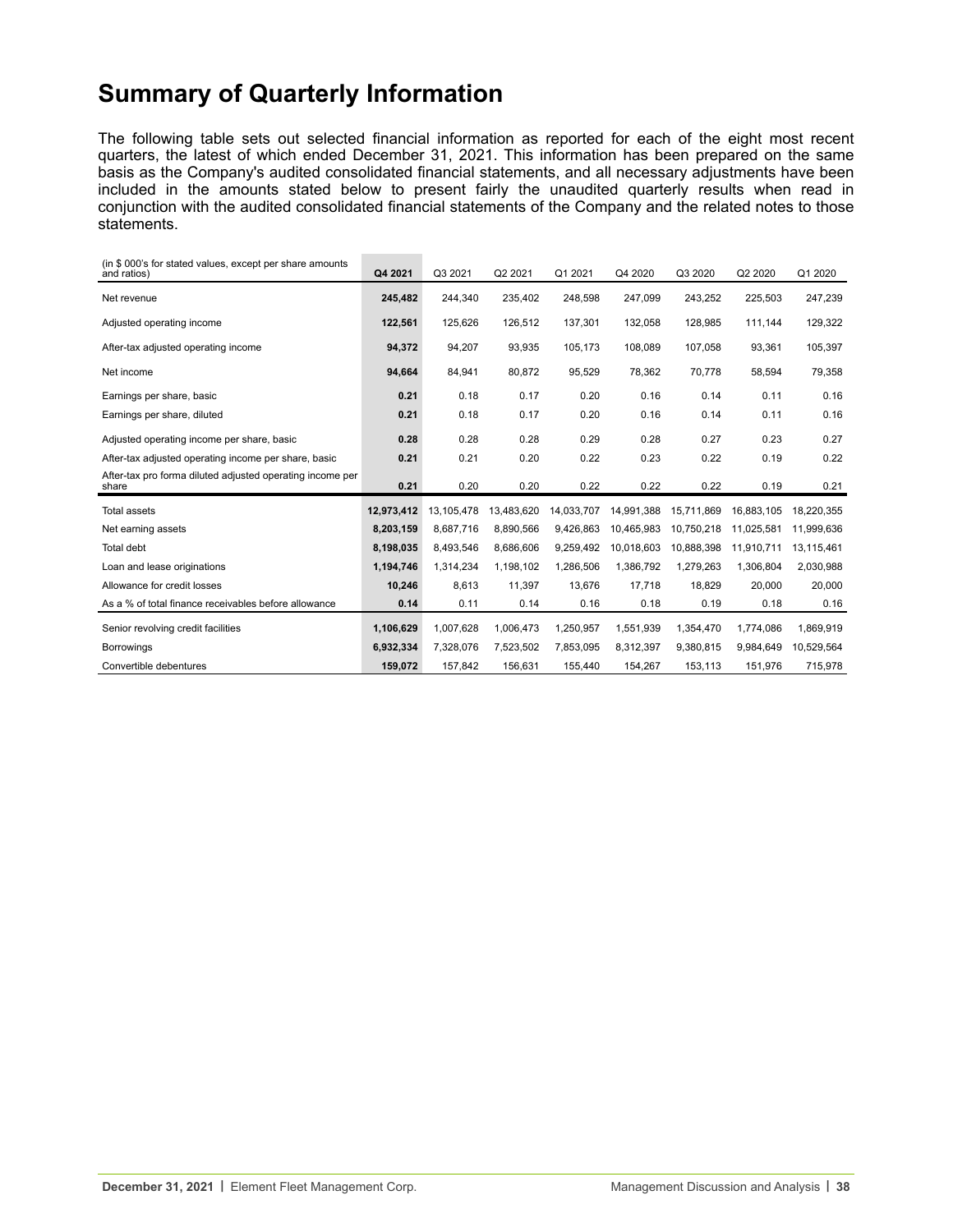# **Summary of Quarterly Information**

The following table sets out selected financial information as reported for each of the eight most recent quarters, the latest of which ended December 31, 2021. This information has been prepared on the same basis as the Company's audited consolidated financial statements, and all necessary adjustments have been included in the amounts stated below to present fairly the unaudited quarterly results when read in conjunction with the audited consolidated financial statements of the Company and the related notes to those statements.

| (in \$000's for stated values, except per share amounts<br>and ratios) | Q4 2021    | Q3 2021    | Q2 2021    | Q1 2021    | Q4 2020    | Q3 2020    | Q2 2020    | Q1 2020    |
|------------------------------------------------------------------------|------------|------------|------------|------------|------------|------------|------------|------------|
| Net revenue                                                            | 245,482    | 244.340    | 235,402    | 248,598    | 247,099    | 243,252    | 225,503    | 247,239    |
| Adjusted operating income                                              | 122,561    | 125,626    | 126,512    | 137,301    | 132,058    | 128,985    | 111,144    | 129,322    |
| After-tax adjusted operating income                                    | 94,372     | 94.207     | 93,935     | 105.173    | 108.089    | 107,058    | 93,361     | 105,397    |
| Net income                                                             | 94,664     | 84,941     | 80,872     | 95,529     | 78,362     | 70,778     | 58,594     | 79,358     |
| Earnings per share, basic                                              | 0.21       | 0.18       | 0.17       | 0.20       | 0.16       | 0.14       | 0.11       | 0.16       |
| Earnings per share, diluted                                            | 0.21       | 0.18       | 0.17       | 0.20       | 0.16       | 0.14       | 0.11       | 0.16       |
| Adjusted operating income per share, basic                             | 0.28       | 0.28       | 0.28       | 0.29       | 0.28       | 0.27       | 0.23       | 0.27       |
| After-tax adjusted operating income per share, basic                   | 0.21       | 0.21       | 0.20       | 0.22       | 0.23       | 0.22       | 0.19       | 0.22       |
| After-tax pro forma diluted adjusted operating income per<br>share     | 0.21       | 0.20       | 0.20       | 0.22       | 0.22       | 0.22       | 0.19       | 0.21       |
| <b>Total assets</b>                                                    | 12,973,412 | 13,105,478 | 13,483,620 | 14,033,707 | 14,991,388 | 15,711,869 | 16,883,105 | 18,220,355 |
| Net earning assets                                                     | 8,203,159  | 8,687,716  | 8,890,566  | 9,426,863  | 10,465,983 | 10,750,218 | 11,025,581 | 11,999,636 |
| Total debt                                                             | 8,198,035  | 8,493,546  | 8,686,606  | 9,259,492  | 10,018,603 | 10,888,398 | 11,910,711 | 13,115,461 |
| Loan and lease originations                                            | 1,194,746  | 1,314,234  | 1.198.102  | 1,286,506  | 1,386,792  | 1,279,263  | 1,306,804  | 2,030,988  |
| Allowance for credit losses                                            | 10,246     | 8,613      | 11,397     | 13,676     | 17,718     | 18,829     | 20,000     | 20,000     |
| As a % of total finance receivables before allowance                   | 0.14       | 0.11       | 0.14       | 0.16       | 0.18       | 0.19       | 0.18       | 0.16       |
| Senior revolving credit facilities                                     | 1,106,629  | 1.007.628  | 1,006,473  | 1,250,957  | 1,551,939  | 1,354,470  | 1,774,086  | 1,869,919  |
| <b>Borrowings</b>                                                      | 6,932,334  | 7,328,076  | 7,523,502  | 7,853,095  | 8,312,397  | 9,380,815  | 9.984.649  | 10,529,564 |
| Convertible debentures                                                 | 159,072    | 157,842    | 156,631    | 155,440    | 154,267    | 153,113    | 151,976    | 715,978    |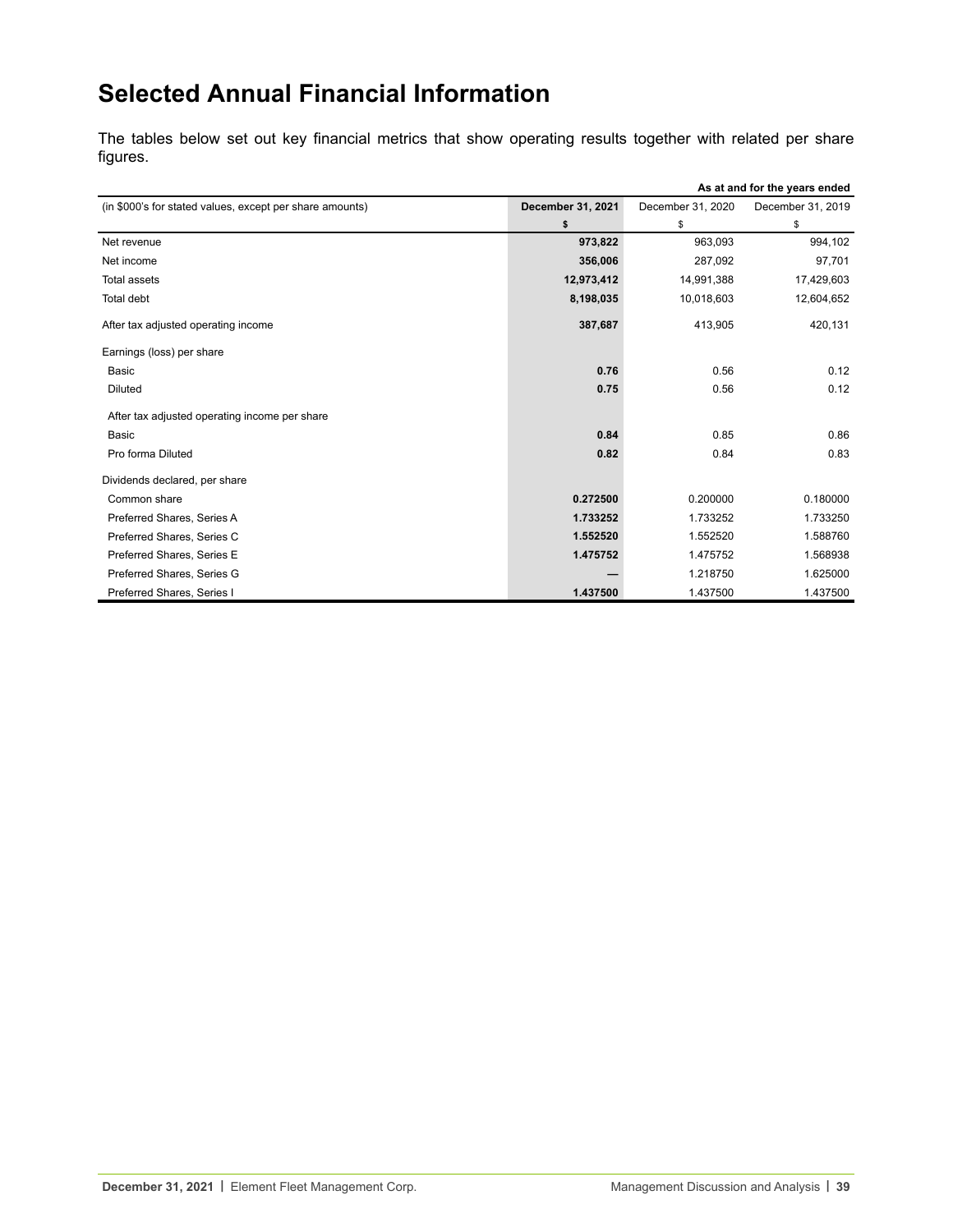# **Selected Annual Financial Information**

The tables below set out key financial metrics that show operating results together with related per share figures.

|                                                          |                   | As at and for the years ended |                   |  |  |
|----------------------------------------------------------|-------------------|-------------------------------|-------------------|--|--|
| (in \$000's for stated values, except per share amounts) | December 31, 2021 | December 31, 2020             | December 31, 2019 |  |  |
|                                                          | \$                | \$                            | \$                |  |  |
| Net revenue                                              | 973,822           | 963,093                       | 994,102           |  |  |
| Net income                                               | 356,006           | 287,092                       | 97,701            |  |  |
| Total assets                                             | 12,973,412        | 14,991,388                    | 17,429,603        |  |  |
| Total debt                                               | 8,198,035         | 10,018,603                    | 12,604,652        |  |  |
| After tax adjusted operating income                      | 387,687           | 413,905                       | 420,131           |  |  |
| Earnings (loss) per share                                |                   |                               |                   |  |  |
| Basic                                                    | 0.76              | 0.56                          | 0.12              |  |  |
| <b>Diluted</b>                                           | 0.75              | 0.56                          | 0.12              |  |  |
| After tax adjusted operating income per share            |                   |                               |                   |  |  |
| <b>Basic</b>                                             | 0.84              | 0.85                          | 0.86              |  |  |
| Pro forma Diluted                                        | 0.82              | 0.84                          | 0.83              |  |  |
| Dividends declared, per share                            |                   |                               |                   |  |  |
| Common share                                             | 0.272500          | 0.200000                      | 0.180000          |  |  |
| Preferred Shares, Series A                               | 1.733252          | 1.733252                      | 1.733250          |  |  |
| Preferred Shares, Series C                               | 1.552520          | 1.552520                      | 1.588760          |  |  |
| Preferred Shares, Series E                               | 1.475752          | 1.475752                      | 1.568938          |  |  |
| Preferred Shares, Series G                               |                   | 1.218750                      | 1.625000          |  |  |
| Preferred Shares, Series I                               | 1.437500          | 1.437500                      | 1.437500          |  |  |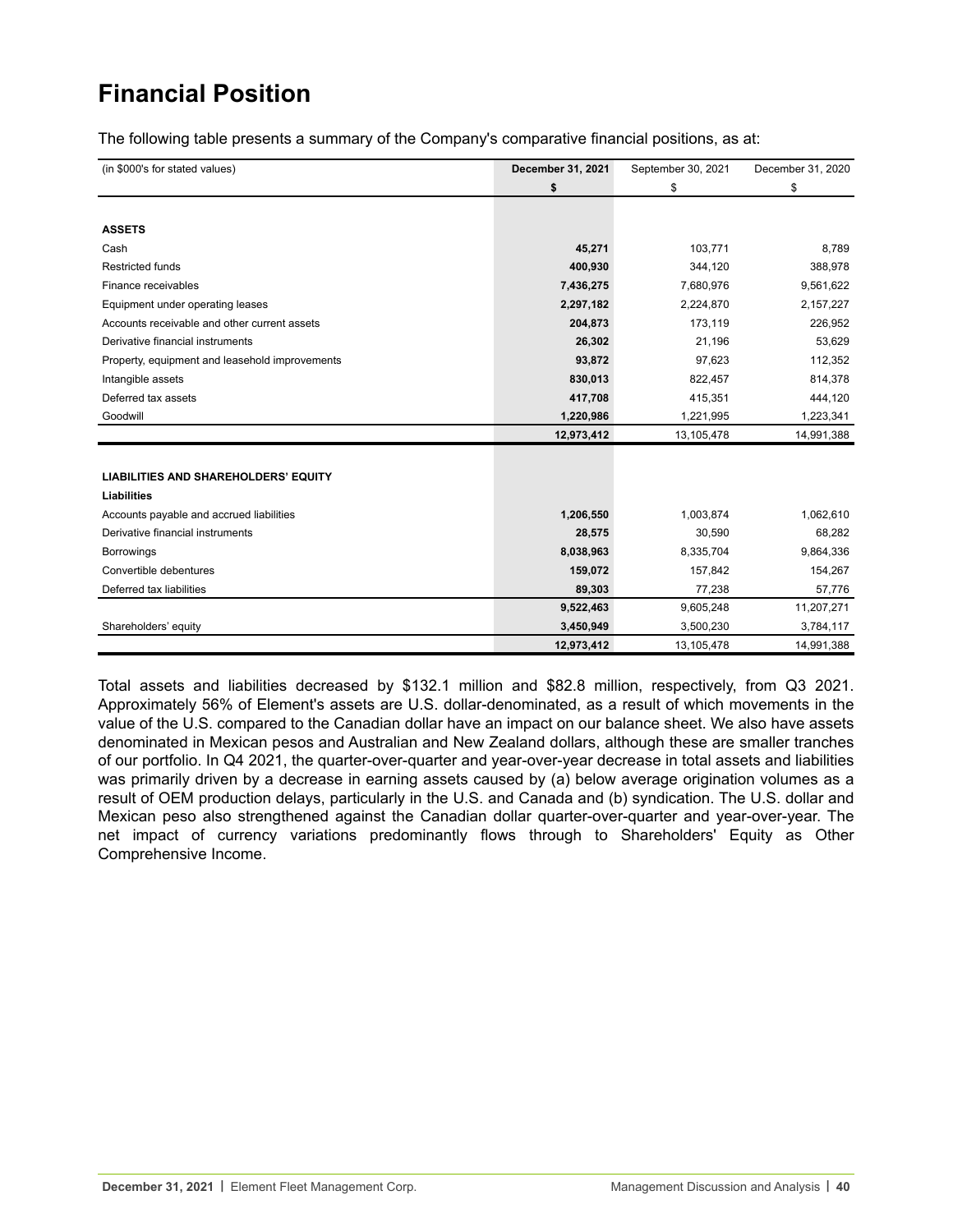# **Financial Position**

The following table presents a summary of the Company's comparative financial positions, as at:

| (in \$000's for stated values)                 | December 31, 2021 | September 30, 2021 | December 31, 2020 |
|------------------------------------------------|-------------------|--------------------|-------------------|
|                                                | \$                | \$                 | \$                |
|                                                |                   |                    |                   |
| <b>ASSETS</b>                                  |                   |                    |                   |
| Cash                                           | 45,271            | 103,771            | 8,789             |
| <b>Restricted funds</b>                        | 400,930           | 344,120            | 388,978           |
| Finance receivables                            | 7,436,275         | 7,680,976          | 9,561,622         |
| Equipment under operating leases               | 2,297,182         | 2,224,870          | 2,157,227         |
| Accounts receivable and other current assets   | 204,873           | 173,119            | 226,952           |
| Derivative financial instruments               | 26,302            | 21,196             | 53,629            |
| Property, equipment and leasehold improvements | 93,872            | 97,623             | 112,352           |
| Intangible assets                              | 830,013           | 822,457            | 814,378           |
| Deferred tax assets                            | 417,708           | 415,351            | 444,120           |
| Goodwill                                       | 1,220,986         | 1,221,995          | 1,223,341         |
|                                                | 12,973,412        | 13,105,478         | 14,991,388        |
|                                                |                   |                    |                   |
| <b>LIABILITIES AND SHAREHOLDERS' EQUITY</b>    |                   |                    |                   |
| <b>Liabilities</b>                             |                   |                    |                   |
| Accounts payable and accrued liabilities       | 1,206,550         | 1,003,874          | 1,062,610         |
| Derivative financial instruments               | 28,575            | 30,590             | 68,282            |
| <b>Borrowings</b>                              | 8,038,963         | 8,335,704          | 9,864,336         |
| Convertible debentures                         | 159,072           | 157,842            | 154,267           |
| Deferred tax liabilities                       | 89,303            | 77,238             | 57,776            |
|                                                | 9,522,463         | 9,605,248          | 11,207,271        |
| Shareholders' equity                           | 3,450,949         | 3,500,230          | 3,784,117         |
|                                                | 12,973,412        | 13,105,478         | 14,991,388        |

Total assets and liabilities decreased by \$132.1 million and \$82.8 million, respectively, from Q3 2021. Approximately 56% of Element's assets are U.S. dollar-denominated, as a result of which movements in the value of the U.S. compared to the Canadian dollar have an impact on our balance sheet. We also have assets denominated in Mexican pesos and Australian and New Zealand dollars, although these are smaller tranches of our portfolio. In Q4 2021, the quarter-over-quarter and year-over-year decrease in total assets and liabilities was primarily driven by a decrease in earning assets caused by (a) below average origination volumes as a result of OEM production delays, particularly in the U.S. and Canada and (b) syndication. The U.S. dollar and Mexican peso also strengthened against the Canadian dollar quarter-over-quarter and year-over-year. The net impact of currency variations predominantly flows through to Shareholders' Equity as Other Comprehensive Income.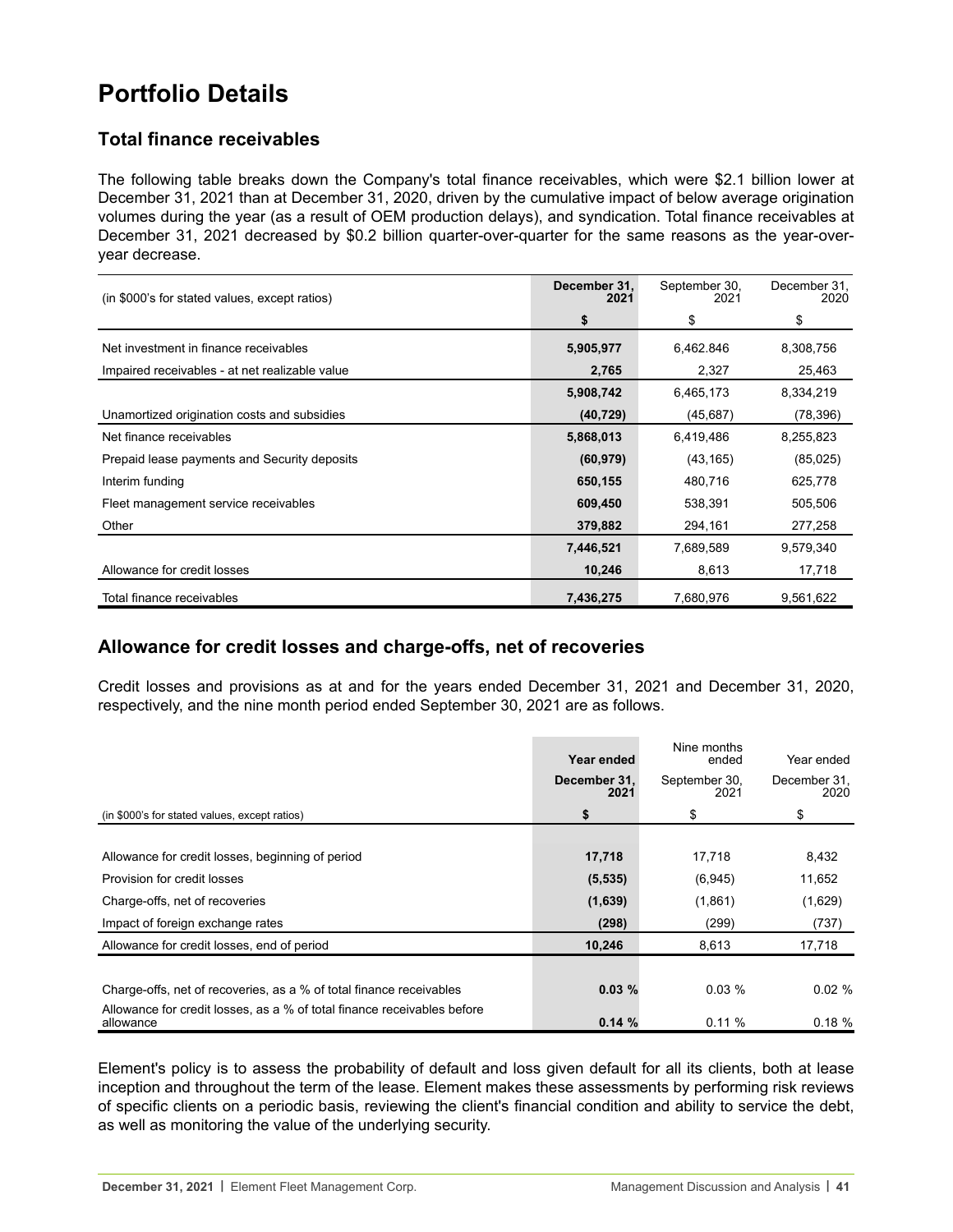# **Portfolio Details**

# **Total finance receivables**

The following table breaks down the Company's total finance receivables, which were \$2.1 billion lower at December 31, 2021 than at December 31, 2020, driven by the cumulative impact of below average origination volumes during the year (as a result of OEM production delays), and syndication. Total finance receivables at December 31, 2021 decreased by \$0.2 billion quarter-over-quarter for the same reasons as the year-overyear decrease.

| (in \$000's for stated values, except ratios)  | December 31.<br>2021 | September 30,<br>2021 | December 31,<br>2020 |
|------------------------------------------------|----------------------|-----------------------|----------------------|
|                                                | \$                   | \$                    | \$                   |
| Net investment in finance receivables          | 5,905,977            | 6,462.846             | 8,308,756            |
| Impaired receivables - at net realizable value | 2,765                | 2,327                 | 25,463               |
|                                                | 5,908,742            | 6,465,173             | 8,334,219            |
| Unamortized origination costs and subsidies    | (40, 729)            | (45, 687)             | (78, 396)            |
| Net finance receivables                        | 5,868,013            | 6,419,486             | 8,255,823            |
| Prepaid lease payments and Security deposits   | (60, 979)            | (43, 165)             | (85,025)             |
| Interim funding                                | 650,155              | 480,716               | 625,778              |
| Fleet management service receivables           | 609,450              | 538,391               | 505,506              |
| Other                                          | 379,882              | 294,161               | 277,258              |
|                                                | 7,446,521            | 7,689,589             | 9,579,340            |
| Allowance for credit losses                    | 10,246               | 8,613                 | 17,718               |
| Total finance receivables                      | 7,436,275            | 7,680,976             | 9,561,622            |

## **Allowance for credit losses and charge-offs, net of recoveries**

Credit losses and provisions as at and for the years ended December 31, 2021 and December 31, 2020, respectively, and the nine month period ended September 30, 2021 are as follows.

|                                                                                      | Year ended           | Nine months<br>ended  | Year ended           |
|--------------------------------------------------------------------------------------|----------------------|-----------------------|----------------------|
|                                                                                      | December 31.<br>2021 | September 30,<br>2021 | December 31,<br>2020 |
| (in \$000's for stated values, except ratios)                                        | \$                   | \$                    | \$                   |
|                                                                                      |                      |                       |                      |
| Allowance for credit losses, beginning of period                                     | 17,718               | 17,718                | 8,432                |
| Provision for credit losses                                                          | (5, 535)             | (6,945)               | 11,652               |
| Charge-offs, net of recoveries                                                       | (1,639)              | (1,861)               | (1,629)              |
| Impact of foreign exchange rates                                                     | (298)                | (299)                 | (737)                |
| Allowance for credit losses, end of period                                           | 10,246               | 8,613                 | 17,718               |
|                                                                                      |                      |                       |                      |
| Charge-offs, net of recoveries, as a % of total finance receivables                  | 0.03%                | 0.03%                 | $0.02 \%$            |
| Allowance for credit losses, as a % of total finance receivables before<br>allowance | 0.14%                | 0.11%                 | 0.18%                |

Element's policy is to assess the probability of default and loss given default for all its clients, both at lease inception and throughout the term of the lease. Element makes these assessments by performing risk reviews of specific clients on a periodic basis, reviewing the client's financial condition and ability to service the debt, as well as monitoring the value of the underlying security.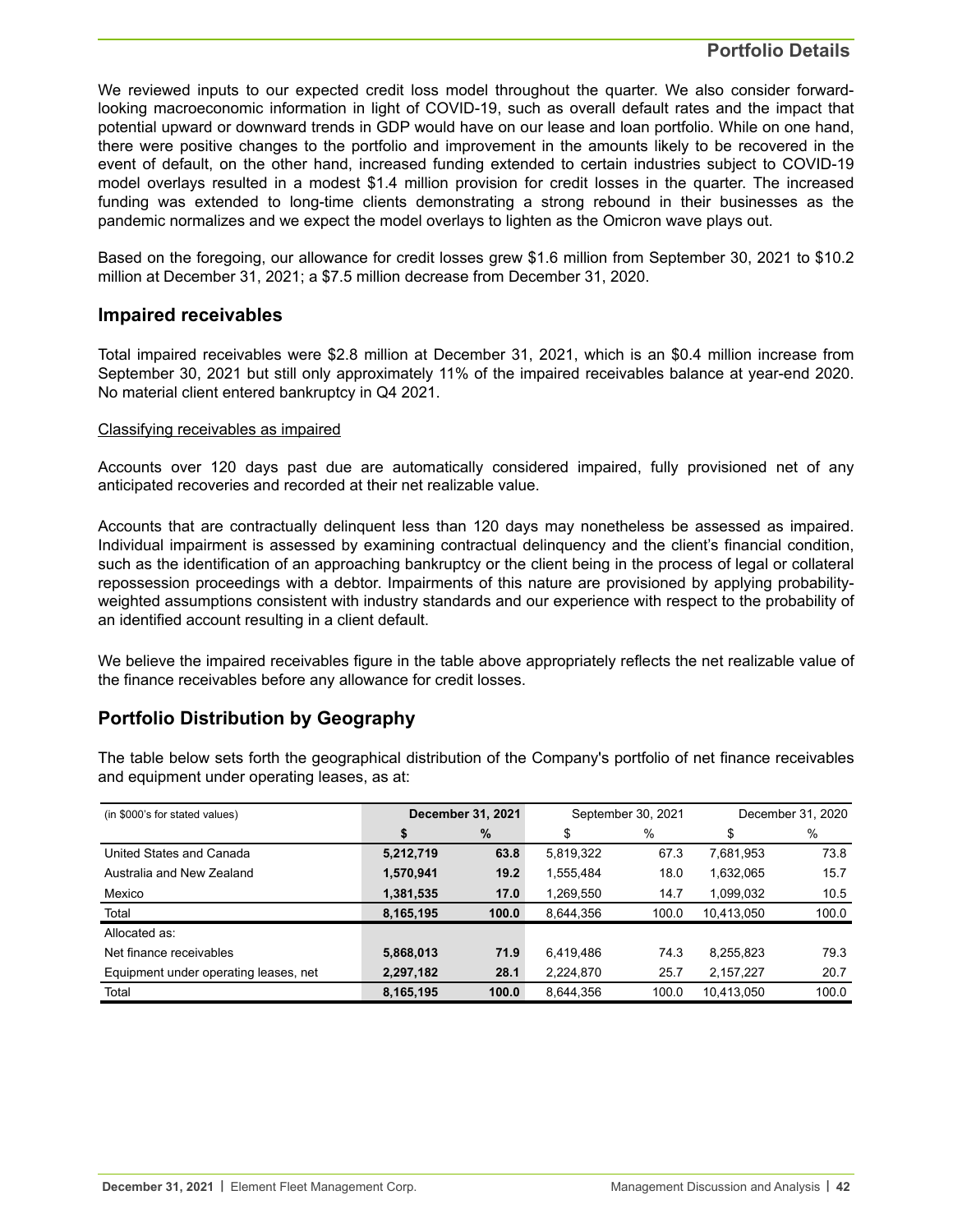### **Portfolio Details**

We reviewed inputs to our expected credit loss model throughout the quarter. We also consider forwardlooking macroeconomic information in light of COVID-19, such as overall default rates and the impact that potential upward or downward trends in GDP would have on our lease and loan portfolio. While on one hand, there were positive changes to the portfolio and improvement in the amounts likely to be recovered in the event of default, on the other hand, increased funding extended to certain industries subject to COVID-19 model overlays resulted in a modest \$1.4 million provision for credit losses in the quarter. The increased funding was extended to long-time clients demonstrating a strong rebound in their businesses as the pandemic normalizes and we expect the model overlays to lighten as the Omicron wave plays out.

Based on the foregoing, our allowance for credit losses grew \$1.6 million from September 30, 2021 to \$10.2 million at December 31, 2021; a \$7.5 million decrease from December 31, 2020.

#### **Impaired receivables**

Total impaired receivables were \$2.8 million at December 31, 2021, which is an \$0.4 million increase from September 30, 2021 but still only approximately 11% of the impaired receivables balance at year-end 2020. No material client entered bankruptcy in Q4 2021.

#### Classifying receivables as impaired

Accounts over 120 days past due are automatically considered impaired, fully provisioned net of any anticipated recoveries and recorded at their net realizable value.

Accounts that are contractually delinquent less than 120 days may nonetheless be assessed as impaired. Individual impairment is assessed by examining contractual delinquency and the client's financial condition, such as the identification of an approaching bankruptcy or the client being in the process of legal or collateral repossession proceedings with a debtor. Impairments of this nature are provisioned by applying probabilityweighted assumptions consistent with industry standards and our experience with respect to the probability of an identified account resulting in a client default.

We believe the impaired receivables figure in the table above appropriately reflects the net realizable value of the finance receivables before any allowance for credit losses.

## **Portfolio Distribution by Geography**

The table below sets forth the geographical distribution of the Company's portfolio of net finance receivables and equipment under operating leases, as at:

| (in \$000's for stated values)        | December 31, 2021 |       | September 30, 2021 |       | December 31, 2020 |       |
|---------------------------------------|-------------------|-------|--------------------|-------|-------------------|-------|
|                                       | S                 | $\%$  | \$                 | %     | \$                | %     |
| United States and Canada              | 5,212,719         | 63.8  | 5,819,322          | 67.3  | 7,681,953         | 73.8  |
| Australia and New Zealand             | 1,570,941         | 19.2  | 1,555,484          | 18.0  | 1,632,065         | 15.7  |
| Mexico                                | 1,381,535         | 17.0  | 1,269,550          | 14.7  | 1,099,032         | 10.5  |
| Total                                 | 8,165,195         | 100.0 | 8,644,356          | 100.0 | 10,413,050        | 100.0 |
| Allocated as:                         |                   |       |                    |       |                   |       |
| Net finance receivables               | 5,868,013         | 71.9  | 6,419,486          | 74.3  | 8,255,823         | 79.3  |
| Equipment under operating leases, net | 2,297,182         | 28.1  | 2,224,870          | 25.7  | 2,157,227         | 20.7  |
| Total                                 | 8,165,195         | 100.0 | 8.644.356          | 100.0 | 10.413.050        | 100.0 |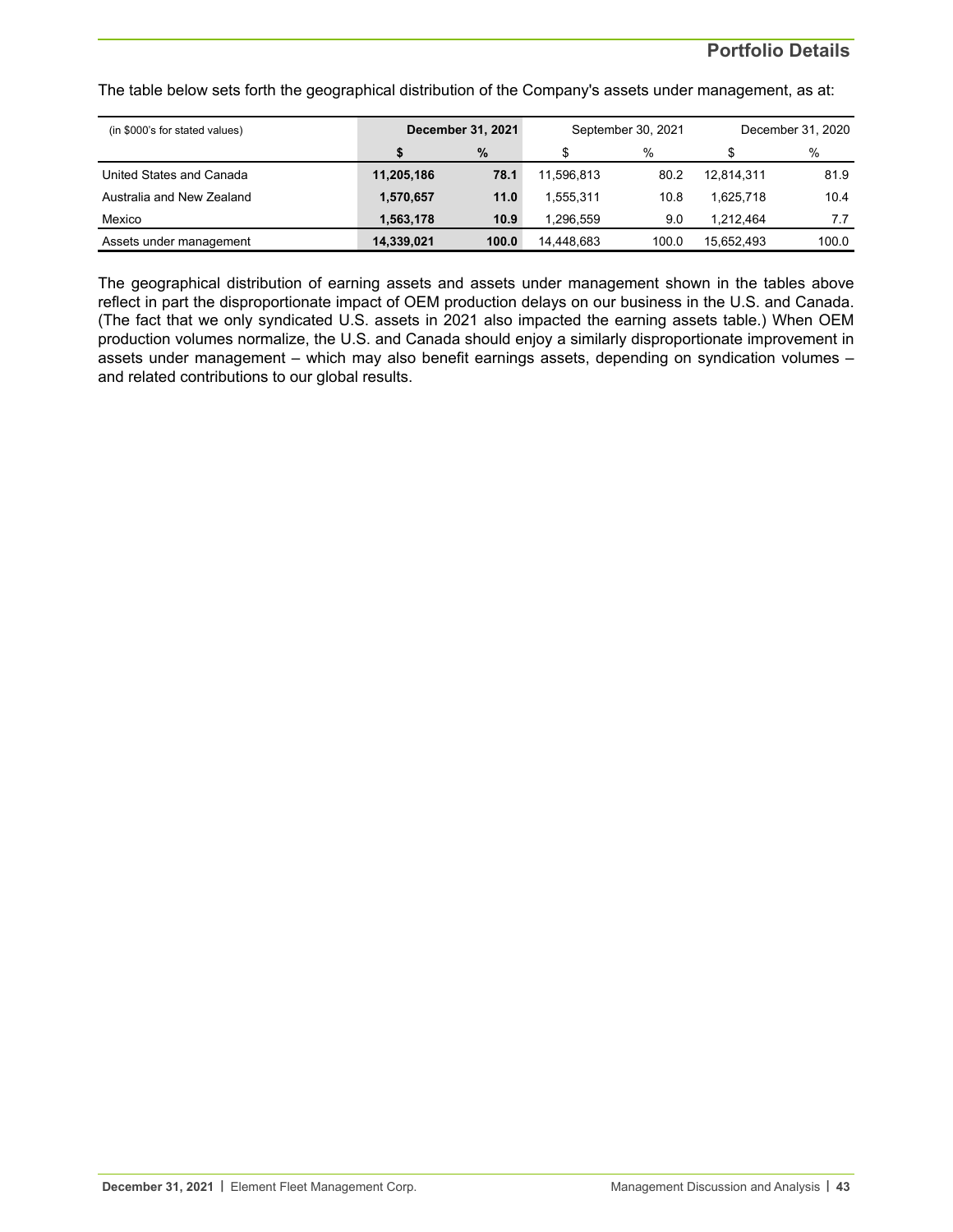### **Portfolio Details**

The table below sets forth the geographical distribution of the Company's assets under management, as at:

| (in \$000's for stated values) | <b>December 31, 2021</b> |       | September 30, 2021 |       | December 31, 2020 |       |
|--------------------------------|--------------------------|-------|--------------------|-------|-------------------|-------|
|                                |                          | $\%$  | \$                 | $\%$  |                   | %     |
| United States and Canada       | 11,205,186               | 78.1  | 11.596.813         | 80.2  | 12.814.311        | 81.9  |
| Australia and New Zealand      | 1,570,657                | 11.0  | 1.555.311          | 10.8  | 1.625.718         | 10.4  |
| Mexico                         | 1.563.178                | 10.9  | 1.296.559          | 9.0   | 1.212.464         | 7.7   |
| Assets under management        | 14,339,021               | 100.0 | 14.448.683         | 100.0 | 15.652.493        | 100.0 |

The geographical distribution of earning assets and assets under management shown in the tables above reflect in part the disproportionate impact of OEM production delays on our business in the U.S. and Canada. (The fact that we only syndicated U.S. assets in 2021 also impacted the earning assets table.) When OEM production volumes normalize, the U.S. and Canada should enjoy a similarly disproportionate improvement in assets under management – which may also benefit earnings assets, depending on syndication volumes – and related contributions to our global results.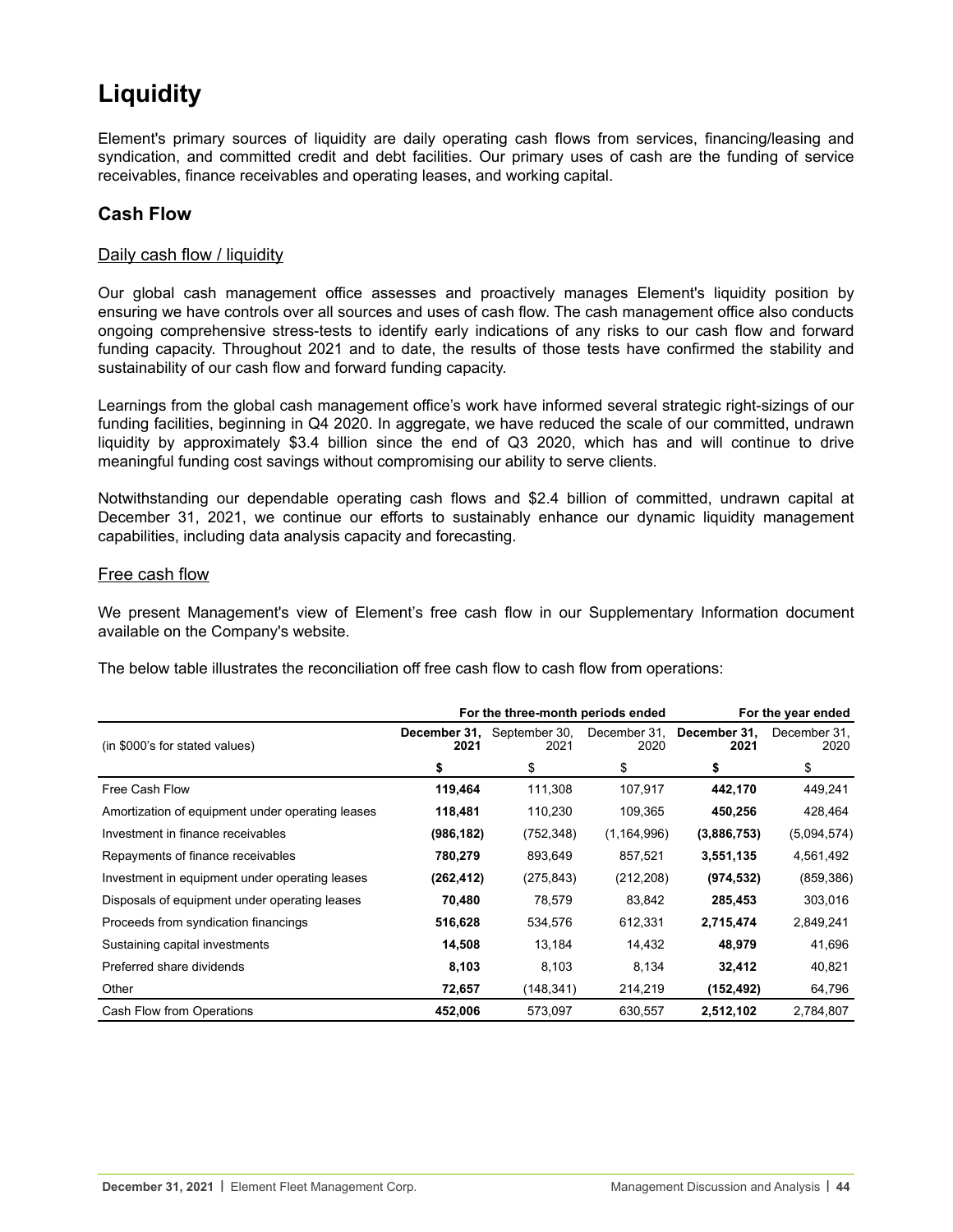# **Liquidity**

Element's primary sources of liquidity are daily operating cash flows from services, financing/leasing and syndication, and committed credit and debt facilities. Our primary uses of cash are the funding of service receivables, finance receivables and operating leases, and working capital.

## **Cash Flow**

#### Daily cash flow / liquidity

Our global cash management office assesses and proactively manages Element's liquidity position by ensuring we have controls over all sources and uses of cash flow. The cash management office also conducts ongoing comprehensive stress-tests to identify early indications of any risks to our cash flow and forward funding capacity. Throughout 2021 and to date, the results of those tests have confirmed the stability and sustainability of our cash flow and forward funding capacity.

Learnings from the global cash management office's work have informed several strategic right-sizings of our funding facilities, beginning in Q4 2020. In aggregate, we have reduced the scale of our committed, undrawn liquidity by approximately \$3.4 billion since the end of Q3 2020, which has and will continue to drive meaningful funding cost savings without compromising our ability to serve clients.

Notwithstanding our dependable operating cash flows and \$2.4 billion of committed, undrawn capital at December 31, 2021, we continue our efforts to sustainably enhance our dynamic liquidity management capabilities, including data analysis capacity and forecasting.

#### Free cash flow

We present Management's view of Element's free cash flow in our Supplementary Information document available on the Company's website.

The below table illustrates the reconciliation off free cash flow to cash flow from operations:

|                                                  | For the three-month periods ended<br>For the year ended |                                    |               |                                   |                      |  |  |
|--------------------------------------------------|---------------------------------------------------------|------------------------------------|---------------|-----------------------------------|----------------------|--|--|
| (in \$000's for stated values)                   | 2021                                                    | December 31, September 30,<br>2021 | 2020          | December 31, December 31,<br>2021 | December 31,<br>2020 |  |  |
|                                                  | \$                                                      | \$                                 | \$            | \$                                | \$                   |  |  |
| Free Cash Flow                                   | 119,464                                                 | 111,308                            | 107,917       | 442,170                           | 449,241              |  |  |
| Amortization of equipment under operating leases | 118,481                                                 | 110,230                            | 109,365       | 450,256                           | 428,464              |  |  |
| Investment in finance receivables                | (986, 182)                                              | (752, 348)                         | (1, 164, 996) | (3,886,753)                       | (5,094,574)          |  |  |
| Repayments of finance receivables                | 780,279                                                 | 893,649                            | 857,521       | 3,551,135                         | 4,561,492            |  |  |
| Investment in equipment under operating leases   | (262, 412)                                              | (275, 843)                         | (212, 208)    | (974, 532)                        | (859, 386)           |  |  |
| Disposals of equipment under operating leases    | 70,480                                                  | 78,579                             | 83,842        | 285,453                           | 303,016              |  |  |
| Proceeds from syndication financings             | 516,628                                                 | 534,576                            | 612,331       | 2,715,474                         | 2,849,241            |  |  |
| Sustaining capital investments                   | 14,508                                                  | 13,184                             | 14,432        | 48,979                            | 41,696               |  |  |
| Preferred share dividends                        | 8,103                                                   | 8,103                              | 8,134         | 32,412                            | 40,821               |  |  |
| Other                                            | 72,657                                                  | (148, 341)                         | 214,219       | (152, 492)                        | 64,796               |  |  |
| Cash Flow from Operations                        | 452,006                                                 | 573,097                            | 630,557       | 2,512,102                         | 2,784,807            |  |  |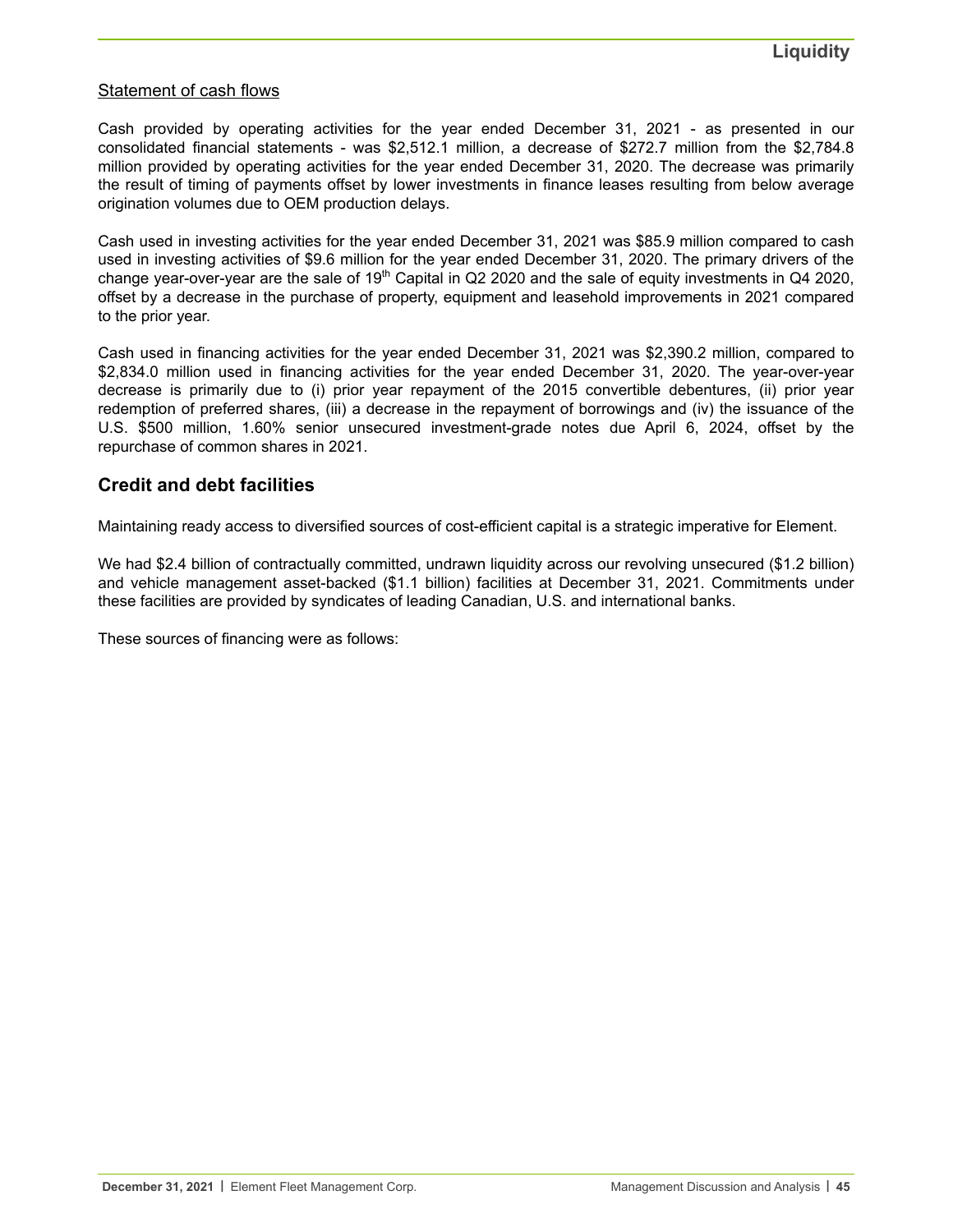### Statement of cash flows

Cash provided by operating activities for the year ended December 31, 2021 - as presented in our consolidated financial statements - was \$2,512.1 million, a decrease of \$272.7 million from the \$2,784.8 million provided by operating activities for the year ended December 31, 2020. The decrease was primarily the result of timing of payments offset by lower investments in finance leases resulting from below average origination volumes due to OEM production delays.

Cash used in investing activities for the year ended December 31, 2021 was \$85.9 million compared to cash used in investing activities of \$9.6 million for the year ended December 31, 2020. The primary drivers of the change year-over-year are the sale of 19<sup>th</sup> Capital in Q2 2020 and the sale of equity investments in Q4 2020, offset by a decrease in the purchase of property, equipment and leasehold improvements in 2021 compared to the prior year.

Cash used in financing activities for the year ended December 31, 2021 was \$2,390.2 million, compared to \$2,834.0 million used in financing activities for the year ended December 31, 2020. The year-over-year decrease is primarily due to (i) prior year repayment of the 2015 convertible debentures, (ii) prior year redemption of preferred shares, (iii) a decrease in the repayment of borrowings and (iv) the issuance of the U.S. \$500 million, 1.60% senior unsecured investment-grade notes due April 6, 2024, offset by the repurchase of common shares in 2021.

### **Credit and debt facilities**

Maintaining ready access to diversified sources of cost-efficient capital is a strategic imperative for Element.

We had \$2.4 billion of contractually committed, undrawn liquidity across our revolving unsecured (\$1.2 billion) and vehicle management asset-backed (\$1.1 billion) facilities at December 31, 2021. Commitments under these facilities are provided by syndicates of leading Canadian, U.S. and international banks.

These sources of financing were as follows: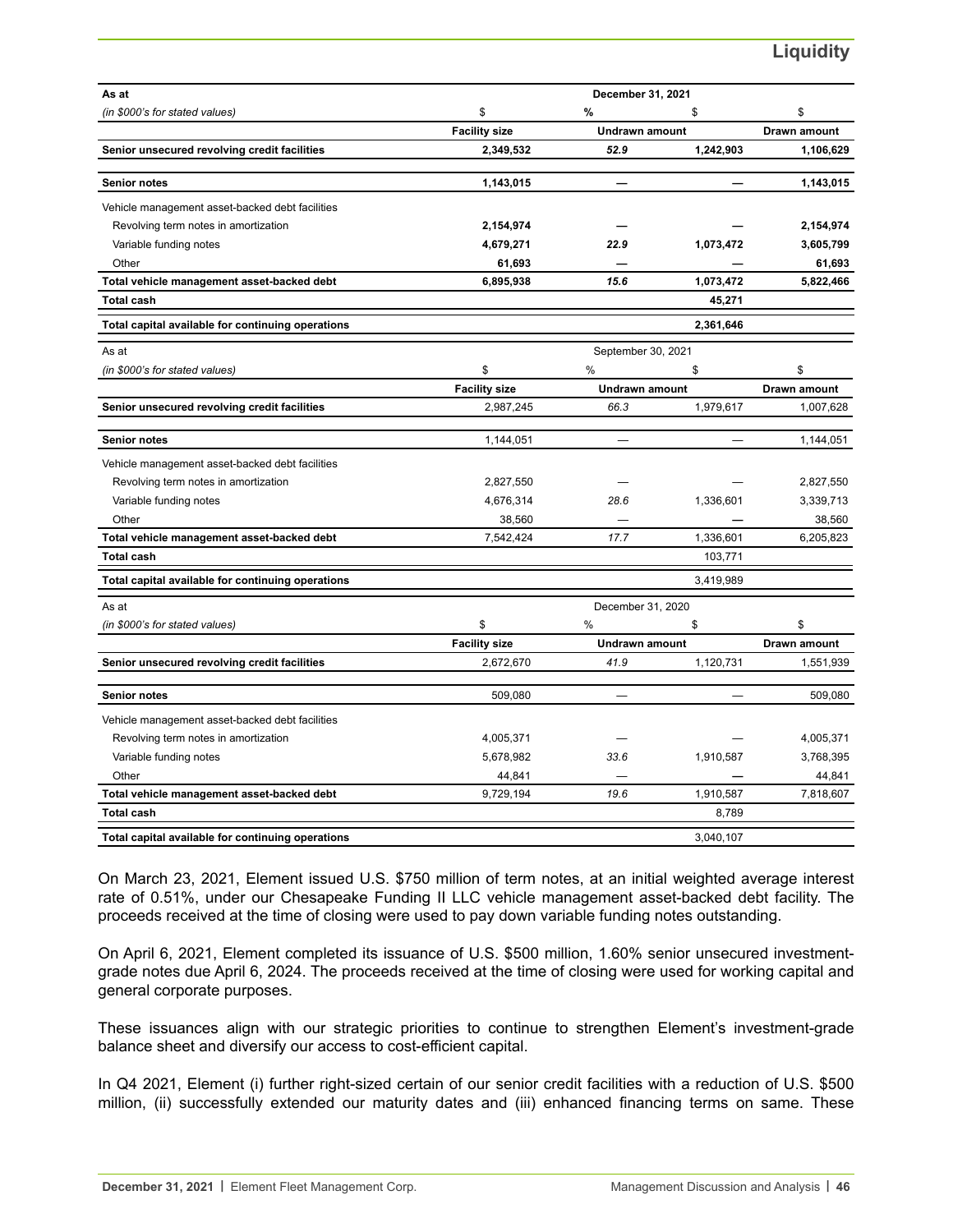# **Liquidity**

| As at                                             |                      | December 31, 2021     |           |                     |
|---------------------------------------------------|----------------------|-----------------------|-----------|---------------------|
| (in \$000's for stated values)                    | \$                   | %                     | \$        | \$                  |
|                                                   | <b>Facility size</b> | <b>Undrawn amount</b> |           | <b>Drawn amount</b> |
| Senior unsecured revolving credit facilities      | 2,349,532            | 52.9                  | 1,242,903 | 1,106,629           |
| <b>Senior notes</b>                               | 1,143,015            |                       |           | 1,143,015           |
| Vehicle management asset-backed debt facilities   |                      |                       |           |                     |
| Revolving term notes in amortization              | 2,154,974            |                       |           | 2,154,974           |
| Variable funding notes                            | 4,679,271            | 22.9                  | 1,073,472 | 3,605,799           |
| Other                                             | 61,693               |                       |           | 61,693              |
| Total vehicle management asset-backed debt        | 6,895,938            | 15.6                  | 1,073,472 | 5,822,466           |
| <b>Total cash</b>                                 |                      |                       | 45,271    |                     |
| Total capital available for continuing operations |                      |                       | 2,361,646 |                     |
| As at                                             |                      | September 30, 2021    |           |                     |
| (in \$000's for stated values)                    | \$                   | $\%$                  | \$        | \$                  |
|                                                   | <b>Facility size</b> | <b>Undrawn amount</b> |           | Drawn amount        |
| Senior unsecured revolving credit facilities      | 2,987,245            | 66.3                  | 1,979,617 | 1,007,628           |
| <b>Senior notes</b>                               | 1,144,051            |                       |           | 1,144,051           |
| Vehicle management asset-backed debt facilities   |                      |                       |           |                     |
| Revolving term notes in amortization              | 2,827,550            |                       |           | 2,827,550           |
| Variable funding notes                            | 4,676,314            | 28.6                  | 1,336,601 | 3,339,713           |
| Other                                             | 38,560               |                       |           | 38,560              |
| Total vehicle management asset-backed debt        | 7,542,424            | 17.7                  | 1,336,601 | 6,205,823           |
| <b>Total cash</b>                                 |                      |                       | 103,771   |                     |
| Total capital available for continuing operations |                      |                       | 3,419,989 |                     |
| As at                                             |                      | December 31, 2020     |           |                     |
| (in \$000's for stated values)                    | \$                   | %                     | \$        | \$                  |
|                                                   | <b>Facility size</b> | <b>Undrawn amount</b> |           | Drawn amount        |
| Senior unsecured revolving credit facilities      | 2,672,670            | 41.9                  | 1,120,731 | 1,551,939           |
| <b>Senior notes</b>                               | 509,080              | ∸                     | $\equiv$  | 509,080             |
| Vehicle management asset-backed debt facilities   |                      |                       |           |                     |
| Revolving term notes in amortization              | 4,005,371            | -                     |           | 4,005,371           |
| Variable funding notes                            | 5,678,982            | 33.6                  | 1,910,587 | 3,768,395           |
| Other                                             | 44,841               |                       |           | 44,841              |
| Total vehicle management asset-backed debt        | 9,729,194            | 19.6                  | 1,910,587 | 7,818,607           |
| <b>Total cash</b>                                 |                      |                       | 8,789     |                     |
| Total capital available for continuing operations |                      |                       | 3.040.107 |                     |

On March 23, 2021, Element issued U.S. \$750 million of term notes, at an initial weighted average interest rate of 0.51%, under our Chesapeake Funding II LLC vehicle management asset-backed debt facility. The proceeds received at the time of closing were used to pay down variable funding notes outstanding.

On April 6, 2021, Element completed its issuance of U.S. \$500 million, 1.60% senior unsecured investmentgrade notes due April 6, 2024. The proceeds received at the time of closing were used for working capital and general corporate purposes.

These issuances align with our strategic priorities to continue to strengthen Element's investment-grade balance sheet and diversify our access to cost-efficient capital.

In Q4 2021, Element (i) further right-sized certain of our senior credit facilities with a reduction of U.S. \$500 million, (ii) successfully extended our maturity dates and (iii) enhanced financing terms on same. These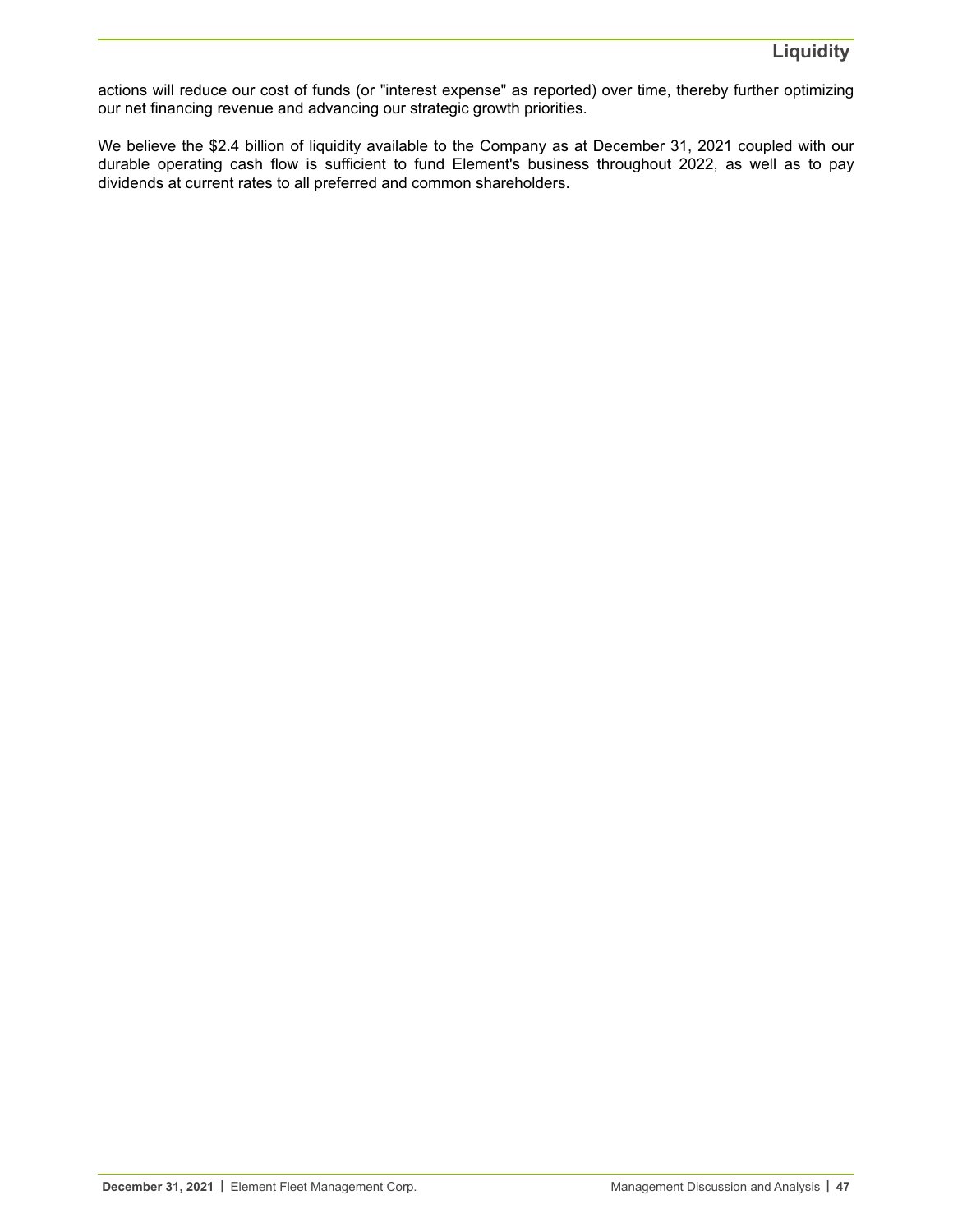actions will reduce our cost of funds (or "interest expense" as reported) over time, thereby further optimizing our net financing revenue and advancing our strategic growth priorities.

We believe the \$2.4 billion of liquidity available to the Company as at December 31, 2021 coupled with our durable operating cash flow is sufficient to fund Element's business throughout 2022, as well as to pay dividends at current rates to all preferred and common shareholders.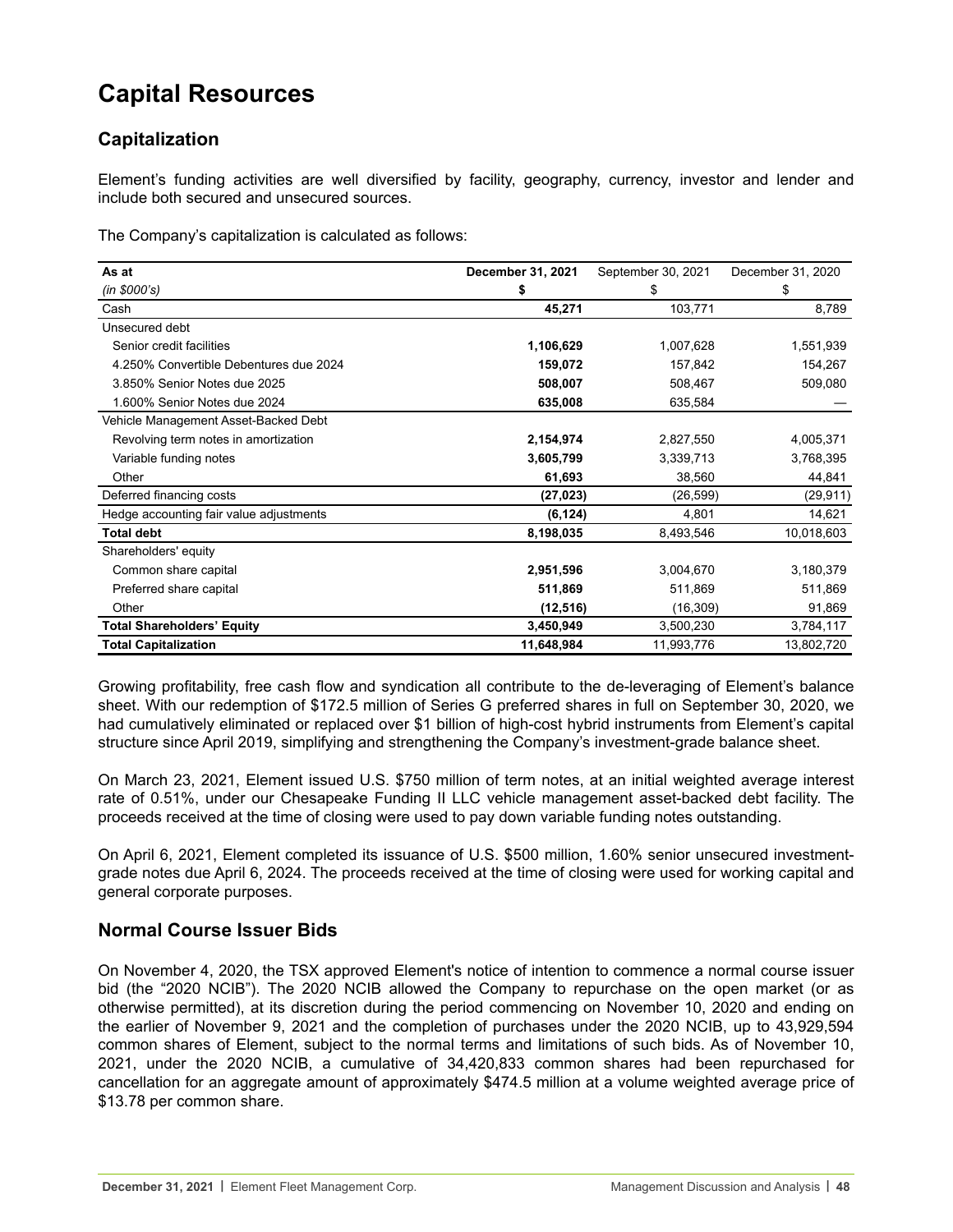# **Capital Resources**

# **Capitalization**

Element's funding activities are well diversified by facility, geography, currency, investor and lender and include both secured and unsecured sources.

The Company's capitalization is calculated as follows:

| As at                                   | December 31, 2021 | September 30, 2021 | December 31, 2020 |
|-----------------------------------------|-------------------|--------------------|-------------------|
| (in \$000's)                            | \$                | \$                 | \$                |
| Cash                                    | 45,271            | 103,771            | 8,789             |
| Unsecured debt                          |                   |                    |                   |
| Senior credit facilities                | 1,106,629         | 1,007,628          | 1,551,939         |
| 4.250% Convertible Debentures due 2024  | 159,072           | 157,842            | 154,267           |
| 3.850% Senior Notes due 2025            | 508,007           | 508,467            | 509,080           |
| 1.600% Senior Notes due 2024            | 635,008           | 635,584            |                   |
| Vehicle Management Asset-Backed Debt    |                   |                    |                   |
| Revolving term notes in amortization    | 2,154,974         | 2,827,550          | 4,005,371         |
| Variable funding notes                  | 3,605,799         | 3,339,713          | 3,768,395         |
| Other                                   | 61,693            | 38,560             | 44,841            |
| Deferred financing costs                | (27, 023)         | (26, 599)          | (29, 911)         |
| Hedge accounting fair value adjustments | (6, 124)          | 4,801              | 14,621            |
| <b>Total debt</b>                       | 8,198,035         | 8,493,546          | 10,018,603        |
| Shareholders' equity                    |                   |                    |                   |
| Common share capital                    | 2,951,596         | 3,004,670          | 3,180,379         |
| Preferred share capital                 | 511,869           | 511,869            | 511,869           |
| Other                                   | (12, 516)         | (16, 309)          | 91,869            |
| <b>Total Shareholders' Equity</b>       | 3,450,949         | 3,500,230          | 3,784,117         |
| <b>Total Capitalization</b>             | 11,648,984        | 11,993,776         | 13,802,720        |

Growing profitability, free cash flow and syndication all contribute to the de-leveraging of Element's balance sheet. With our redemption of \$172.5 million of Series G preferred shares in full on September 30, 2020, we had cumulatively eliminated or replaced over \$1 billion of high-cost hybrid instruments from Element's capital structure since April 2019, simplifying and strengthening the Company's investment-grade balance sheet.

On March 23, 2021, Element issued U.S. \$750 million of term notes, at an initial weighted average interest rate of 0.51%, under our Chesapeake Funding II LLC vehicle management asset-backed debt facility. The proceeds received at the time of closing were used to pay down variable funding notes outstanding.

On April 6, 2021, Element completed its issuance of U.S. \$500 million, 1.60% senior unsecured investmentgrade notes due April 6, 2024. The proceeds received at the time of closing were used for working capital and general corporate purposes.

## **Normal Course Issuer Bids**

On November 4, 2020, the TSX approved Element's notice of intention to commence a normal course issuer bid (the "2020 NCIB"). The 2020 NCIB allowed the Company to repurchase on the open market (or as otherwise permitted), at its discretion during the period commencing on November 10, 2020 and ending on the earlier of November 9, 2021 and the completion of purchases under the 2020 NCIB, up to 43,929,594 common shares of Element, subject to the normal terms and limitations of such bids. As of November 10, 2021, under the 2020 NCIB, a cumulative of 34,420,833 common shares had been repurchased for cancellation for an aggregate amount of approximately \$474.5 million at a volume weighted average price of \$13.78 per common share.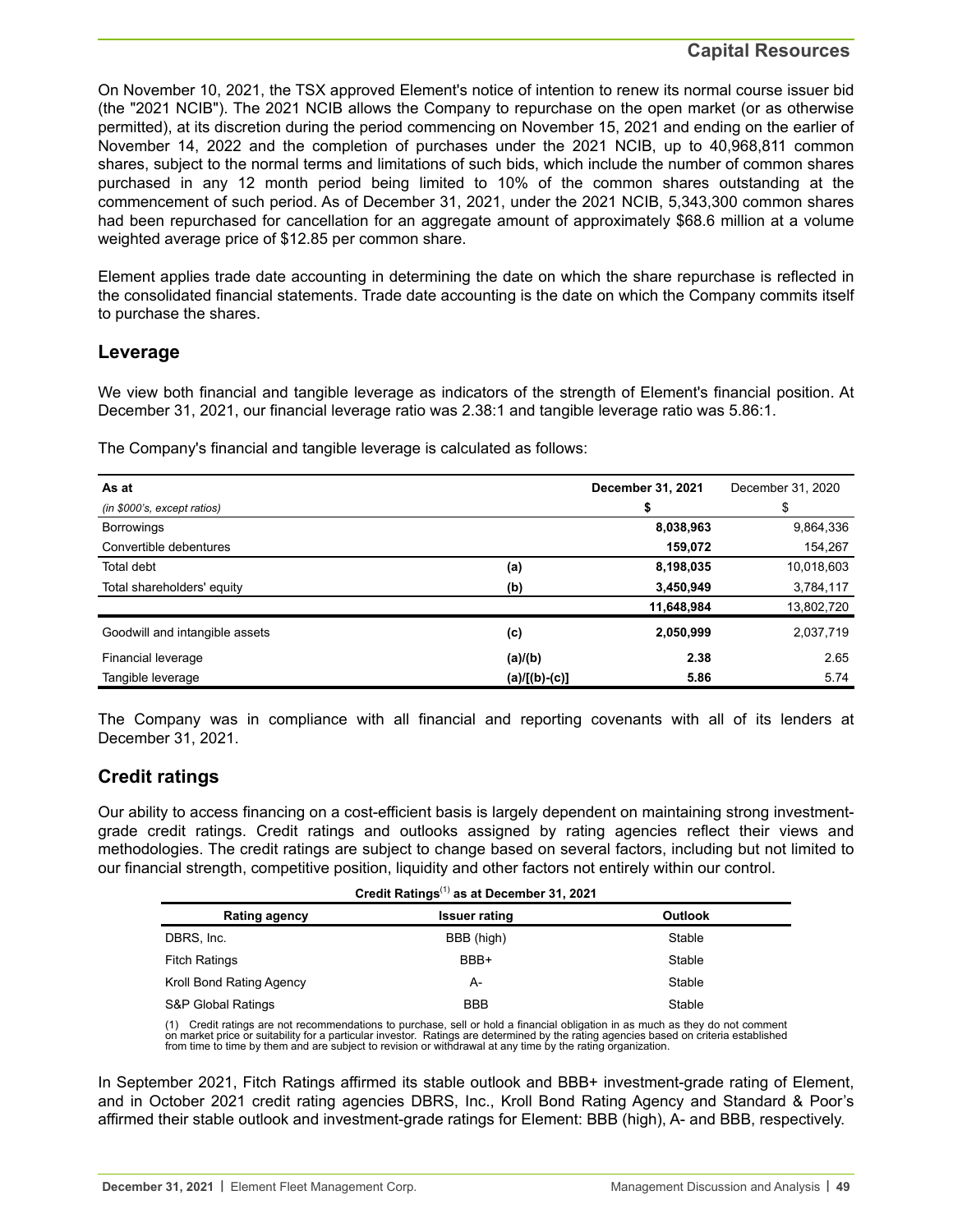### **Capital Resources**

On November 10, 2021, the TSX approved Element's notice of intention to renew its normal course issuer bid (the "2021 NCIB"). The 2021 NCIB allows the Company to repurchase on the open market (or as otherwise permitted), at its discretion during the period commencing on November 15, 2021 and ending on the earlier of November 14, 2022 and the completion of purchases under the 2021 NCIB, up to 40,968,811 common shares, subject to the normal terms and limitations of such bids, which include the number of common shares purchased in any 12 month period being limited to 10% of the common shares outstanding at the commencement of such period. As of December 31, 2021, under the 2021 NCIB, 5,343,300 common shares had been repurchased for cancellation for an aggregate amount of approximately \$68.6 million at a volume weighted average price of \$12.85 per common share.

Element applies trade date accounting in determining the date on which the share repurchase is reflected in the consolidated financial statements. Trade date accounting is the date on which the Company commits itself to purchase the shares.

### **Leverage**

We view both financial and tangible leverage as indicators of the strength of Element's financial position. At December 31, 2021, our financial leverage ratio was 2.38:1 and tangible leverage ratio was 5.86:1.

The Company's financial and tangible leverage is calculated as follows:

| As at                          |               | December 31, 2021 | December 31, 2020 |
|--------------------------------|---------------|-------------------|-------------------|
| (in \$000's, except ratios)    |               | \$                | \$                |
| <b>Borrowings</b>              |               | 8,038,963         | 9,864,336         |
| Convertible debentures         |               | 159,072           | 154,267           |
| <b>Total debt</b>              | (a)           | 8,198,035         | 10,018,603        |
| Total shareholders' equity     | (b)           | 3,450,949         | 3,784,117         |
|                                |               | 11,648,984        | 13,802,720        |
| Goodwill and intangible assets | (c)           | 2,050,999         | 2,037,719         |
| Financial leverage             | (a)/(b)       | 2.38              | 2.65              |
| Tangible leverage              | (a)/[(b)-(c)] | 5.86              | 5.74              |

The Company was in compliance with all financial and reporting covenants with all of its lenders at December 31, 2021.

## **Credit ratings**

Our ability to access financing on a cost-efficient basis is largely dependent on maintaining strong investmentgrade credit ratings. Credit ratings and outlooks assigned by rating agencies reflect their views and methodologies. The credit ratings are subject to change based on several factors, including but not limited to our financial strength, competitive position, liquidity and other factors not entirely within our control.

| Credit Ratings <sup>(1)</sup> as at December 31, 2021 |  |
|-------------------------------------------------------|--|
|                                                       |  |
|                                                       |  |

| <b>Rating agency</b>     | <b>Issuer rating</b> | <b>Outlook</b> |
|--------------------------|----------------------|----------------|
| DBRS, Inc.               | BBB (high)           | Stable         |
| <b>Fitch Ratings</b>     | BBB+                 | Stable         |
| Kroll Bond Rating Agency | А-                   | Stable         |
| S&P Global Ratings       | <b>BBB</b>           | Stable         |

(1) Credit ratings are not recommendations to purchase, sell or hold a financial obligation in as much as they do not comment on market price or suitability for a particular investor. Ratings are determined by the rating agencies based on criteria established from time to time by them and are subject to revision or withdrawal at any time by the rating organization.

In September 2021, Fitch Ratings affirmed its stable outlook and BBB+ investment-grade rating of Element, and in October 2021 credit rating agencies DBRS, Inc., Kroll Bond Rating Agency and Standard & Poor's affirmed their stable outlook and investment-grade ratings for Element: BBB (high), A- and BBB, respectively.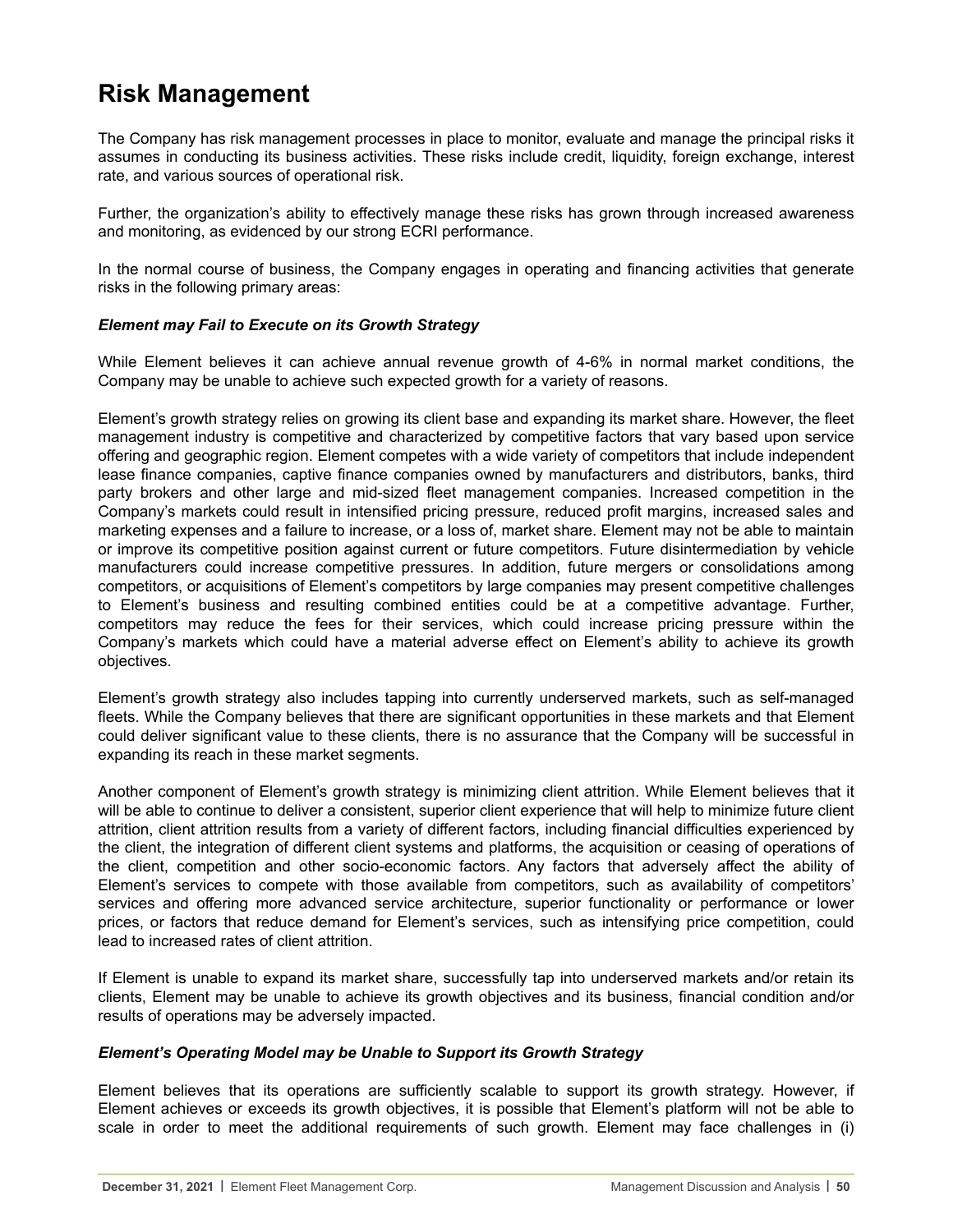# **Risk Management**

The Company has risk management processes in place to monitor, evaluate and manage the principal risks it assumes in conducting its business activities. These risks include credit, liquidity, foreign exchange, interest rate, and various sources of operational risk.

Further, the organization's ability to effectively manage these risks has grown through increased awareness and monitoring, as evidenced by our strong ECRI performance.

In the normal course of business, the Company engages in operating and financing activities that generate risks in the following primary areas:

#### *Element may Fail to Execute on its Growth Strategy*

While Element believes it can achieve annual revenue growth of 4-6% in normal market conditions, the Company may be unable to achieve such expected growth for a variety of reasons.

Element's growth strategy relies on growing its client base and expanding its market share. However, the fleet management industry is competitive and characterized by competitive factors that vary based upon service offering and geographic region. Element competes with a wide variety of competitors that include independent lease finance companies, captive finance companies owned by manufacturers and distributors, banks, third party brokers and other large and mid-sized fleet management companies. Increased competition in the Company's markets could result in intensified pricing pressure, reduced profit margins, increased sales and marketing expenses and a failure to increase, or a loss of, market share. Element may not be able to maintain or improve its competitive position against current or future competitors. Future disintermediation by vehicle manufacturers could increase competitive pressures. In addition, future mergers or consolidations among competitors, or acquisitions of Element's competitors by large companies may present competitive challenges to Element's business and resulting combined entities could be at a competitive advantage. Further, competitors may reduce the fees for their services, which could increase pricing pressure within the Company's markets which could have a material adverse effect on Element's ability to achieve its growth objectives.

Element's growth strategy also includes tapping into currently underserved markets, such as self-managed fleets. While the Company believes that there are significant opportunities in these markets and that Element could deliver significant value to these clients, there is no assurance that the Company will be successful in expanding its reach in these market segments.

Another component of Element's growth strategy is minimizing client attrition. While Element believes that it will be able to continue to deliver a consistent, superior client experience that will help to minimize future client attrition, client attrition results from a variety of different factors, including financial difficulties experienced by the client, the integration of different client systems and platforms, the acquisition or ceasing of operations of the client, competition and other socio-economic factors. Any factors that adversely affect the ability of Element's services to compete with those available from competitors, such as availability of competitors' services and offering more advanced service architecture, superior functionality or performance or lower prices, or factors that reduce demand for Element's services, such as intensifying price competition, could lead to increased rates of client attrition.

If Element is unable to expand its market share, successfully tap into underserved markets and/or retain its clients, Element may be unable to achieve its growth objectives and its business, financial condition and/or results of operations may be adversely impacted.

#### *Element's Operating Model may be Unable to Support its Growth Strategy*

Element believes that its operations are sufficiently scalable to support its growth strategy. However, if Element achieves or exceeds its growth objectives, it is possible that Element's platform will not be able to scale in order to meet the additional requirements of such growth. Element may face challenges in (i)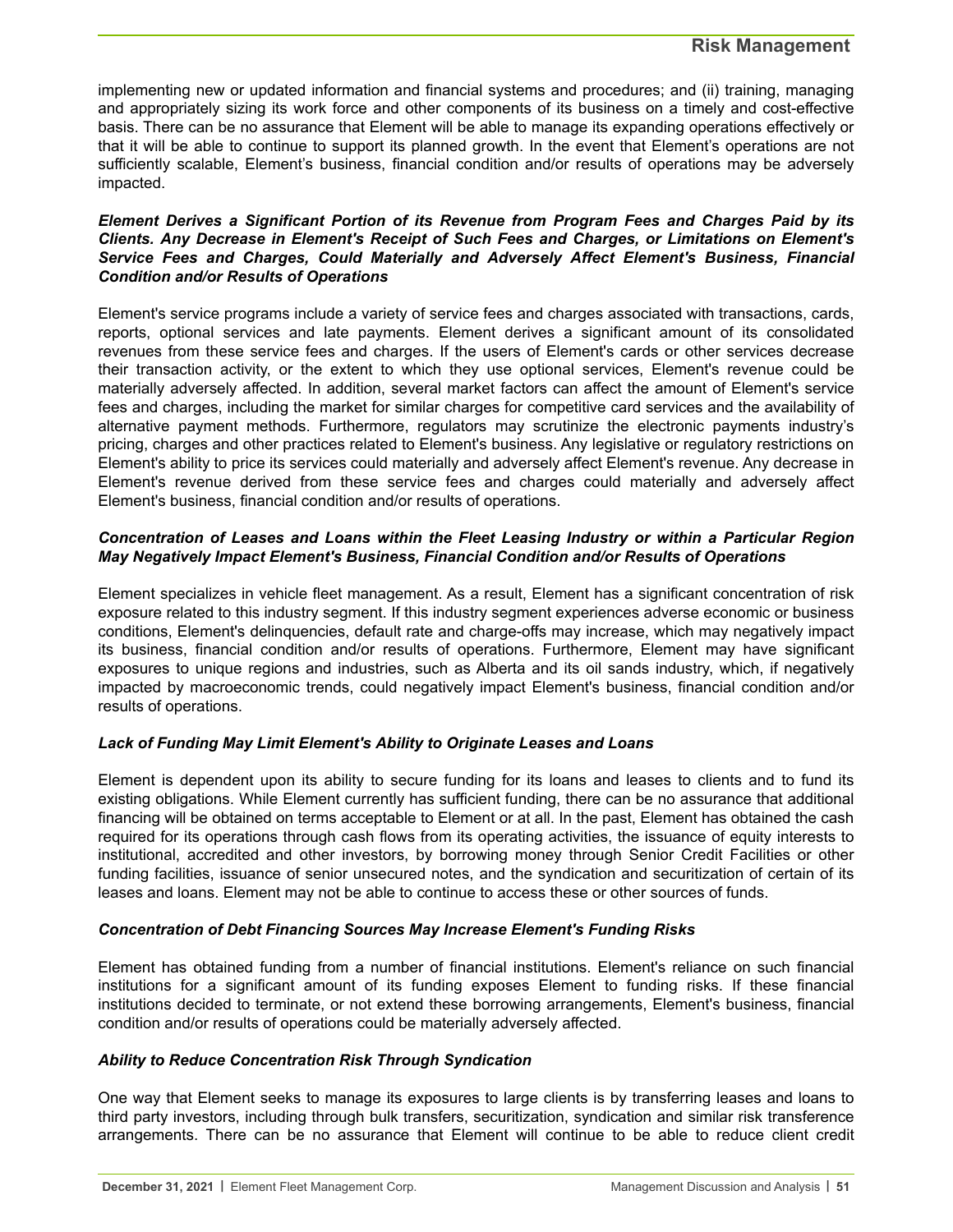implementing new or updated information and financial systems and procedures; and (ii) training, managing and appropriately sizing its work force and other components of its business on a timely and cost-effective basis. There can be no assurance that Element will be able to manage its expanding operations effectively or that it will be able to continue to support its planned growth. In the event that Element's operations are not sufficiently scalable, Element's business, financial condition and/or results of operations may be adversely impacted.

#### *Element Derives a Significant Portion of its Revenue from Program Fees and Charges Paid by its Clients. Any Decrease in Element's Receipt of Such Fees and Charges, or Limitations on Element's Service Fees and Charges, Could Materially and Adversely Affect Element's Business, Financial Condition and/or Results of Operations*

Element's service programs include a variety of service fees and charges associated with transactions, cards, reports, optional services and late payments. Element derives a significant amount of its consolidated revenues from these service fees and charges. If the users of Element's cards or other services decrease their transaction activity, or the extent to which they use optional services, Element's revenue could be materially adversely affected. In addition, several market factors can affect the amount of Element's service fees and charges, including the market for similar charges for competitive card services and the availability of alternative payment methods. Furthermore, regulators may scrutinize the electronic payments industry's pricing, charges and other practices related to Element's business. Any legislative or regulatory restrictions on Element's ability to price its services could materially and adversely affect Element's revenue. Any decrease in Element's revenue derived from these service fees and charges could materially and adversely affect Element's business, financial condition and/or results of operations.

#### *Concentration of Leases and Loans within the Fleet Leasing Industry or within a Particular Region May Negatively Impact Element's Business, Financial Condition and/or Results of Operations*

Element specializes in vehicle fleet management. As a result, Element has a significant concentration of risk exposure related to this industry segment. If this industry segment experiences adverse economic or business conditions, Element's delinquencies, default rate and charge-offs may increase, which may negatively impact its business, financial condition and/or results of operations. Furthermore, Element may have significant exposures to unique regions and industries, such as Alberta and its oil sands industry, which, if negatively impacted by macroeconomic trends, could negatively impact Element's business, financial condition and/or results of operations.

#### *Lack of Funding May Limit Element's Ability to Originate Leases and Loans*

Element is dependent upon its ability to secure funding for its loans and leases to clients and to fund its existing obligations. While Element currently has sufficient funding, there can be no assurance that additional financing will be obtained on terms acceptable to Element or at all. In the past, Element has obtained the cash required for its operations through cash flows from its operating activities, the issuance of equity interests to institutional, accredited and other investors, by borrowing money through Senior Credit Facilities or other funding facilities, issuance of senior unsecured notes, and the syndication and securitization of certain of its leases and loans. Element may not be able to continue to access these or other sources of funds.

#### *Concentration of Debt Financing Sources May Increase Element's Funding Risks*

Element has obtained funding from a number of financial institutions. Element's reliance on such financial institutions for a significant amount of its funding exposes Element to funding risks. If these financial institutions decided to terminate, or not extend these borrowing arrangements, Element's business, financial condition and/or results of operations could be materially adversely affected.

#### *Ability to Reduce Concentration Risk Through Syndication*

One way that Element seeks to manage its exposures to large clients is by transferring leases and loans to third party investors, including through bulk transfers, securitization, syndication and similar risk transference arrangements. There can be no assurance that Element will continue to be able to reduce client credit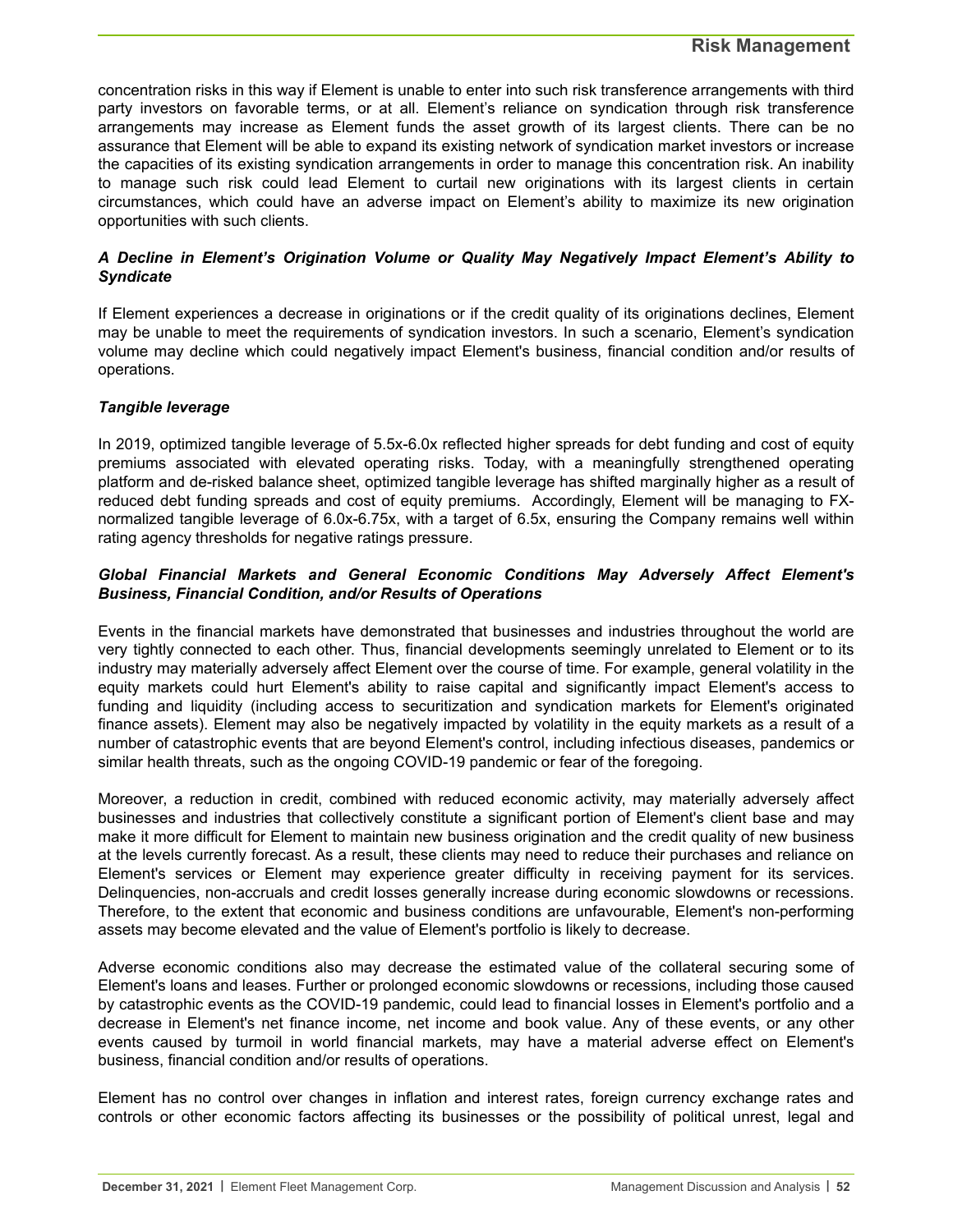concentration risks in this way if Element is unable to enter into such risk transference arrangements with third party investors on favorable terms, or at all. Element's reliance on syndication through risk transference arrangements may increase as Element funds the asset growth of its largest clients. There can be no assurance that Element will be able to expand its existing network of syndication market investors or increase the capacities of its existing syndication arrangements in order to manage this concentration risk. An inability to manage such risk could lead Element to curtail new originations with its largest clients in certain circumstances, which could have an adverse impact on Element's ability to maximize its new origination opportunities with such clients.

#### *A Decline in Element's Origination Volume or Quality May Negatively Impact Element's Ability to Syndicate*

If Element experiences a decrease in originations or if the credit quality of its originations declines, Element may be unable to meet the requirements of syndication investors. In such a scenario, Element's syndication volume may decline which could negatively impact Element's business, financial condition and/or results of operations.

#### *Tangible leverage*

In 2019, optimized tangible leverage of 5.5x-6.0x reflected higher spreads for debt funding and cost of equity premiums associated with elevated operating risks. Today, with a meaningfully strengthened operating platform and de-risked balance sheet, optimized tangible leverage has shifted marginally higher as a result of reduced debt funding spreads and cost of equity premiums. Accordingly, Element will be managing to FXnormalized tangible leverage of 6.0x-6.75x, with a target of 6.5x, ensuring the Company remains well within rating agency thresholds for negative ratings pressure.

#### *Global Financial Markets and General Economic Conditions May Adversely Affect Element's Business, Financial Condition, and/or Results of Operations*

Events in the financial markets have demonstrated that businesses and industries throughout the world are very tightly connected to each other. Thus, financial developments seemingly unrelated to Element or to its industry may materially adversely affect Element over the course of time. For example, general volatility in the equity markets could hurt Element's ability to raise capital and significantly impact Element's access to funding and liquidity (including access to securitization and syndication markets for Element's originated finance assets). Element may also be negatively impacted by volatility in the equity markets as a result of a number of catastrophic events that are beyond Element's control, including infectious diseases, pandemics or similar health threats, such as the ongoing COVID-19 pandemic or fear of the foregoing.

Moreover, a reduction in credit, combined with reduced economic activity, may materially adversely affect businesses and industries that collectively constitute a significant portion of Element's client base and may make it more difficult for Element to maintain new business origination and the credit quality of new business at the levels currently forecast. As a result, these clients may need to reduce their purchases and reliance on Element's services or Element may experience greater difficulty in receiving payment for its services. Delinquencies, non-accruals and credit losses generally increase during economic slowdowns or recessions. Therefore, to the extent that economic and business conditions are unfavourable, Element's non-performing assets may become elevated and the value of Element's portfolio is likely to decrease.

Adverse economic conditions also may decrease the estimated value of the collateral securing some of Element's loans and leases. Further or prolonged economic slowdowns or recessions, including those caused by catastrophic events as the COVID-19 pandemic, could lead to financial losses in Element's portfolio and a decrease in Element's net finance income, net income and book value. Any of these events, or any other events caused by turmoil in world financial markets, may have a material adverse effect on Element's business, financial condition and/or results of operations.

Element has no control over changes in inflation and interest rates, foreign currency exchange rates and controls or other economic factors affecting its businesses or the possibility of political unrest, legal and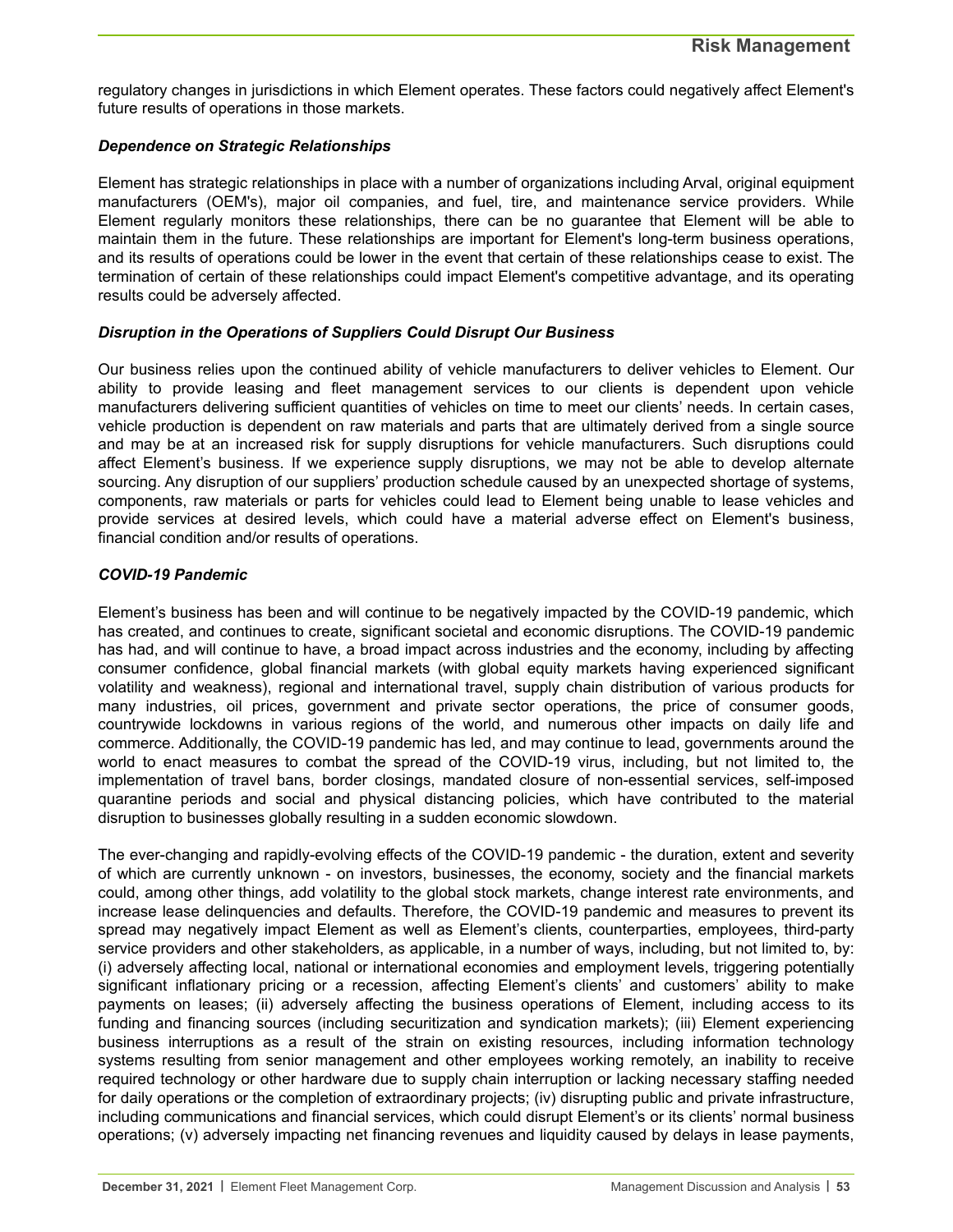regulatory changes in jurisdictions in which Element operates. These factors could negatively affect Element's future results of operations in those markets.

#### *Dependence on Strategic Relationships*

Element has strategic relationships in place with a number of organizations including Arval, original equipment manufacturers (OEM's), major oil companies, and fuel, tire, and maintenance service providers. While Element regularly monitors these relationships, there can be no guarantee that Element will be able to maintain them in the future. These relationships are important for Element's long-term business operations, and its results of operations could be lower in the event that certain of these relationships cease to exist. The termination of certain of these relationships could impact Element's competitive advantage, and its operating results could be adversely affected.

#### *Disruption in the Operations of Suppliers Could Disrupt Our Business*

Our business relies upon the continued ability of vehicle manufacturers to deliver vehicles to Element. Our ability to provide leasing and fleet management services to our clients is dependent upon vehicle manufacturers delivering sufficient quantities of vehicles on time to meet our clients' needs. In certain cases, vehicle production is dependent on raw materials and parts that are ultimately derived from a single source and may be at an increased risk for supply disruptions for vehicle manufacturers. Such disruptions could affect Element's business. If we experience supply disruptions, we may not be able to develop alternate sourcing. Any disruption of our suppliers' production schedule caused by an unexpected shortage of systems, components, raw materials or parts for vehicles could lead to Element being unable to lease vehicles and provide services at desired levels, which could have a material adverse effect on Element's business, financial condition and/or results of operations.

#### *COVID-19 Pandemic*

Element's business has been and will continue to be negatively impacted by the COVID-19 pandemic, which has created, and continues to create, significant societal and economic disruptions. The COVID-19 pandemic has had, and will continue to have, a broad impact across industries and the economy, including by affecting consumer confidence, global financial markets (with global equity markets having experienced significant volatility and weakness), regional and international travel, supply chain distribution of various products for many industries, oil prices, government and private sector operations, the price of consumer goods, countrywide lockdowns in various regions of the world, and numerous other impacts on daily life and commerce. Additionally, the COVID-19 pandemic has led, and may continue to lead, governments around the world to enact measures to combat the spread of the COVID-19 virus, including, but not limited to, the implementation of travel bans, border closings, mandated closure of non-essential services, self-imposed quarantine periods and social and physical distancing policies, which have contributed to the material disruption to businesses globally resulting in a sudden economic slowdown.

The ever-changing and rapidly-evolving effects of the COVID-19 pandemic - the duration, extent and severity of which are currently unknown - on investors, businesses, the economy, society and the financial markets could, among other things, add volatility to the global stock markets, change interest rate environments, and increase lease delinquencies and defaults. Therefore, the COVID-19 pandemic and measures to prevent its spread may negatively impact Element as well as Element's clients, counterparties, employees, third-party service providers and other stakeholders, as applicable, in a number of ways, including, but not limited to, by: (i) adversely affecting local, national or international economies and employment levels, triggering potentially significant inflationary pricing or a recession, affecting Element's clients' and customers' ability to make payments on leases; (ii) adversely affecting the business operations of Element, including access to its funding and financing sources (including securitization and syndication markets); (iii) Element experiencing business interruptions as a result of the strain on existing resources, including information technology systems resulting from senior management and other employees working remotely, an inability to receive required technology or other hardware due to supply chain interruption or lacking necessary staffing needed for daily operations or the completion of extraordinary projects; (iv) disrupting public and private infrastructure, including communications and financial services, which could disrupt Element's or its clients' normal business operations; (v) adversely impacting net financing revenues and liquidity caused by delays in lease payments,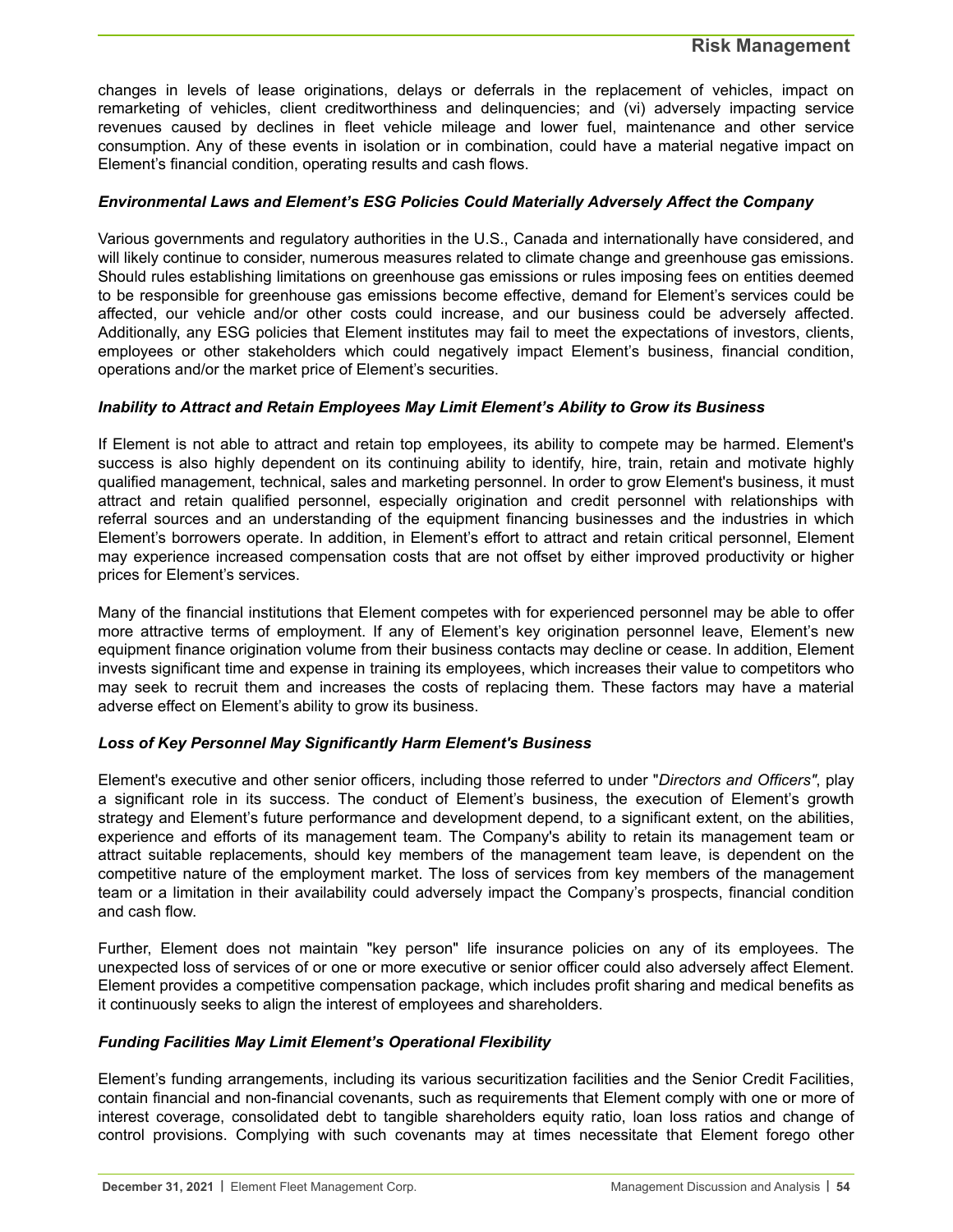changes in levels of lease originations, delays or deferrals in the replacement of vehicles, impact on remarketing of vehicles, client creditworthiness and delinquencies; and (vi) adversely impacting service revenues caused by declines in fleet vehicle mileage and lower fuel, maintenance and other service consumption. Any of these events in isolation or in combination, could have a material negative impact on Element's financial condition, operating results and cash flows.

#### *Environmental Laws and Element's ESG Policies Could Materially Adversely Affect the Company*

Various governments and regulatory authorities in the U.S., Canada and internationally have considered, and will likely continue to consider, numerous measures related to climate change and greenhouse gas emissions. Should rules establishing limitations on greenhouse gas emissions or rules imposing fees on entities deemed to be responsible for greenhouse gas emissions become effective, demand for Element's services could be affected, our vehicle and/or other costs could increase, and our business could be adversely affected. Additionally, any ESG policies that Element institutes may fail to meet the expectations of investors, clients, employees or other stakeholders which could negatively impact Element's business, financial condition, operations and/or the market price of Element's securities.

#### *Inability to Attract and Retain Employees May Limit Element's Ability to Grow its Business*

If Element is not able to attract and retain top employees, its ability to compete may be harmed. Element's success is also highly dependent on its continuing ability to identify, hire, train, retain and motivate highly qualified management, technical, sales and marketing personnel. In order to grow Element's business, it must attract and retain qualified personnel, especially origination and credit personnel with relationships with referral sources and an understanding of the equipment financing businesses and the industries in which Element's borrowers operate. In addition, in Element's effort to attract and retain critical personnel, Element may experience increased compensation costs that are not offset by either improved productivity or higher prices for Element's services.

Many of the financial institutions that Element competes with for experienced personnel may be able to offer more attractive terms of employment. If any of Element's key origination personnel leave, Element's new equipment finance origination volume from their business contacts may decline or cease. In addition, Element invests significant time and expense in training its employees, which increases their value to competitors who may seek to recruit them and increases the costs of replacing them. These factors may have a material adverse effect on Element's ability to grow its business.

#### *Loss of Key Personnel May Significantly Harm Element's Business*

Element's executive and other senior officers, including those referred to under "*Directors and Officers"*, play a significant role in its success. The conduct of Element's business, the execution of Element's growth strategy and Element's future performance and development depend, to a significant extent, on the abilities, experience and efforts of its management team. The Company's ability to retain its management team or attract suitable replacements, should key members of the management team leave, is dependent on the competitive nature of the employment market. The loss of services from key members of the management team or a limitation in their availability could adversely impact the Company's prospects, financial condition and cash flow.

Further, Element does not maintain "key person" life insurance policies on any of its employees. The unexpected loss of services of or one or more executive or senior officer could also adversely affect Element. Element provides a competitive compensation package, which includes profit sharing and medical benefits as it continuously seeks to align the interest of employees and shareholders.

#### *Funding Facilities May Limit Element's Operational Flexibility*

Element's funding arrangements, including its various securitization facilities and the Senior Credit Facilities, contain financial and non-financial covenants, such as requirements that Element comply with one or more of interest coverage, consolidated debt to tangible shareholders equity ratio, loan loss ratios and change of control provisions. Complying with such covenants may at times necessitate that Element forego other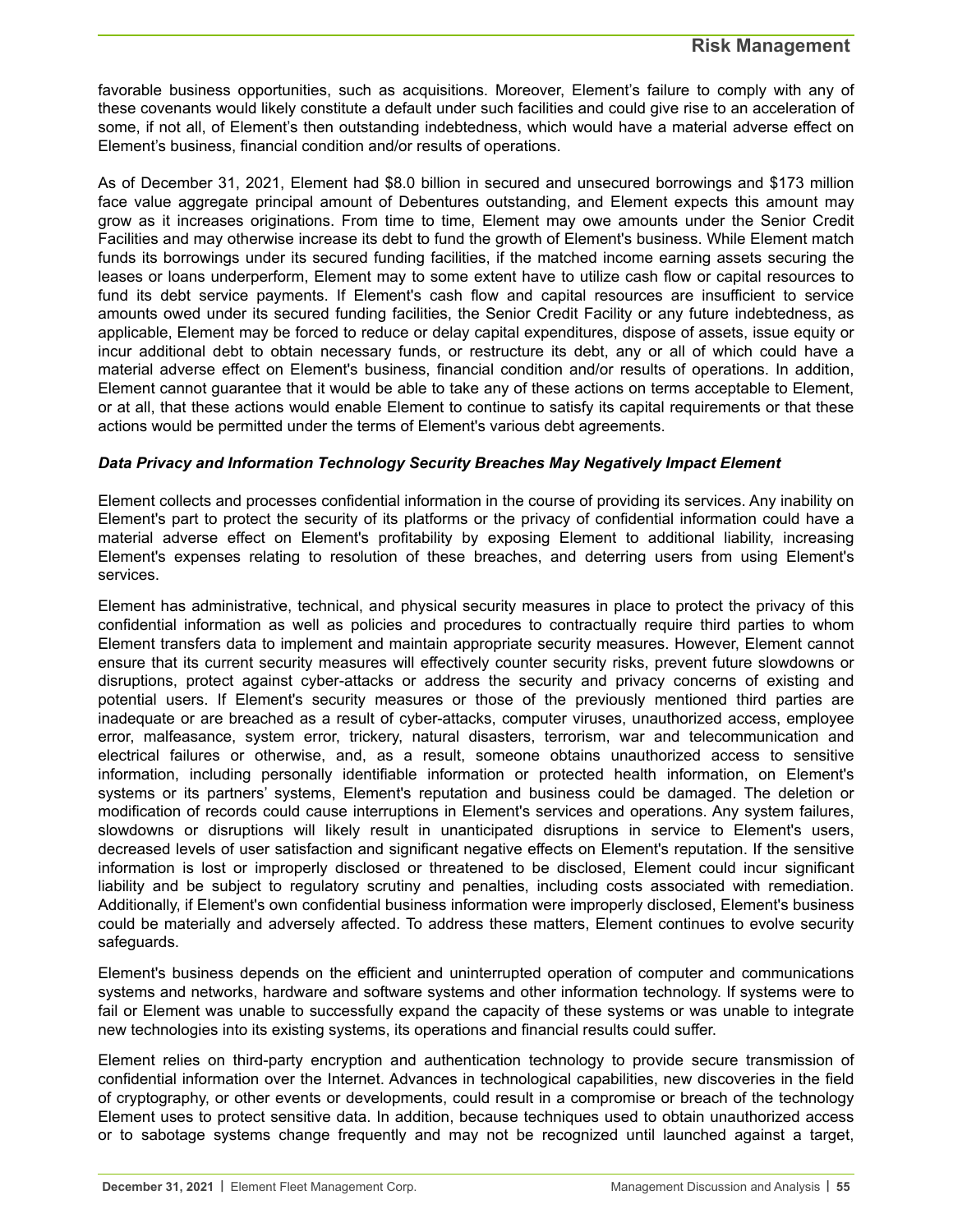favorable business opportunities, such as acquisitions. Moreover, Element's failure to comply with any of these covenants would likely constitute a default under such facilities and could give rise to an acceleration of some, if not all, of Element's then outstanding indebtedness, which would have a material adverse effect on Element's business, financial condition and/or results of operations.

As of December 31, 2021, Element had \$8.0 billion in secured and unsecured borrowings and \$173 million face value aggregate principal amount of Debentures outstanding, and Element expects this amount may grow as it increases originations. From time to time, Element may owe amounts under the Senior Credit Facilities and may otherwise increase its debt to fund the growth of Element's business. While Element match funds its borrowings under its secured funding facilities, if the matched income earning assets securing the leases or loans underperform, Element may to some extent have to utilize cash flow or capital resources to fund its debt service payments. If Element's cash flow and capital resources are insufficient to service amounts owed under its secured funding facilities, the Senior Credit Facility or any future indebtedness, as applicable, Element may be forced to reduce or delay capital expenditures, dispose of assets, issue equity or incur additional debt to obtain necessary funds, or restructure its debt, any or all of which could have a material adverse effect on Element's business, financial condition and/or results of operations. In addition, Element cannot guarantee that it would be able to take any of these actions on terms acceptable to Element, or at all, that these actions would enable Element to continue to satisfy its capital requirements or that these actions would be permitted under the terms of Element's various debt agreements.

#### *Data Privacy and Information Technology Security Breaches May Negatively Impact Element*

Element collects and processes confidential information in the course of providing its services. Any inability on Element's part to protect the security of its platforms or the privacy of confidential information could have a material adverse effect on Element's profitability by exposing Element to additional liability, increasing Element's expenses relating to resolution of these breaches, and deterring users from using Element's services.

Element has administrative, technical, and physical security measures in place to protect the privacy of this confidential information as well as policies and procedures to contractually require third parties to whom Element transfers data to implement and maintain appropriate security measures. However, Element cannot ensure that its current security measures will effectively counter security risks, prevent future slowdowns or disruptions, protect against cyber-attacks or address the security and privacy concerns of existing and potential users. If Element's security measures or those of the previously mentioned third parties are inadequate or are breached as a result of cyber-attacks, computer viruses, unauthorized access, employee error, malfeasance, system error, trickery, natural disasters, terrorism, war and telecommunication and electrical failures or otherwise, and, as a result, someone obtains unauthorized access to sensitive information, including personally identifiable information or protected health information, on Element's systems or its partners' systems, Element's reputation and business could be damaged. The deletion or modification of records could cause interruptions in Element's services and operations. Any system failures, slowdowns or disruptions will likely result in unanticipated disruptions in service to Element's users, decreased levels of user satisfaction and significant negative effects on Element's reputation. If the sensitive information is lost or improperly disclosed or threatened to be disclosed, Element could incur significant liability and be subject to regulatory scrutiny and penalties, including costs associated with remediation. Additionally, if Element's own confidential business information were improperly disclosed, Element's business could be materially and adversely affected. To address these matters, Element continues to evolve security safeguards.

Element's business depends on the efficient and uninterrupted operation of computer and communications systems and networks, hardware and software systems and other information technology. If systems were to fail or Element was unable to successfully expand the capacity of these systems or was unable to integrate new technologies into its existing systems, its operations and financial results could suffer.

Element relies on third-party encryption and authentication technology to provide secure transmission of confidential information over the Internet. Advances in technological capabilities, new discoveries in the field of cryptography, or other events or developments, could result in a compromise or breach of the technology Element uses to protect sensitive data. In addition, because techniques used to obtain unauthorized access or to sabotage systems change frequently and may not be recognized until launched against a target,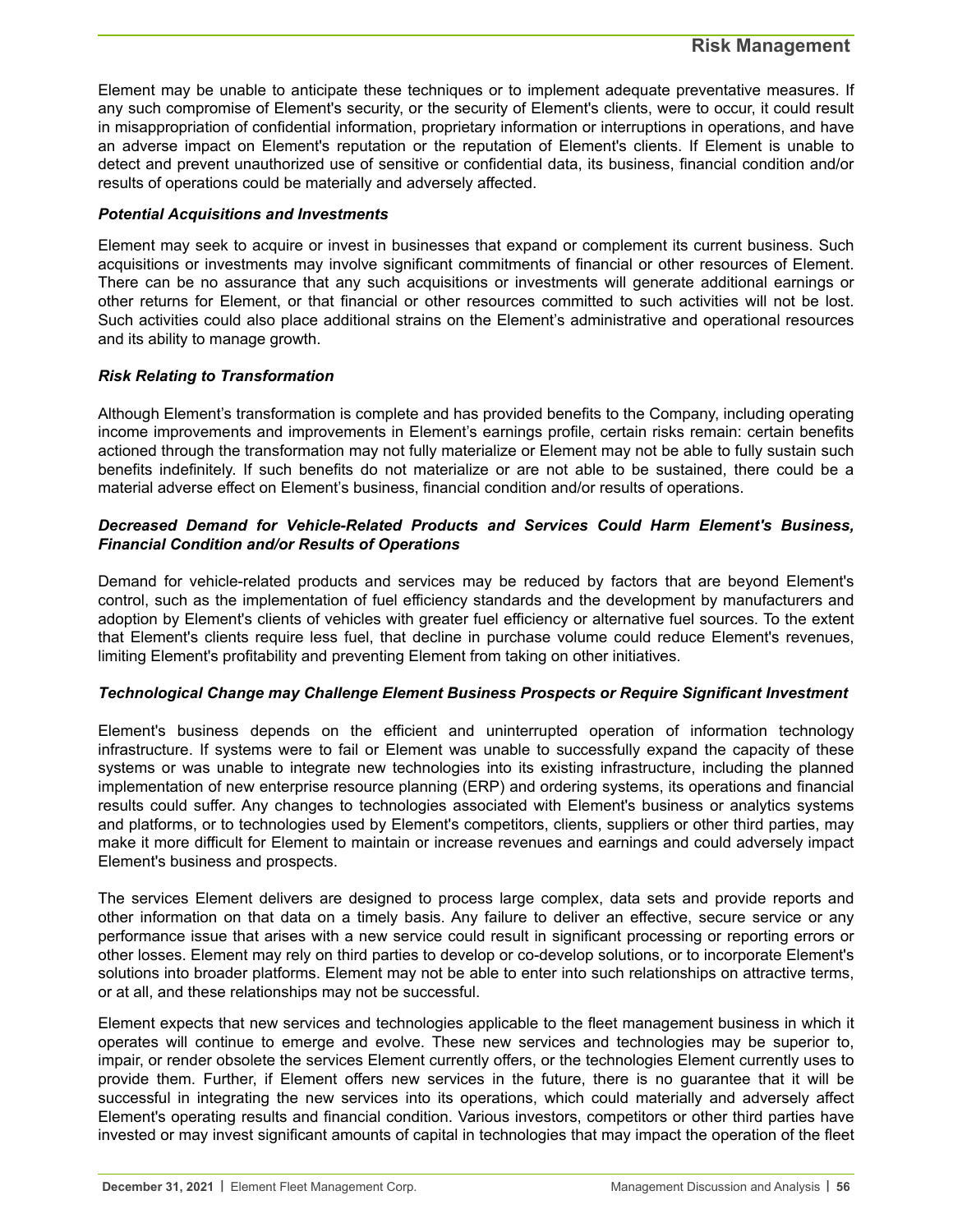Element may be unable to anticipate these techniques or to implement adequate preventative measures. If any such compromise of Element's security, or the security of Element's clients, were to occur, it could result in misappropriation of confidential information, proprietary information or interruptions in operations, and have an adverse impact on Element's reputation or the reputation of Element's clients. If Element is unable to detect and prevent unauthorized use of sensitive or confidential data, its business, financial condition and/or results of operations could be materially and adversely affected.

#### *Potential Acquisitions and Investments*

Element may seek to acquire or invest in businesses that expand or complement its current business. Such acquisitions or investments may involve significant commitments of financial or other resources of Element. There can be no assurance that any such acquisitions or investments will generate additional earnings or other returns for Element, or that financial or other resources committed to such activities will not be lost. Such activities could also place additional strains on the Element's administrative and operational resources and its ability to manage growth.

#### *Risk Relating to Transformation*

Although Element's transformation is complete and has provided benefits to the Company, including operating income improvements and improvements in Element's earnings profile, certain risks remain: certain benefits actioned through the transformation may not fully materialize or Element may not be able to fully sustain such benefits indefinitely. If such benefits do not materialize or are not able to be sustained, there could be a material adverse effect on Element's business, financial condition and/or results of operations.

#### *Decreased Demand for Vehicle-Related Products and Services Could Harm Element's Business, Financial Condition and/or Results of Operations*

Demand for vehicle-related products and services may be reduced by factors that are beyond Element's control, such as the implementation of fuel efficiency standards and the development by manufacturers and adoption by Element's clients of vehicles with greater fuel efficiency or alternative fuel sources. To the extent that Element's clients require less fuel, that decline in purchase volume could reduce Element's revenues, limiting Element's profitability and preventing Element from taking on other initiatives.

#### *Technological Change may Challenge Element Business Prospects or Require Significant Investment*

Element's business depends on the efficient and uninterrupted operation of information technology infrastructure. If systems were to fail or Element was unable to successfully expand the capacity of these systems or was unable to integrate new technologies into its existing infrastructure, including the planned implementation of new enterprise resource planning (ERP) and ordering systems, its operations and financial results could suffer. Any changes to technologies associated with Element's business or analytics systems and platforms, or to technologies used by Element's competitors, clients, suppliers or other third parties, may make it more difficult for Element to maintain or increase revenues and earnings and could adversely impact Element's business and prospects.

The services Element delivers are designed to process large complex, data sets and provide reports and other information on that data on a timely basis. Any failure to deliver an effective, secure service or any performance issue that arises with a new service could result in significant processing or reporting errors or other losses. Element may rely on third parties to develop or co-develop solutions, or to incorporate Element's solutions into broader platforms. Element may not be able to enter into such relationships on attractive terms, or at all, and these relationships may not be successful.

Element expects that new services and technologies applicable to the fleet management business in which it operates will continue to emerge and evolve. These new services and technologies may be superior to, impair, or render obsolete the services Element currently offers, or the technologies Element currently uses to provide them. Further, if Element offers new services in the future, there is no guarantee that it will be successful in integrating the new services into its operations, which could materially and adversely affect Element's operating results and financial condition. Various investors, competitors or other third parties have invested or may invest significant amounts of capital in technologies that may impact the operation of the fleet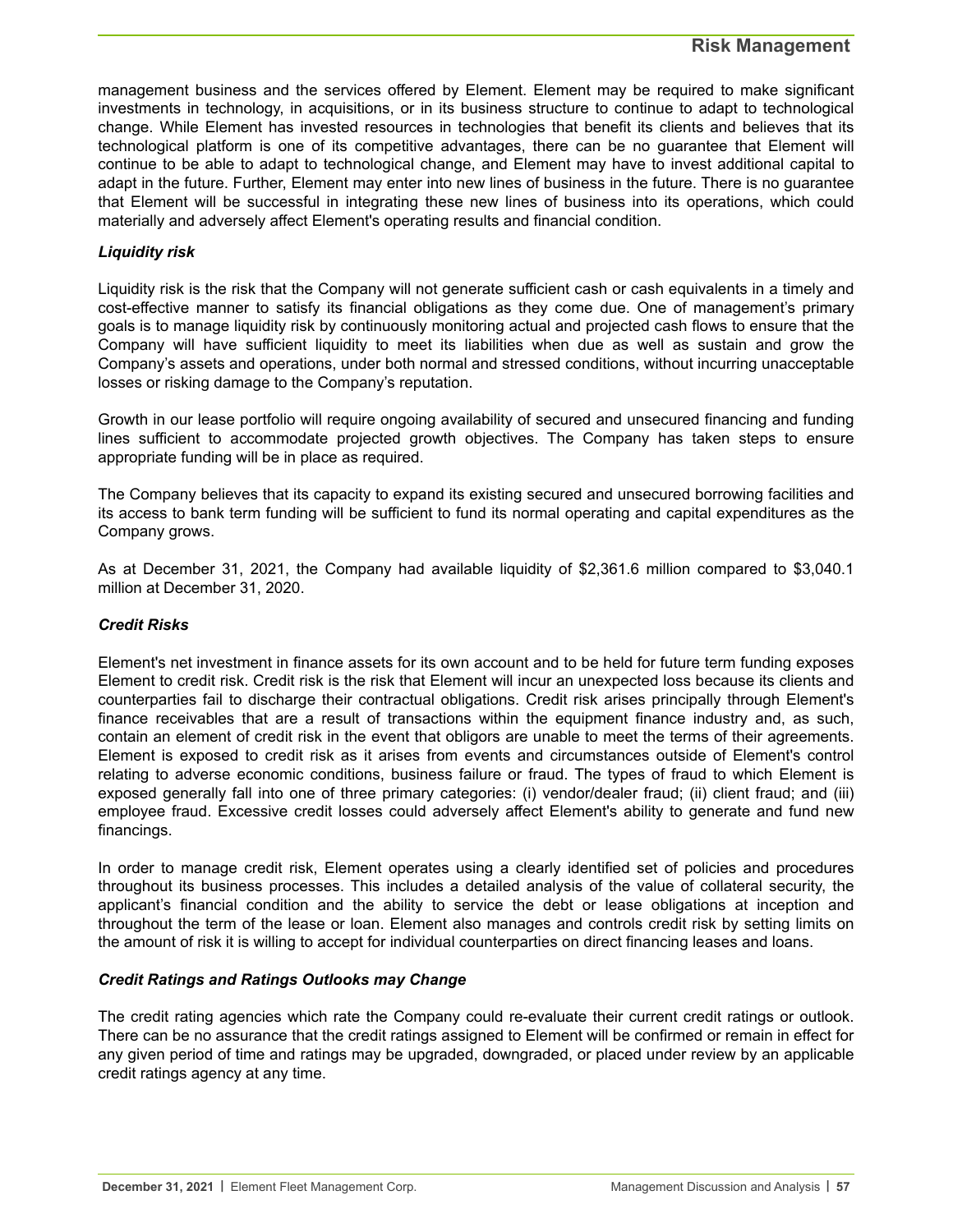#### **Risk Management**

management business and the services offered by Element. Element may be required to make significant investments in technology, in acquisitions, or in its business structure to continue to adapt to technological change. While Element has invested resources in technologies that benefit its clients and believes that its technological platform is one of its competitive advantages, there can be no guarantee that Element will continue to be able to adapt to technological change, and Element may have to invest additional capital to adapt in the future. Further, Element may enter into new lines of business in the future. There is no guarantee that Element will be successful in integrating these new lines of business into its operations, which could materially and adversely affect Element's operating results and financial condition.

#### *Liquidity risk*

Liquidity risk is the risk that the Company will not generate sufficient cash or cash equivalents in a timely and cost-effective manner to satisfy its financial obligations as they come due. One of management's primary goals is to manage liquidity risk by continuously monitoring actual and projected cash flows to ensure that the Company will have sufficient liquidity to meet its liabilities when due as well as sustain and grow the Company's assets and operations, under both normal and stressed conditions, without incurring unacceptable losses or risking damage to the Company's reputation.

Growth in our lease portfolio will require ongoing availability of secured and unsecured financing and funding lines sufficient to accommodate projected growth objectives. The Company has taken steps to ensure appropriate funding will be in place as required.

The Company believes that its capacity to expand its existing secured and unsecured borrowing facilities and its access to bank term funding will be sufficient to fund its normal operating and capital expenditures as the Company grows.

As at December 31, 2021, the Company had available liquidity of \$2,361.6 million compared to \$3,040.1 million at December 31, 2020.

#### *Credit Risks*

Element's net investment in finance assets for its own account and to be held for future term funding exposes Element to credit risk. Credit risk is the risk that Element will incur an unexpected loss because its clients and counterparties fail to discharge their contractual obligations. Credit risk arises principally through Element's finance receivables that are a result of transactions within the equipment finance industry and, as such, contain an element of credit risk in the event that obligors are unable to meet the terms of their agreements. Element is exposed to credit risk as it arises from events and circumstances outside of Element's control relating to adverse economic conditions, business failure or fraud. The types of fraud to which Element is exposed generally fall into one of three primary categories: (i) vendor/dealer fraud; (ii) client fraud; and (iii) employee fraud. Excessive credit losses could adversely affect Element's ability to generate and fund new financings.

In order to manage credit risk, Element operates using a clearly identified set of policies and procedures throughout its business processes. This includes a detailed analysis of the value of collateral security, the applicant's financial condition and the ability to service the debt or lease obligations at inception and throughout the term of the lease or loan. Element also manages and controls credit risk by setting limits on the amount of risk it is willing to accept for individual counterparties on direct financing leases and loans.

#### *Credit Ratings and Ratings Outlooks may Change*

The credit rating agencies which rate the Company could re-evaluate their current credit ratings or outlook. There can be no assurance that the credit ratings assigned to Element will be confirmed or remain in effect for any given period of time and ratings may be upgraded, downgraded, or placed under review by an applicable credit ratings agency at any time.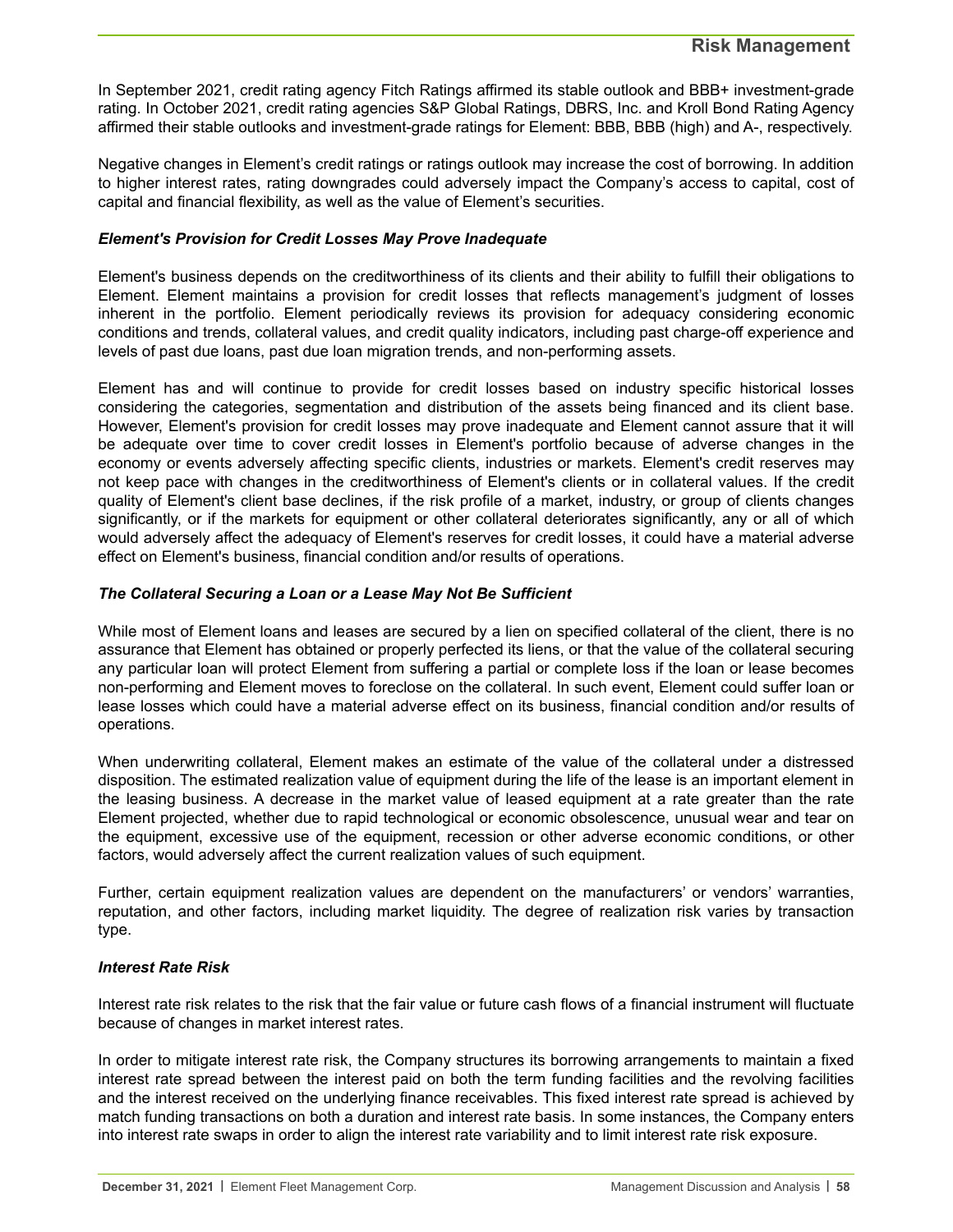In September 2021, credit rating agency Fitch Ratings affirmed its stable outlook and BBB+ investment-grade rating. In October 2021, credit rating agencies S&P Global Ratings, DBRS, Inc. and Kroll Bond Rating Agency affirmed their stable outlooks and investment-grade ratings for Element: BBB, BBB (high) and A-, respectively.

Negative changes in Element's credit ratings or ratings outlook may increase the cost of borrowing. In addition to higher interest rates, rating downgrades could adversely impact the Company's access to capital, cost of capital and financial flexibility, as well as the value of Element's securities.

#### *Element's Provision for Credit Losses May Prove Inadequate*

Element's business depends on the creditworthiness of its clients and their ability to fulfill their obligations to Element. Element maintains a provision for credit losses that reflects management's judgment of losses inherent in the portfolio. Element periodically reviews its provision for adequacy considering economic conditions and trends, collateral values, and credit quality indicators, including past charge-off experience and levels of past due loans, past due loan migration trends, and non-performing assets.

Element has and will continue to provide for credit losses based on industry specific historical losses considering the categories, segmentation and distribution of the assets being financed and its client base. However, Element's provision for credit losses may prove inadequate and Element cannot assure that it will be adequate over time to cover credit losses in Element's portfolio because of adverse changes in the economy or events adversely affecting specific clients, industries or markets. Element's credit reserves may not keep pace with changes in the creditworthiness of Element's clients or in collateral values. If the credit quality of Element's client base declines, if the risk profile of a market, industry, or group of clients changes significantly, or if the markets for equipment or other collateral deteriorates significantly, any or all of which would adversely affect the adequacy of Element's reserves for credit losses, it could have a material adverse effect on Element's business, financial condition and/or results of operations.

#### *The Collateral Securing a Loan or a Lease May Not Be Sufficient*

While most of Element loans and leases are secured by a lien on specified collateral of the client, there is no assurance that Element has obtained or properly perfected its liens, or that the value of the collateral securing any particular loan will protect Element from suffering a partial or complete loss if the loan or lease becomes non-performing and Element moves to foreclose on the collateral. In such event, Element could suffer loan or lease losses which could have a material adverse effect on its business, financial condition and/or results of operations.

When underwriting collateral, Element makes an estimate of the value of the collateral under a distressed disposition. The estimated realization value of equipment during the life of the lease is an important element in the leasing business. A decrease in the market value of leased equipment at a rate greater than the rate Element projected, whether due to rapid technological or economic obsolescence, unusual wear and tear on the equipment, excessive use of the equipment, recession or other adverse economic conditions, or other factors, would adversely affect the current realization values of such equipment.

Further, certain equipment realization values are dependent on the manufacturers' or vendors' warranties, reputation, and other factors, including market liquidity. The degree of realization risk varies by transaction type.

#### *Interest Rate Risk*

Interest rate risk relates to the risk that the fair value or future cash flows of a financial instrument will fluctuate because of changes in market interest rates.

In order to mitigate interest rate risk, the Company structures its borrowing arrangements to maintain a fixed interest rate spread between the interest paid on both the term funding facilities and the revolving facilities and the interest received on the underlying finance receivables. This fixed interest rate spread is achieved by match funding transactions on both a duration and interest rate basis. In some instances, the Company enters into interest rate swaps in order to align the interest rate variability and to limit interest rate risk exposure.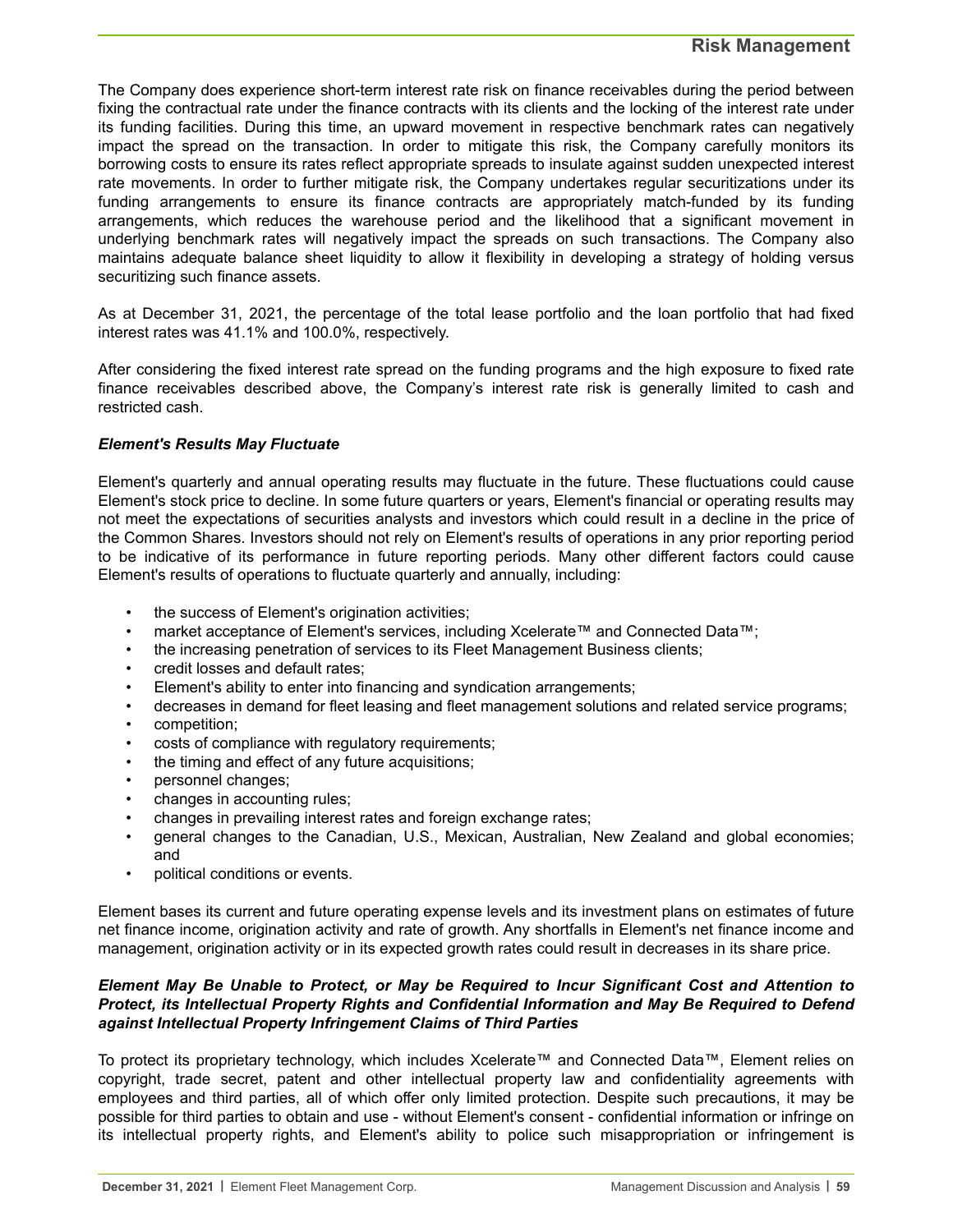The Company does experience short-term interest rate risk on finance receivables during the period between fixing the contractual rate under the finance contracts with its clients and the locking of the interest rate under its funding facilities. During this time, an upward movement in respective benchmark rates can negatively impact the spread on the transaction. In order to mitigate this risk, the Company carefully monitors its borrowing costs to ensure its rates reflect appropriate spreads to insulate against sudden unexpected interest rate movements. In order to further mitigate risk, the Company undertakes regular securitizations under its funding arrangements to ensure its finance contracts are appropriately match-funded by its funding arrangements, which reduces the warehouse period and the likelihood that a significant movement in underlying benchmark rates will negatively impact the spreads on such transactions. The Company also maintains adequate balance sheet liquidity to allow it flexibility in developing a strategy of holding versus securitizing such finance assets.

As at December 31, 2021, the percentage of the total lease portfolio and the loan portfolio that had fixed interest rates was 41.1% and 100.0%, respectively.

After considering the fixed interest rate spread on the funding programs and the high exposure to fixed rate finance receivables described above, the Company's interest rate risk is generally limited to cash and restricted cash.

#### *Element's Results May Fluctuate*

Element's quarterly and annual operating results may fluctuate in the future. These fluctuations could cause Element's stock price to decline. In some future quarters or years, Element's financial or operating results may not meet the expectations of securities analysts and investors which could result in a decline in the price of the Common Shares. Investors should not rely on Element's results of operations in any prior reporting period to be indicative of its performance in future reporting periods. Many other different factors could cause Element's results of operations to fluctuate quarterly and annually, including:

- the success of Element's origination activities;
- market acceptance of Element's services, including Xcelerate™ and Connected Data™;
- the increasing penetration of services to its Fleet Management Business clients;
- credit losses and default rates;
- Element's ability to enter into financing and syndication arrangements;
- decreases in demand for fleet leasing and fleet management solutions and related service programs;
- competition;
- costs of compliance with regulatory requirements;
- the timing and effect of any future acquisitions;
- personnel changes;
- changes in accounting rules;
- changes in prevailing interest rates and foreign exchange rates;
- general changes to the Canadian, U.S., Mexican, Australian, New Zealand and global economies; and
- political conditions or events.

Element bases its current and future operating expense levels and its investment plans on estimates of future net finance income, origination activity and rate of growth. Any shortfalls in Element's net finance income and management, origination activity or in its expected growth rates could result in decreases in its share price.

#### *Element May Be Unable to Protect, or May be Required to Incur Significant Cost and Attention to Protect, its Intellectual Property Rights and Confidential Information and May Be Required to Defend against Intellectual Property Infringement Claims of Third Parties*

To protect its proprietary technology, which includes Xcelerate™ and Connected Data™, Element relies on copyright, trade secret, patent and other intellectual property law and confidentiality agreements with employees and third parties, all of which offer only limited protection. Despite such precautions, it may be possible for third parties to obtain and use - without Element's consent - confidential information or infringe on its intellectual property rights, and Element's ability to police such misappropriation or infringement is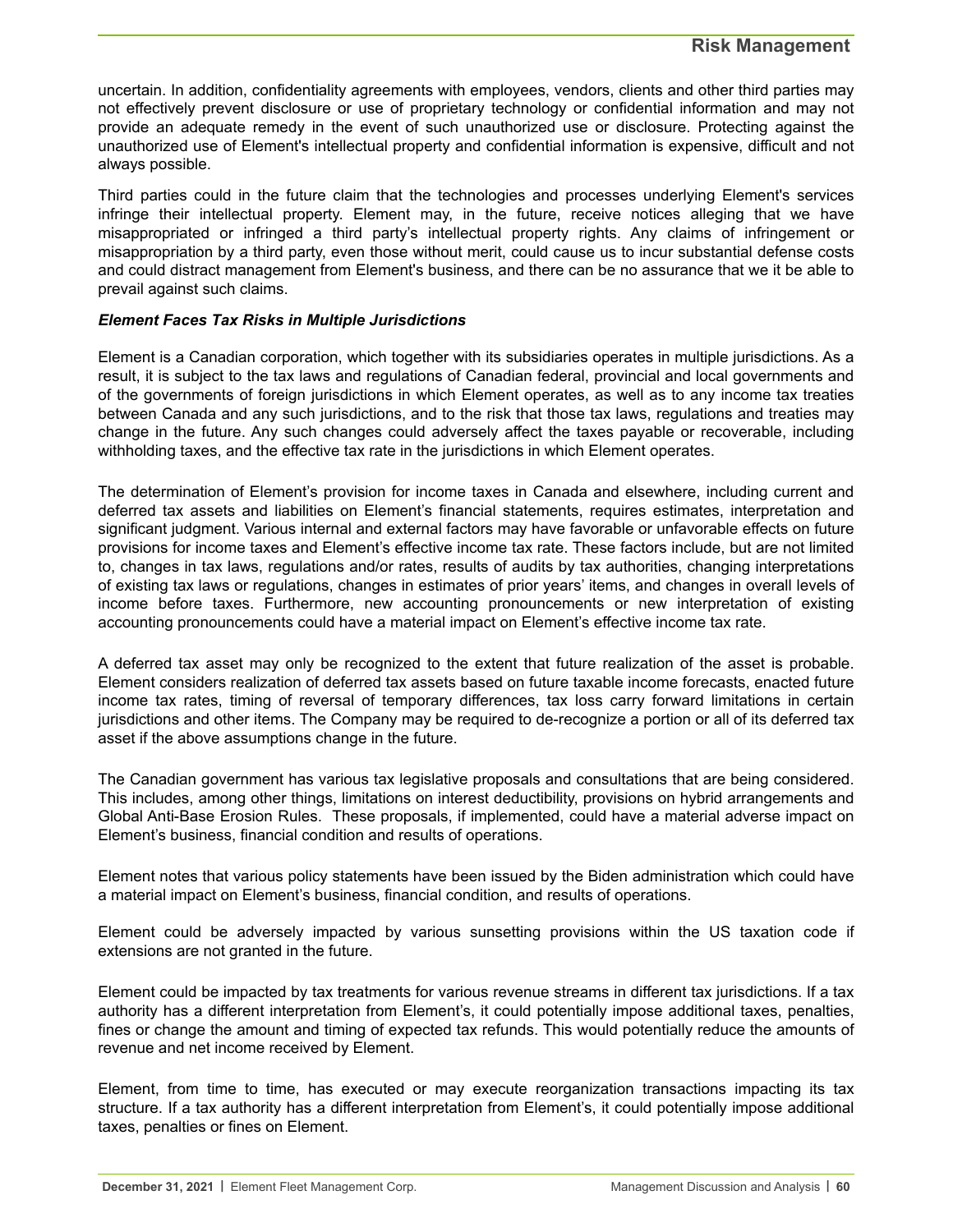uncertain. In addition, confidentiality agreements with employees, vendors, clients and other third parties may not effectively prevent disclosure or use of proprietary technology or confidential information and may not provide an adequate remedy in the event of such unauthorized use or disclosure. Protecting against the unauthorized use of Element's intellectual property and confidential information is expensive, difficult and not always possible.

Third parties could in the future claim that the technologies and processes underlying Element's services infringe their intellectual property. Element may, in the future, receive notices alleging that we have misappropriated or infringed a third party's intellectual property rights. Any claims of infringement or misappropriation by a third party, even those without merit, could cause us to incur substantial defense costs and could distract management from Element's business, and there can be no assurance that we it be able to prevail against such claims.

#### *Element Faces Tax Risks in Multiple Jurisdictions*

Element is a Canadian corporation, which together with its subsidiaries operates in multiple jurisdictions. As a result, it is subject to the tax laws and regulations of Canadian federal, provincial and local governments and of the governments of foreign jurisdictions in which Element operates, as well as to any income tax treaties between Canada and any such jurisdictions, and to the risk that those tax laws, regulations and treaties may change in the future. Any such changes could adversely affect the taxes payable or recoverable, including withholding taxes, and the effective tax rate in the jurisdictions in which Element operates.

The determination of Element's provision for income taxes in Canada and elsewhere, including current and deferred tax assets and liabilities on Element's financial statements, requires estimates, interpretation and significant judgment. Various internal and external factors may have favorable or unfavorable effects on future provisions for income taxes and Element's effective income tax rate. These factors include, but are not limited to, changes in tax laws, regulations and/or rates, results of audits by tax authorities, changing interpretations of existing tax laws or regulations, changes in estimates of prior years' items, and changes in overall levels of income before taxes. Furthermore, new accounting pronouncements or new interpretation of existing accounting pronouncements could have a material impact on Element's effective income tax rate.

A deferred tax asset may only be recognized to the extent that future realization of the asset is probable. Element considers realization of deferred tax assets based on future taxable income forecasts, enacted future income tax rates, timing of reversal of temporary differences, tax loss carry forward limitations in certain jurisdictions and other items. The Company may be required to de-recognize a portion or all of its deferred tax asset if the above assumptions change in the future.

The Canadian government has various tax legislative proposals and consultations that are being considered. This includes, among other things, limitations on interest deductibility, provisions on hybrid arrangements and Global Anti-Base Erosion Rules. These proposals, if implemented, could have a material adverse impact on Element's business, financial condition and results of operations.

Element notes that various policy statements have been issued by the Biden administration which could have a material impact on Element's business, financial condition, and results of operations.

Element could be adversely impacted by various sunsetting provisions within the US taxation code if extensions are not granted in the future.

Element could be impacted by tax treatments for various revenue streams in different tax jurisdictions. If a tax authority has a different interpretation from Element's, it could potentially impose additional taxes, penalties, fines or change the amount and timing of expected tax refunds. This would potentially reduce the amounts of revenue and net income received by Element.

Element, from time to time, has executed or may execute reorganization transactions impacting its tax structure. If a tax authority has a different interpretation from Element's, it could potentially impose additional taxes, penalties or fines on Element.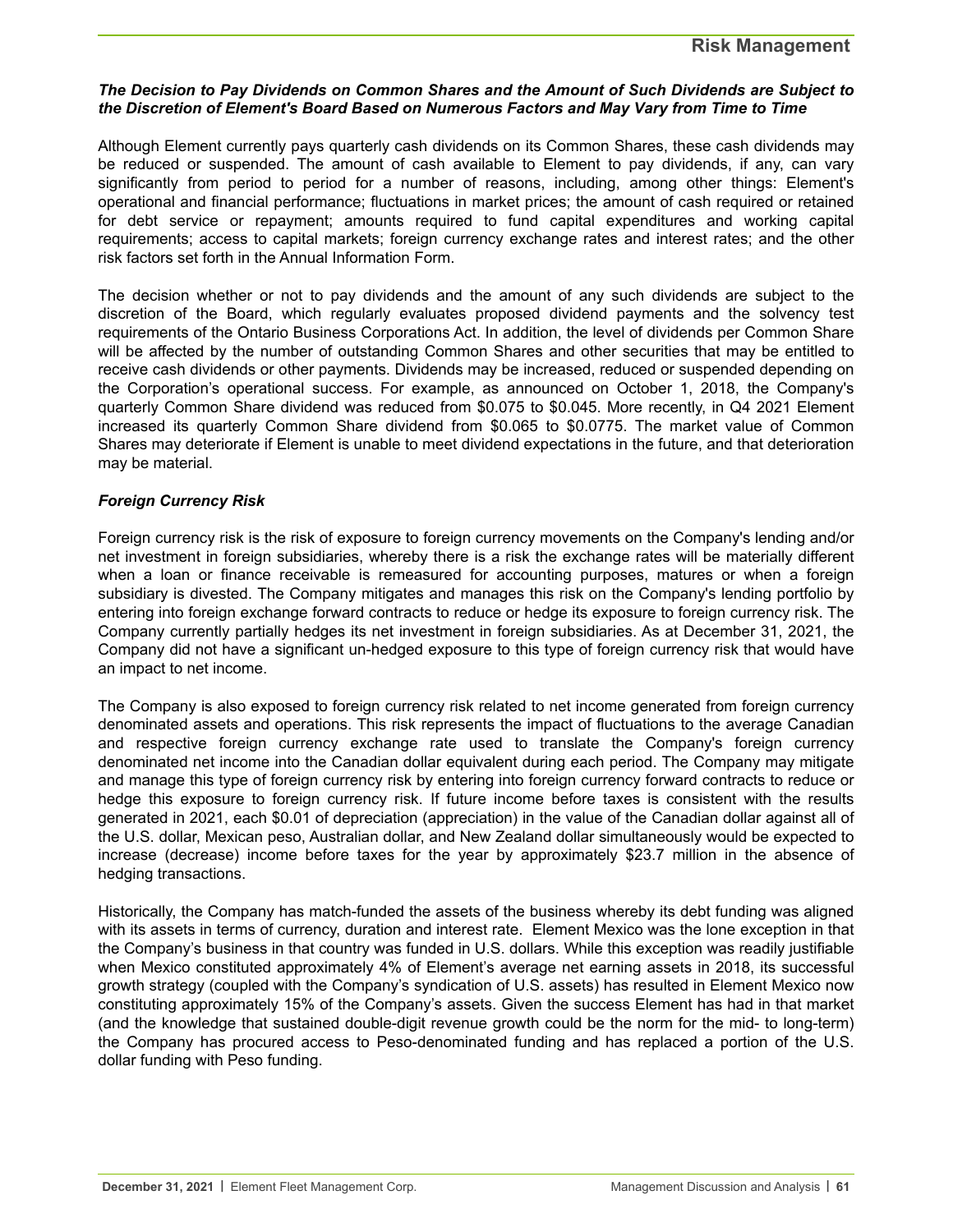#### **Risk Management**

#### *The Decision to Pay Dividends on Common Shares and the Amount of Such Dividends are Subject to the Discretion of Element's Board Based on Numerous Factors and May Vary from Time to Time*

Although Element currently pays quarterly cash dividends on its Common Shares, these cash dividends may be reduced or suspended. The amount of cash available to Element to pay dividends, if any, can vary significantly from period to period for a number of reasons, including, among other things: Element's operational and financial performance; fluctuations in market prices; the amount of cash required or retained for debt service or repayment; amounts required to fund capital expenditures and working capital requirements; access to capital markets; foreign currency exchange rates and interest rates; and the other risk factors set forth in the Annual Information Form.

The decision whether or not to pay dividends and the amount of any such dividends are subject to the discretion of the Board, which regularly evaluates proposed dividend payments and the solvency test requirements of the Ontario Business Corporations Act. In addition, the level of dividends per Common Share will be affected by the number of outstanding Common Shares and other securities that may be entitled to receive cash dividends or other payments. Dividends may be increased, reduced or suspended depending on the Corporation's operational success. For example, as announced on October 1, 2018, the Company's quarterly Common Share dividend was reduced from \$0.075 to \$0.045. More recently, in Q4 2021 Element increased its quarterly Common Share dividend from \$0.065 to \$0.0775. The market value of Common Shares may deteriorate if Element is unable to meet dividend expectations in the future, and that deterioration may be material.

#### *Foreign Currency Risk*

Foreign currency risk is the risk of exposure to foreign currency movements on the Company's lending and/or net investment in foreign subsidiaries, whereby there is a risk the exchange rates will be materially different when a loan or finance receivable is remeasured for accounting purposes, matures or when a foreign subsidiary is divested. The Company mitigates and manages this risk on the Company's lending portfolio by entering into foreign exchange forward contracts to reduce or hedge its exposure to foreign currency risk. The Company currently partially hedges its net investment in foreign subsidiaries. As at December 31, 2021, the Company did not have a significant un-hedged exposure to this type of foreign currency risk that would have an impact to net income.

The Company is also exposed to foreign currency risk related to net income generated from foreign currency denominated assets and operations. This risk represents the impact of fluctuations to the average Canadian and respective foreign currency exchange rate used to translate the Company's foreign currency denominated net income into the Canadian dollar equivalent during each period. The Company may mitigate and manage this type of foreign currency risk by entering into foreign currency forward contracts to reduce or hedge this exposure to foreign currency risk. If future income before taxes is consistent with the results generated in 2021, each \$0.01 of depreciation (appreciation) in the value of the Canadian dollar against all of the U.S. dollar, Mexican peso, Australian dollar, and New Zealand dollar simultaneously would be expected to increase (decrease) income before taxes for the year by approximately \$23.7 million in the absence of hedging transactions.

Historically, the Company has match-funded the assets of the business whereby its debt funding was aligned with its assets in terms of currency, duration and interest rate. Element Mexico was the lone exception in that the Company's business in that country was funded in U.S. dollars. While this exception was readily justifiable when Mexico constituted approximately 4% of Element's average net earning assets in 2018, its successful growth strategy (coupled with the Company's syndication of U.S. assets) has resulted in Element Mexico now constituting approximately 15% of the Company's assets. Given the success Element has had in that market (and the knowledge that sustained double-digit revenue growth could be the norm for the mid- to long-term) the Company has procured access to Peso-denominated funding and has replaced a portion of the U.S. dollar funding with Peso funding.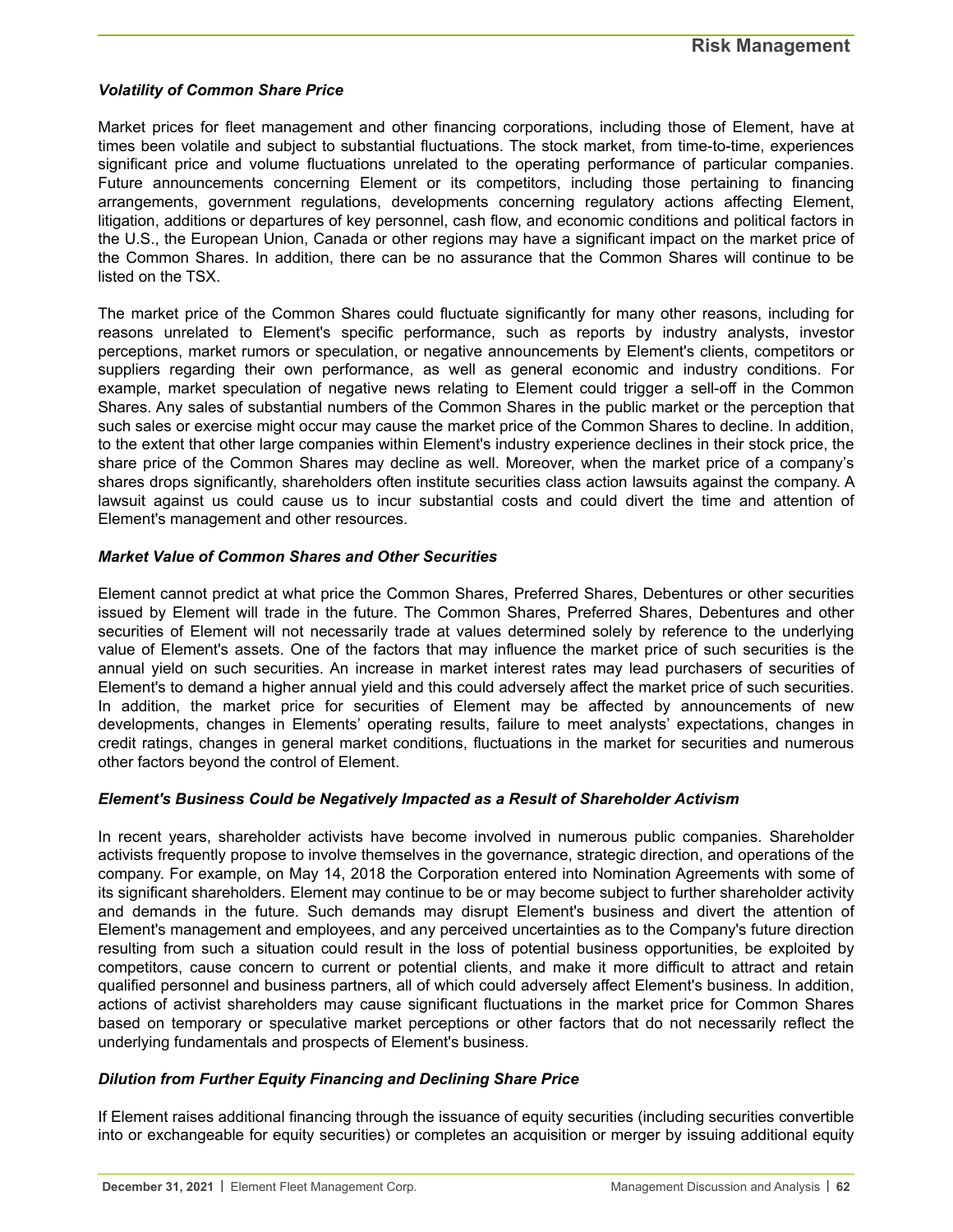#### *Volatility of Common Share Price*

Market prices for fleet management and other financing corporations, including those of Element, have at times been volatile and subject to substantial fluctuations. The stock market, from time-to-time, experiences significant price and volume fluctuations unrelated to the operating performance of particular companies. Future announcements concerning Element or its competitors, including those pertaining to financing arrangements, government regulations, developments concerning regulatory actions affecting Element, litigation, additions or departures of key personnel, cash flow, and economic conditions and political factors in the U.S., the European Union, Canada or other regions may have a significant impact on the market price of the Common Shares. In addition, there can be no assurance that the Common Shares will continue to be listed on the TSX.

The market price of the Common Shares could fluctuate significantly for many other reasons, including for reasons unrelated to Element's specific performance, such as reports by industry analysts, investor perceptions, market rumors or speculation, or negative announcements by Element's clients, competitors or suppliers regarding their own performance, as well as general economic and industry conditions. For example, market speculation of negative news relating to Element could trigger a sell-off in the Common Shares. Any sales of substantial numbers of the Common Shares in the public market or the perception that such sales or exercise might occur may cause the market price of the Common Shares to decline. In addition, to the extent that other large companies within Element's industry experience declines in their stock price, the share price of the Common Shares may decline as well. Moreover, when the market price of a company's shares drops significantly, shareholders often institute securities class action lawsuits against the company. A lawsuit against us could cause us to incur substantial costs and could divert the time and attention of Element's management and other resources.

#### *Market Value of Common Shares and Other Securities*

Element cannot predict at what price the Common Shares, Preferred Shares, Debentures or other securities issued by Element will trade in the future. The Common Shares, Preferred Shares, Debentures and other securities of Element will not necessarily trade at values determined solely by reference to the underlying value of Element's assets. One of the factors that may influence the market price of such securities is the annual yield on such securities. An increase in market interest rates may lead purchasers of securities of Element's to demand a higher annual yield and this could adversely affect the market price of such securities. In addition, the market price for securities of Element may be affected by announcements of new developments, changes in Elements' operating results, failure to meet analysts' expectations, changes in credit ratings, changes in general market conditions, fluctuations in the market for securities and numerous other factors beyond the control of Element.

#### *Element's Business Could be Negatively Impacted as a Result of Shareholder Activism*

In recent years, shareholder activists have become involved in numerous public companies. Shareholder activists frequently propose to involve themselves in the governance, strategic direction, and operations of the company. For example, on May 14, 2018 the Corporation entered into Nomination Agreements with some of its significant shareholders. Element may continue to be or may become subject to further shareholder activity and demands in the future. Such demands may disrupt Element's business and divert the attention of Element's management and employees, and any perceived uncertainties as to the Company's future direction resulting from such a situation could result in the loss of potential business opportunities, be exploited by competitors, cause concern to current or potential clients, and make it more difficult to attract and retain qualified personnel and business partners, all of which could adversely affect Element's business. In addition, actions of activist shareholders may cause significant fluctuations in the market price for Common Shares based on temporary or speculative market perceptions or other factors that do not necessarily reflect the underlying fundamentals and prospects of Element's business.

#### *Dilution from Further Equity Financing and Declining Share Price*

If Element raises additional financing through the issuance of equity securities (including securities convertible into or exchangeable for equity securities) or completes an acquisition or merger by issuing additional equity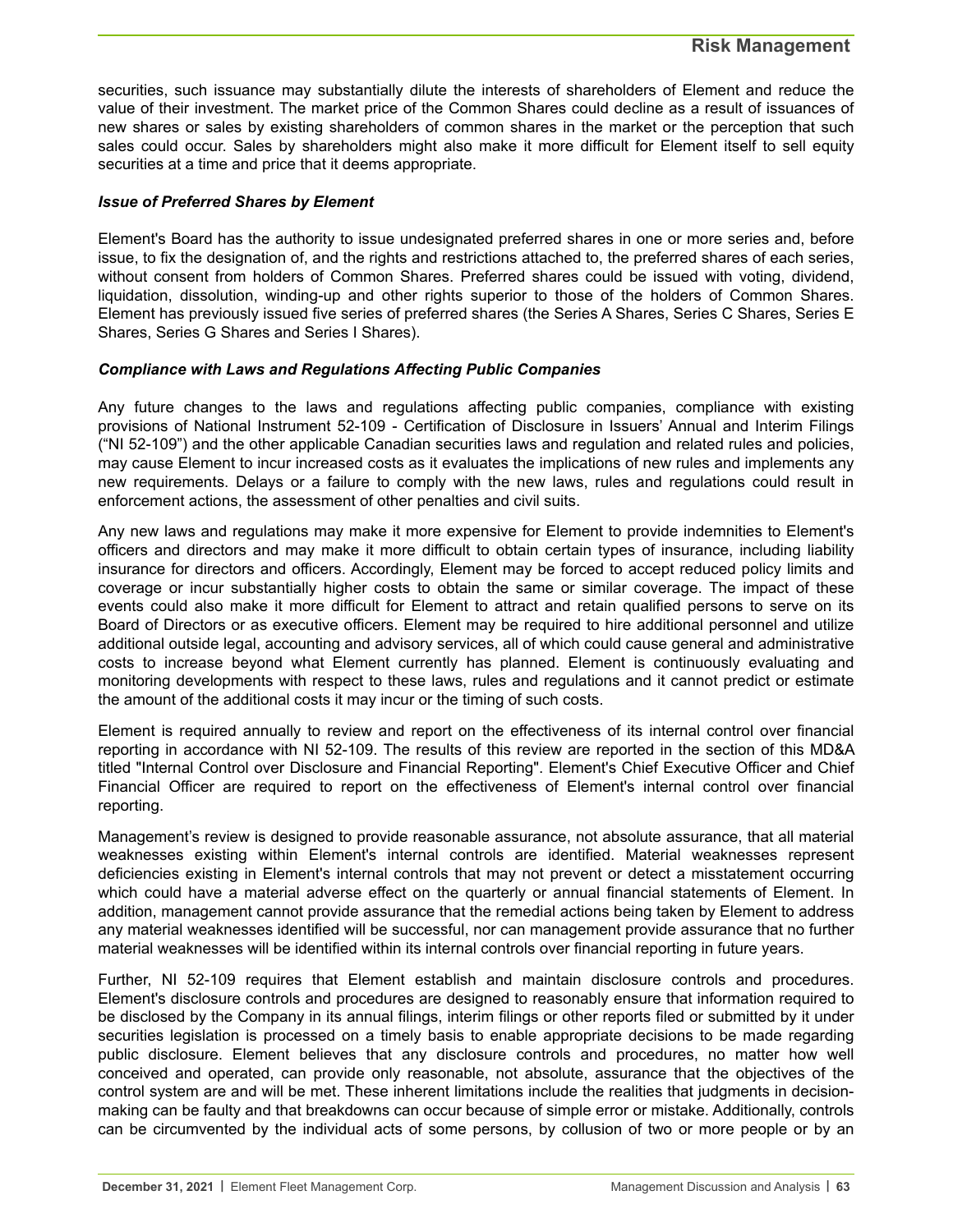securities, such issuance may substantially dilute the interests of shareholders of Element and reduce the value of their investment. The market price of the Common Shares could decline as a result of issuances of new shares or sales by existing shareholders of common shares in the market or the perception that such sales could occur. Sales by shareholders might also make it more difficult for Element itself to sell equity securities at a time and price that it deems appropriate.

#### *Issue of Preferred Shares by Element*

Element's Board has the authority to issue undesignated preferred shares in one or more series and, before issue, to fix the designation of, and the rights and restrictions attached to, the preferred shares of each series, without consent from holders of Common Shares. Preferred shares could be issued with voting, dividend, liquidation, dissolution, winding-up and other rights superior to those of the holders of Common Shares. Element has previously issued five series of preferred shares (the Series A Shares, Series C Shares, Series E Shares, Series G Shares and Series I Shares).

#### *Compliance with Laws and Regulations Affecting Public Companies*

Any future changes to the laws and regulations affecting public companies, compliance with existing provisions of National Instrument 52-109 - Certification of Disclosure in Issuers' Annual and Interim Filings ("NI 52-109") and the other applicable Canadian securities laws and regulation and related rules and policies, may cause Element to incur increased costs as it evaluates the implications of new rules and implements any new requirements. Delays or a failure to comply with the new laws, rules and regulations could result in enforcement actions, the assessment of other penalties and civil suits.

Any new laws and regulations may make it more expensive for Element to provide indemnities to Element's officers and directors and may make it more difficult to obtain certain types of insurance, including liability insurance for directors and officers. Accordingly, Element may be forced to accept reduced policy limits and coverage or incur substantially higher costs to obtain the same or similar coverage. The impact of these events could also make it more difficult for Element to attract and retain qualified persons to serve on its Board of Directors or as executive officers. Element may be required to hire additional personnel and utilize additional outside legal, accounting and advisory services, all of which could cause general and administrative costs to increase beyond what Element currently has planned. Element is continuously evaluating and monitoring developments with respect to these laws, rules and regulations and it cannot predict or estimate the amount of the additional costs it may incur or the timing of such costs.

Element is required annually to review and report on the effectiveness of its internal control over financial reporting in accordance with NI 52-109. The results of this review are reported in the section of this MD&A titled "Internal Control over Disclosure and Financial Reporting". Element's Chief Executive Officer and Chief Financial Officer are required to report on the effectiveness of Element's internal control over financial reporting.

Management's review is designed to provide reasonable assurance, not absolute assurance, that all material weaknesses existing within Element's internal controls are identified. Material weaknesses represent deficiencies existing in Element's internal controls that may not prevent or detect a misstatement occurring which could have a material adverse effect on the quarterly or annual financial statements of Element. In addition, management cannot provide assurance that the remedial actions being taken by Element to address any material weaknesses identified will be successful, nor can management provide assurance that no further material weaknesses will be identified within its internal controls over financial reporting in future years.

Further, NI 52-109 requires that Element establish and maintain disclosure controls and procedures. Element's disclosure controls and procedures are designed to reasonably ensure that information required to be disclosed by the Company in its annual filings, interim filings or other reports filed or submitted by it under securities legislation is processed on a timely basis to enable appropriate decisions to be made regarding public disclosure. Element believes that any disclosure controls and procedures, no matter how well conceived and operated, can provide only reasonable, not absolute, assurance that the objectives of the control system are and will be met. These inherent limitations include the realities that judgments in decisionmaking can be faulty and that breakdowns can occur because of simple error or mistake. Additionally, controls can be circumvented by the individual acts of some persons, by collusion of two or more people or by an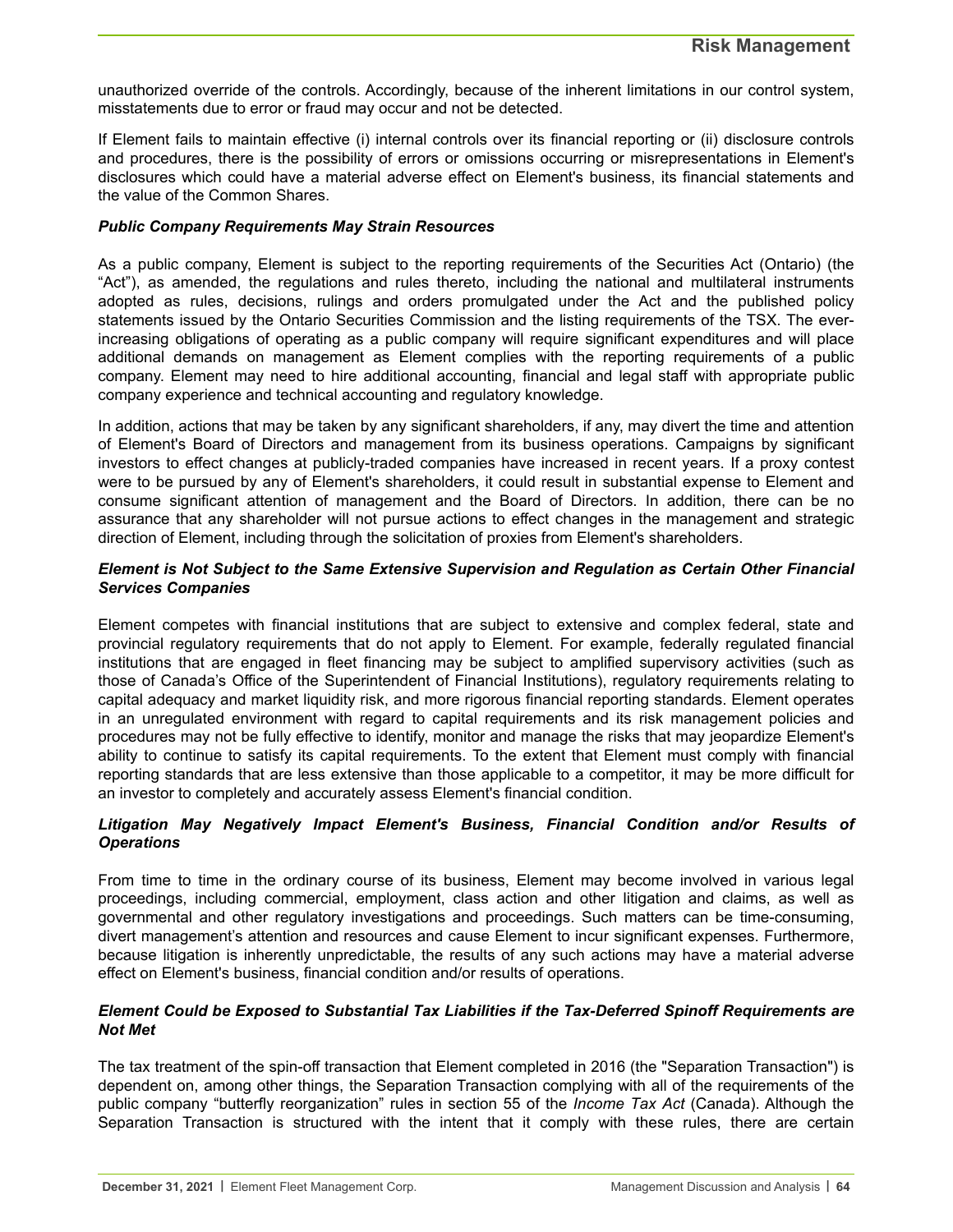unauthorized override of the controls. Accordingly, because of the inherent limitations in our control system, misstatements due to error or fraud may occur and not be detected.

If Element fails to maintain effective (i) internal controls over its financial reporting or (ii) disclosure controls and procedures, there is the possibility of errors or omissions occurring or misrepresentations in Element's disclosures which could have a material adverse effect on Element's business, its financial statements and the value of the Common Shares.

#### *Public Company Requirements May Strain Resources*

As a public company, Element is subject to the reporting requirements of the Securities Act (Ontario) (the "Act"), as amended, the regulations and rules thereto, including the national and multilateral instruments adopted as rules, decisions, rulings and orders promulgated under the Act and the published policy statements issued by the Ontario Securities Commission and the listing requirements of the TSX. The everincreasing obligations of operating as a public company will require significant expenditures and will place additional demands on management as Element complies with the reporting requirements of a public company. Element may need to hire additional accounting, financial and legal staff with appropriate public company experience and technical accounting and regulatory knowledge.

In addition, actions that may be taken by any significant shareholders, if any, may divert the time and attention of Element's Board of Directors and management from its business operations. Campaigns by significant investors to effect changes at publicly-traded companies have increased in recent years. If a proxy contest were to be pursued by any of Element's shareholders, it could result in substantial expense to Element and consume significant attention of management and the Board of Directors. In addition, there can be no assurance that any shareholder will not pursue actions to effect changes in the management and strategic direction of Element, including through the solicitation of proxies from Element's shareholders.

#### *Element is Not Subject to the Same Extensive Supervision and Regulation as Certain Other Financial Services Companies*

Element competes with financial institutions that are subject to extensive and complex federal, state and provincial regulatory requirements that do not apply to Element. For example, federally regulated financial institutions that are engaged in fleet financing may be subject to amplified supervisory activities (such as those of Canada's Office of the Superintendent of Financial Institutions), regulatory requirements relating to capital adequacy and market liquidity risk, and more rigorous financial reporting standards. Element operates in an unregulated environment with regard to capital requirements and its risk management policies and procedures may not be fully effective to identify, monitor and manage the risks that may jeopardize Element's ability to continue to satisfy its capital requirements. To the extent that Element must comply with financial reporting standards that are less extensive than those applicable to a competitor, it may be more difficult for an investor to completely and accurately assess Element's financial condition.

#### *Litigation May Negatively Impact Element's Business, Financial Condition and/or Results of Operations*

From time to time in the ordinary course of its business, Element may become involved in various legal proceedings, including commercial, employment, class action and other litigation and claims, as well as governmental and other regulatory investigations and proceedings. Such matters can be time-consuming, divert management's attention and resources and cause Element to incur significant expenses. Furthermore, because litigation is inherently unpredictable, the results of any such actions may have a material adverse effect on Element's business, financial condition and/or results of operations.

#### *Element Could be Exposed to Substantial Tax Liabilities if the Tax-Deferred Spinoff Requirements are Not Met*

The tax treatment of the spin-off transaction that Element completed in 2016 (the "Separation Transaction") is dependent on, among other things, the Separation Transaction complying with all of the requirements of the public company "butterfly reorganization" rules in section 55 of the *Income Tax Act* (Canada). Although the Separation Transaction is structured with the intent that it comply with these rules, there are certain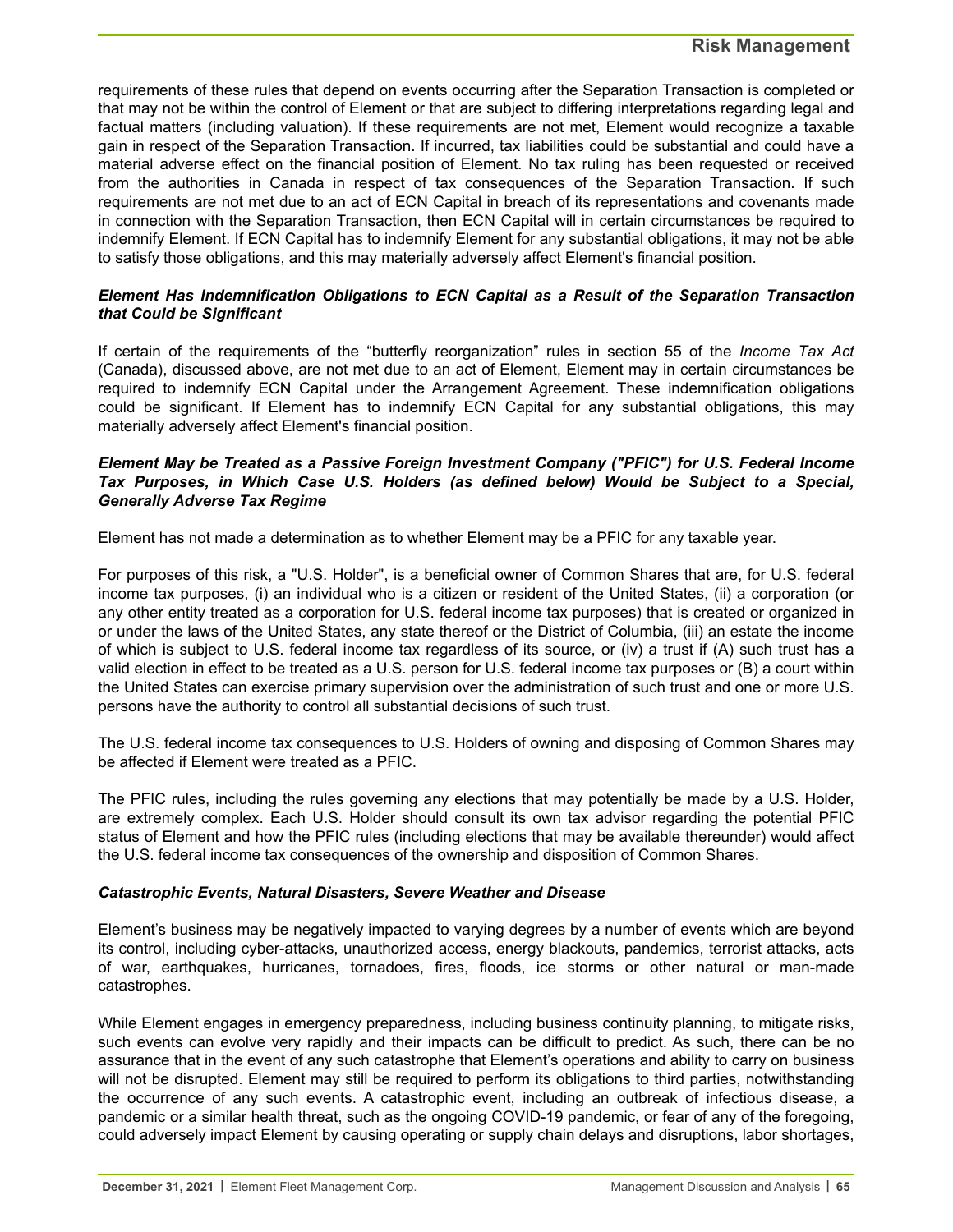requirements of these rules that depend on events occurring after the Separation Transaction is completed or that may not be within the control of Element or that are subject to differing interpretations regarding legal and factual matters (including valuation). If these requirements are not met, Element would recognize a taxable gain in respect of the Separation Transaction. If incurred, tax liabilities could be substantial and could have a material adverse effect on the financial position of Element. No tax ruling has been requested or received from the authorities in Canada in respect of tax consequences of the Separation Transaction. If such requirements are not met due to an act of ECN Capital in breach of its representations and covenants made in connection with the Separation Transaction, then ECN Capital will in certain circumstances be required to indemnify Element. If ECN Capital has to indemnify Element for any substantial obligations, it may not be able to satisfy those obligations, and this may materially adversely affect Element's financial position.

#### *Element Has Indemnification Obligations to ECN Capital as a Result of the Separation Transaction that Could be Significant*

If certain of the requirements of the "butterfly reorganization" rules in section 55 of the *Income Tax Act* (Canada), discussed above, are not met due to an act of Element, Element may in certain circumstances be required to indemnify ECN Capital under the Arrangement Agreement. These indemnification obligations could be significant. If Element has to indemnify ECN Capital for any substantial obligations, this may materially adversely affect Element's financial position.

#### *Element May be Treated as a Passive Foreign Investment Company ("PFIC") for U.S. Federal Income Tax Purposes, in Which Case U.S. Holders (as defined below) Would be Subject to a Special, Generally Adverse Tax Regime*

Element has not made a determination as to whether Element may be a PFIC for any taxable year.

For purposes of this risk, a "U.S. Holder", is a beneficial owner of Common Shares that are, for U.S. federal income tax purposes, (i) an individual who is a citizen or resident of the United States, (ii) a corporation (or any other entity treated as a corporation for U.S. federal income tax purposes) that is created or organized in or under the laws of the United States, any state thereof or the District of Columbia, (iii) an estate the income of which is subject to U.S. federal income tax regardless of its source, or (iv) a trust if (A) such trust has a valid election in effect to be treated as a U.S. person for U.S. federal income tax purposes or (B) a court within the United States can exercise primary supervision over the administration of such trust and one or more U.S. persons have the authority to control all substantial decisions of such trust.

The U.S. federal income tax consequences to U.S. Holders of owning and disposing of Common Shares may be affected if Element were treated as a PFIC.

The PFIC rules, including the rules governing any elections that may potentially be made by a U.S. Holder, are extremely complex. Each U.S. Holder should consult its own tax advisor regarding the potential PFIC status of Element and how the PFIC rules (including elections that may be available thereunder) would affect the U.S. federal income tax consequences of the ownership and disposition of Common Shares.

#### *Catastrophic Events, Natural Disasters, Severe Weather and Disease*

Element's business may be negatively impacted to varying degrees by a number of events which are beyond its control, including cyber-attacks, unauthorized access, energy blackouts, pandemics, terrorist attacks, acts of war, earthquakes, hurricanes, tornadoes, fires, floods, ice storms or other natural or man-made catastrophes.

While Element engages in emergency preparedness, including business continuity planning, to mitigate risks, such events can evolve very rapidly and their impacts can be difficult to predict. As such, there can be no assurance that in the event of any such catastrophe that Element's operations and ability to carry on business will not be disrupted. Element may still be required to perform its obligations to third parties, notwithstanding the occurrence of any such events. A catastrophic event, including an outbreak of infectious disease, a pandemic or a similar health threat, such as the ongoing COVID-19 pandemic, or fear of any of the foregoing, could adversely impact Element by causing operating or supply chain delays and disruptions, labor shortages,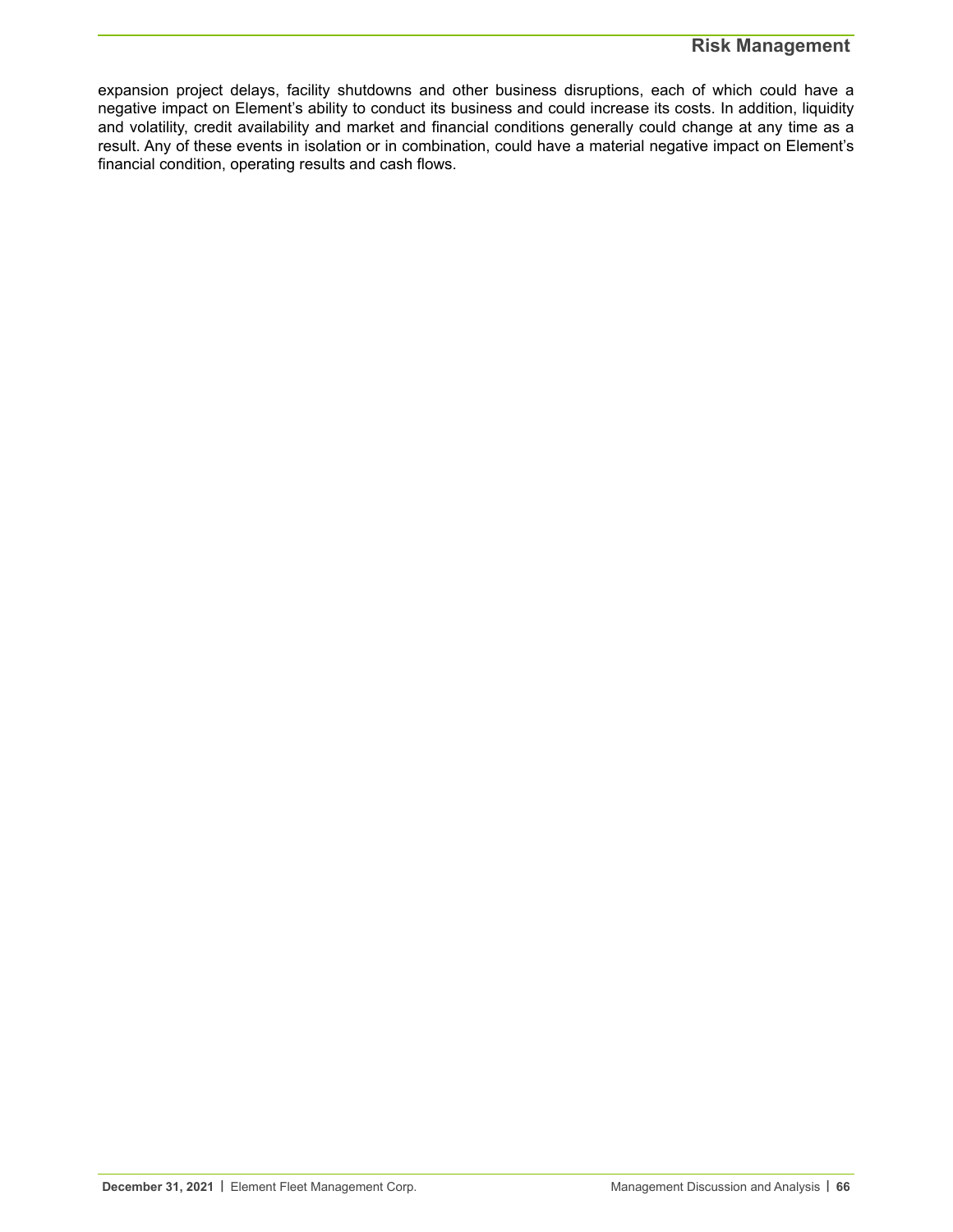### **Risk Management**

expansion project delays, facility shutdowns and other business disruptions, each of which could have a negative impact on Element's ability to conduct its business and could increase its costs. In addition, liquidity and volatility, credit availability and market and financial conditions generally could change at any time as a result. Any of these events in isolation or in combination, could have a material negative impact on Element's financial condition, operating results and cash flows.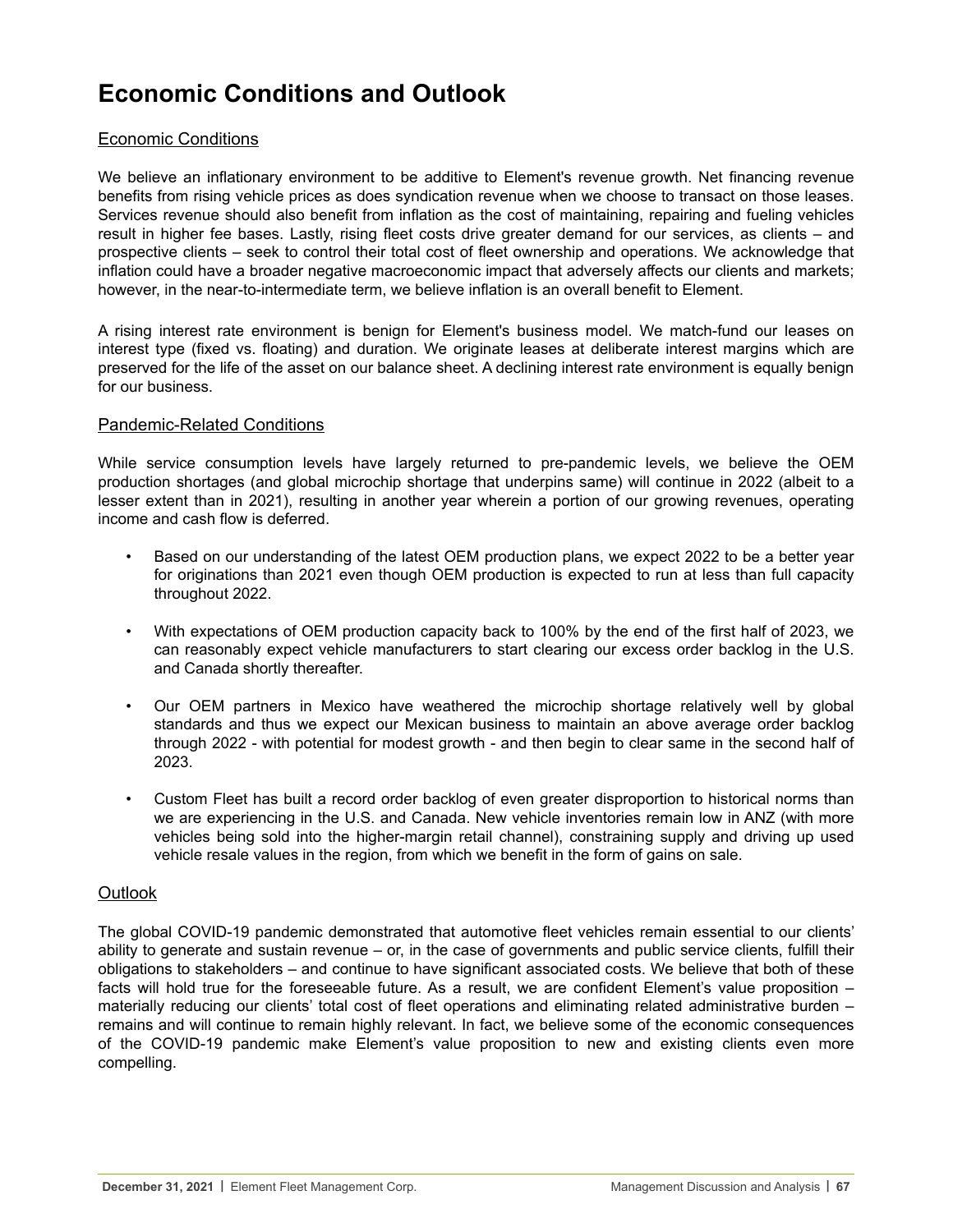# **Economic Conditions and Outlook**

### Economic Conditions

We believe an inflationary environment to be additive to Element's revenue growth. Net financing revenue benefits from rising vehicle prices as does syndication revenue when we choose to transact on those leases. Services revenue should also benefit from inflation as the cost of maintaining, repairing and fueling vehicles result in higher fee bases. Lastly, rising fleet costs drive greater demand for our services, as clients – and prospective clients – seek to control their total cost of fleet ownership and operations. We acknowledge that inflation could have a broader negative macroeconomic impact that adversely affects our clients and markets; however, in the near-to-intermediate term, we believe inflation is an overall benefit to Element.

A rising interest rate environment is benign for Element's business model. We match-fund our leases on interest type (fixed vs. floating) and duration. We originate leases at deliberate interest margins which are preserved for the life of the asset on our balance sheet. A declining interest rate environment is equally benign for our business.

#### Pandemic-Related Conditions

While service consumption levels have largely returned to pre-pandemic levels, we believe the OEM production shortages (and global microchip shortage that underpins same) will continue in 2022 (albeit to a lesser extent than in 2021), resulting in another year wherein a portion of our growing revenues, operating income and cash flow is deferred.

- Based on our understanding of the latest OEM production plans, we expect 2022 to be a better year for originations than 2021 even though OEM production is expected to run at less than full capacity throughout 2022.
- With expectations of OEM production capacity back to 100% by the end of the first half of 2023, we can reasonably expect vehicle manufacturers to start clearing our excess order backlog in the U.S. and Canada shortly thereafter.
- Our OEM partners in Mexico have weathered the microchip shortage relatively well by global standards and thus we expect our Mexican business to maintain an above average order backlog through 2022 - with potential for modest growth - and then begin to clear same in the second half of 2023.
- Custom Fleet has built a record order backlog of even greater disproportion to historical norms than we are experiencing in the U.S. and Canada. New vehicle inventories remain low in ANZ (with more vehicles being sold into the higher-margin retail channel), constraining supply and driving up used vehicle resale values in the region, from which we benefit in the form of gains on sale.

#### **Outlook**

The global COVID-19 pandemic demonstrated that automotive fleet vehicles remain essential to our clients' ability to generate and sustain revenue – or, in the case of governments and public service clients, fulfill their obligations to stakeholders – and continue to have significant associated costs. We believe that both of these facts will hold true for the foreseeable future. As a result, we are confident Element's value proposition – materially reducing our clients' total cost of fleet operations and eliminating related administrative burden – remains and will continue to remain highly relevant. In fact, we believe some of the economic consequences of the COVID-19 pandemic make Element's value proposition to new and existing clients even more compelling.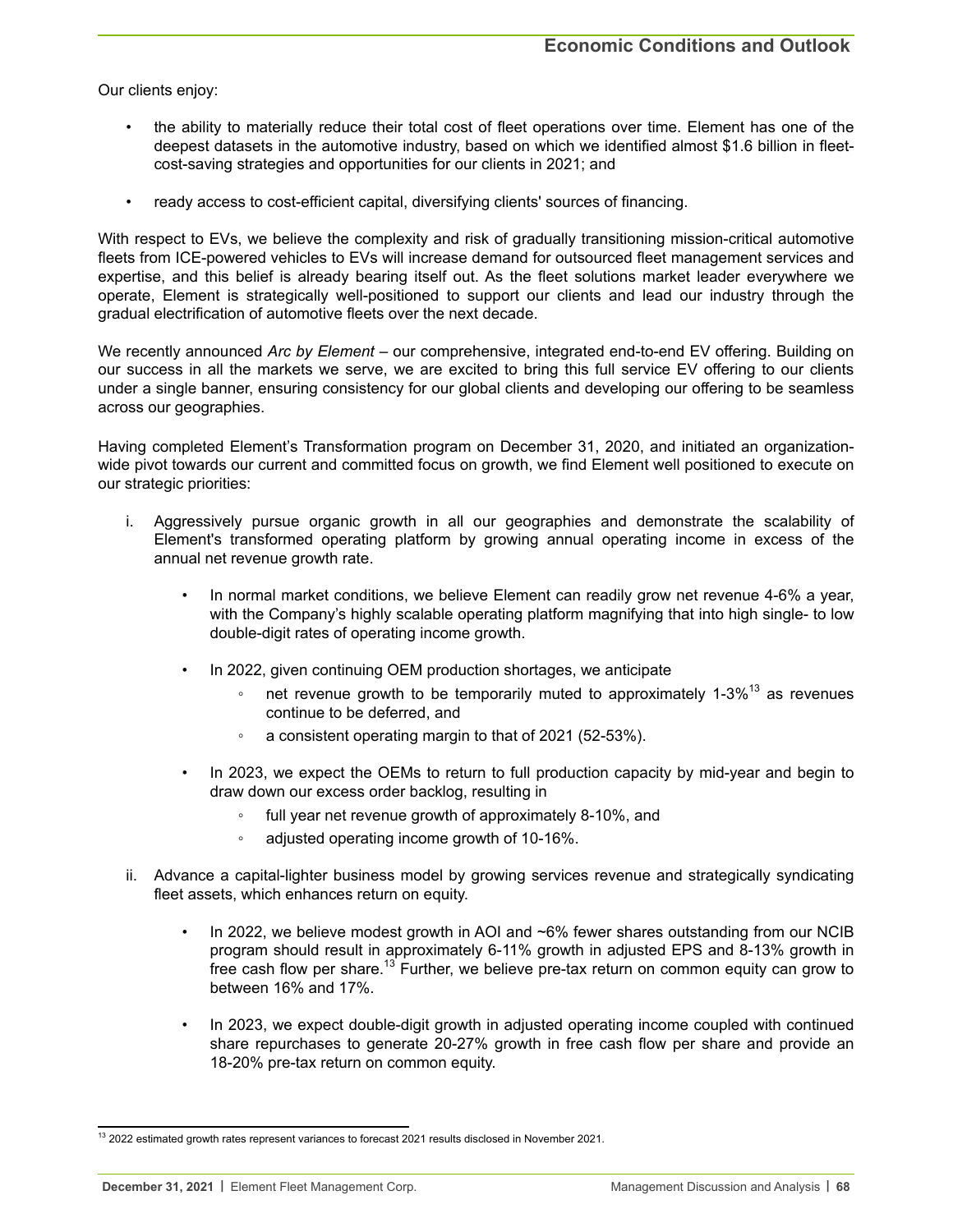Our clients enjoy:

- the ability to materially reduce their total cost of fleet operations over time. Element has one of the deepest datasets in the automotive industry, based on which we identified almost \$1.6 billion in fleetcost-saving strategies and opportunities for our clients in 2021; and
- ready access to cost-efficient capital, diversifying clients' sources of financing.

With respect to EVs, we believe the complexity and risk of gradually transitioning mission-critical automotive fleets from ICE-powered vehicles to EVs will increase demand for outsourced fleet management services and expertise, and this belief is already bearing itself out. As the fleet solutions market leader everywhere we operate, Element is strategically well-positioned to support our clients and lead our industry through the gradual electrification of automotive fleets over the next decade.

We recently announced *Arc by Element* – our comprehensive, integrated end-to-end EV offering. Building on our success in all the markets we serve, we are excited to bring this full service EV offering to our clients under a single banner, ensuring consistency for our global clients and developing our offering to be seamless across our geographies.

Having completed Element's Transformation program on December 31, 2020, and initiated an organizationwide pivot towards our current and committed focus on growth, we find Element well positioned to execute on our strategic priorities:

- i. Aggressively pursue organic growth in all our geographies and demonstrate the scalability of Element's transformed operating platform by growing annual operating income in excess of the annual net revenue growth rate.
	- In normal market conditions, we believe Element can readily grow net revenue 4-6% a year, with the Company's highly scalable operating platform magnifying that into high single- to low double-digit rates of operating income growth.
	- In 2022, given continuing OEM production shortages, we anticipate
		- net revenue growth to be temporarily muted to approximately 1-3%<sup>13</sup> as revenues continue to be deferred, and
		- a consistent operating margin to that of 2021 (52-53%).
	- In 2023, we expect the OEMs to return to full production capacity by mid-year and begin to draw down our excess order backlog, resulting in
		- full year net revenue growth of approximately 8-10%, and
		- adjusted operating income growth of 10-16%.
- ii. Advance a capital-lighter business model by growing services revenue and strategically syndicating fleet assets, which enhances return on equity.
	- In 2022, we believe modest growth in AOI and ~6% fewer shares outstanding from our NCIB program should result in approximately 6-11% growth in adjusted EPS and 8-13% growth in free cash flow per share.<sup>13</sup> Further, we believe pre-tax return on common equity can grow to between 16% and 17%.
	- In 2023, we expect double-digit growth in adjusted operating income coupled with continued share repurchases to generate 20-27% growth in free cash flow per share and provide an 18-20% pre-tax return on common equity.

<sup>&</sup>lt;sup>13</sup> 2022 estimated growth rates represent variances to forecast 2021 results disclosed in November 2021.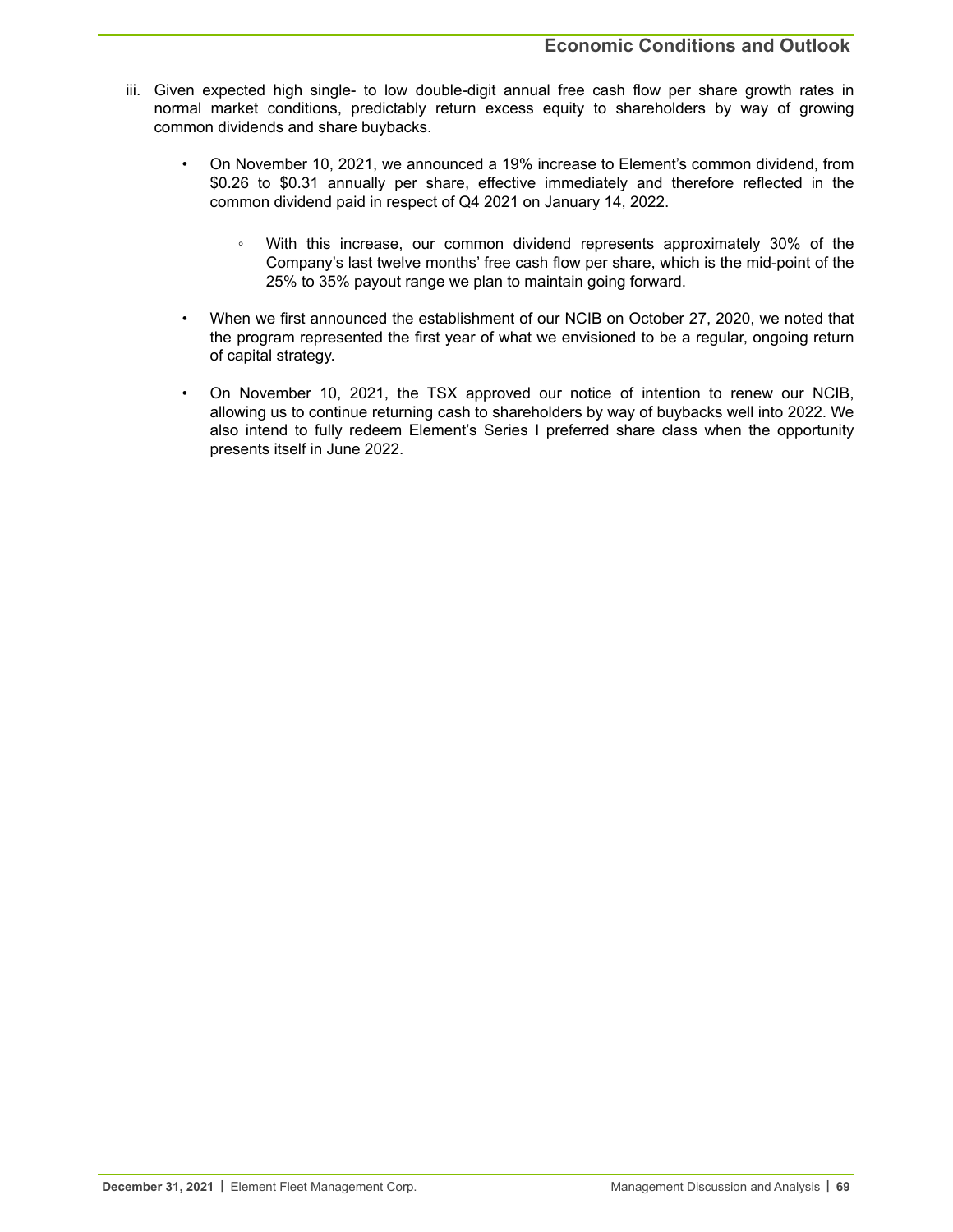- iii. Given expected high single- to low double-digit annual free cash flow per share growth rates in normal market conditions, predictably return excess equity to shareholders by way of growing common dividends and share buybacks.
	- On November 10, 2021, we announced a 19% increase to Element's common dividend, from \$0.26 to \$0.31 annually per share, effective immediately and therefore reflected in the common dividend paid in respect of Q4 2021 on January 14, 2022.
		- With this increase, our common dividend represents approximately 30% of the Company's last twelve months' free cash flow per share, which is the mid-point of the 25% to 35% payout range we plan to maintain going forward.
	- When we first announced the establishment of our NCIB on October 27, 2020, we noted that the program represented the first year of what we envisioned to be a regular, ongoing return of capital strategy.
	- On November 10, 2021, the TSX approved our notice of intention to renew our NCIB, allowing us to continue returning cash to shareholders by way of buybacks well into 2022. We also intend to fully redeem Element's Series I preferred share class when the opportunity presents itself in June 2022.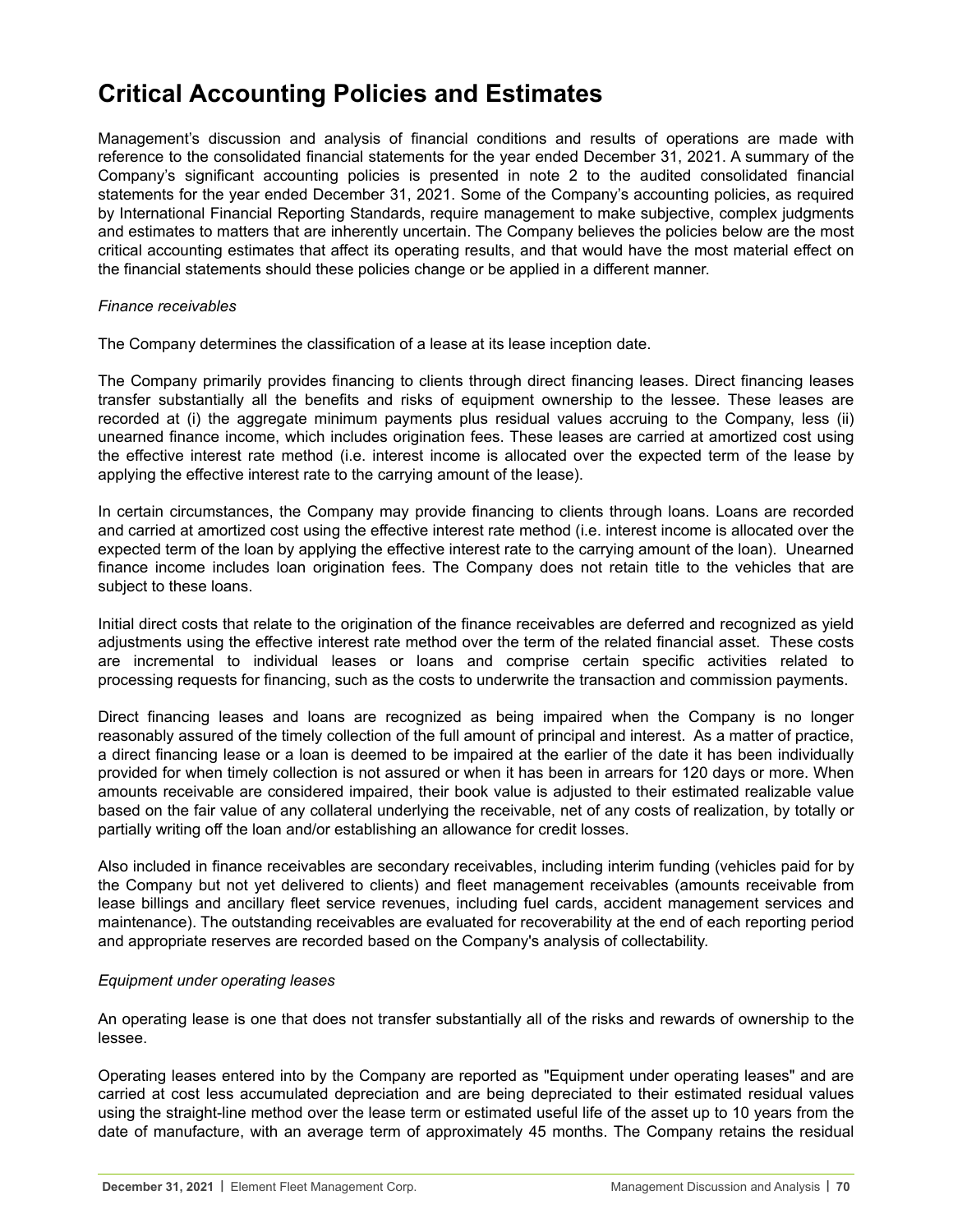# **Critical Accounting Policies and Estimates**

Management's discussion and analysis of financial conditions and results of operations are made with reference to the consolidated financial statements for the year ended December 31, 2021. A summary of the Company's significant accounting policies is presented in note 2 to the audited consolidated financial statements for the year ended December 31, 2021. Some of the Company's accounting policies, as required by International Financial Reporting Standards, require management to make subjective, complex judgments and estimates to matters that are inherently uncertain. The Company believes the policies below are the most critical accounting estimates that affect its operating results, and that would have the most material effect on the financial statements should these policies change or be applied in a different manner.

#### *Finance receivables*

The Company determines the classification of a lease at its lease inception date.

The Company primarily provides financing to clients through direct financing leases. Direct financing leases transfer substantially all the benefits and risks of equipment ownership to the lessee. These leases are recorded at (i) the aggregate minimum payments plus residual values accruing to the Company, less (ii) unearned finance income, which includes origination fees. These leases are carried at amortized cost using the effective interest rate method (i.e. interest income is allocated over the expected term of the lease by applying the effective interest rate to the carrying amount of the lease).

In certain circumstances, the Company may provide financing to clients through loans. Loans are recorded and carried at amortized cost using the effective interest rate method (i.e. interest income is allocated over the expected term of the loan by applying the effective interest rate to the carrying amount of the loan). Unearned finance income includes loan origination fees. The Company does not retain title to the vehicles that are subject to these loans.

Initial direct costs that relate to the origination of the finance receivables are deferred and recognized as yield adjustments using the effective interest rate method over the term of the related financial asset. These costs are incremental to individual leases or loans and comprise certain specific activities related to processing requests for financing, such as the costs to underwrite the transaction and commission payments.

Direct financing leases and loans are recognized as being impaired when the Company is no longer reasonably assured of the timely collection of the full amount of principal and interest. As a matter of practice, a direct financing lease or a loan is deemed to be impaired at the earlier of the date it has been individually provided for when timely collection is not assured or when it has been in arrears for 120 days or more. When amounts receivable are considered impaired, their book value is adjusted to their estimated realizable value based on the fair value of any collateral underlying the receivable, net of any costs of realization, by totally or partially writing off the loan and/or establishing an allowance for credit losses.

Also included in finance receivables are secondary receivables, including interim funding (vehicles paid for by the Company but not yet delivered to clients) and fleet management receivables (amounts receivable from lease billings and ancillary fleet service revenues, including fuel cards, accident management services and maintenance). The outstanding receivables are evaluated for recoverability at the end of each reporting period and appropriate reserves are recorded based on the Company's analysis of collectability.

#### *Equipment under operating leases*

An operating lease is one that does not transfer substantially all of the risks and rewards of ownership to the lessee.

Operating leases entered into by the Company are reported as "Equipment under operating leases" and are carried at cost less accumulated depreciation and are being depreciated to their estimated residual values using the straight-line method over the lease term or estimated useful life of the asset up to 10 years from the date of manufacture, with an average term of approximately 45 months. The Company retains the residual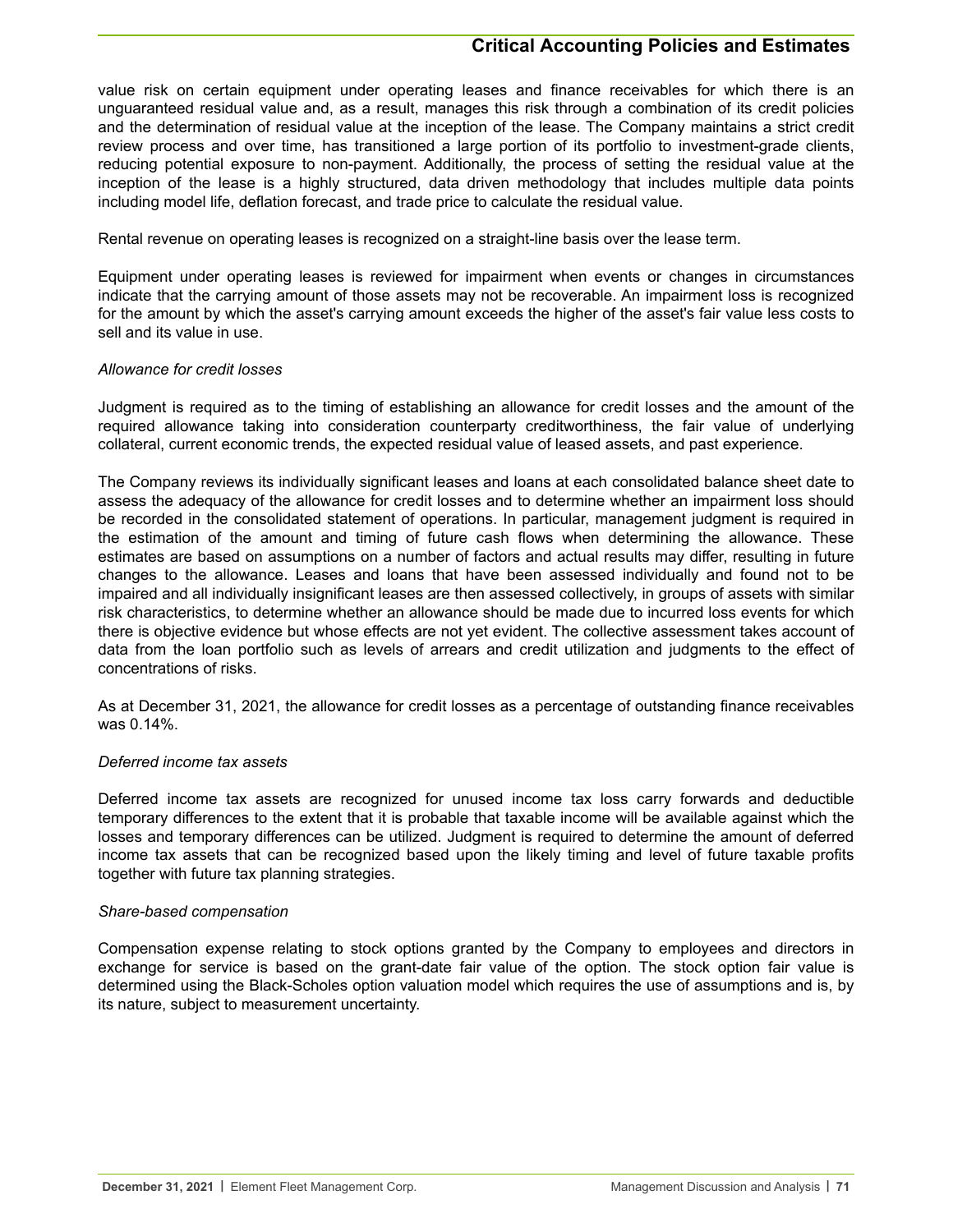### **Critical Accounting Policies and Estimates**

value risk on certain equipment under operating leases and finance receivables for which there is an unguaranteed residual value and, as a result, manages this risk through a combination of its credit policies and the determination of residual value at the inception of the lease. The Company maintains a strict credit review process and over time, has transitioned a large portion of its portfolio to investment-grade clients, reducing potential exposure to non-payment. Additionally, the process of setting the residual value at the inception of the lease is a highly structured, data driven methodology that includes multiple data points including model life, deflation forecast, and trade price to calculate the residual value.

Rental revenue on operating leases is recognized on a straight-line basis over the lease term.

Equipment under operating leases is reviewed for impairment when events or changes in circumstances indicate that the carrying amount of those assets may not be recoverable. An impairment loss is recognized for the amount by which the asset's carrying amount exceeds the higher of the asset's fair value less costs to sell and its value in use.

#### *Allowance for credit losses*

Judgment is required as to the timing of establishing an allowance for credit losses and the amount of the required allowance taking into consideration counterparty creditworthiness, the fair value of underlying collateral, current economic trends, the expected residual value of leased assets, and past experience.

The Company reviews its individually significant leases and loans at each consolidated balance sheet date to assess the adequacy of the allowance for credit losses and to determine whether an impairment loss should be recorded in the consolidated statement of operations. In particular, management judgment is required in the estimation of the amount and timing of future cash flows when determining the allowance. These estimates are based on assumptions on a number of factors and actual results may differ, resulting in future changes to the allowance. Leases and loans that have been assessed individually and found not to be impaired and all individually insignificant leases are then assessed collectively, in groups of assets with similar risk characteristics, to determine whether an allowance should be made due to incurred loss events for which there is objective evidence but whose effects are not yet evident. The collective assessment takes account of data from the loan portfolio such as levels of arrears and credit utilization and judgments to the effect of concentrations of risks.

As at December 31, 2021, the allowance for credit losses as a percentage of outstanding finance receivables was 0.14%.

#### *Deferred income tax assets*

Deferred income tax assets are recognized for unused income tax loss carry forwards and deductible temporary differences to the extent that it is probable that taxable income will be available against which the losses and temporary differences can be utilized. Judgment is required to determine the amount of deferred income tax assets that can be recognized based upon the likely timing and level of future taxable profits together with future tax planning strategies.

#### *Share-based compensation*

Compensation expense relating to stock options granted by the Company to employees and directors in exchange for service is based on the grant-date fair value of the option. The stock option fair value is determined using the Black-Scholes option valuation model which requires the use of assumptions and is, by its nature, subject to measurement uncertainty.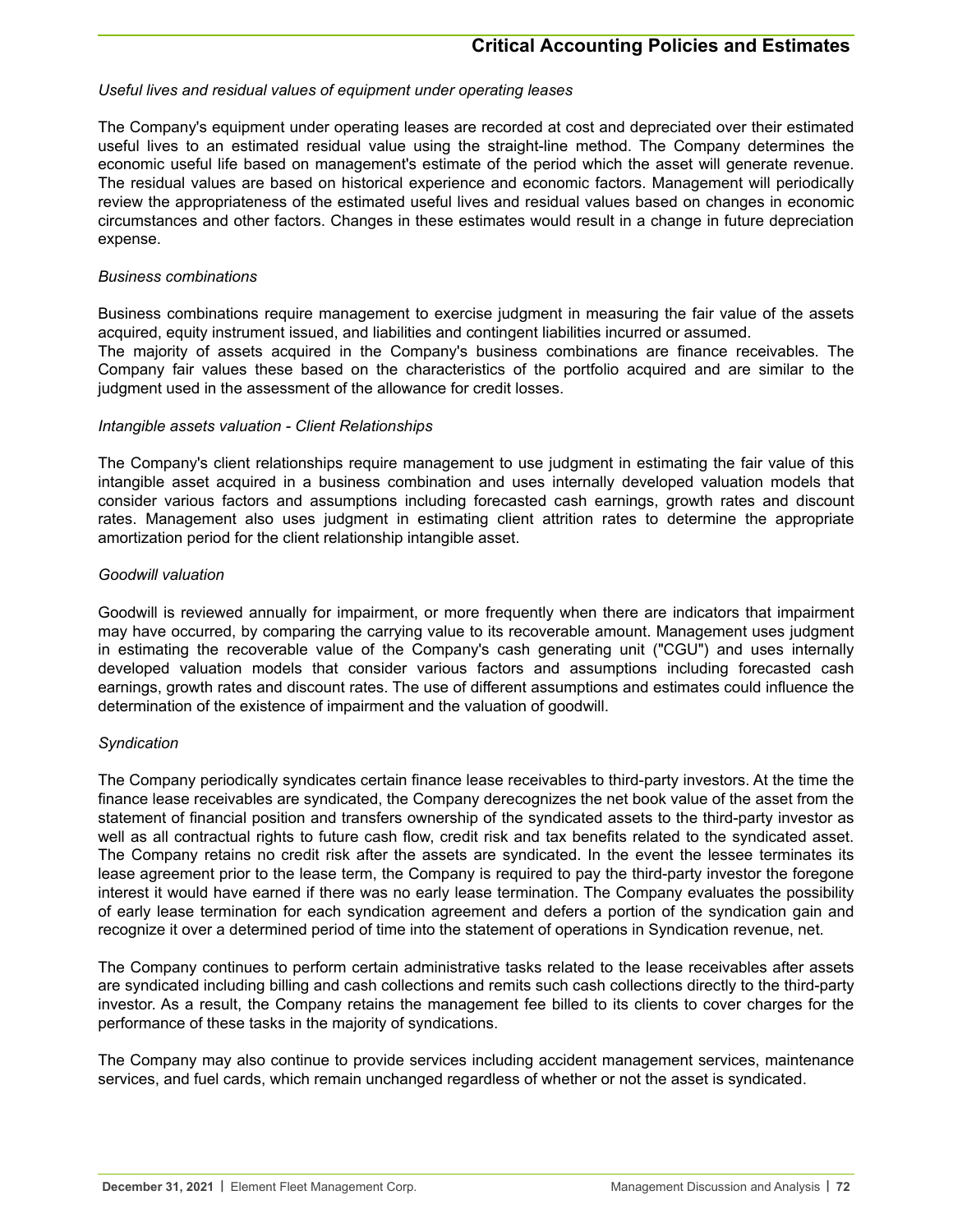#### *Useful lives and residual values of equipment under operating leases*

The Company's equipment under operating leases are recorded at cost and depreciated over their estimated useful lives to an estimated residual value using the straight-line method. The Company determines the economic useful life based on management's estimate of the period which the asset will generate revenue. The residual values are based on historical experience and economic factors. Management will periodically review the appropriateness of the estimated useful lives and residual values based on changes in economic circumstances and other factors. Changes in these estimates would result in a change in future depreciation expense.

#### *Business combinations*

Business combinations require management to exercise judgment in measuring the fair value of the assets acquired, equity instrument issued, and liabilities and contingent liabilities incurred or assumed.

The majority of assets acquired in the Company's business combinations are finance receivables. The Company fair values these based on the characteristics of the portfolio acquired and are similar to the judgment used in the assessment of the allowance for credit losses.

#### *Intangible assets valuation - Client Relationships*

The Company's client relationships require management to use judgment in estimating the fair value of this intangible asset acquired in a business combination and uses internally developed valuation models that consider various factors and assumptions including forecasted cash earnings, growth rates and discount rates. Management also uses judgment in estimating client attrition rates to determine the appropriate amortization period for the client relationship intangible asset.

#### *Goodwill valuation*

Goodwill is reviewed annually for impairment, or more frequently when there are indicators that impairment may have occurred, by comparing the carrying value to its recoverable amount. Management uses judgment in estimating the recoverable value of the Company's cash generating unit ("CGU") and uses internally developed valuation models that consider various factors and assumptions including forecasted cash earnings, growth rates and discount rates. The use of different assumptions and estimates could influence the determination of the existence of impairment and the valuation of goodwill.

#### *Syndication*

The Company periodically syndicates certain finance lease receivables to third-party investors. At the time the finance lease receivables are syndicated, the Company derecognizes the net book value of the asset from the statement of financial position and transfers ownership of the syndicated assets to the third-party investor as well as all contractual rights to future cash flow, credit risk and tax benefits related to the syndicated asset. The Company retains no credit risk after the assets are syndicated. In the event the lessee terminates its lease agreement prior to the lease term, the Company is required to pay the third-party investor the foregone interest it would have earned if there was no early lease termination. The Company evaluates the possibility of early lease termination for each syndication agreement and defers a portion of the syndication gain and recognize it over a determined period of time into the statement of operations in Syndication revenue, net.

The Company continues to perform certain administrative tasks related to the lease receivables after assets are syndicated including billing and cash collections and remits such cash collections directly to the third-party investor. As a result, the Company retains the management fee billed to its clients to cover charges for the performance of these tasks in the majority of syndications.

The Company may also continue to provide services including accident management services, maintenance services, and fuel cards, which remain unchanged regardless of whether or not the asset is syndicated.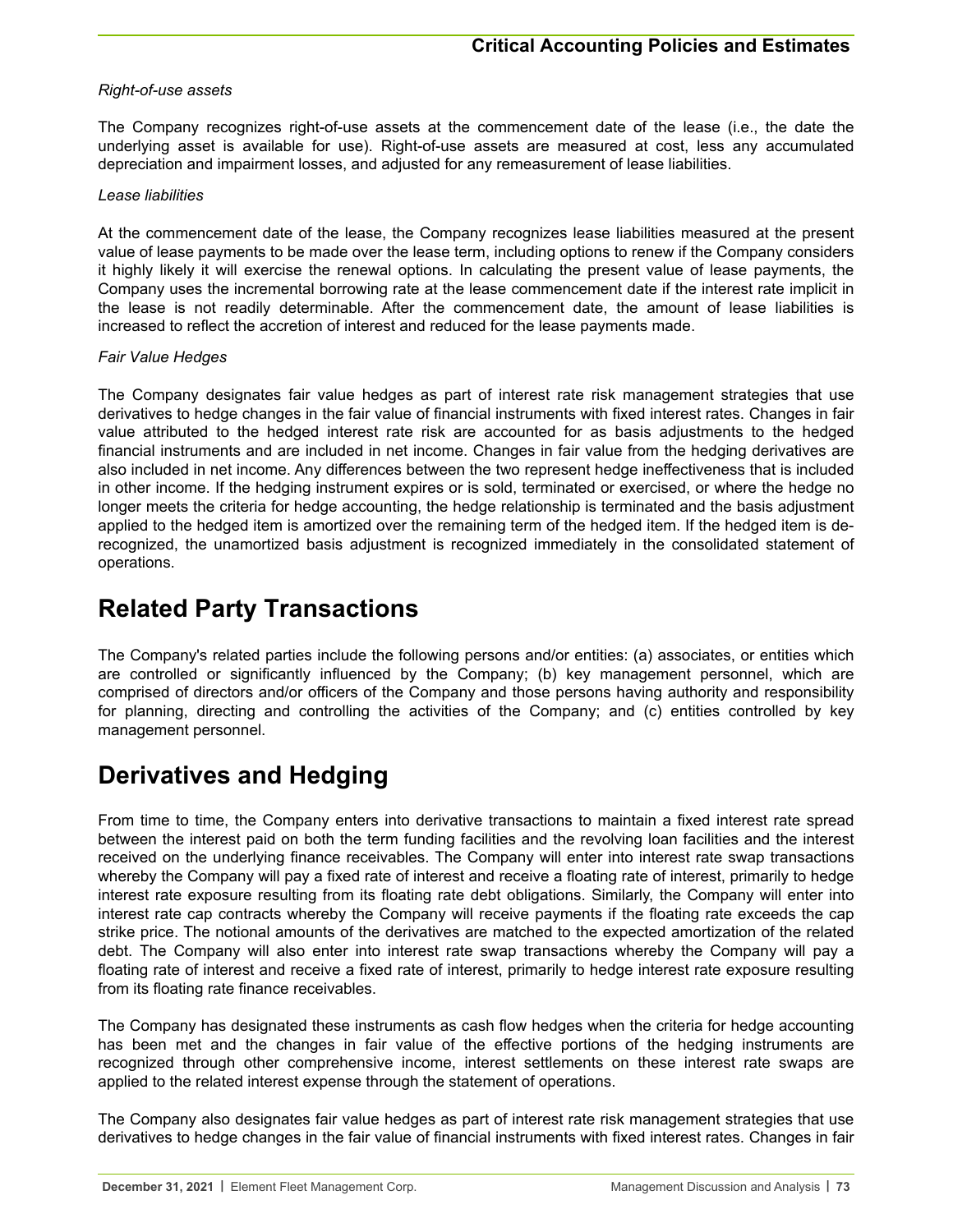## *Right-of-use assets*

The Company recognizes right-of-use assets at the commencement date of the lease (i.e., the date the underlying asset is available for use). Right-of-use assets are measured at cost, less any accumulated depreciation and impairment losses, and adjusted for any remeasurement of lease liabilities.

#### *Lease liabilities*

At the commencement date of the lease, the Company recognizes lease liabilities measured at the present value of lease payments to be made over the lease term, including options to renew if the Company considers it highly likely it will exercise the renewal options. In calculating the present value of lease payments, the Company uses the incremental borrowing rate at the lease commencement date if the interest rate implicit in the lease is not readily determinable. After the commencement date, the amount of lease liabilities is increased to reflect the accretion of interest and reduced for the lease payments made.

## *Fair Value Hedges*

The Company designates fair value hedges as part of interest rate risk management strategies that use derivatives to hedge changes in the fair value of financial instruments with fixed interest rates. Changes in fair value attributed to the hedged interest rate risk are accounted for as basis adjustments to the hedged financial instruments and are included in net income. Changes in fair value from the hedging derivatives are also included in net income. Any differences between the two represent hedge ineffectiveness that is included in other income. If the hedging instrument expires or is sold, terminated or exercised, or where the hedge no longer meets the criteria for hedge accounting, the hedge relationship is terminated and the basis adjustment applied to the hedged item is amortized over the remaining term of the hedged item. If the hedged item is derecognized, the unamortized basis adjustment is recognized immediately in the consolidated statement of operations.

## **Related Party Transactions**

The Company's related parties include the following persons and/or entities: (a) associates, or entities which are controlled or significantly influenced by the Company; (b) key management personnel, which are comprised of directors and/or officers of the Company and those persons having authority and responsibility for planning, directing and controlling the activities of the Company; and (c) entities controlled by key management personnel.

## **Derivatives and Hedging**

From time to time, the Company enters into derivative transactions to maintain a fixed interest rate spread between the interest paid on both the term funding facilities and the revolving loan facilities and the interest received on the underlying finance receivables. The Company will enter into interest rate swap transactions whereby the Company will pay a fixed rate of interest and receive a floating rate of interest, primarily to hedge interest rate exposure resulting from its floating rate debt obligations. Similarly, the Company will enter into interest rate cap contracts whereby the Company will receive payments if the floating rate exceeds the cap strike price. The notional amounts of the derivatives are matched to the expected amortization of the related debt. The Company will also enter into interest rate swap transactions whereby the Company will pay a floating rate of interest and receive a fixed rate of interest, primarily to hedge interest rate exposure resulting from its floating rate finance receivables.

The Company has designated these instruments as cash flow hedges when the criteria for hedge accounting has been met and the changes in fair value of the effective portions of the hedging instruments are recognized through other comprehensive income, interest settlements on these interest rate swaps are applied to the related interest expense through the statement of operations.

The Company also designates fair value hedges as part of interest rate risk management strategies that use derivatives to hedge changes in the fair value of financial instruments with fixed interest rates. Changes in fair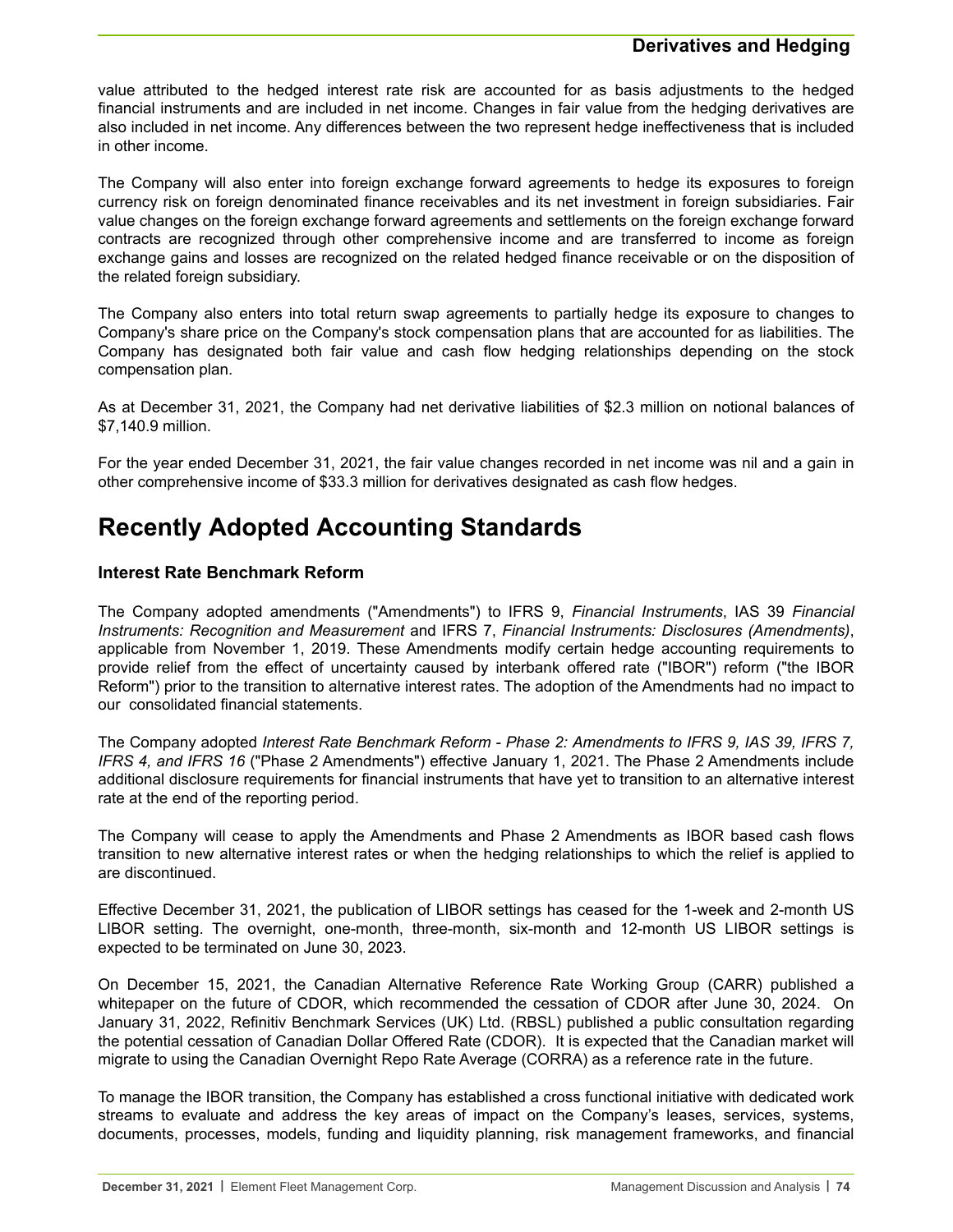## **Derivatives and Hedging**

value attributed to the hedged interest rate risk are accounted for as basis adjustments to the hedged financial instruments and are included in net income. Changes in fair value from the hedging derivatives are also included in net income. Any differences between the two represent hedge ineffectiveness that is included in other income.

The Company will also enter into foreign exchange forward agreements to hedge its exposures to foreign currency risk on foreign denominated finance receivables and its net investment in foreign subsidiaries. Fair value changes on the foreign exchange forward agreements and settlements on the foreign exchange forward contracts are recognized through other comprehensive income and are transferred to income as foreign exchange gains and losses are recognized on the related hedged finance receivable or on the disposition of the related foreign subsidiary.

The Company also enters into total return swap agreements to partially hedge its exposure to changes to Company's share price on the Company's stock compensation plans that are accounted for as liabilities. The Company has designated both fair value and cash flow hedging relationships depending on the stock compensation plan.

As at December 31, 2021, the Company had net derivative liabilities of \$2.3 million on notional balances of \$7,140.9 million.

For the year ended December 31, 2021, the fair value changes recorded in net income was nil and a gain in other comprehensive income of \$33.3 million for derivatives designated as cash flow hedges.

# **Recently Adopted Accounting Standards**

## **Interest Rate Benchmark Reform**

The Company adopted amendments ("Amendments") to IFRS 9, *Financial Instruments*, IAS 39 *Financial Instruments: Recognition and Measurement* and IFRS 7, *Financial Instruments: Disclosures (Amendments)*, applicable from November 1, 2019. These Amendments modify certain hedge accounting requirements to provide relief from the effect of uncertainty caused by interbank offered rate ("IBOR") reform ("the IBOR Reform") prior to the transition to alternative interest rates. The adoption of the Amendments had no impact to our consolidated financial statements.

The Company adopted *Interest Rate Benchmark Reform - Phase 2: Amendments to IFRS 9, IAS 39, IFRS 7, IFRS 4, and IFRS 16* ("Phase 2 Amendments") effective January 1, 2021. The Phase 2 Amendments include additional disclosure requirements for financial instruments that have yet to transition to an alternative interest rate at the end of the reporting period.

The Company will cease to apply the Amendments and Phase 2 Amendments as IBOR based cash flows transition to new alternative interest rates or when the hedging relationships to which the relief is applied to are discontinued.

Effective December 31, 2021, the publication of LIBOR settings has ceased for the 1-week and 2-month US LIBOR setting. The overnight, one-month, three-month, six-month and 12-month US LIBOR settings is expected to be terminated on June 30, 2023.

On December 15, 2021, the Canadian Alternative Reference Rate Working Group (CARR) published a whitepaper on the future of CDOR, which recommended the cessation of CDOR after June 30, 2024. On January 31, 2022, Refinitiv Benchmark Services (UK) Ltd. (RBSL) published a public consultation regarding the potential cessation of Canadian Dollar Offered Rate (CDOR). It is expected that the Canadian market will migrate to using the Canadian Overnight Repo Rate Average (CORRA) as a reference rate in the future.

To manage the IBOR transition, the Company has established a cross functional initiative with dedicated work streams to evaluate and address the key areas of impact on the Company's leases, services, systems, documents, processes, models, funding and liquidity planning, risk management frameworks, and financial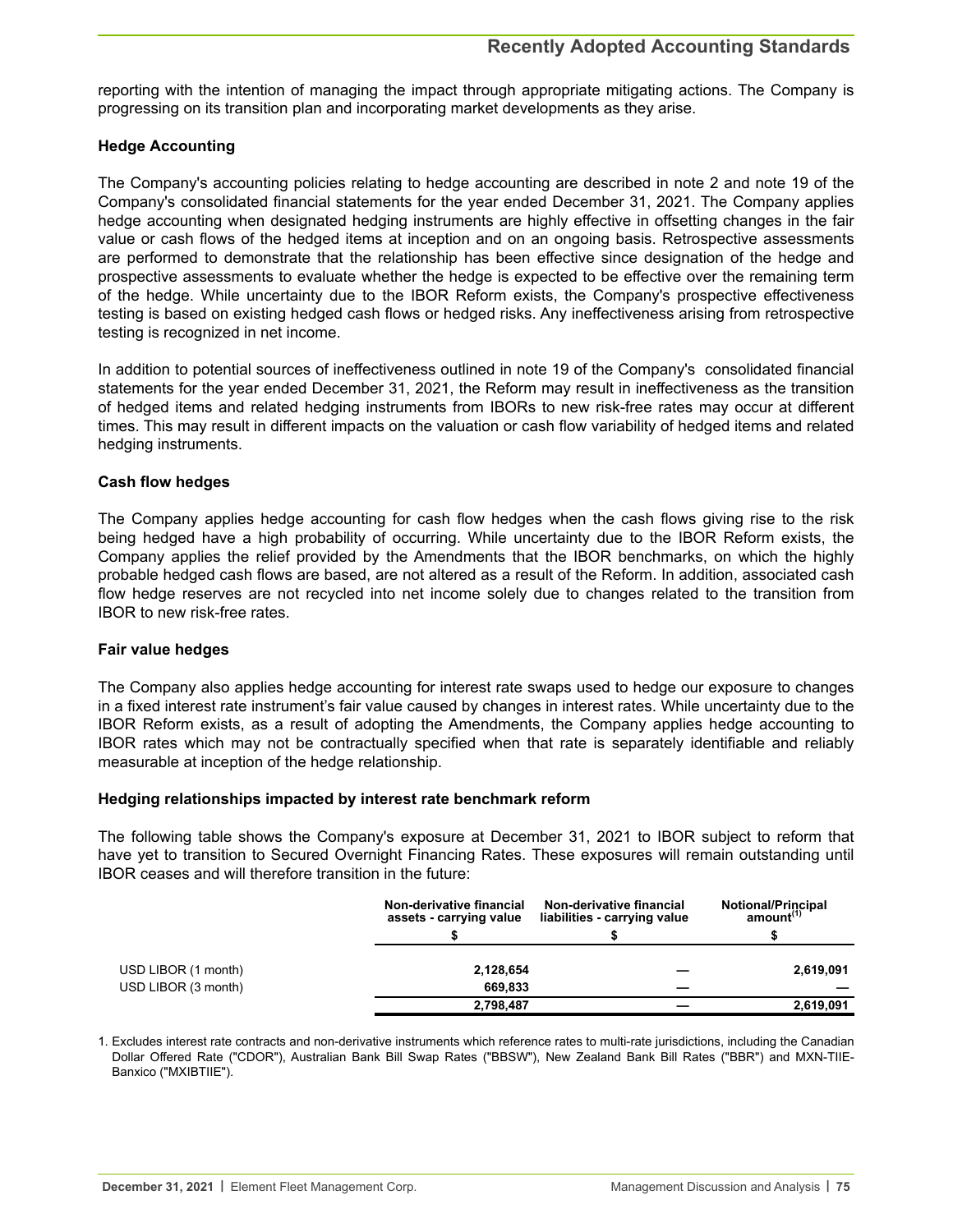reporting with the intention of managing the impact through appropriate mitigating actions. The Company is progressing on its transition plan and incorporating market developments as they arise.

## **Hedge Accounting**

The Company's accounting policies relating to hedge accounting are described in note 2 and note 19 of the Company's consolidated financial statements for the year ended December 31, 2021. The Company applies hedge accounting when designated hedging instruments are highly effective in offsetting changes in the fair value or cash flows of the hedged items at inception and on an ongoing basis. Retrospective assessments are performed to demonstrate that the relationship has been effective since designation of the hedge and prospective assessments to evaluate whether the hedge is expected to be effective over the remaining term of the hedge. While uncertainty due to the IBOR Reform exists, the Company's prospective effectiveness testing is based on existing hedged cash flows or hedged risks. Any ineffectiveness arising from retrospective testing is recognized in net income.

In addition to potential sources of ineffectiveness outlined in note 19 of the Company's consolidated financial statements for the year ended December 31, 2021, the Reform may result in ineffectiveness as the transition of hedged items and related hedging instruments from IBORs to new risk-free rates may occur at different times. This may result in different impacts on the valuation or cash flow variability of hedged items and related hedging instruments.

## **Cash flow hedges**

The Company applies hedge accounting for cash flow hedges when the cash flows giving rise to the risk being hedged have a high probability of occurring. While uncertainty due to the IBOR Reform exists, the Company applies the relief provided by the Amendments that the IBOR benchmarks, on which the highly probable hedged cash flows are based, are not altered as a result of the Reform. In addition, associated cash flow hedge reserves are not recycled into net income solely due to changes related to the transition from IBOR to new risk-free rates.

## **Fair value hedges**

The Company also applies hedge accounting for interest rate swaps used to hedge our exposure to changes in a fixed interest rate instrument's fair value caused by changes in interest rates. While uncertainty due to the IBOR Reform exists, as a result of adopting the Amendments, the Company applies hedge accounting to IBOR rates which may not be contractually specified when that rate is separately identifiable and reliably measurable at inception of the hedge relationship.

## **Hedging relationships impacted by interest rate benchmark reform**

The following table shows the Company's exposure at December 31, 2021 to IBOR subject to reform that have yet to transition to Secured Overnight Financing Rates. These exposures will remain outstanding until IBOR ceases and will therefore transition in the future:

|                                            | Non-derivative financial<br>assets - carrying value | Non-derivative financial<br>liabilities - carrying value | <b>Notional/Principal</b><br>amount <sup>(1)</sup> |  |  |
|--------------------------------------------|-----------------------------------------------------|----------------------------------------------------------|----------------------------------------------------|--|--|
|                                            |                                                     |                                                          |                                                    |  |  |
| USD LIBOR (1 month)<br>USD LIBOR (3 month) | 2,128,654<br>669.833                                |                                                          | 2,619,091                                          |  |  |
|                                            | 2,798,487                                           |                                                          | 2,619,091                                          |  |  |

1. Excludes interest rate contracts and non-derivative instruments which reference rates to multi-rate jurisdictions, including the Canadian Dollar Offered Rate ("CDOR"), Australian Bank Bill Swap Rates ("BBSW"), New Zealand Bank Bill Rates ("BBR") and MXN-TIIE-Banxico ("MXIBTIIE").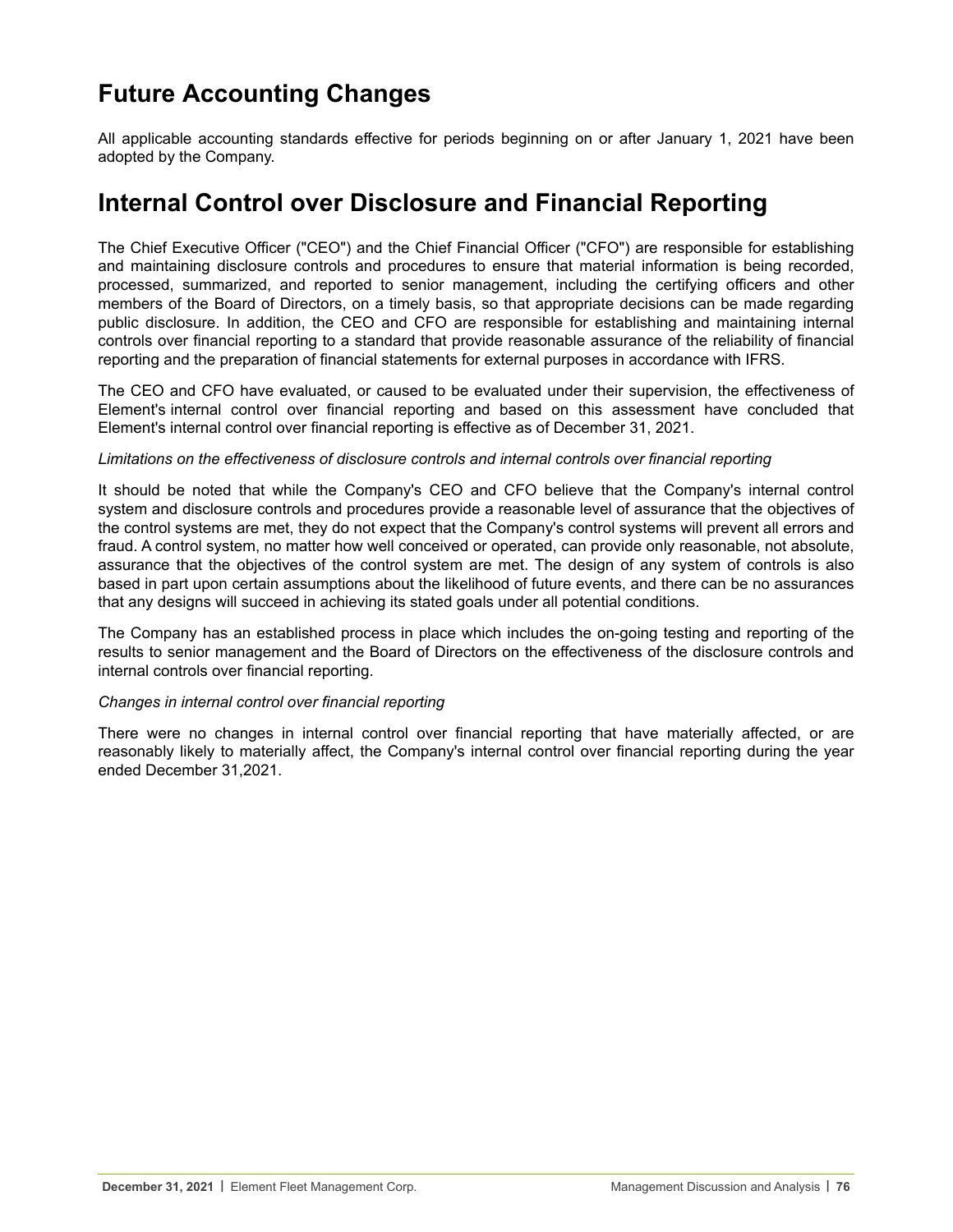# **Future Accounting Changes**

All applicable accounting standards effective for periods beginning on or after January 1, 2021 have been adopted by the Company.

## **Internal Control over Disclosure and Financial Reporting**

The Chief Executive Officer ("CEO") and the Chief Financial Officer ("CFO") are responsible for establishing and maintaining disclosure controls and procedures to ensure that material information is being recorded, processed, summarized, and reported to senior management, including the certifying officers and other members of the Board of Directors, on a timely basis, so that appropriate decisions can be made regarding public disclosure. In addition, the CEO and CFO are responsible for establishing and maintaining internal controls over financial reporting to a standard that provide reasonable assurance of the reliability of financial reporting and the preparation of financial statements for external purposes in accordance with IFRS.

The CEO and CFO have evaluated, or caused to be evaluated under their supervision, the effectiveness of Element's internal control over financial reporting and based on this assessment have concluded that Element's internal control over financial reporting is effective as of December 31, 2021.

#### *Limitations on the effectiveness of disclosure controls and internal controls over financial reporting*

It should be noted that while the Company's CEO and CFO believe that the Company's internal control system and disclosure controls and procedures provide a reasonable level of assurance that the objectives of the control systems are met, they do not expect that the Company's control systems will prevent all errors and fraud. A control system, no matter how well conceived or operated, can provide only reasonable, not absolute, assurance that the objectives of the control system are met. The design of any system of controls is also based in part upon certain assumptions about the likelihood of future events, and there can be no assurances that any designs will succeed in achieving its stated goals under all potential conditions.

The Company has an established process in place which includes the on-going testing and reporting of the results to senior management and the Board of Directors on the effectiveness of the disclosure controls and internal controls over financial reporting.

## *Changes in internal control over financial reporting*

There were no changes in internal control over financial reporting that have materially affected, or are reasonably likely to materially affect, the Company's internal control over financial reporting during the year ended December 31,2021.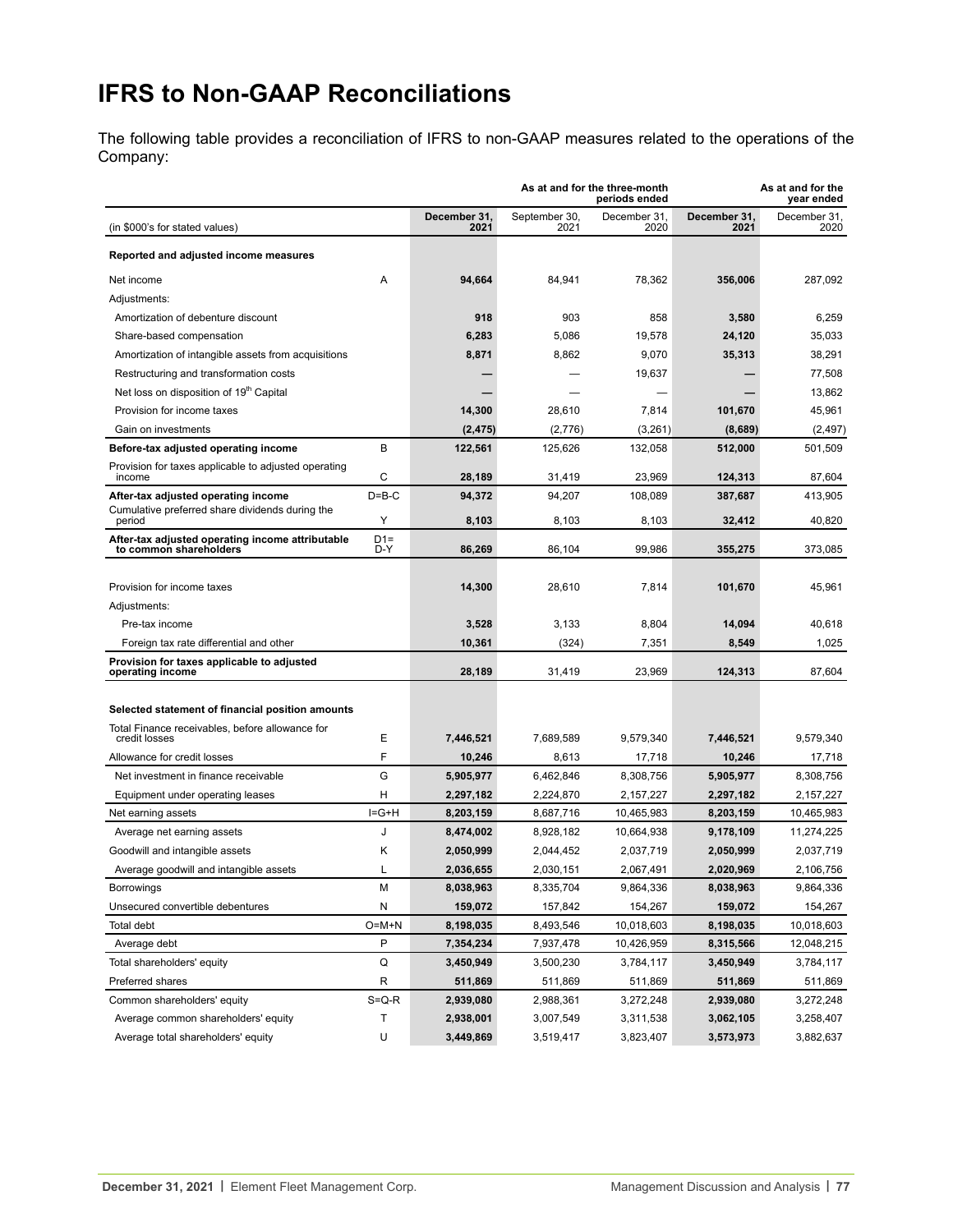# **IFRS to Non-GAAP Reconciliations**

The following table provides a reconciliation of IFRS to non-GAAP measures related to the operations of the Company:

|                                                                                        |              |                      | As at and for the three-month<br>periods ended |                      | As at and for the<br>year ended |                      |  |
|----------------------------------------------------------------------------------------|--------------|----------------------|------------------------------------------------|----------------------|---------------------------------|----------------------|--|
| (in \$000's for stated values)                                                         |              | December 31,<br>2021 | September 30,<br>2021                          | December 31,<br>2020 | December 31,<br>2021            | December 31,<br>2020 |  |
| Reported and adjusted income measures                                                  |              |                      |                                                |                      |                                 |                      |  |
| Net income                                                                             | A            | 94,664               | 84,941                                         | 78,362               | 356.006                         | 287,092              |  |
| Adjustments:                                                                           |              |                      |                                                |                      |                                 |                      |  |
| Amortization of debenture discount                                                     |              | 918                  | 903                                            | 858                  | 3,580                           | 6,259                |  |
| Share-based compensation                                                               |              | 6,283                | 5,086                                          | 19,578               | 24,120                          | 35,033               |  |
| Amortization of intangible assets from acquisitions                                    |              | 8,871                | 8,862                                          | 9,070                | 35,313                          | 38,291               |  |
| Restructuring and transformation costs                                                 |              |                      |                                                | 19,637               |                                 | 77,508               |  |
| Net loss on disposition of 19th Capital                                                |              |                      |                                                |                      |                                 | 13,862               |  |
| Provision for income taxes                                                             |              | 14,300               | 28,610                                         | 7,814                | 101,670                         | 45,961               |  |
| Gain on investments                                                                    |              | (2, 475)             | (2,776)                                        | (3,261)              | (8,689)                         | (2, 497)             |  |
| Before-tax adjusted operating income                                                   | B            | 122,561              | 125,626                                        | 132,058              | 512,000                         | 501,509              |  |
| Provision for taxes applicable to adjusted operating                                   |              |                      |                                                |                      |                                 |                      |  |
| income                                                                                 | С            | 28,189               | 31,419                                         | 23,969               | 124,313                         | 87,604               |  |
| After-tax adjusted operating income<br>Cumulative preferred share dividends during the | $D = B - C$  | 94,372               | 94,207                                         | 108,089              | 387,687                         | 413,905              |  |
| period                                                                                 | Υ            | 8,103                | 8,103                                          | 8,103                | 32,412                          | 40.820               |  |
| After-tax adjusted operating income attributable<br>to common shareholders             | $D1=$<br>D-Y | 86,269               | 86.104                                         | 99,986               | 355,275                         | 373,085              |  |
|                                                                                        |              |                      |                                                |                      |                                 |                      |  |
| Provision for income taxes                                                             |              | 14,300               | 28,610                                         | 7,814                | 101,670                         | 45,961               |  |
| Adjustments:                                                                           |              |                      |                                                |                      |                                 |                      |  |
| Pre-tax income                                                                         |              | 3,528                | 3,133                                          | 8,804                | 14,094                          | 40.618               |  |
| Foreign tax rate differential and other                                                |              | 10,361               | (324)                                          | 7,351                | 8,549                           | 1,025                |  |
| Provision for taxes applicable to adjusted<br>operating income                         |              | 28,189               | 31,419                                         | 23,969               | 124,313                         | 87,604               |  |
| Selected statement of financial position amounts                                       |              |                      |                                                |                      |                                 |                      |  |
| Total Finance receivables, before allowance for                                        |              |                      |                                                |                      |                                 |                      |  |
| credit losses                                                                          | Ε            | 7,446,521            | 7,689,589                                      | 9,579,340            | 7,446,521                       | 9,579,340            |  |
| Allowance for credit losses                                                            | F            | 10,246               | 8,613                                          | 17,718               | 10,246                          | 17,718               |  |
| Net investment in finance receivable                                                   | G            | 5,905,977            | 6,462,846                                      | 8,308,756            | 5,905,977                       | 8,308,756            |  |
| Equipment under operating leases                                                       | н            | 2,297,182            | 2,224,870                                      | 2,157,227            | 2,297,182                       | 2,157,227            |  |
| Net earning assets                                                                     | $I = G + H$  | 8,203,159            | 8,687,716                                      | 10,465,983           | 8,203,159                       | 10,465,983           |  |
| Average net earning assets                                                             | J            | 8,474,002            | 8,928,182                                      | 10,664,938           | 9,178,109                       | 11,274,225           |  |
| Goodwill and intangible assets                                                         | Κ            | 2,050,999            | 2,044,452                                      | 2,037,719            | 2,050,999                       | 2,037,719            |  |
| Average goodwill and intangible assets                                                 | L            | 2,036,655            | 2,030,151                                      | 2,067,491            | 2,020,969                       | 2.106.756            |  |
| Borrowings                                                                             | М            | 8,038,963            | 8,335,704                                      | 9,864,336            | 8,038,963                       | 9,864,336            |  |
| Unsecured convertible debentures                                                       | N            | 159,072              | 157,842                                        | 154,267              | 159,072                         | 154,267              |  |
| Total debt                                                                             | $O=M+N$      | 8,198,035            | 8,493,546                                      | 10,018,603           | 8,198,035                       | 10,018,603           |  |
| Average debt                                                                           | P            | 7,354,234            | 7,937,478                                      | 10,426,959           | 8,315,566                       | 12,048,215           |  |
| Total shareholders' equity                                                             | $\sf Q$      | 3,450,949            | 3,500,230                                      | 3,784,117            | 3,450,949                       | 3,784,117            |  |
| Preferred shares                                                                       | R            | 511,869              | 511,869                                        | 511,869              | 511,869                         | 511,869              |  |
| Common shareholders' equity                                                            | $S = Q - R$  | 2,939,080            | 2,988,361                                      | 3,272,248            | 2,939,080                       | 3,272,248            |  |
| Average common shareholders' equity                                                    | Т            | 2,938,001            | 3,007,549                                      | 3,311,538            | 3,062,105                       | 3,258,407            |  |
| Average total shareholders' equity                                                     | U            | 3,449,869            | 3,519,417                                      | 3,823,407            | 3,573,973                       | 3,882,637            |  |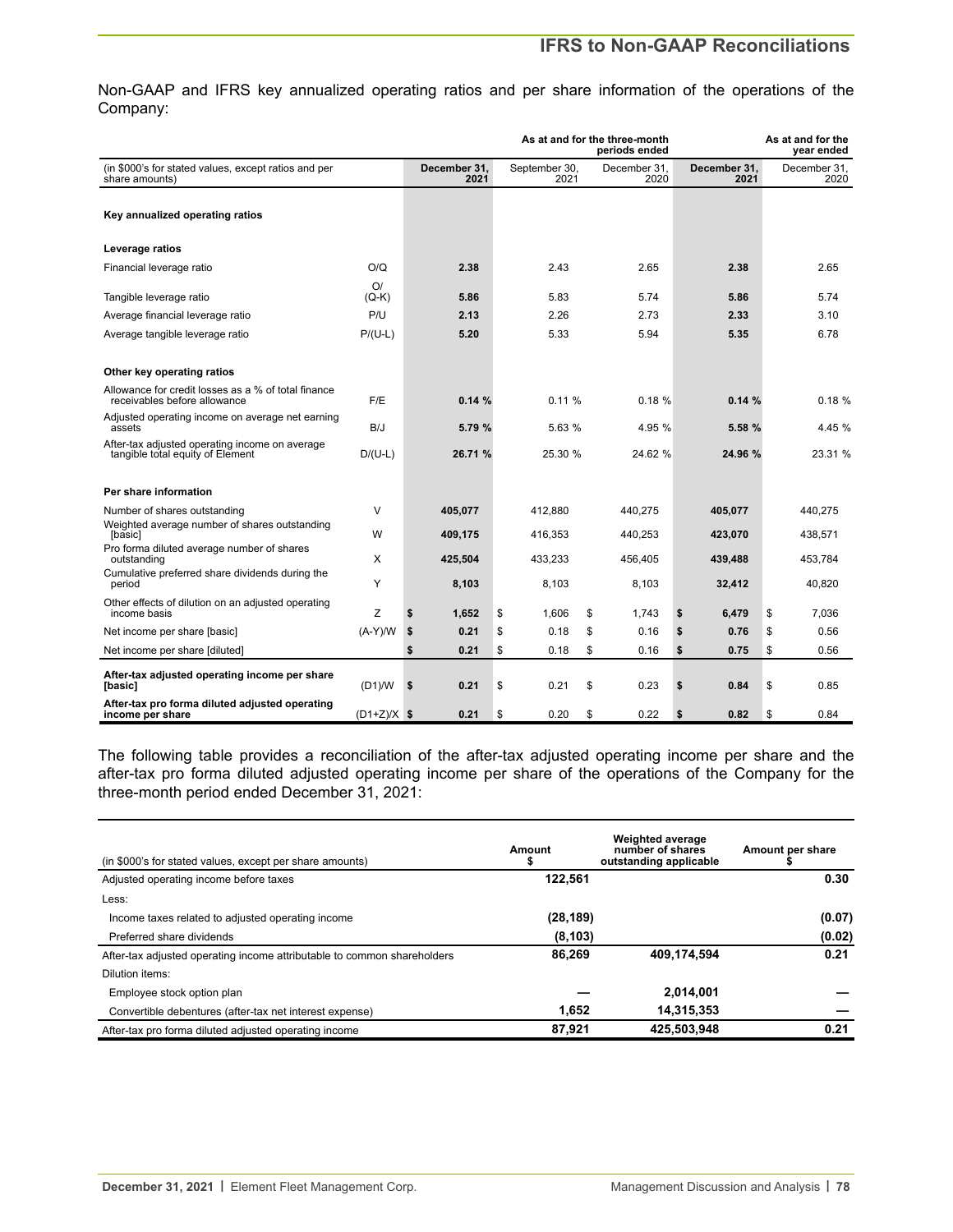## **IFRS to Non-GAAP Reconciliations**

Non-GAAP and IFRS key annualized operating ratios and per share information of the operations of the Company:

|                                                                                     |               |                      |                       | As at and for the three-month<br>periods ended |                      | As at and for the<br>year ended |
|-------------------------------------------------------------------------------------|---------------|----------------------|-----------------------|------------------------------------------------|----------------------|---------------------------------|
| (in \$000's for stated values, except ratios and per<br>share amounts)              |               | December 31.<br>2021 | September 30.<br>2021 | December 31.<br>2020                           | December 31.<br>2021 | December 31.<br>2020            |
| Key annualized operating ratios                                                     |               |                      |                       |                                                |                      |                                 |
| Leverage ratios                                                                     |               |                      |                       |                                                |                      |                                 |
| Financial leverage ratio                                                            | O/Q           | 2.38                 | 2.43                  | 2.65                                           | 2.38                 | 2.65                            |
| Tangible leverage ratio                                                             | O/<br>$(Q-K)$ | 5.86                 | 5.83                  | 5.74                                           | 5.86                 | 5.74                            |
| Average financial leverage ratio                                                    | P/U           | 2.13                 | 2.26                  | 2.73                                           | 2.33                 | 3.10                            |
| Average tangible leverage ratio                                                     | $P/(U-L)$     | 5.20                 | 5.33                  | 5.94                                           | 5.35                 | 6.78                            |
| Other key operating ratios                                                          |               |                      |                       |                                                |                      |                                 |
| Allowance for credit losses as a % of total finance<br>receivables before allowance | F/E           | 0.14%                | 0.11%                 | 0.18%                                          | 0.14%                | 0.18%                           |
| Adjusted operating income on average net earning<br>assets                          | B/J           | 5.79 %               | 5.63 %                | 4.95 %                                         | 5.58 %               | 4.45 %                          |
| After-tax adjusted operating income on average<br>tangible total equity of Element  | $D/(U-L)$     | 26.71 %              | 25.30 %               | 24.62 %                                        | 24.96 %              | 23.31 %                         |
| Per share information                                                               |               |                      |                       |                                                |                      |                                 |
| Number of shares outstanding                                                        | $\vee$        | 405,077              | 412,880               | 440,275                                        | 405,077              | 440,275                         |
| Weighted average number of shares outstanding<br>[basic]                            | W             | 409,175              | 416,353               | 440.253                                        | 423,070              | 438,571                         |
| Pro forma diluted average number of shares<br>outstanding                           | X             | 425,504              | 433,233               | 456.405                                        | 439,488              | 453,784                         |
| Cumulative preferred share dividends during the<br>period                           | Y             | 8,103                | 8,103                 | 8,103                                          | 32,412               | 40,820                          |
| Other effects of dilution on an adjusted operating<br>income basis                  | Z             | \$<br>1.652          | \$<br>1.606           | \$<br>1.743                                    | \$<br>6.479          | \$<br>7.036                     |
| Net income per share [basic]                                                        | $(A-Y)/W$     | \$<br>0.21           | \$<br>0.18            | \$<br>0.16                                     | \$<br>0.76           | \$<br>0.56                      |
| Net income per share [diluted]                                                      |               | 0.21<br>\$           | \$<br>0.18            | \$<br>0.16                                     | \$<br>0.75           | \$<br>0.56                      |
| After-tax adjusted operating income per share<br>[basic]                            | (D1)/W        | \$<br>0.21           | \$<br>0.21            | \$<br>0.23                                     | \$<br>0.84           | \$<br>0.85                      |
| After-tax pro forma diluted adjusted operating<br>income per share                  | $(D1+Z)/X$ \$ | 0.21                 | \$<br>0.20            | \$<br>0.22                                     | \$<br>0.82           | \$<br>0.84                      |

The following table provides a reconciliation of the after-tax adjusted operating income per share and the after-tax pro forma diluted adjusted operating income per share of the operations of the Company for the three-month period ended December 31, 2021:

| (in \$000's for stated values, except per share amounts)                | Amount<br>л | <b>Weighted average</b><br>number of shares<br>outstanding applicable | Amount per share |  |  |
|-------------------------------------------------------------------------|-------------|-----------------------------------------------------------------------|------------------|--|--|
| Adjusted operating income before taxes                                  | 122.561     |                                                                       | 0.30             |  |  |
| Less:                                                                   |             |                                                                       |                  |  |  |
| Income taxes related to adjusted operating income                       | (28, 189)   |                                                                       | (0.07)           |  |  |
| Preferred share dividends                                               | (8, 103)    |                                                                       | (0.02)           |  |  |
| After-tax adjusted operating income attributable to common shareholders | 86,269      | 409,174,594                                                           | 0.21             |  |  |
| Dilution items:                                                         |             |                                                                       |                  |  |  |
| Employee stock option plan                                              |             | 2,014,001                                                             |                  |  |  |
| Convertible debentures (after-tax net interest expense)                 | 1.652       | 14,315,353                                                            |                  |  |  |
| After-tax pro forma diluted adjusted operating income                   | 87.921      | 425,503,948                                                           | 0.21             |  |  |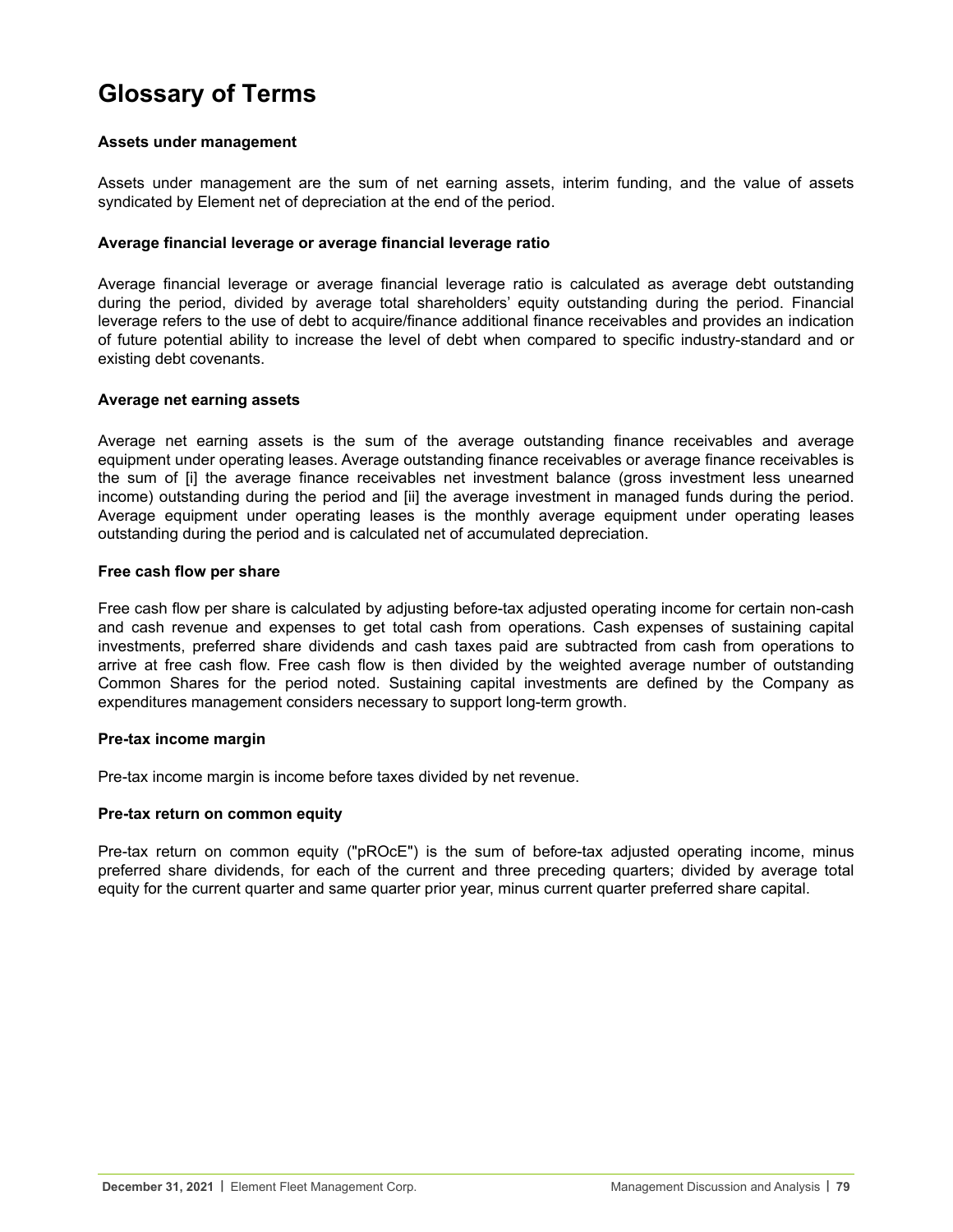# **Glossary of Terms**

#### **Assets under management**

Assets under management are the sum of net earning assets, interim funding, and the value of assets syndicated by Element net of depreciation at the end of the period.

#### **Average financial leverage or average financial leverage ratio**

Average financial leverage or average financial leverage ratio is calculated as average debt outstanding during the period, divided by average total shareholders' equity outstanding during the period. Financial leverage refers to the use of debt to acquire/finance additional finance receivables and provides an indication of future potential ability to increase the level of debt when compared to specific industry-standard and or existing debt covenants.

#### **Average net earning assets**

Average net earning assets is the sum of the average outstanding finance receivables and average equipment under operating leases. Average outstanding finance receivables or average finance receivables is the sum of [i] the average finance receivables net investment balance (gross investment less unearned income) outstanding during the period and [ii] the average investment in managed funds during the period. Average equipment under operating leases is the monthly average equipment under operating leases outstanding during the period and is calculated net of accumulated depreciation.

#### **Free cash flow per share**

Free cash flow per share is calculated by adjusting before-tax adjusted operating income for certain non-cash and cash revenue and expenses to get total cash from operations. Cash expenses of sustaining capital investments, preferred share dividends and cash taxes paid are subtracted from cash from operations to arrive at free cash flow. Free cash flow is then divided by the weighted average number of outstanding Common Shares for the period noted. Sustaining capital investments are defined by the Company as expenditures management considers necessary to support long-term growth.

## **Pre-tax income margin**

Pre-tax income margin is income before taxes divided by net revenue.

## **Pre-tax return on common equity**

Pre-tax return on common equity ("pROcE") is the sum of before-tax adjusted operating income, minus preferred share dividends, for each of the current and three preceding quarters; divided by average total equity for the current quarter and same quarter prior year, minus current quarter preferred share capital.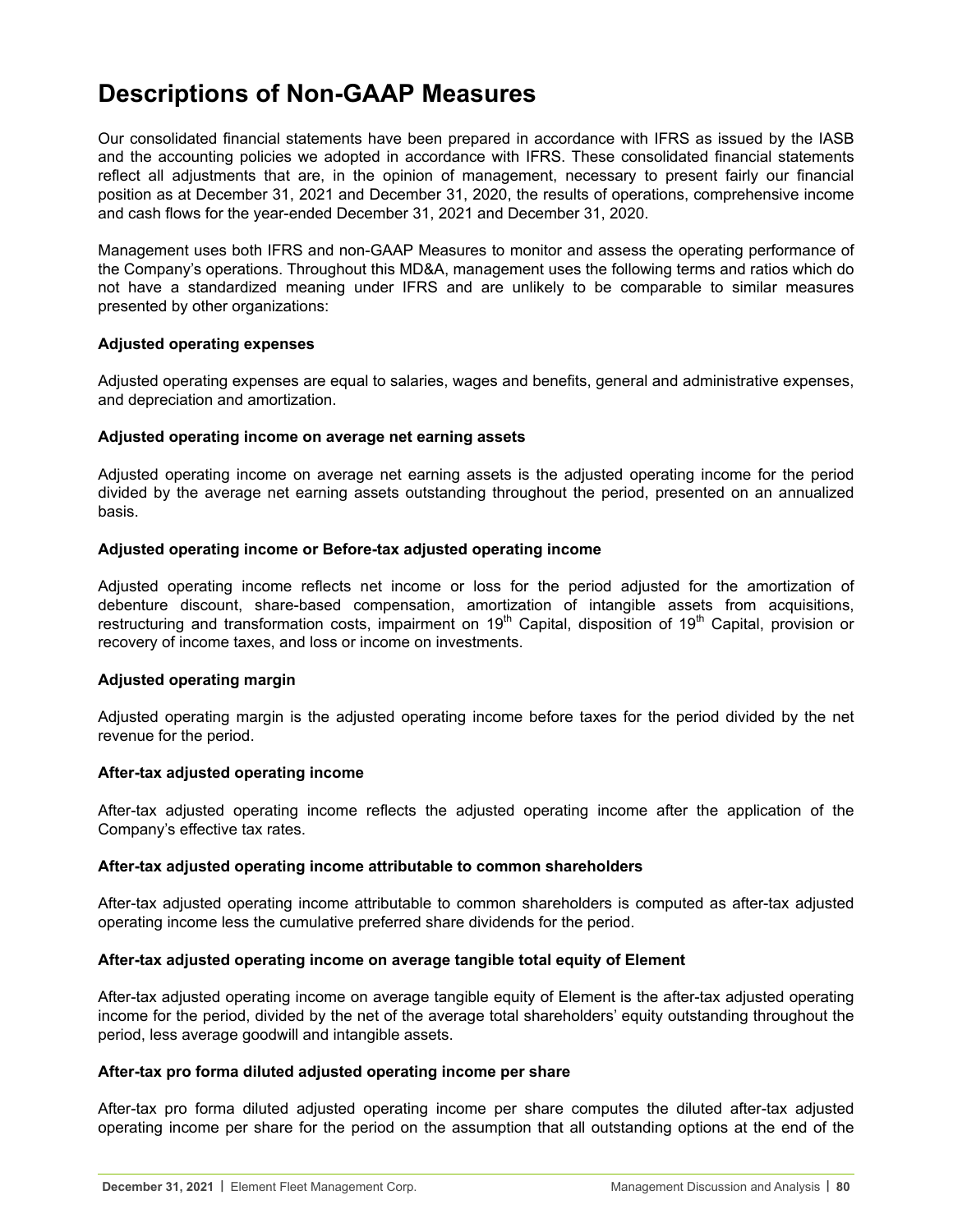## **Descriptions of Non-GAAP Measures**

Our consolidated financial statements have been prepared in accordance with IFRS as issued by the IASB and the accounting policies we adopted in accordance with IFRS. These consolidated financial statements reflect all adjustments that are, in the opinion of management, necessary to present fairly our financial position as at December 31, 2021 and December 31, 2020, the results of operations, comprehensive income and cash flows for the year-ended December 31, 2021 and December 31, 2020.

Management uses both IFRS and non-GAAP Measures to monitor and assess the operating performance of the Company's operations. Throughout this MD&A, management uses the following terms and ratios which do not have a standardized meaning under IFRS and are unlikely to be comparable to similar measures presented by other organizations:

#### **Adjusted operating expenses**

Adjusted operating expenses are equal to salaries, wages and benefits, general and administrative expenses, and depreciation and amortization.

#### **Adjusted operating income on average net earning assets**

Adjusted operating income on average net earning assets is the adjusted operating income for the period divided by the average net earning assets outstanding throughout the period, presented on an annualized basis.

#### **Adjusted operating income or Before-tax adjusted operating income**

Adjusted operating income reflects net income or loss for the period adjusted for the amortization of debenture discount, share-based compensation, amortization of intangible assets from acquisitions, restructuring and transformation costs, impairment on 19<sup>th</sup> Capital, disposition of 19<sup>th</sup> Capital, provision or recovery of income taxes, and loss or income on investments.

#### **Adjusted operating margin**

Adjusted operating margin is the adjusted operating income before taxes for the period divided by the net revenue for the period.

#### **After-tax adjusted operating income**

After-tax adjusted operating income reflects the adjusted operating income after the application of the Company's effective tax rates.

#### **After-tax adjusted operating income attributable to common shareholders**

After-tax adjusted operating income attributable to common shareholders is computed as after-tax adjusted operating income less the cumulative preferred share dividends for the period.

## **After-tax adjusted operating income on average tangible total equity of Element**

After-tax adjusted operating income on average tangible equity of Element is the after-tax adjusted operating income for the period, divided by the net of the average total shareholders' equity outstanding throughout the period, less average goodwill and intangible assets.

#### **After-tax pro forma diluted adjusted operating income per share**

After-tax pro forma diluted adjusted operating income per share computes the diluted after-tax adjusted operating income per share for the period on the assumption that all outstanding options at the end of the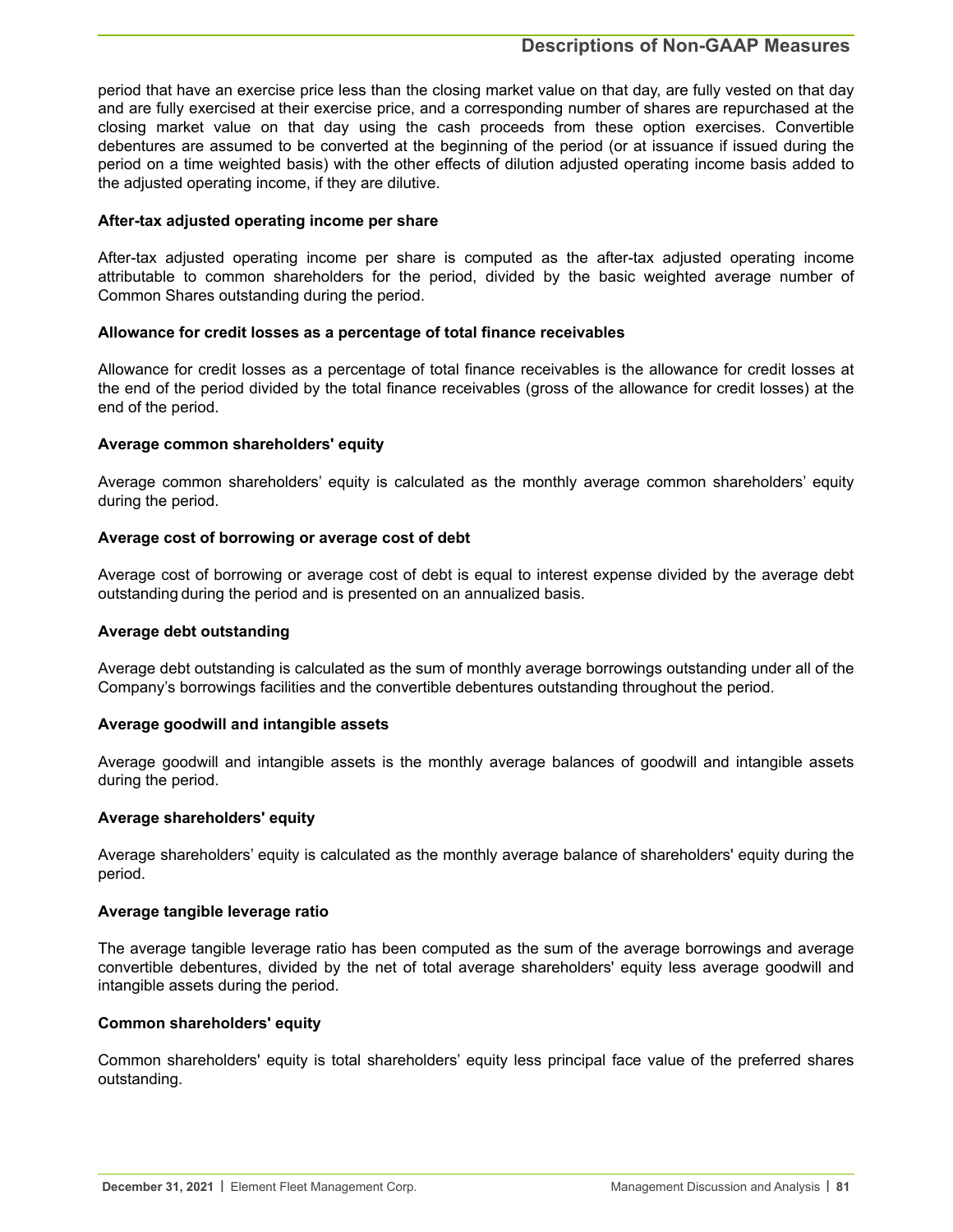## **Descriptions of Non-GAAP Measures**

period that have an exercise price less than the closing market value on that day, are fully vested on that day and are fully exercised at their exercise price, and a corresponding number of shares are repurchased at the closing market value on that day using the cash proceeds from these option exercises. Convertible debentures are assumed to be converted at the beginning of the period (or at issuance if issued during the period on a time weighted basis) with the other effects of dilution adjusted operating income basis added to the adjusted operating income, if they are dilutive.

#### **After-tax adjusted operating income per share**

After-tax adjusted operating income per share is computed as the after-tax adjusted operating income attributable to common shareholders for the period, divided by the basic weighted average number of Common Shares outstanding during the period.

#### **Allowance for credit losses as a percentage of total finance receivables**

Allowance for credit losses as a percentage of total finance receivables is the allowance for credit losses at the end of the period divided by the total finance receivables (gross of the allowance for credit losses) at the end of the period.

#### **Average common shareholders' equity**

Average common shareholders' equity is calculated as the monthly average common shareholders' equity during the period.

#### **Average cost of borrowing or average cost of debt**

Average cost of borrowing or average cost of debt is equal to interest expense divided by the average debt outstanding during the period and is presented on an annualized basis.

#### **Average debt outstanding**

Average debt outstanding is calculated as the sum of monthly average borrowings outstanding under all of the Company's borrowings facilities and the convertible debentures outstanding throughout the period.

#### **Average goodwill and intangible assets**

Average goodwill and intangible assets is the monthly average balances of goodwill and intangible assets during the period.

#### **Average shareholders' equity**

Average shareholders' equity is calculated as the monthly average balance of shareholders' equity during the period.

#### **Average tangible leverage ratio**

The average tangible leverage ratio has been computed as the sum of the average borrowings and average convertible debentures, divided by the net of total average shareholders' equity less average goodwill and intangible assets during the period.

#### **Common shareholders' equity**

Common shareholders' equity is total shareholders' equity less principal face value of the preferred shares outstanding.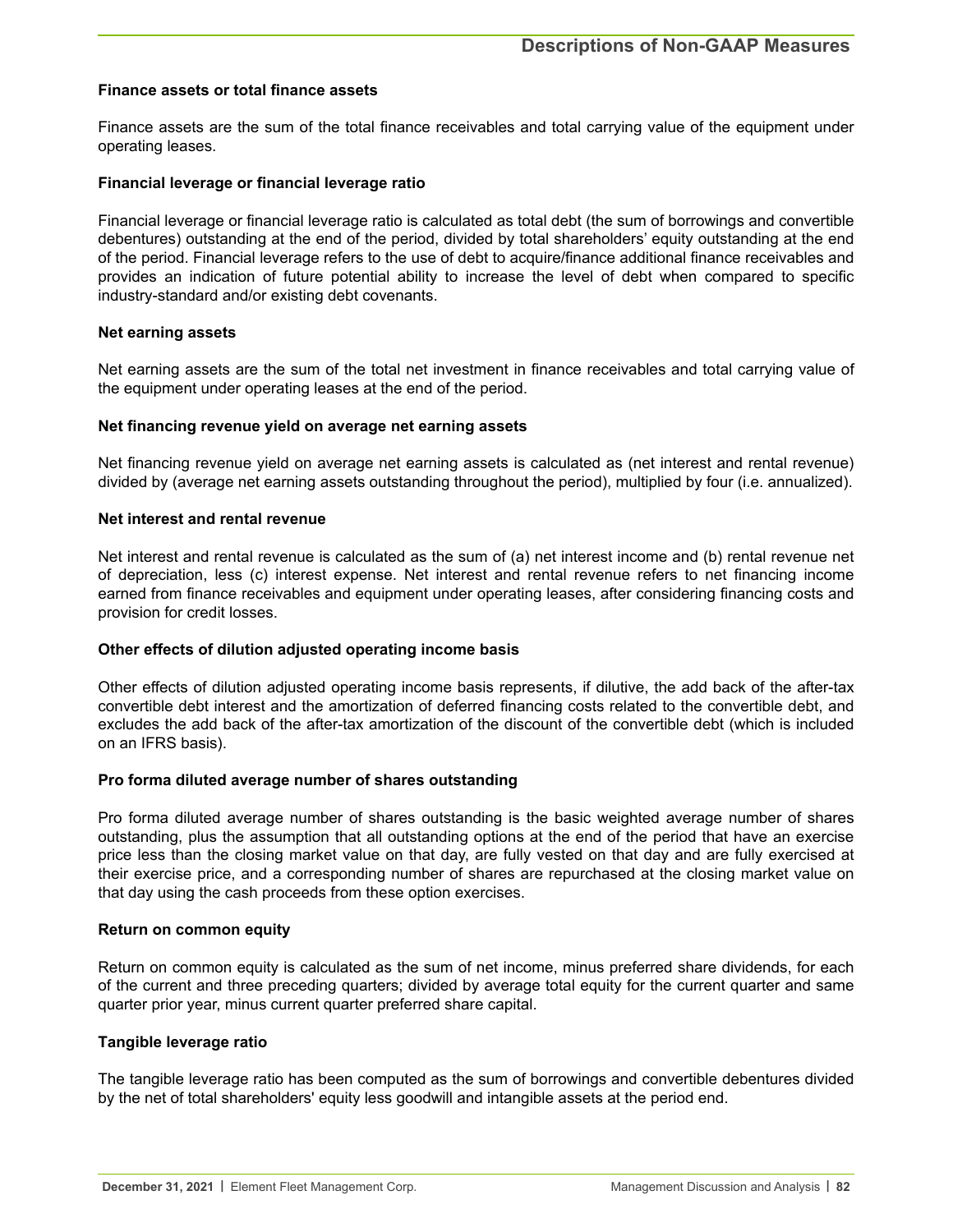#### **Finance assets or total finance assets**

Finance assets are the sum of the total finance receivables and total carrying value of the equipment under operating leases.

#### **Financial leverage or financial leverage ratio**

Financial leverage or financial leverage ratio is calculated as total debt (the sum of borrowings and convertible debentures) outstanding at the end of the period, divided by total shareholders' equity outstanding at the end of the period. Financial leverage refers to the use of debt to acquire/finance additional finance receivables and provides an indication of future potential ability to increase the level of debt when compared to specific industry-standard and/or existing debt covenants.

#### **Net earning assets**

Net earning assets are the sum of the total net investment in finance receivables and total carrying value of the equipment under operating leases at the end of the period.

#### **Net financing revenue yield on average net earning assets**

Net financing revenue yield on average net earning assets is calculated as (net interest and rental revenue) divided by (average net earning assets outstanding throughout the period), multiplied by four (i.e. annualized).

#### **Net interest and rental revenue**

Net interest and rental revenue is calculated as the sum of (a) net interest income and (b) rental revenue net of depreciation, less (c) interest expense. Net interest and rental revenue refers to net financing income earned from finance receivables and equipment under operating leases, after considering financing costs and provision for credit losses.

## **Other effects of dilution adjusted operating income basis**

Other effects of dilution adjusted operating income basis represents, if dilutive, the add back of the after-tax convertible debt interest and the amortization of deferred financing costs related to the convertible debt, and excludes the add back of the after-tax amortization of the discount of the convertible debt (which is included on an IFRS basis).

#### **Pro forma diluted average number of shares outstanding**

Pro forma diluted average number of shares outstanding is the basic weighted average number of shares outstanding, plus the assumption that all outstanding options at the end of the period that have an exercise price less than the closing market value on that day, are fully vested on that day and are fully exercised at their exercise price, and a corresponding number of shares are repurchased at the closing market value on that day using the cash proceeds from these option exercises.

#### **Return on common equity**

Return on common equity is calculated as the sum of net income, minus preferred share dividends, for each of the current and three preceding quarters; divided by average total equity for the current quarter and same quarter prior year, minus current quarter preferred share capital.

#### **Tangible leverage ratio**

The tangible leverage ratio has been computed as the sum of borrowings and convertible debentures divided by the net of total shareholders' equity less goodwill and intangible assets at the period end.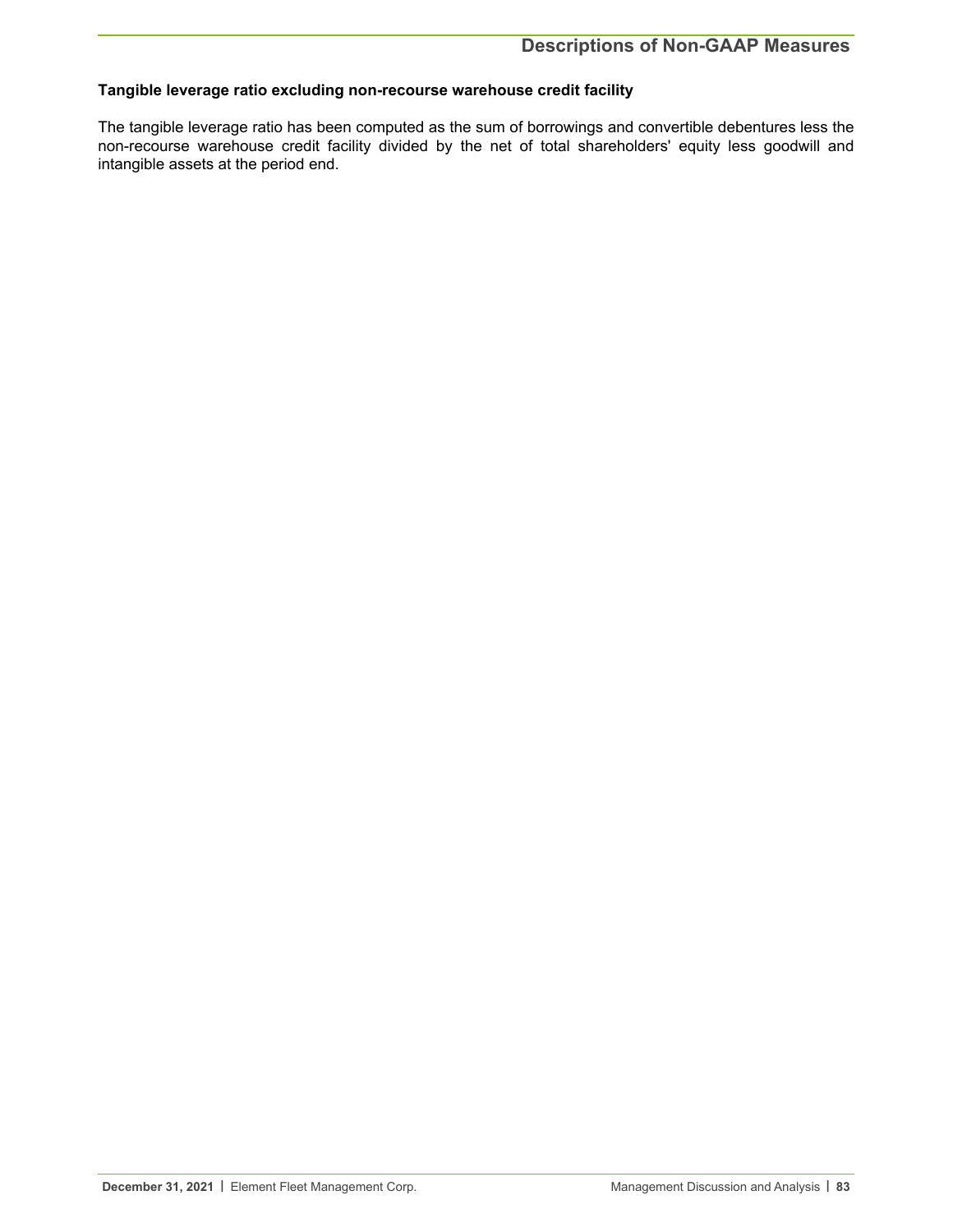## **Tangible leverage ratio excluding non-recourse warehouse credit facility**

The tangible leverage ratio has been computed as the sum of borrowings and convertible debentures less the non-recourse warehouse credit facility divided by the net of total shareholders' equity less goodwill and intangible assets at the period end.